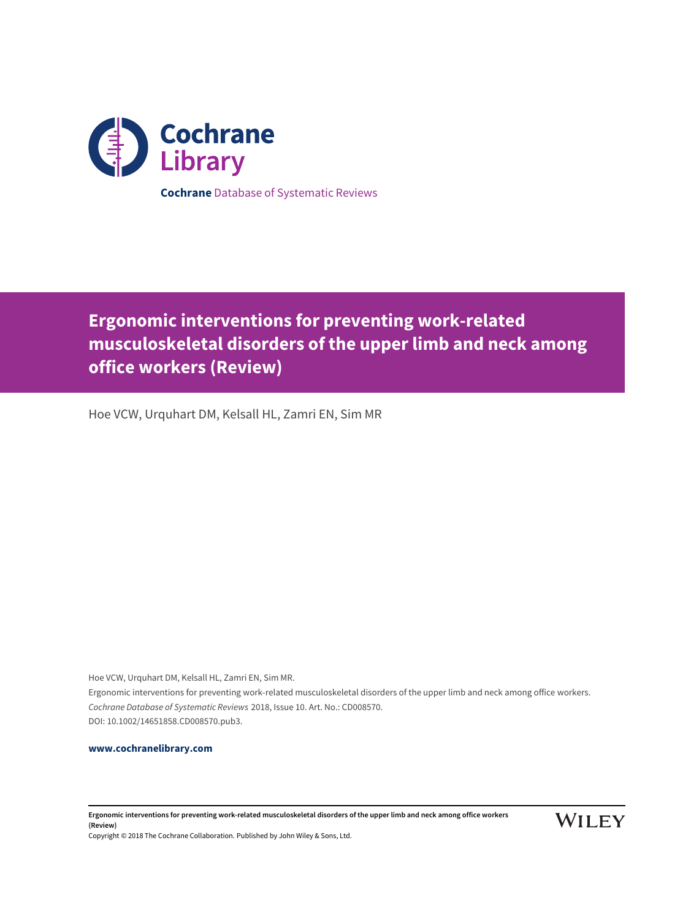

**Ergonomic interventions for preventing work-related musculoskeletal disorders of the upper limb and neck among**

**office workers (Review)**

Hoe VCW, Urquhart DM, Kelsall HL, Zamri EN, Sim MR

Hoe VCW, Urquhart DM, Kelsall HL, Zamri EN, Sim MR.

Ergonomic interventions for preventing work-related musculoskeletal disorders of the upper limb and neck among office workers. Cochrane Database of Systematic Reviews 2018, Issue 10. Art. No.: CD008570. DOI: 10.1002/14651858.CD008570.pub3.

**[www.cochranelibrary.com](http://www.cochranelibrary.com)**

**WILEY**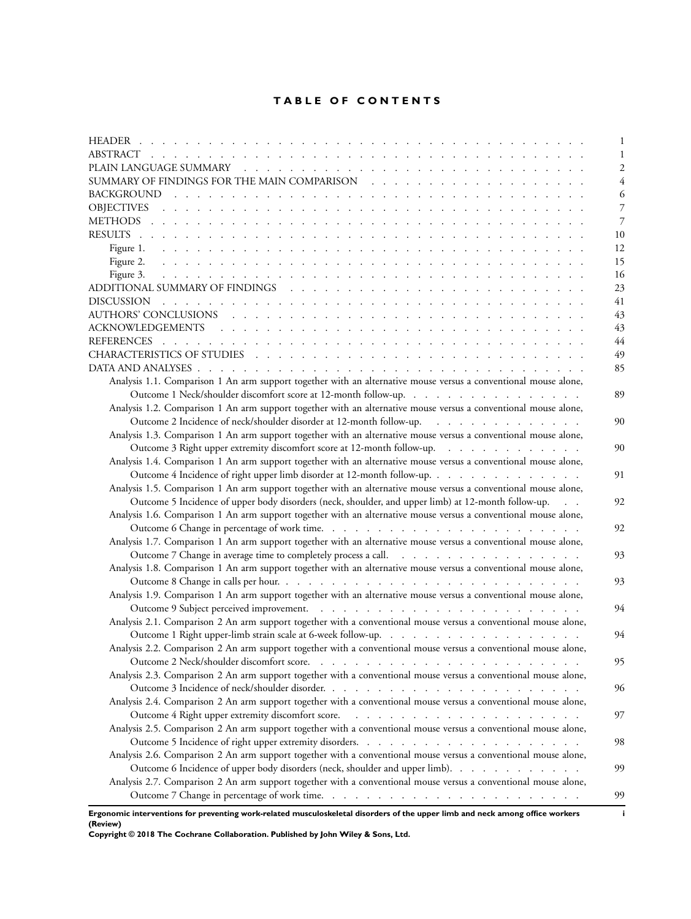### **TABLE OF CONTENTS**

| 1<br>$\overline{2}$<br>4<br>6<br>$\overline{7}$<br>$\overline{7}$<br>10<br>12<br>15<br>16<br>23<br>41<br>43<br>43<br>44<br>49<br>85<br>Analysis 1.1. Comparison 1 An arm support together with an alternative mouse versus a conventional mouse alone,<br>Outcome 1 Neck/shoulder discomfort score at 12-month follow-up.<br>89<br>Analysis 1.2. Comparison 1 An arm support together with an alternative mouse versus a conventional mouse alone,<br>Outcome 2 Incidence of neck/shoulder disorder at 12-month follow-up.<br>90<br>Analysis 1.3. Comparison 1 An arm support together with an alternative mouse versus a conventional mouse alone,<br>Outcome 3 Right upper extremity discomfort score at 12-month follow-up.<br>90<br>Analysis 1.4. Comparison 1 An arm support together with an alternative mouse versus a conventional mouse alone,<br>Outcome 4 Incidence of right upper limb disorder at 12-month follow-up.<br>91<br>Analysis 1.5. Comparison 1 An arm support together with an alternative mouse versus a conventional mouse alone,<br>Outcome 5 Incidence of upper body disorders (neck, shoulder, and upper limb) at 12-month follow-up.<br>92<br>Analysis 1.6. Comparison 1 An arm support together with an alternative mouse versus a conventional mouse alone,<br>92<br>Analysis 1.7. Comparison 1 An arm support together with an alternative mouse versus a conventional mouse alone,<br>93<br>Analysis 1.8. Comparison 1 An arm support together with an alternative mouse versus a conventional mouse alone,<br>93<br>Analysis 1.9. Comparison 1 An arm support together with an alternative mouse versus a conventional mouse alone,<br>94<br>Analysis 2.1. Comparison 2 An arm support together with a conventional mouse versus a conventional mouse alone,<br>94<br>Analysis 2.2. Comparison 2 An arm support together with a conventional mouse versus a conventional mouse alone,<br>95<br>Analysis 2.3. Comparison 2 An arm support together with a conventional mouse versus a conventional mouse alone,<br>96<br>Analysis 2.4. Comparison 2 An arm support together with a conventional mouse versus a conventional mouse alone,<br>97<br>Analysis 2.5. Comparison 2 An arm support together with a conventional mouse versus a conventional mouse alone,<br>98<br>Analysis 2.6. Comparison 2 An arm support together with a conventional mouse versus a conventional mouse alone,<br>Outcome 6 Incidence of upper body disorders (neck, shoulder and upper limb).<br>99<br>Analysis 2.7. Comparison 2 An arm support together with a conventional mouse versus a conventional mouse alone,<br>99 |                                                                                                                                     | $\mathbf{1}$ |
|---------------------------------------------------------------------------------------------------------------------------------------------------------------------------------------------------------------------------------------------------------------------------------------------------------------------------------------------------------------------------------------------------------------------------------------------------------------------------------------------------------------------------------------------------------------------------------------------------------------------------------------------------------------------------------------------------------------------------------------------------------------------------------------------------------------------------------------------------------------------------------------------------------------------------------------------------------------------------------------------------------------------------------------------------------------------------------------------------------------------------------------------------------------------------------------------------------------------------------------------------------------------------------------------------------------------------------------------------------------------------------------------------------------------------------------------------------------------------------------------------------------------------------------------------------------------------------------------------------------------------------------------------------------------------------------------------------------------------------------------------------------------------------------------------------------------------------------------------------------------------------------------------------------------------------------------------------------------------------------------------------------------------------------------------------------------------------------------------------------------------------------------------------------------------------------------------------------------------------------------------------------------------------------------------------------------------------------------------------------------------------------------------------------------------------------------------------------------------------------------------------------------------------------------------------------------------------------------------------------------------------------------|-------------------------------------------------------------------------------------------------------------------------------------|--------------|
|                                                                                                                                                                                                                                                                                                                                                                                                                                                                                                                                                                                                                                                                                                                                                                                                                                                                                                                                                                                                                                                                                                                                                                                                                                                                                                                                                                                                                                                                                                                                                                                                                                                                                                                                                                                                                                                                                                                                                                                                                                                                                                                                                                                                                                                                                                                                                                                                                                                                                                                                                                                                                                             |                                                                                                                                     |              |
|                                                                                                                                                                                                                                                                                                                                                                                                                                                                                                                                                                                                                                                                                                                                                                                                                                                                                                                                                                                                                                                                                                                                                                                                                                                                                                                                                                                                                                                                                                                                                                                                                                                                                                                                                                                                                                                                                                                                                                                                                                                                                                                                                                                                                                                                                                                                                                                                                                                                                                                                                                                                                                             |                                                                                                                                     |              |
|                                                                                                                                                                                                                                                                                                                                                                                                                                                                                                                                                                                                                                                                                                                                                                                                                                                                                                                                                                                                                                                                                                                                                                                                                                                                                                                                                                                                                                                                                                                                                                                                                                                                                                                                                                                                                                                                                                                                                                                                                                                                                                                                                                                                                                                                                                                                                                                                                                                                                                                                                                                                                                             |                                                                                                                                     |              |
|                                                                                                                                                                                                                                                                                                                                                                                                                                                                                                                                                                                                                                                                                                                                                                                                                                                                                                                                                                                                                                                                                                                                                                                                                                                                                                                                                                                                                                                                                                                                                                                                                                                                                                                                                                                                                                                                                                                                                                                                                                                                                                                                                                                                                                                                                                                                                                                                                                                                                                                                                                                                                                             |                                                                                                                                     |              |
|                                                                                                                                                                                                                                                                                                                                                                                                                                                                                                                                                                                                                                                                                                                                                                                                                                                                                                                                                                                                                                                                                                                                                                                                                                                                                                                                                                                                                                                                                                                                                                                                                                                                                                                                                                                                                                                                                                                                                                                                                                                                                                                                                                                                                                                                                                                                                                                                                                                                                                                                                                                                                                             |                                                                                                                                     |              |
|                                                                                                                                                                                                                                                                                                                                                                                                                                                                                                                                                                                                                                                                                                                                                                                                                                                                                                                                                                                                                                                                                                                                                                                                                                                                                                                                                                                                                                                                                                                                                                                                                                                                                                                                                                                                                                                                                                                                                                                                                                                                                                                                                                                                                                                                                                                                                                                                                                                                                                                                                                                                                                             |                                                                                                                                     |              |
|                                                                                                                                                                                                                                                                                                                                                                                                                                                                                                                                                                                                                                                                                                                                                                                                                                                                                                                                                                                                                                                                                                                                                                                                                                                                                                                                                                                                                                                                                                                                                                                                                                                                                                                                                                                                                                                                                                                                                                                                                                                                                                                                                                                                                                                                                                                                                                                                                                                                                                                                                                                                                                             |                                                                                                                                     |              |
|                                                                                                                                                                                                                                                                                                                                                                                                                                                                                                                                                                                                                                                                                                                                                                                                                                                                                                                                                                                                                                                                                                                                                                                                                                                                                                                                                                                                                                                                                                                                                                                                                                                                                                                                                                                                                                                                                                                                                                                                                                                                                                                                                                                                                                                                                                                                                                                                                                                                                                                                                                                                                                             |                                                                                                                                     |              |
|                                                                                                                                                                                                                                                                                                                                                                                                                                                                                                                                                                                                                                                                                                                                                                                                                                                                                                                                                                                                                                                                                                                                                                                                                                                                                                                                                                                                                                                                                                                                                                                                                                                                                                                                                                                                                                                                                                                                                                                                                                                                                                                                                                                                                                                                                                                                                                                                                                                                                                                                                                                                                                             |                                                                                                                                     |              |
|                                                                                                                                                                                                                                                                                                                                                                                                                                                                                                                                                                                                                                                                                                                                                                                                                                                                                                                                                                                                                                                                                                                                                                                                                                                                                                                                                                                                                                                                                                                                                                                                                                                                                                                                                                                                                                                                                                                                                                                                                                                                                                                                                                                                                                                                                                                                                                                                                                                                                                                                                                                                                                             |                                                                                                                                     |              |
|                                                                                                                                                                                                                                                                                                                                                                                                                                                                                                                                                                                                                                                                                                                                                                                                                                                                                                                                                                                                                                                                                                                                                                                                                                                                                                                                                                                                                                                                                                                                                                                                                                                                                                                                                                                                                                                                                                                                                                                                                                                                                                                                                                                                                                                                                                                                                                                                                                                                                                                                                                                                                                             |                                                                                                                                     |              |
|                                                                                                                                                                                                                                                                                                                                                                                                                                                                                                                                                                                                                                                                                                                                                                                                                                                                                                                                                                                                                                                                                                                                                                                                                                                                                                                                                                                                                                                                                                                                                                                                                                                                                                                                                                                                                                                                                                                                                                                                                                                                                                                                                                                                                                                                                                                                                                                                                                                                                                                                                                                                                                             |                                                                                                                                     |              |
|                                                                                                                                                                                                                                                                                                                                                                                                                                                                                                                                                                                                                                                                                                                                                                                                                                                                                                                                                                                                                                                                                                                                                                                                                                                                                                                                                                                                                                                                                                                                                                                                                                                                                                                                                                                                                                                                                                                                                                                                                                                                                                                                                                                                                                                                                                                                                                                                                                                                                                                                                                                                                                             |                                                                                                                                     |              |
|                                                                                                                                                                                                                                                                                                                                                                                                                                                                                                                                                                                                                                                                                                                                                                                                                                                                                                                                                                                                                                                                                                                                                                                                                                                                                                                                                                                                                                                                                                                                                                                                                                                                                                                                                                                                                                                                                                                                                                                                                                                                                                                                                                                                                                                                                                                                                                                                                                                                                                                                                                                                                                             |                                                                                                                                     |              |
|                                                                                                                                                                                                                                                                                                                                                                                                                                                                                                                                                                                                                                                                                                                                                                                                                                                                                                                                                                                                                                                                                                                                                                                                                                                                                                                                                                                                                                                                                                                                                                                                                                                                                                                                                                                                                                                                                                                                                                                                                                                                                                                                                                                                                                                                                                                                                                                                                                                                                                                                                                                                                                             |                                                                                                                                     |              |
|                                                                                                                                                                                                                                                                                                                                                                                                                                                                                                                                                                                                                                                                                                                                                                                                                                                                                                                                                                                                                                                                                                                                                                                                                                                                                                                                                                                                                                                                                                                                                                                                                                                                                                                                                                                                                                                                                                                                                                                                                                                                                                                                                                                                                                                                                                                                                                                                                                                                                                                                                                                                                                             |                                                                                                                                     |              |
|                                                                                                                                                                                                                                                                                                                                                                                                                                                                                                                                                                                                                                                                                                                                                                                                                                                                                                                                                                                                                                                                                                                                                                                                                                                                                                                                                                                                                                                                                                                                                                                                                                                                                                                                                                                                                                                                                                                                                                                                                                                                                                                                                                                                                                                                                                                                                                                                                                                                                                                                                                                                                                             |                                                                                                                                     |              |
|                                                                                                                                                                                                                                                                                                                                                                                                                                                                                                                                                                                                                                                                                                                                                                                                                                                                                                                                                                                                                                                                                                                                                                                                                                                                                                                                                                                                                                                                                                                                                                                                                                                                                                                                                                                                                                                                                                                                                                                                                                                                                                                                                                                                                                                                                                                                                                                                                                                                                                                                                                                                                                             |                                                                                                                                     |              |
|                                                                                                                                                                                                                                                                                                                                                                                                                                                                                                                                                                                                                                                                                                                                                                                                                                                                                                                                                                                                                                                                                                                                                                                                                                                                                                                                                                                                                                                                                                                                                                                                                                                                                                                                                                                                                                                                                                                                                                                                                                                                                                                                                                                                                                                                                                                                                                                                                                                                                                                                                                                                                                             |                                                                                                                                     |              |
|                                                                                                                                                                                                                                                                                                                                                                                                                                                                                                                                                                                                                                                                                                                                                                                                                                                                                                                                                                                                                                                                                                                                                                                                                                                                                                                                                                                                                                                                                                                                                                                                                                                                                                                                                                                                                                                                                                                                                                                                                                                                                                                                                                                                                                                                                                                                                                                                                                                                                                                                                                                                                                             |                                                                                                                                     |              |
|                                                                                                                                                                                                                                                                                                                                                                                                                                                                                                                                                                                                                                                                                                                                                                                                                                                                                                                                                                                                                                                                                                                                                                                                                                                                                                                                                                                                                                                                                                                                                                                                                                                                                                                                                                                                                                                                                                                                                                                                                                                                                                                                                                                                                                                                                                                                                                                                                                                                                                                                                                                                                                             |                                                                                                                                     |              |
|                                                                                                                                                                                                                                                                                                                                                                                                                                                                                                                                                                                                                                                                                                                                                                                                                                                                                                                                                                                                                                                                                                                                                                                                                                                                                                                                                                                                                                                                                                                                                                                                                                                                                                                                                                                                                                                                                                                                                                                                                                                                                                                                                                                                                                                                                                                                                                                                                                                                                                                                                                                                                                             |                                                                                                                                     |              |
|                                                                                                                                                                                                                                                                                                                                                                                                                                                                                                                                                                                                                                                                                                                                                                                                                                                                                                                                                                                                                                                                                                                                                                                                                                                                                                                                                                                                                                                                                                                                                                                                                                                                                                                                                                                                                                                                                                                                                                                                                                                                                                                                                                                                                                                                                                                                                                                                                                                                                                                                                                                                                                             |                                                                                                                                     |              |
|                                                                                                                                                                                                                                                                                                                                                                                                                                                                                                                                                                                                                                                                                                                                                                                                                                                                                                                                                                                                                                                                                                                                                                                                                                                                                                                                                                                                                                                                                                                                                                                                                                                                                                                                                                                                                                                                                                                                                                                                                                                                                                                                                                                                                                                                                                                                                                                                                                                                                                                                                                                                                                             |                                                                                                                                     |              |
|                                                                                                                                                                                                                                                                                                                                                                                                                                                                                                                                                                                                                                                                                                                                                                                                                                                                                                                                                                                                                                                                                                                                                                                                                                                                                                                                                                                                                                                                                                                                                                                                                                                                                                                                                                                                                                                                                                                                                                                                                                                                                                                                                                                                                                                                                                                                                                                                                                                                                                                                                                                                                                             |                                                                                                                                     |              |
|                                                                                                                                                                                                                                                                                                                                                                                                                                                                                                                                                                                                                                                                                                                                                                                                                                                                                                                                                                                                                                                                                                                                                                                                                                                                                                                                                                                                                                                                                                                                                                                                                                                                                                                                                                                                                                                                                                                                                                                                                                                                                                                                                                                                                                                                                                                                                                                                                                                                                                                                                                                                                                             |                                                                                                                                     |              |
|                                                                                                                                                                                                                                                                                                                                                                                                                                                                                                                                                                                                                                                                                                                                                                                                                                                                                                                                                                                                                                                                                                                                                                                                                                                                                                                                                                                                                                                                                                                                                                                                                                                                                                                                                                                                                                                                                                                                                                                                                                                                                                                                                                                                                                                                                                                                                                                                                                                                                                                                                                                                                                             |                                                                                                                                     |              |
|                                                                                                                                                                                                                                                                                                                                                                                                                                                                                                                                                                                                                                                                                                                                                                                                                                                                                                                                                                                                                                                                                                                                                                                                                                                                                                                                                                                                                                                                                                                                                                                                                                                                                                                                                                                                                                                                                                                                                                                                                                                                                                                                                                                                                                                                                                                                                                                                                                                                                                                                                                                                                                             |                                                                                                                                     |              |
|                                                                                                                                                                                                                                                                                                                                                                                                                                                                                                                                                                                                                                                                                                                                                                                                                                                                                                                                                                                                                                                                                                                                                                                                                                                                                                                                                                                                                                                                                                                                                                                                                                                                                                                                                                                                                                                                                                                                                                                                                                                                                                                                                                                                                                                                                                                                                                                                                                                                                                                                                                                                                                             |                                                                                                                                     |              |
|                                                                                                                                                                                                                                                                                                                                                                                                                                                                                                                                                                                                                                                                                                                                                                                                                                                                                                                                                                                                                                                                                                                                                                                                                                                                                                                                                                                                                                                                                                                                                                                                                                                                                                                                                                                                                                                                                                                                                                                                                                                                                                                                                                                                                                                                                                                                                                                                                                                                                                                                                                                                                                             |                                                                                                                                     |              |
|                                                                                                                                                                                                                                                                                                                                                                                                                                                                                                                                                                                                                                                                                                                                                                                                                                                                                                                                                                                                                                                                                                                                                                                                                                                                                                                                                                                                                                                                                                                                                                                                                                                                                                                                                                                                                                                                                                                                                                                                                                                                                                                                                                                                                                                                                                                                                                                                                                                                                                                                                                                                                                             |                                                                                                                                     |              |
|                                                                                                                                                                                                                                                                                                                                                                                                                                                                                                                                                                                                                                                                                                                                                                                                                                                                                                                                                                                                                                                                                                                                                                                                                                                                                                                                                                                                                                                                                                                                                                                                                                                                                                                                                                                                                                                                                                                                                                                                                                                                                                                                                                                                                                                                                                                                                                                                                                                                                                                                                                                                                                             |                                                                                                                                     |              |
|                                                                                                                                                                                                                                                                                                                                                                                                                                                                                                                                                                                                                                                                                                                                                                                                                                                                                                                                                                                                                                                                                                                                                                                                                                                                                                                                                                                                                                                                                                                                                                                                                                                                                                                                                                                                                                                                                                                                                                                                                                                                                                                                                                                                                                                                                                                                                                                                                                                                                                                                                                                                                                             |                                                                                                                                     |              |
|                                                                                                                                                                                                                                                                                                                                                                                                                                                                                                                                                                                                                                                                                                                                                                                                                                                                                                                                                                                                                                                                                                                                                                                                                                                                                                                                                                                                                                                                                                                                                                                                                                                                                                                                                                                                                                                                                                                                                                                                                                                                                                                                                                                                                                                                                                                                                                                                                                                                                                                                                                                                                                             |                                                                                                                                     |              |
|                                                                                                                                                                                                                                                                                                                                                                                                                                                                                                                                                                                                                                                                                                                                                                                                                                                                                                                                                                                                                                                                                                                                                                                                                                                                                                                                                                                                                                                                                                                                                                                                                                                                                                                                                                                                                                                                                                                                                                                                                                                                                                                                                                                                                                                                                                                                                                                                                                                                                                                                                                                                                                             |                                                                                                                                     |              |
|                                                                                                                                                                                                                                                                                                                                                                                                                                                                                                                                                                                                                                                                                                                                                                                                                                                                                                                                                                                                                                                                                                                                                                                                                                                                                                                                                                                                                                                                                                                                                                                                                                                                                                                                                                                                                                                                                                                                                                                                                                                                                                                                                                                                                                                                                                                                                                                                                                                                                                                                                                                                                                             |                                                                                                                                     |              |
|                                                                                                                                                                                                                                                                                                                                                                                                                                                                                                                                                                                                                                                                                                                                                                                                                                                                                                                                                                                                                                                                                                                                                                                                                                                                                                                                                                                                                                                                                                                                                                                                                                                                                                                                                                                                                                                                                                                                                                                                                                                                                                                                                                                                                                                                                                                                                                                                                                                                                                                                                                                                                                             |                                                                                                                                     |              |
|                                                                                                                                                                                                                                                                                                                                                                                                                                                                                                                                                                                                                                                                                                                                                                                                                                                                                                                                                                                                                                                                                                                                                                                                                                                                                                                                                                                                                                                                                                                                                                                                                                                                                                                                                                                                                                                                                                                                                                                                                                                                                                                                                                                                                                                                                                                                                                                                                                                                                                                                                                                                                                             |                                                                                                                                     |              |
|                                                                                                                                                                                                                                                                                                                                                                                                                                                                                                                                                                                                                                                                                                                                                                                                                                                                                                                                                                                                                                                                                                                                                                                                                                                                                                                                                                                                                                                                                                                                                                                                                                                                                                                                                                                                                                                                                                                                                                                                                                                                                                                                                                                                                                                                                                                                                                                                                                                                                                                                                                                                                                             |                                                                                                                                     |              |
|                                                                                                                                                                                                                                                                                                                                                                                                                                                                                                                                                                                                                                                                                                                                                                                                                                                                                                                                                                                                                                                                                                                                                                                                                                                                                                                                                                                                                                                                                                                                                                                                                                                                                                                                                                                                                                                                                                                                                                                                                                                                                                                                                                                                                                                                                                                                                                                                                                                                                                                                                                                                                                             |                                                                                                                                     |              |
|                                                                                                                                                                                                                                                                                                                                                                                                                                                                                                                                                                                                                                                                                                                                                                                                                                                                                                                                                                                                                                                                                                                                                                                                                                                                                                                                                                                                                                                                                                                                                                                                                                                                                                                                                                                                                                                                                                                                                                                                                                                                                                                                                                                                                                                                                                                                                                                                                                                                                                                                                                                                                                             |                                                                                                                                     |              |
|                                                                                                                                                                                                                                                                                                                                                                                                                                                                                                                                                                                                                                                                                                                                                                                                                                                                                                                                                                                                                                                                                                                                                                                                                                                                                                                                                                                                                                                                                                                                                                                                                                                                                                                                                                                                                                                                                                                                                                                                                                                                                                                                                                                                                                                                                                                                                                                                                                                                                                                                                                                                                                             |                                                                                                                                     |              |
|                                                                                                                                                                                                                                                                                                                                                                                                                                                                                                                                                                                                                                                                                                                                                                                                                                                                                                                                                                                                                                                                                                                                                                                                                                                                                                                                                                                                                                                                                                                                                                                                                                                                                                                                                                                                                                                                                                                                                                                                                                                                                                                                                                                                                                                                                                                                                                                                                                                                                                                                                                                                                                             |                                                                                                                                     |              |
|                                                                                                                                                                                                                                                                                                                                                                                                                                                                                                                                                                                                                                                                                                                                                                                                                                                                                                                                                                                                                                                                                                                                                                                                                                                                                                                                                                                                                                                                                                                                                                                                                                                                                                                                                                                                                                                                                                                                                                                                                                                                                                                                                                                                                                                                                                                                                                                                                                                                                                                                                                                                                                             |                                                                                                                                     |              |
|                                                                                                                                                                                                                                                                                                                                                                                                                                                                                                                                                                                                                                                                                                                                                                                                                                                                                                                                                                                                                                                                                                                                                                                                                                                                                                                                                                                                                                                                                                                                                                                                                                                                                                                                                                                                                                                                                                                                                                                                                                                                                                                                                                                                                                                                                                                                                                                                                                                                                                                                                                                                                                             |                                                                                                                                     |              |
|                                                                                                                                                                                                                                                                                                                                                                                                                                                                                                                                                                                                                                                                                                                                                                                                                                                                                                                                                                                                                                                                                                                                                                                                                                                                                                                                                                                                                                                                                                                                                                                                                                                                                                                                                                                                                                                                                                                                                                                                                                                                                                                                                                                                                                                                                                                                                                                                                                                                                                                                                                                                                                             |                                                                                                                                     |              |
|                                                                                                                                                                                                                                                                                                                                                                                                                                                                                                                                                                                                                                                                                                                                                                                                                                                                                                                                                                                                                                                                                                                                                                                                                                                                                                                                                                                                                                                                                                                                                                                                                                                                                                                                                                                                                                                                                                                                                                                                                                                                                                                                                                                                                                                                                                                                                                                                                                                                                                                                                                                                                                             |                                                                                                                                     |              |
|                                                                                                                                                                                                                                                                                                                                                                                                                                                                                                                                                                                                                                                                                                                                                                                                                                                                                                                                                                                                                                                                                                                                                                                                                                                                                                                                                                                                                                                                                                                                                                                                                                                                                                                                                                                                                                                                                                                                                                                                                                                                                                                                                                                                                                                                                                                                                                                                                                                                                                                                                                                                                                             |                                                                                                                                     |              |
|                                                                                                                                                                                                                                                                                                                                                                                                                                                                                                                                                                                                                                                                                                                                                                                                                                                                                                                                                                                                                                                                                                                                                                                                                                                                                                                                                                                                                                                                                                                                                                                                                                                                                                                                                                                                                                                                                                                                                                                                                                                                                                                                                                                                                                                                                                                                                                                                                                                                                                                                                                                                                                             | -<br>Evenponic interventions for nucleoting werk volated musculoskeletal disorders of the unner limb and neck among office workers. |              |

**Ergonomic interventions for preventing work-related musculoskeletal disorders of the upper limb and neck among office workers i (Review)**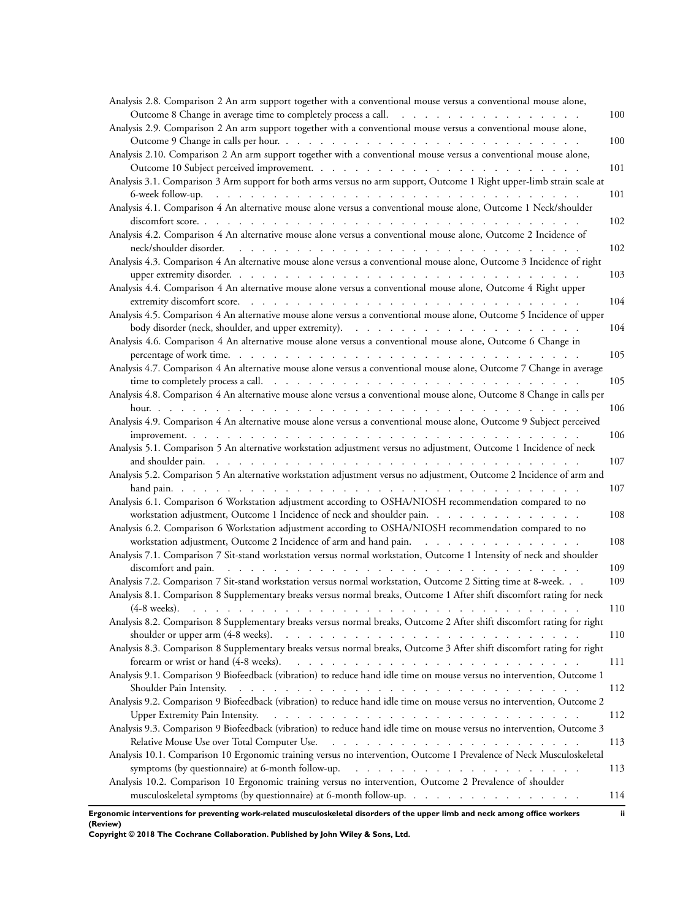| Analysis 2.8. Comparison 2 An arm support together with a conventional mouse versus a conventional mouse alone,                                                                                                                                           | 100 |
|-----------------------------------------------------------------------------------------------------------------------------------------------------------------------------------------------------------------------------------------------------------|-----|
| Analysis 2.9. Comparison 2 An arm support together with a conventional mouse versus a conventional mouse alone,                                                                                                                                           | 100 |
| Analysis 2.10. Comparison 2 An arm support together with a conventional mouse versus a conventional mouse alone,                                                                                                                                          |     |
|                                                                                                                                                                                                                                                           | 101 |
| Analysis 3.1. Comparison 3 Arm support for both arms versus no arm support, Outcome 1 Right upper-limb strain scale at                                                                                                                                    | 101 |
| Analysis 4.1. Comparison 4 An alternative mouse alone versus a conventional mouse alone, Outcome 1 Neck/shoulder                                                                                                                                          |     |
|                                                                                                                                                                                                                                                           | 102 |
| Analysis 4.2. Comparison 4 An alternative mouse alone versus a conventional mouse alone, Outcome 2 Incidence of                                                                                                                                           |     |
| neck/shoulder disorder.<br>والمناور والمناور والمناور والمناور والمناور والمناور والمناور والمناور والمناور والمناور والمناور                                                                                                                             | 102 |
| Analysis 4.3. Comparison 4 An alternative mouse alone versus a conventional mouse alone, Outcome 3 Incidence of right                                                                                                                                     |     |
|                                                                                                                                                                                                                                                           | 103 |
| Analysis 4.4. Comparison 4 An alternative mouse alone versus a conventional mouse alone, Outcome 4 Right upper                                                                                                                                            |     |
|                                                                                                                                                                                                                                                           | 104 |
| Analysis 4.5. Comparison 4 An alternative mouse alone versus a conventional mouse alone, Outcome 5 Incidence of upper                                                                                                                                     |     |
|                                                                                                                                                                                                                                                           | 104 |
| Analysis 4.6. Comparison 4 An alternative mouse alone versus a conventional mouse alone, Outcome 6 Change in                                                                                                                                              |     |
|                                                                                                                                                                                                                                                           | 105 |
| Analysis 4.7. Comparison 4 An alternative mouse alone versus a conventional mouse alone, Outcome 7 Change in average                                                                                                                                      |     |
|                                                                                                                                                                                                                                                           | 105 |
| Analysis 4.8. Comparison 4 An alternative mouse alone versus a conventional mouse alone, Outcome 8 Change in calls per                                                                                                                                    |     |
| Analysis 4.9. Comparison 4 An alternative mouse alone versus a conventional mouse alone, Outcome 9 Subject perceived                                                                                                                                      | 106 |
|                                                                                                                                                                                                                                                           | 106 |
| Analysis 5.1. Comparison 5 An alternative workstation adjustment versus no adjustment, Outcome 1 Incidence of neck                                                                                                                                        |     |
|                                                                                                                                                                                                                                                           | 107 |
| Analysis 5.2. Comparison 5 An alternative workstation adjustment versus no adjustment, Outcome 2 Incidence of arm and                                                                                                                                     |     |
|                                                                                                                                                                                                                                                           | 107 |
| Analysis 6.1. Comparison 6 Workstation adjustment according to OSHA/NIOSH recommendation compared to no                                                                                                                                                   |     |
| workstation adjustment, Outcome 1 Incidence of neck and shoulder pain.                                                                                                                                                                                    | 108 |
| Analysis 6.2. Comparison 6 Workstation adjustment according to OSHA/NIOSH recommendation compared to no                                                                                                                                                   |     |
| workstation adjustment, Outcome 2 Incidence of arm and hand pain.                                                                                                                                                                                         | 108 |
| Analysis 7.1. Comparison 7 Sit-stand workstation versus normal workstation, Outcome 1 Intensity of neck and shoulder                                                                                                                                      |     |
| discomfort and pain.<br>the contract of the contract of the contract of the contract of the contract of the contract of                                                                                                                                   | 109 |
| Analysis 7.2. Comparison 7 Sit-stand workstation versus normal workstation, Outcome 2 Sitting time at 8-week. .                                                                                                                                           | 109 |
| Analysis 8.1. Comparison 8 Supplementary breaks versus normal breaks, Outcome 1 After shift discomfort rating for neck                                                                                                                                    |     |
|                                                                                                                                                                                                                                                           | 110 |
| Analysis 8.2. Comparison 8 Supplementary breaks versus normal breaks, Outcome 2 After shift discomfort rating for right                                                                                                                                   |     |
|                                                                                                                                                                                                                                                           | 110 |
| Analysis 8.3. Comparison 8 Supplementary breaks versus normal breaks, Outcome 3 After shift discomfort rating for right                                                                                                                                   |     |
|                                                                                                                                                                                                                                                           | 111 |
| Analysis 9.1. Comparison 9 Biofeedback (vibration) to reduce hand idle time on mouse versus no intervention, Outcome 1                                                                                                                                    |     |
| Shoulder Pain Intensity.<br>and a constitution of the constitution of the constitution of the constitution of the constitution of the constitution of the constitution of the constitution of the constitution of the constitution of the constitution of | 112 |
| Analysis 9.2. Comparison 9 Biofeedback (vibration) to reduce hand idle time on mouse versus no intervention, Outcome 2                                                                                                                                    |     |
|                                                                                                                                                                                                                                                           | 112 |
| Analysis 9.3. Comparison 9 Biofeedback (vibration) to reduce hand idle time on mouse versus no intervention, Outcome 3                                                                                                                                    |     |
|                                                                                                                                                                                                                                                           | 113 |
| Analysis 10.1. Comparison 10 Ergonomic training versus no intervention, Outcome 1 Prevalence of Neck Musculoskeletal                                                                                                                                      |     |
| Analysis 10.2. Comparison 10 Ergonomic training versus no intervention, Outcome 2 Prevalence of shoulder                                                                                                                                                  | 113 |
| musculoskeletal symptoms (by questionnaire) at 6-month follow-up.                                                                                                                                                                                         | 114 |
|                                                                                                                                                                                                                                                           |     |

### **Ergonomic interventions for preventing work-related musculoskeletal disorders of the upper limb and neck among office workers ii (Review)**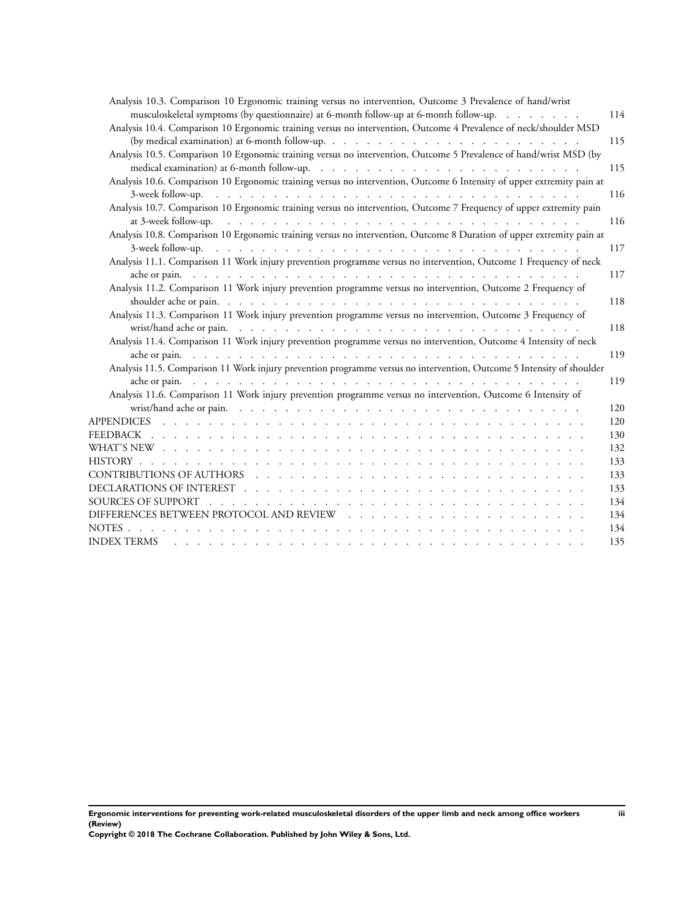| Analysis 10.3. Comparison 10 Ergonomic training versus no intervention, Outcome 3 Prevalence of hand/wrist                                             |     |
|--------------------------------------------------------------------------------------------------------------------------------------------------------|-----|
| musculoskeletal symptoms (by questionnaire) at 6-month follow-up at 6-month follow-up.                                                                 | 114 |
| Analysis 10.4. Comparison 10 Ergonomic training versus no intervention, Outcome 4 Prevalence of neck/shoulder MSD                                      |     |
|                                                                                                                                                        | 115 |
| Analysis 10.5. Comparison 10 Ergonomic training versus no intervention, Outcome 5 Prevalence of hand/wrist MSD (by                                     |     |
|                                                                                                                                                        | 115 |
| Analysis 10.6. Comparison 10 Ergonomic training versus no intervention, Outcome 6 Intensity of upper extremity pain at                                 |     |
|                                                                                                                                                        | 116 |
| Analysis 10.7. Comparison 10 Ergonomic training versus no intervention, Outcome 7 Frequency of upper extremity pain                                    |     |
|                                                                                                                                                        | 116 |
| Analysis 10.8. Comparison 10 Ergonomic training versus no intervention, Outcome 8 Duration of upper extremity pain at                                  |     |
|                                                                                                                                                        | 117 |
| Analysis 11.1. Comparison 11 Work injury prevention programme versus no intervention, Outcome 1 Frequency of neck                                      |     |
|                                                                                                                                                        | 117 |
| Analysis 11.2. Comparison 11 Work injury prevention programme versus no intervention, Outcome 2 Frequency of                                           |     |
|                                                                                                                                                        | 118 |
| Analysis 11.3. Comparison 11 Work injury prevention programme versus no intervention, Outcome 3 Frequency of                                           |     |
| wrist/hand ache or pain. $\ldots$ $\ldots$ $\ldots$ $\ldots$ $\ldots$ $\ldots$ $\ldots$ $\ldots$ $\ldots$ $\ldots$ $\ldots$ $\ldots$ $\ldots$          | 118 |
| Analysis 11.4. Comparison 11 Work injury prevention programme versus no intervention, Outcome 4 Intensity of neck                                      |     |
|                                                                                                                                                        | 119 |
| Analysis 11.5. Comparison 11 Work injury prevention programme versus no intervention, Outcome 5 Intensity of shoulder                                  |     |
|                                                                                                                                                        | 119 |
| Analysis 11.6. Comparison 11 Work injury prevention programme versus no intervention, Outcome 6 Intensity of                                           |     |
| wrist/hand ache or pain. $\ldots$ $\ldots$ $\ldots$ $\ldots$ $\ldots$ $\ldots$ $\ldots$ $\ldots$ $\ldots$ $\ldots$ $\ldots$ $\ldots$ $\ldots$ $\ldots$ | 120 |
|                                                                                                                                                        | 120 |
|                                                                                                                                                        | 130 |
|                                                                                                                                                        | 132 |
|                                                                                                                                                        | 133 |
|                                                                                                                                                        | 133 |
|                                                                                                                                                        | 133 |
|                                                                                                                                                        | 134 |
|                                                                                                                                                        | 134 |
|                                                                                                                                                        | 134 |
| INDEX TERMS<br>a de la caractería de la caractería de la caractería de la caractería de la caractería de la caractería de la                           | 135 |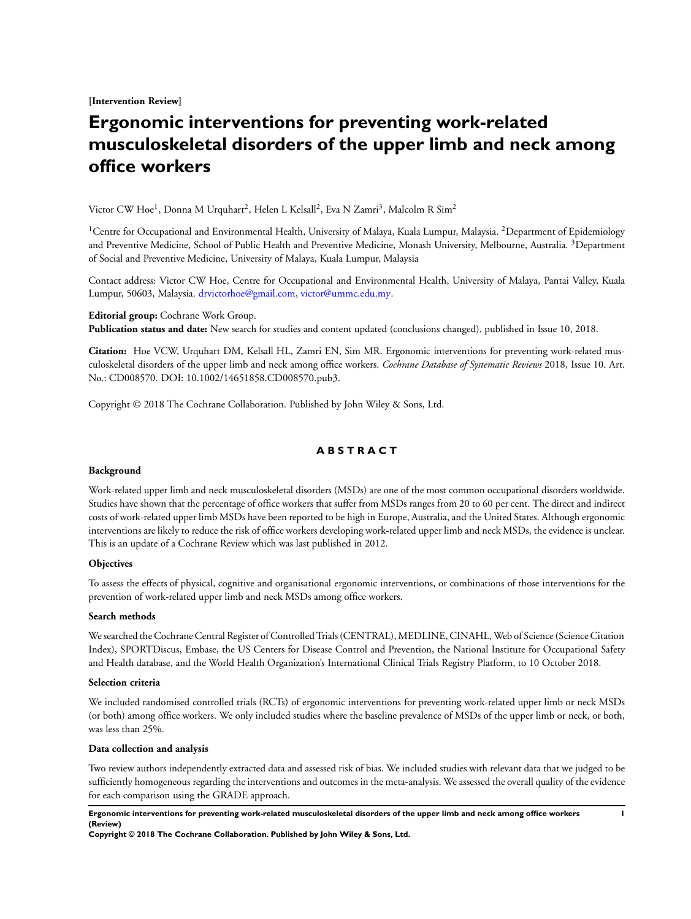**[Intervention Review]**

# **Ergonomic interventions for preventing work-related musculoskeletal disorders of the upper limb and neck among office workers**

Victor CW Hoe $^1$ , Donna M Urquhart $^2$ , Helen L Kelsall $^2$ , Eva N Zamri $^3$ , Malcolm R Sim $^2$ 

<sup>1</sup>Centre for Occupational and Environmental Health, University of Malaya, Kuala Lumpur, Malaysia. <sup>2</sup>Department of Epidemiology and Preventive Medicine, School of Public Health and Preventive Medicine, Monash University, Melbourne, Australia. <sup>3</sup>Department of Social and Preventive Medicine, University of Malaya, Kuala Lumpur, Malaysia

Contact address: Victor CW Hoe, Centre for Occupational and Environmental Health, University of Malaya, Pantai Valley, Kuala Lumpur, 50603, Malaysia. [drvictorhoe@gmail.com,](mailto:drvictorhoe@gmail.com) [victor@ummc.edu.my](mailto:victor@ummc.edu.my).

**Editorial group:** Cochrane Work Group.

**Publication status and date:** New search for studies and content updated (conclusions changed), published in Issue 10, 2018.

**Citation:** Hoe VCW, Urquhart DM, Kelsall HL, Zamri EN, Sim MR. Ergonomic interventions for preventing work-related musculoskeletal disorders of the upper limb and neck among office workers. *Cochrane Database of Systematic Reviews* 2018, Issue 10. Art. No.: CD008570. DOI: 10.1002/14651858.CD008570.pub3.

Copyright © 2018 The Cochrane Collaboration. Published by John Wiley & Sons, Ltd.

### **A B S T R A C T**

### **Background**

Work-related upper limb and neck musculoskeletal disorders (MSDs) are one of the most common occupational disorders worldwide. Studies have shown that the percentage of office workers that suffer from MSDs ranges from 20 to 60 per cent. The direct and indirect costs of work-related upper limb MSDs have been reported to be high in Europe, Australia, and the United States. Although ergonomic interventions are likely to reduce the risk of office workers developing work-related upper limb and neck MSDs, the evidence is unclear. This is an update of a Cochrane Review which was last published in 2012.

#### **Objectives**

To assess the effects of physical, cognitive and organisational ergonomic interventions, or combinations of those interventions for the prevention of work-related upper limb and neck MSDs among office workers.

#### **Search methods**

We searched the Cochrane Central Register of Controlled Trials (CENTRAL), MEDLINE, CINAHL, Web of Science (Science Citation Index), SPORTDiscus, Embase, the US Centers for Disease Control and Prevention, the National Institute for Occupational Safety and Health database, and the World Health Organization's International Clinical Trials Registry Platform, to 10 October 2018.

#### **Selection criteria**

We included randomised controlled trials (RCTs) of ergonomic interventions for preventing work-related upper limb or neck MSDs (or both) among office workers. We only included studies where the baseline prevalence of MSDs of the upper limb or neck, or both, was less than 25%.

#### **Data collection and analysis**

Two review authors independently extracted data and assessed risk of bias. We included studies with relevant data that we judged to be sufficiently homogeneous regarding the interventions and outcomes in the meta-analysis. We assessed the overall quality of the evidence for each comparison using the GRADE approach.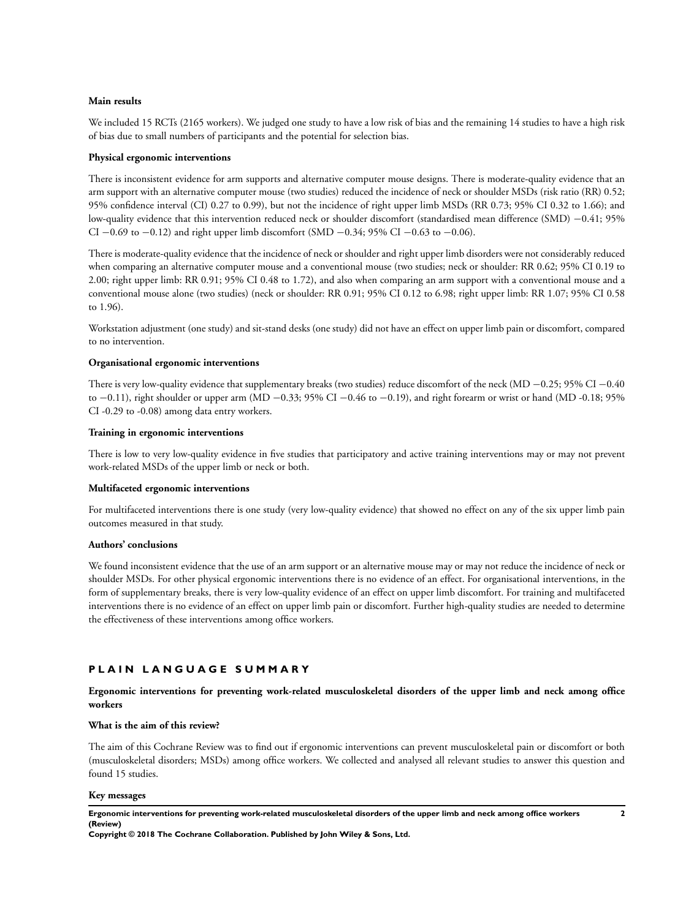### **Main results**

We included 15 RCTs (2165 workers). We judged one study to have a low risk of bias and the remaining 14 studies to have a high risk of bias due to small numbers of participants and the potential for selection bias.

#### **Physical ergonomic interventions**

There is inconsistent evidence for arm supports and alternative computer mouse designs. There is moderate-quality evidence that an arm support with an alternative computer mouse (two studies) reduced the incidence of neck or shoulder MSDs (risk ratio (RR) 0.52; 95% confidence interval (CI) 0.27 to 0.99), but not the incidence of right upper limb MSDs (RR 0.73; 95% CI 0.32 to 1.66); and low-quality evidence that this intervention reduced neck or shoulder discomfort (standardised mean difference (SMD) −0.41; 95% CI  $-0.69$  to  $-0.12$ ) and right upper limb discomfort (SMD  $-0.34$ ; 95% CI  $-0.63$  to  $-0.06$ ).

There is moderate-quality evidence that the incidence of neck or shoulder and right upper limb disorders were not considerably reduced when comparing an alternative computer mouse and a conventional mouse (two studies; neck or shoulder: RR 0.62; 95% CI 0.19 to 2.00; right upper limb: RR 0.91; 95% CI 0.48 to 1.72), and also when comparing an arm support with a conventional mouse and a conventional mouse alone (two studies) (neck or shoulder: RR 0.91; 95% CI 0.12 to 6.98; right upper limb: RR 1.07; 95% CI 0.58 to 1.96).

Workstation adjustment (one study) and sit-stand desks (one study) did not have an effect on upper limb pain or discomfort, compared to no intervention.

#### **Organisational ergonomic interventions**

There is very low-quality evidence that supplementary breaks (two studies) reduce discomfort of the neck (MD −0.25; 95% CI −0.40 to  $-0.11$ ), right shoulder or upper arm (MD  $-0.33$ ; 95% CI  $-0.46$  to  $-0.19$ ), and right forearm or wrist or hand (MD -0.18; 95% CI -0.29 to -0.08) among data entry workers.

#### **Training in ergonomic interventions**

There is low to very low-quality evidence in five studies that participatory and active training interventions may or may not prevent work-related MSDs of the upper limb or neck or both.

#### **Multifaceted ergonomic interventions**

For multifaceted interventions there is one study (very low-quality evidence) that showed no effect on any of the six upper limb pain outcomes measured in that study.

#### **Authors' conclusions**

We found inconsistent evidence that the use of an arm support or an alternative mouse may or may not reduce the incidence of neck or shoulder MSDs. For other physical ergonomic interventions there is no evidence of an effect. For organisational interventions, in the form of supplementary breaks, there is very low-quality evidence of an effect on upper limb discomfort. For training and multifaceted interventions there is no evidence of an effect on upper limb pain or discomfort. Further high-quality studies are needed to determine the effectiveness of these interventions among office workers.

### **P L A I N L A N G U A G E S U M M A R Y**

### **Ergonomic interventions for preventing work-related musculoskeletal disorders of the upper limb and neck among office workers**

### **What is the aim of this review?**

The aim of this Cochrane Review was to find out if ergonomic interventions can prevent musculoskeletal pain or discomfort or both (musculoskeletal disorders; MSDs) among office workers. We collected and analysed all relevant studies to answer this question and found 15 studies.

#### **Key messages**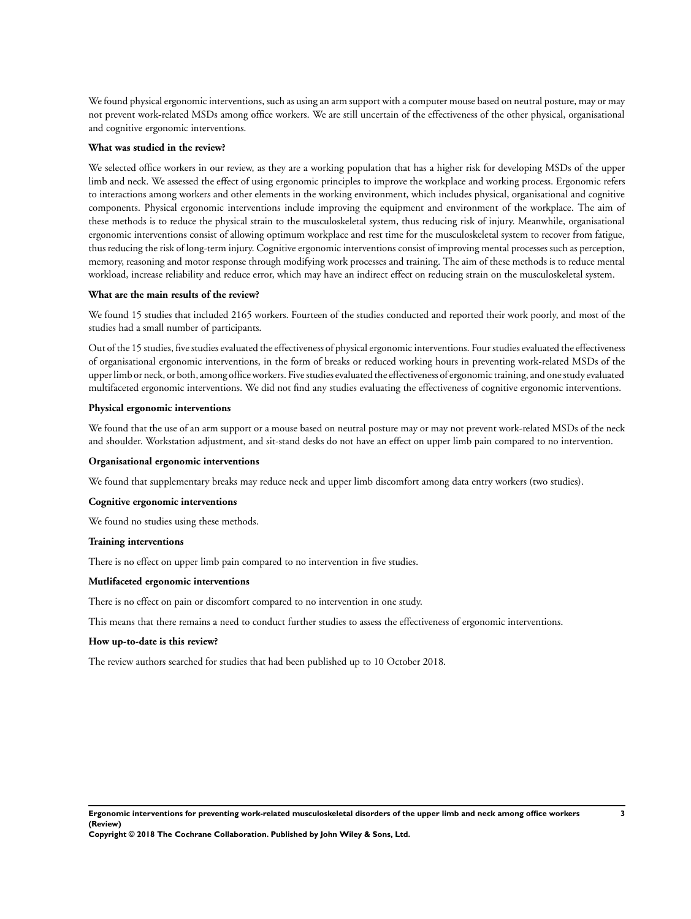We found physical ergonomic interventions, such as using an arm support with a computer mouse based on neutral posture, may or may not prevent work-related MSDs among office workers. We are still uncertain of the effectiveness of the other physical, organisational and cognitive ergonomic interventions.

#### **What was studied in the review?**

We selected office workers in our review, as they are a working population that has a higher risk for developing MSDs of the upper limb and neck. We assessed the effect of using ergonomic principles to improve the workplace and working process. Ergonomic refers to interactions among workers and other elements in the working environment, which includes physical, organisational and cognitive components. Physical ergonomic interventions include improving the equipment and environment of the workplace. The aim of these methods is to reduce the physical strain to the musculoskeletal system, thus reducing risk of injury. Meanwhile, organisational ergonomic interventions consist of allowing optimum workplace and rest time for the musculoskeletal system to recover from fatigue, thus reducing the risk of long-term injury. Cognitive ergonomic interventions consist of improving mental processes such as perception, memory, reasoning and motor response through modifying work processes and training. The aim of these methods is to reduce mental workload, increase reliability and reduce error, which may have an indirect effect on reducing strain on the musculoskeletal system.

#### **What are the main results of the review?**

We found 15 studies that included 2165 workers. Fourteen of the studies conducted and reported their work poorly, and most of the studies had a small number of participants.

Out of the 15 studies, five studies evaluated the effectiveness of physical ergonomic interventions. Four studies evaluated the effectiveness of organisational ergonomic interventions, in the form of breaks or reduced working hours in preventing work-related MSDs of the upper limb or neck, or both, among office workers. Five studies evaluated the effectiveness of ergonomic training, and one study evaluated multifaceted ergonomic interventions. We did not find any studies evaluating the effectiveness of cognitive ergonomic interventions.

#### **Physical ergonomic interventions**

We found that the use of an arm support or a mouse based on neutral posture may or may not prevent work-related MSDs of the neck and shoulder. Workstation adjustment, and sit-stand desks do not have an effect on upper limb pain compared to no intervention.

#### **Organisational ergonomic interventions**

We found that supplementary breaks may reduce neck and upper limb discomfort among data entry workers (two studies).

#### **Cognitive ergonomic interventions**

We found no studies using these methods.

#### **Training interventions**

There is no effect on upper limb pain compared to no intervention in five studies.

#### **Mutlifaceted ergonomic interventions**

There is no effect on pain or discomfort compared to no intervention in one study.

This means that there remains a need to conduct further studies to assess the effectiveness of ergonomic interventions.

#### **How up-to-date is this review?**

The review authors searched for studies that had been published up to 10 October 2018.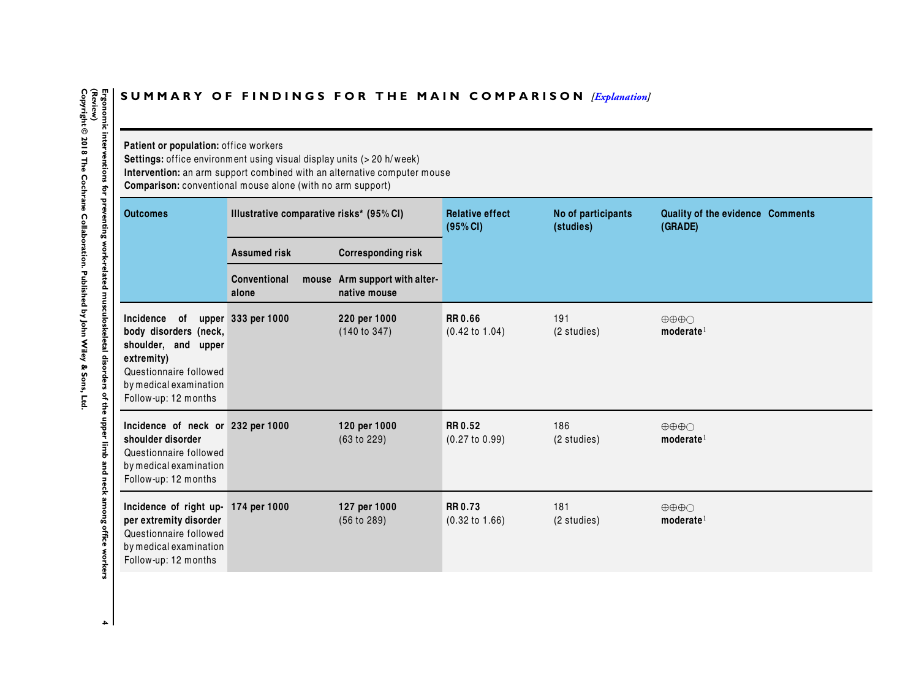# SUMMARY OF FINDINGS FOR THE MAIN COMPARISON *[\[Explanation\]](http://www.thecochranelibrary.com/view/0/SummaryFindings.html)*

**Patient or population:** office workers<br>**Settings:** office environment using visual display units (> 20 h/week)<br><mark>Intervention:</mark> an arm support combined with an alternative computer mouse

**Comparison:** conventional mouse alone (with no arm support)

| <b>Outcomes</b>                                                                                                                                           | Illustrative comparative risks* (95% CI) |                                               | <b>Relative effect</b><br>(95% CI)          | No of participants<br>(studies) | Quality of the evidence Comments<br>(GRADE)          |
|-----------------------------------------------------------------------------------------------------------------------------------------------------------|------------------------------------------|-----------------------------------------------|---------------------------------------------|---------------------------------|------------------------------------------------------|
|                                                                                                                                                           | <b>Assumed risk</b>                      | <b>Corresponding risk</b>                     |                                             |                                 |                                                      |
|                                                                                                                                                           | <b>Conventional</b><br>alone             | mouse Arm support with alter-<br>native mouse |                                             |                                 |                                                      |
| Incidence<br>0f<br>body disorders (neck,<br>shoulder, and upper<br>extremity)<br>Questionnaire followed<br>by medical examination<br>Follow-up: 12 months | upper 333 per 1000                       | 220 per 1000<br>(140 to 347)                  | <b>RR0.66</b><br>$(0.42 \text{ to } 1.04)$  | 191<br>(2 studies)              | $\oplus \oplus \oplus \cap$<br>moderate <sup>1</sup> |
| Incidence of neck or 232 per 1000<br>shoulder disorder<br>Questionnaire followed<br>by medical examination<br>Follow-up: 12 months                        |                                          | 120 per 1000<br>(63 to 229)                   | <b>RR 0.52</b><br>$(0.27 \text{ to } 0.99)$ | 186<br>(2 studies)              | $\oplus \oplus \oplus \cap$<br>moderate <sup>1</sup> |
| Incidence of right up-<br>per extremity disorder<br>Questionnaire followed<br>by medical examination<br>Follow-up: 12 months                              | 174 per 1000                             | 127 per 1000<br>(56 to 289)                   | <b>RR0.73</b><br>$(0.32 \text{ to } 1.66)$  | 181<br>(2 studies)              | $\oplus \oplus \oplus \cap$<br>moderate <sup>1</sup> |

**Copyright © 2018 The Cochrane Collaboration. Published by J** Ergonomic interventions for preventing work-related musculoskeletal disorders of the upper limb and neck among office workers<br>(Review)<br>Copyright © 2018 The Cochrane Collaboration. Published by John Wiley & Sons, Ltd. **ohn Wiley & Sons, Ltd.**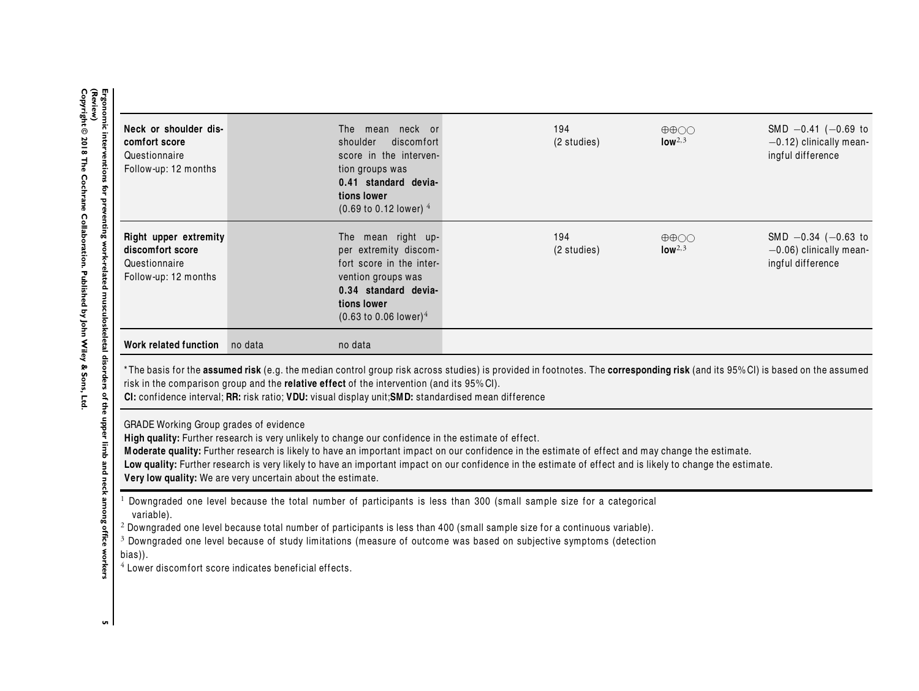| Neck or shoulder dis-<br>comfort score<br>Questionnaire<br>Follow-up: 12 months                              |         | The mean neck or<br>discomfort<br>shoulder<br>score in the interven-<br>tion groups was<br>0.41 standard devia-<br>tions lower<br>(0.69 to 0.12 lower) $4$                                         | 194<br>(2 studies)                                                                                                                                                                                                                                                                                                                                                                                           | $\oplus \oplus \bigcirc \bigcirc$<br>low <sup>2,3</sup> | SMD $-0.41$ ( $-0.69$ to<br>$-0.12$ ) clinically mean-<br>ingful difference |
|--------------------------------------------------------------------------------------------------------------|---------|----------------------------------------------------------------------------------------------------------------------------------------------------------------------------------------------------|--------------------------------------------------------------------------------------------------------------------------------------------------------------------------------------------------------------------------------------------------------------------------------------------------------------------------------------------------------------------------------------------------------------|---------------------------------------------------------|-----------------------------------------------------------------------------|
| Right upper extremity<br>discomfort score<br>Questionnaire<br>Follow-up: 12 months                           |         | The mean right up-<br>per extremity discom-<br>fort score in the inter-<br>vention groups was<br>0.34 standard devia-<br>tions lower<br>$(0.63 \text{ to } 0.06 \text{ lower})^4$                  | 194<br>(2 studies)                                                                                                                                                                                                                                                                                                                                                                                           | $\oplus \oplus \odot \odot$<br>low <sup>2,3</sup>       | SMD $-0.34$ ( $-0.63$ to<br>$-0.06$ ) clinically mean-<br>ingful difference |
| Work related function                                                                                        | no data | no data                                                                                                                                                                                            |                                                                                                                                                                                                                                                                                                                                                                                                              |                                                         |                                                                             |
|                                                                                                              |         | risk in the comparison group and the relative effect of the intervention (and its 95% CI).<br>CI: confidence interval; RR: risk ratio; VDU: visual display unit; SMD: standardised mean difference | *The basis for the assumed risk (e.g. the median control group risk across studies) is provided in footnotes. The corresponding risk (and its 95%CI) is based on the assumed                                                                                                                                                                                                                                 |                                                         |                                                                             |
| <b>GRADE Working Group grades of evidence</b><br>Very low quality: We are very uncertain about the estimate. |         | High quality: Further research is very unlikely to change our confidence in the estimate of effect.                                                                                                | Moderate quality: Further research is likely to have an important impact on our confidence in the estimate of effect and may change the estimate.<br>Low quality: Further research is very likely to have an important impact on our confidence in the estimate of effect and is likely to change the estimate.                                                                                              |                                                         |                                                                             |
| variable).<br>bias)).<br>$^4$ Lower discomfort score indicates beneficial effects.                           |         |                                                                                                                                                                                                    | <sup>1</sup> Downgraded one level because the total number of participants is less than 300 (small sample size for a categorical<br><sup>2</sup> Downgraded one level because total number of participants is less than 400 (small sample size for a continuous variable).<br><sup>3</sup> Downgraded one level because of study limitations (measure of outcome was based on subjective symptoms (detection |                                                         |                                                                             |
|                                                                                                              |         |                                                                                                                                                                                                    |                                                                                                                                                                                                                                                                                                                                                                                                              |                                                         |                                                                             |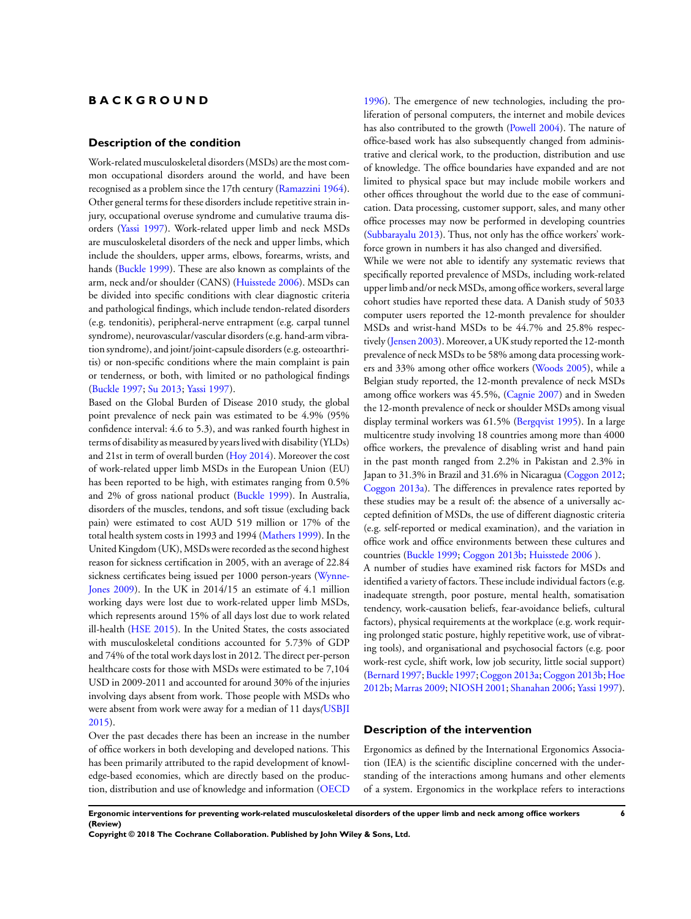### **B A C K G R O U N D**

#### **Description of the condition**

Work-related musculoskeletal disorders (MSDs) are the most common occupational disorders around the world, and have been recognised as a problem since the 17th century ([Ramazzini 1964](#page-47-0)). Other general terms for these disorders include repetitive strain injury, occupational overuse syndrome and cumulative trauma disorders ([Yassi 1997\)](#page-47-0). Work-related upper limb and neck MSDs are musculoskeletal disorders of the neck and upper limbs, which include the shoulders, upper arms, elbows, forearms, wrists, and hands ([Buckle 1999](#page-47-0)). These are also known as complaints of the arm, neck and/or shoulder (CANS) [\(Huisstede 2006\)](#page-47-0). MSDs can be divided into specific conditions with clear diagnostic criteria and pathological findings, which include tendon-related disorders (e.g. tendonitis), peripheral-nerve entrapment (e.g. carpal tunnel syndrome), neurovascular/vascular disorders (e.g. hand-arm vibration syndrome), and joint/joint-capsule disorders (e.g. osteoarthritis) or non-specific conditions where the main complaint is pain or tenderness, or both, with limited or no pathological findings [\(Buckle 1997](#page-47-0); [Su 2013;](#page-47-0) [Yassi 1997\)](#page-47-0).

Based on the Global Burden of Disease 2010 study, the global point prevalence of neck pain was estimated to be 4.9% (95% confidence interval: 4.6 to 5.3), and was ranked fourth highest in terms of disability as measured by years lived with disability (YLDs) and 21st in term of overall burden [\(Hoy 2014\)](#page-47-0). Moreover the cost of work-related upper limb MSDs in the European Union (EU) has been reported to be high, with estimates ranging from 0.5% and 2% of gross national product ([Buckle 1999](#page-47-0)). In Australia, disorders of the muscles, tendons, and soft tissue (excluding back pain) were estimated to cost AUD 519 million or 17% of the total health system costs in 1993 and 1994 ([Mathers 1999\)](#page-47-0). In the United Kingdom (UK), MSDs were recorded as the second highest reason for sickness certification in 2005, with an average of 22.84 sickness certificates being issued per 1000 person-years [\(Wynne-](#page-47-0)[Jones 2009\)](#page-47-0). In the UK in 2014/15 an estimate of 4.1 million working days were lost due to work-related upper limb MSDs, which represents around 15% of all days lost due to work related ill-health ([HSE 2015](#page-47-0)). In the United States, the costs associated with musculoskeletal conditions accounted for 5.73% of GDP and 74% of the total work days lost in 2012. The direct per-person healthcare costs for those with MSDs were estimated to be 7,104 USD in 2009-2011 and accounted for around 30% of the injuries involving days absent from work. Those people with MSDs who were absent from work were away for a median of 11 days*(*[USBJI](#page-47-0) [2015](#page-47-0)).

Over the past decades there has been an increase in the number of office workers in both developing and developed nations. This has been primarily attributed to the rapid development of knowledge-based economies, which are directly based on the production, distribution and use of knowledge and information ([OECD](#page-47-0)

[1996](#page-47-0)). The emergence of new technologies, including the proliferation of personal computers, the internet and mobile devices has also contributed to the growth ([Powell 2004](#page-47-0)). The nature of office-based work has also subsequently changed from administrative and clerical work, to the production, distribution and use of knowledge. The office boundaries have expanded and are not limited to physical space but may include mobile workers and other offices throughout the world due to the ease of communication. Data processing, customer support, sales, and many other office processes may now be performed in developing countries [\(Subbarayalu 2013\)](#page-47-0). Thus, not only has the office workers' workforce grown in numbers it has also changed and diversified.

While we were not able to identify any systematic reviews that specifically reported prevalence of MSDs, including work-related upper limb and/or neck MSDs, among office workers, several large cohort studies have reported these data. A Danish study of 5033 computer users reported the 12-month prevalence for shoulder MSDs and wrist-hand MSDs to be 44.7% and 25.8% respec-tively [\(Jensen 2003\)](#page-47-0). Moreover, a UK study reported the 12-month prevalence of neck MSDs to be 58% among data processing workers and 33% among other office workers ([Woods 2005\)](#page-47-0), while a Belgian study reported, the 12-month prevalence of neck MSDs among office workers was 45.5%, [\(Cagnie 2007](#page-47-0)) and in Sweden the 12-month prevalence of neck or shoulder MSDs among visual display terminal workers was 61.5% ([Bergqvist 1995\)](#page-47-0). In a large multicentre study involving 18 countries among more than 4000 office workers, the prevalence of disabling wrist and hand pain in the past month ranged from 2.2% in Pakistan and 2.3% in Japan to 31.3% in Brazil and 31.6% in Nicaragua [\(Coggon 2012;](#page-47-0) [Coggon 2013a](#page-47-0)). The differences in prevalence rates reported by these studies may be a result of: the absence of a universally accepted definition of MSDs, the use of different diagnostic criteria (e.g. self-reported or medical examination), and the variation in office work and office environments between these cultures and countries [\(Buckle 1999](#page-47-0); [Coggon 2013b](#page-47-0); [Huisstede 2006](#page-47-0) ).

A number of studies have examined risk factors for MSDs and identified a variety of factors. These include individual factors (e.g. inadequate strength, poor posture, mental health, somatisation tendency, work-causation beliefs, fear-avoidance beliefs, cultural factors), physical requirements at the workplace (e.g. work requiring prolonged static posture, highly repetitive work, use of vibrating tools), and organisational and psychosocial factors (e.g. poor work-rest cycle, shift work, low job security, little social support) [\(Bernard 1997](#page-47-0); Buckle 1997; Coggon 2013a; [Coggon 2013b;](#page-47-0) [Hoe](#page-47-0) [2012b;](#page-47-0) [Marras 2009](#page-47-0); [NIOSH 2001;](#page-47-0) [Shanahan 2006](#page-47-0); [Yassi 1997](#page-47-0)).

#### **Description of the intervention**

Ergonomics as defined by the International Ergonomics Association (IEA) is the scientific discipline concerned with the understanding of the interactions among humans and other elements of a system. Ergonomics in the workplace refers to interactions

**Ergonomic interventions for preventing work-related musculoskeletal disorders of the upper limb and neck among office workers 6 (Review)**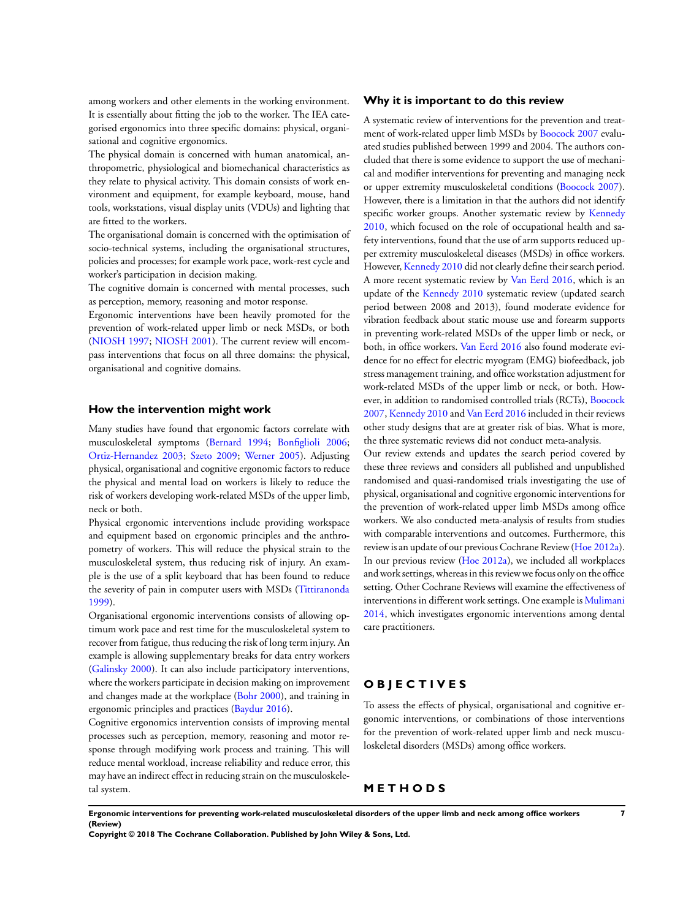among workers and other elements in the working environment. It is essentially about fitting the job to the worker. The IEA categorised ergonomics into three specific domains: physical, organisational and cognitive ergonomics.

The physical domain is concerned with human anatomical, anthropometric, physiological and biomechanical characteristics as they relate to physical activity. This domain consists of work environment and equipment, for example keyboard, mouse, hand tools, workstations, visual display units (VDUs) and lighting that are fitted to the workers.

The organisational domain is concerned with the optimisation of socio-technical systems, including the organisational structures, policies and processes; for example work pace, work-rest cycle and worker's participation in decision making.

The cognitive domain is concerned with mental processes, such as perception, memory, reasoning and motor response.

Ergonomic interventions have been heavily promoted for the prevention of work-related upper limb or neck MSDs, or both [\(NIOSH 1997;](#page-47-0) [NIOSH 2001\)](#page-47-0). The current review will encompass interventions that focus on all three domains: the physical, organisational and cognitive domains.

### **How the intervention might work**

Many studies have found that ergonomic factors correlate with musculoskeletal symptoms [\(Bernard 1994](#page-47-0); [Bonfiglioli 2006;](#page-47-0) [Ortiz-Hernandez 2003;](#page-47-0) [Szeto 2009](#page-47-0); [Werner 2005](#page-47-0)). Adjusting physical, organisational and cognitive ergonomic factors to reduce the physical and mental load on workers is likely to reduce the risk of workers developing work-related MSDs of the upper limb, neck or both.

Physical ergonomic interventions include providing workspace and equipment based on ergonomic principles and the anthropometry of workers. This will reduce the physical strain to the musculoskeletal system, thus reducing risk of injury. An example is the use of a split keyboard that has been found to reduce the severity of pain in computer users with MSDs ([Tittiranonda](#page-47-0) [1999](#page-47-0)).

Organisational ergonomic interventions consists of allowing optimum work pace and rest time for the musculoskeletal system to recover from fatigue, thus reducing the risk of long term injury. An example is allowing supplementary breaks for data entry workers [\(Galinsky 2000\)](#page-47-0). It can also include participatory interventions, where the workers participate in decision making on improvement and changes made at the workplace [\(Bohr 2000\)](#page-47-0), and training in ergonomic principles and practices ([Baydur 2016](#page-47-0)).

Cognitive ergonomics intervention consists of improving mental processes such as perception, memory, reasoning and motor response through modifying work process and training. This will reduce mental workload, increase reliability and reduce error, this may have an indirect effect in reducing strain on the musculoskeletal system.

### **Why it is important to do this review**

A systematic review of interventions for the prevention and treatment of work-related upper limb MSDs by [Boocock 2007](#page-47-0) evaluated studies published between 1999 and 2004. The authors concluded that there is some evidence to support the use of mechanical and modifier interventions for preventing and managing neck or upper extremity musculoskeletal conditions [\(Boocock 2007](#page-47-0)). However, there is a limitation in that the authors did not identify specific worker groups. Another systematic review by [Kennedy](#page-47-0) [2010](#page-47-0), which focused on the role of occupational health and safety interventions, found that the use of arm supports reduced upper extremity musculoskeletal diseases (MSDs) in office workers. However, [Kennedy 2010](#page-47-0) did not clearly define their search period. A more recent systematic review by [Van Eerd 2016](#page-47-0), which is an update of the [Kennedy 2010](#page-47-0) systematic review (updated search period between 2008 and 2013), found moderate evidence for vibration feedback about static mouse use and forearm supports in preventing work-related MSDs of the upper limb or neck, or both, in office workers. [Van Eerd 2016](#page-47-0) also found moderate evidence for no effect for electric myogram (EMG) biofeedback, job stress management training, and office workstation adjustment for work-related MSDs of the upper limb or neck, or both. However, in addition to randomised controlled trials (RCTs), [Boocock](#page-47-0) [2007](#page-47-0), [Kennedy 2010](#page-47-0) and [Van Eerd 2016](#page-47-0) included in their reviews other study designs that are at greater risk of bias. What is more, the three systematic reviews did not conduct meta-analysis.

Our review extends and updates the search period covered by these three reviews and considers all published and unpublished randomised and quasi-randomised trials investigating the use of physical, organisational and cognitive ergonomic interventions for the prevention of work-related upper limb MSDs among office workers. We also conducted meta-analysis of results from studies with comparable interventions and outcomes. Furthermore, this review is an update of our previous Cochrane Review ([Hoe 2012a](#page-47-0)). In our previous review ([Hoe 2012a\)](#page-47-0), we included all workplaces and work settings, whereas in this review we focus only on the office setting. Other Cochrane Reviews will examine the effectiveness of interventions in different work settings. One example is [Mulimani](#page-47-0) [2014](#page-47-0), which investigates ergonomic interventions among dental care practitioners.

### **O B J E C T I V E S**

To assess the effects of physical, organisational and cognitive ergonomic interventions, or combinations of those interventions for the prevention of work-related upper limb and neck musculoskeletal disorders (MSDs) among office workers.

### **M E T H O D S**

**Ergonomic interventions for preventing work-related musculoskeletal disorders of the upper limb and neck among office workers 7 (Review)**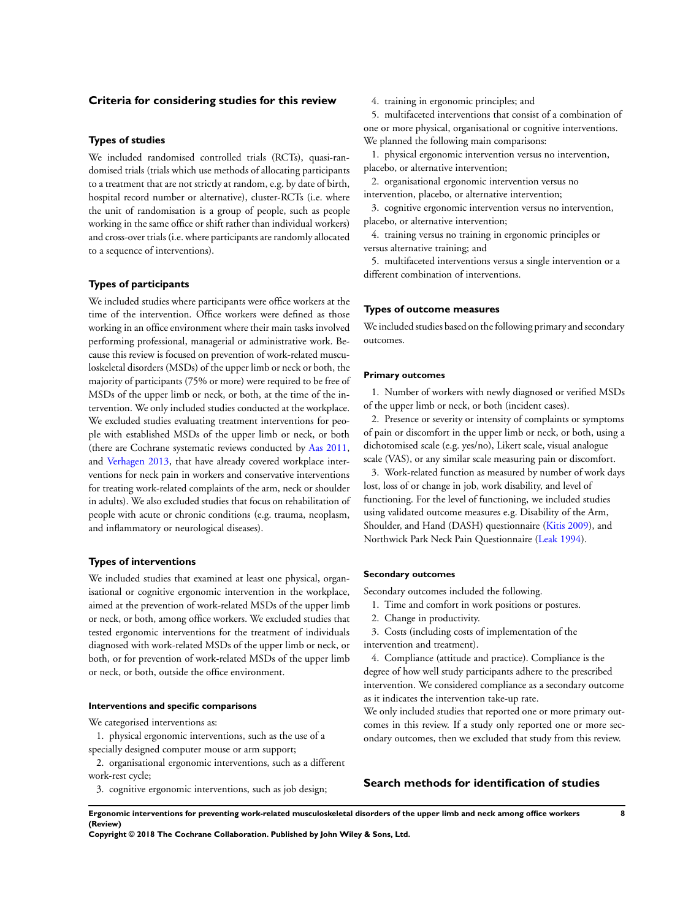### **Criteria for considering studies for this review**

#### **Types of studies**

We included randomised controlled trials (RCTs), quasi-randomised trials (trials which use methods of allocating participants to a treatment that are not strictly at random, e.g. by date of birth, hospital record number or alternative), cluster-RCTs (i.e. where the unit of randomisation is a group of people, such as people working in the same office or shift rather than individual workers) and cross-over trials (i.e. where participants are randomly allocated to a sequence of interventions).

#### **Types of participants**

We included studies where participants were office workers at the time of the intervention. Office workers were defined as those working in an office environment where their main tasks involved performing professional, managerial or administrative work. Because this review is focused on prevention of work-related musculoskeletal disorders (MSDs) of the upper limb or neck or both, the majority of participants (75% or more) were required to be free of MSDs of the upper limb or neck, or both, at the time of the intervention. We only included studies conducted at the workplace. We excluded studies evaluating treatment interventions for people with established MSDs of the upper limb or neck, or both (there are Cochrane systematic reviews conducted by [Aas 2011,](#page-47-0) and [Verhagen 2013,](#page-47-0) that have already covered workplace interventions for neck pain in workers and conservative interventions for treating work-related complaints of the arm, neck or shoulder in adults). We also excluded studies that focus on rehabilitation of people with acute or chronic conditions (e.g. trauma, neoplasm, and inflammatory or neurological diseases).

### **Types of interventions**

We included studies that examined at least one physical, organisational or cognitive ergonomic intervention in the workplace, aimed at the prevention of work-related MSDs of the upper limb or neck, or both, among office workers. We excluded studies that tested ergonomic interventions for the treatment of individuals diagnosed with work-related MSDs of the upper limb or neck, or both, or for prevention of work-related MSDs of the upper limb or neck, or both, outside the office environment.

#### **Interventions and specific comparisons**

We categorised interventions as:

1. physical ergonomic interventions, such as the use of a specially designed computer mouse or arm support;

2. organisational ergonomic interventions, such as a different work-rest cycle;

3. cognitive ergonomic interventions, such as job design;

4. training in ergonomic principles; and

5. multifaceted interventions that consist of a combination of one or more physical, organisational or cognitive interventions. We planned the following main comparisons:

1. physical ergonomic intervention versus no intervention, placebo, or alternative intervention;

2. organisational ergonomic intervention versus no intervention, placebo, or alternative intervention;

3. cognitive ergonomic intervention versus no intervention, placebo, or alternative intervention;

4. training versus no training in ergonomic principles or versus alternative training; and

5. multifaceted interventions versus a single intervention or a different combination of interventions.

#### **Types of outcome measures**

We included studies based on the following primary and secondary outcomes.

#### **Primary outcomes**

1. Number of workers with newly diagnosed or verified MSDs of the upper limb or neck, or both (incident cases).

2. Presence or severity or intensity of complaints or symptoms of pain or discomfort in the upper limb or neck, or both, using a dichotomised scale (e.g. yes/no), Likert scale, visual analogue scale (VAS), or any similar scale measuring pain or discomfort.

3. Work-related function as measured by number of work days lost, loss of or change in job, work disability, and level of functioning. For the level of functioning, we included studies using validated outcome measures e.g. Disability of the Arm, Shoulder, and Hand (DASH) questionnaire [\(Kitis 2009\)](#page-47-0), and Northwick Park Neck Pain Questionnaire ([Leak 1994](#page-47-0)).

#### **Secondary outcomes**

Secondary outcomes included the following.

- 1. Time and comfort in work positions or postures.
- 2. Change in productivity.
- 3. Costs (including costs of implementation of the intervention and treatment).

4. Compliance (attitude and practice). Compliance is the degree of how well study participants adhere to the prescribed intervention. We considered compliance as a secondary outcome as it indicates the intervention take-up rate.

We only included studies that reported one or more primary outcomes in this review. If a study only reported one or more secondary outcomes, then we excluded that study from this review.

### **Search methods for identification of studies**

**Ergonomic interventions for preventing work-related musculoskeletal disorders of the upper limb and neck among office workers 8 (Review)**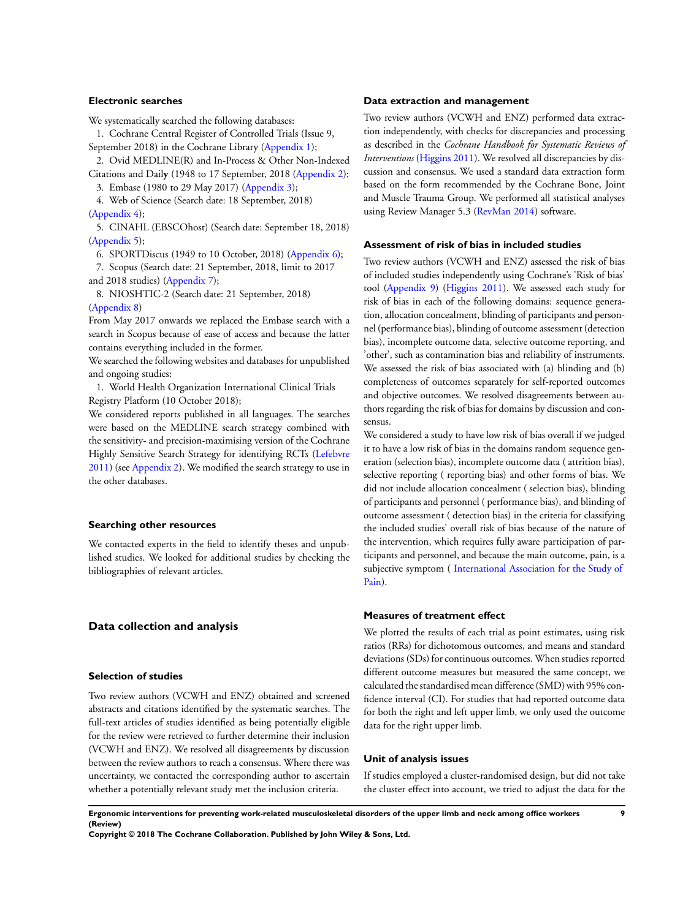### **Electronic searches**

We systematically searched the following databases:

1. Cochrane Central Register of Controlled Trials (Issue 9, September 2018) in the Cochrane Library ([Appendix 1](#page-123-0));

2. Ovid MEDLINE(R) and In-Process & Other Non-Indexed Citations and Dail**y** (1948 to 17 September, 2018 ([Appendix 2\)](#page-124-0);

3. Embase (1980 to 29 May 2017) ([Appendix 3](#page-125-0));

4. Web of Science (Search date: 18 September, 2018) [\(Appendix](#page-128-0) 4);

5. CINAHL (EBSCOhost) (Search date: September 18, 2018) (Appendix 5);

6. SPORTDiscus (1949 to 10 October, 2018) (Appendix 6);

7. Scopus (Search date: 21 September, 2018, limit to 2017 and 2018 studies) (Appendix 7);

8. NIOSHTIC-2 (Search date: 21 September, 2018) (Appendix 8)

From May 2017 onwards we replaced the Embase search with a search in Scopus because of ease of access and because the latter contains everything included in the former.

We searched the following websites and databases for unpublished and ongoing studies:

1. World Health Organization International Clinical Trials Registry Platform (10 October 2018);

We considered reports published in all languages. The searches were based on the MEDLINE search strategy combined with the sensitivity- and precision-maximising version of the Cochrane Highly Sensitive Search Strategy for identifying RCTs (Lefebvre 2011) (see Appendix 2). We modified the search strategy to use in the other databases.

#### **Searching other resources**

We contacted experts in the field to identify theses and unpublished studies. We looked for additional studies by checking the bibliographies of relevant articles.

### **Data collection and analysis**

#### **Selection of studies**

Two review authors (VCWH and ENZ) obtained and screened abstracts and citations identified by the systematic searches. The full-text articles of studies identified as being potentially eligible for the review were retrieved to further determine their inclusion (VCWH and ENZ). We resolved all disagreements by discussion between the review authors to reach a consensus. Where there was uncertainty, we contacted the corresponding author to ascertain whether a potentially relevant study met the inclusion criteria.

#### **Data extraction and management**

Two review authors (VCWH and ENZ) performed data extraction independently, with checks for discrepancies and processing as described in the *Cochrane Handbook for Systematic Reviews of Interventions* (Higgins 2011). We resolved all discrepancies by discussion and consensus. We used a standard data extraction form based on the form recommended by the Cochrane Bone, Joint and Muscle Trauma Group. We performed all statistical analyses using Review Manager 5.3 (RevMan 2014) software.

#### **Assessment of risk of bias in included studies**

Two review authors (VCWH and ENZ) assessed the risk of bias of included studies independently using Cochrane's 'Risk of bias' tool (Appendix 9) (Higgins 2011). We assessed each study for risk of bias in each of the following domains: sequence generation, allocation concealment, blinding of participants and personnel (performance bias), blinding of outcome assessment (detection bias), incomplete outcome data, selective outcome reporting, and 'other', such as contamination bias and reliability of instruments. We assessed the risk of bias associated with (a) blinding and (b) completeness of outcomes separately for self-reported outcomes and objective outcomes. We resolved disagreements between authors regarding the risk of bias for domains by discussion and consensus.

We considered a study to have low risk of bias overall if we judged it to have a low risk of bias in the domains random sequence generation (selection bias), incomplete outcome data ( attrition bias), selective reporting ( reporting bias) and other forms of bias. We did not include allocation concealment ( selection bias), blinding of participants and personnel ( performance bias), and blinding of outcome assessment ( detection bias) in the criteria for classifying the included studies' overall risk of bias because of the nature of the intervention, which requires fully aware participation of participants and personnel, and because the main outcome, pain, is a subjective symptom ( International Association for the Study of Pain).

#### **Measures of treatment effect**

We plotted the results of each trial as point estimates, using risk ratios (RRs) for dichotomous outcomes, and means and standard deviations (SDs) for continuous outcomes. When studies reported different outcome measures but measured the same concept, we calculated the standardised mean difference (SMD) with 95% confidence interval (CI). For studies that had reported outcome data for both the right and left upper limb, we only used the outcome data for the right upper limb.

#### **Unit of analysis issues**

If studies employed a cluster-randomised design, but did not take the cluster effect into account, we tried to adjust the data for the

**Ergonomic interventions for preventing work-related musculoskeletal disorders of the upper limb and neck among office workers 9 (Review)**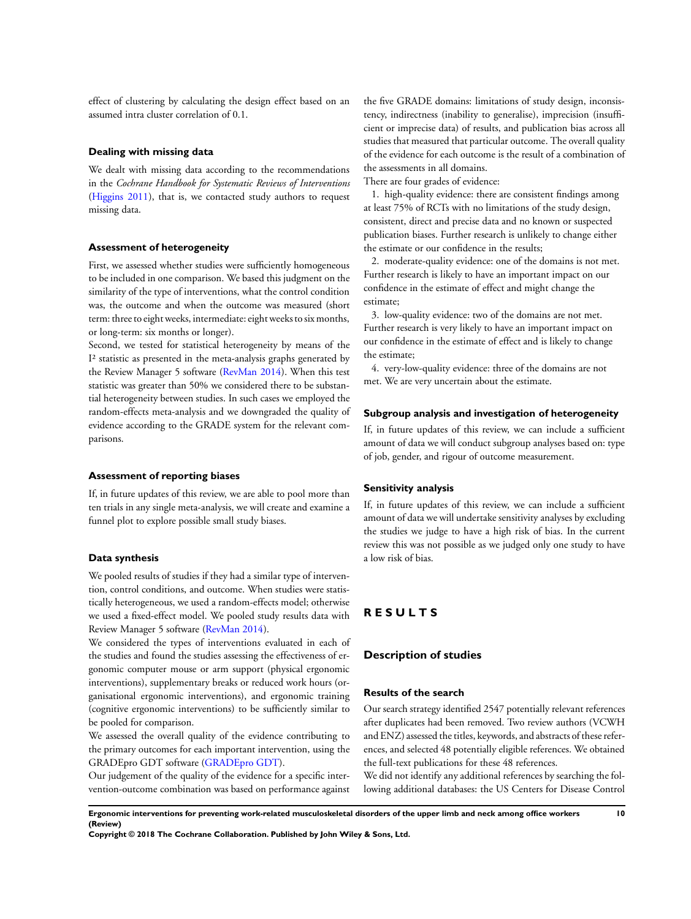effect of clustering by calculating the design effect based on an assumed intra cluster correlation of 0.1.

### **Dealing with missing data**

We dealt with missing data according to the recommendations in the *Cochrane Handbook for Systematic Reviews of Interventions* (Higgins 2011), that is, we contacted study authors to request missing data.

#### **Assessment of heterogeneity**

First, we assessed whether studies were sufficiently homogeneous to be included in one comparison. We based this judgment on the similarity of the type of interventions, what the control condition was, the outcome and when the outcome was measured (short term: three to eight weeks, intermediate: eight weeks to six months, or long-term: six months or longer).

Second, we tested for statistical heterogeneity by means of the I² statistic as presented in the meta-analysis graphs generated by the Review Manager 5 software (RevMan 2014). When this test statistic was greater than 50% we considered there to be substantial heterogeneity between studies. In such cases we employed the random-effects meta-analysis and we downgraded the quality of evidence according to the GRADE system for the relevant comparisons.

#### **Assessment of reporting biases**

If, in future updates of this review, we are able to pool more than ten trials in any single meta-analysis, we will create and examine a funnel plot to explore possible small study biases.

### **Data synthesis**

We pooled results of studies if they had a similar type of intervention, control conditions, and outcome. When studies were statistically heterogeneous, we used a random-effects model; otherwise we used a fixed-effect model. We pooled study results data with Review Manager 5 software (RevMan 2014).

We considered the types of interventions evaluated in each of the studies and found the studies assessing the effectiveness of ergonomic computer mouse or arm support (physical ergonomic interventions), supplementary breaks or reduced work hours (organisational ergonomic interventions), and ergonomic training (cognitive ergonomic interventions) to be sufficiently similar to be pooled for comparison.

We assessed the overall quality of the evidence contributing to the primary outcomes for each important intervention, using the GRADEpro GDT software (GRADEpro GDT).

Our judgement of the quality of the evidence for a specific intervention-outcome combination was based on performance against the five GRADE domains: limitations of study design, inconsistency, indirectness (inability to generalise), imprecision (insufficient or imprecise data) of results, and publication bias across all studies that measured that particular outcome. The overall quality of the evidence for each outcome is the result of a combination of the assessments in all domains.

There are four grades of evidence:

1. high-quality evidence: there are consistent findings among at least 75% of RCTs with no limitations of the study design, consistent, direct and precise data and no known or suspected publication biases. Further research is unlikely to change either the estimate or our confidence in the results;

2. moderate-quality evidence: one of the domains is not met. Further research is likely to have an important impact on our confidence in the estimate of effect and might change the estimate;

3. low-quality evidence: two of the domains are not met. Further research is very likely to have an important impact on our confidence in the estimate of effect and is likely to change the estimate;

4. very-low-quality evidence: three of the domains are not met. We are very uncertain about the estimate.

#### **Subgroup analysis and investigation of heterogeneity**

If, in future updates of this review, we can include a sufficient amount of data we will conduct subgroup analyses based on: type of job, gender, and rigour of outcome measurement.

#### **Sensitivity analysis**

If, in future updates of this review, we can include a sufficient amount of data we will undertake sensitivity analyses by excluding the studies we judge to have a high risk of bias. In the current review this was not possible as we judged only one study to have a low risk of bias.

## **R E S U L T S**

#### **Description of studies**

### **Results of the search**

Our search strategy identified 2547 potentially relevant references after duplicates had been removed. Two review authors (VCWH and ENZ) assessed the titles, keywords, and abstracts of these references, and selected 48 potentially eligible references. We obtained the full-text publications for these 48 references.

We did not identify any additional references by searching the following additional databases: the US Centers for Disease Control

**Ergonomic interventions for preventing work-related musculoskeletal disorders of the upper limb and neck among office workers 10 (Review)**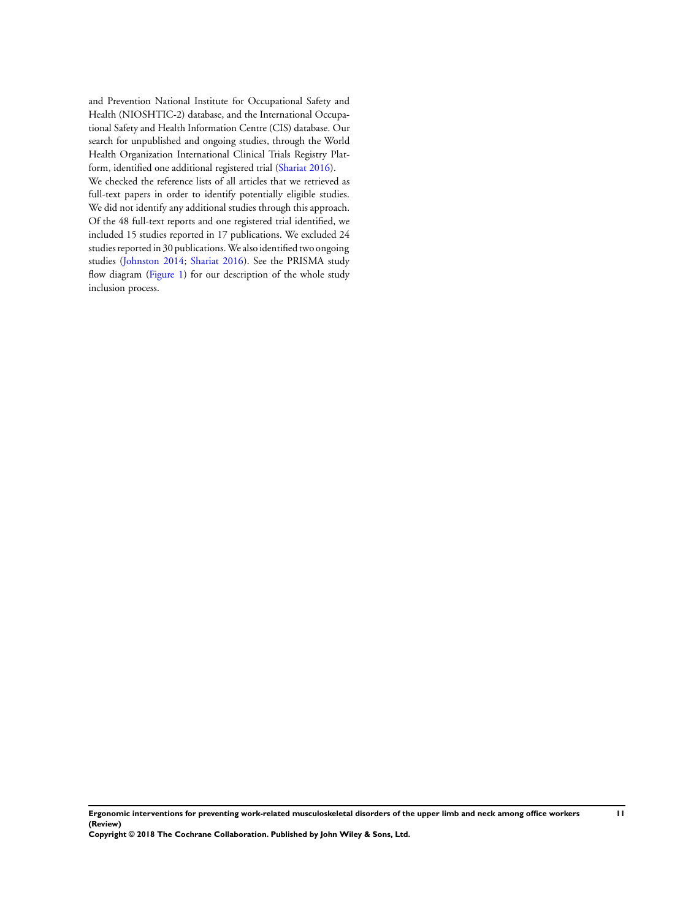and Prevention National Institute for Occupational Safety and Health (NIOSHTIC-2) database, and the International Occupational Safety and Health Information Centre (CIS) database. Our search for unpublished and ongoing studies, through the World Health Organization International Clinical Trials Registry Platform, identified one additional registered trial (Shariat 2016).

We checked the reference lists of all articles that we retrieved as full-text papers in order to identify potentially eligible studies. We did not identify any additional studies through this approach. Of the 48 full-text reports and one registered trial identified, we included 15 studies reported in 17 publications. We excluded 24 studies reported in 30 publications.We also identified two ongoing studies (Johnston 2014; Shariat 2016). See the PRISMA study flow diagram (Figure 1) for our description of the whole study inclusion process.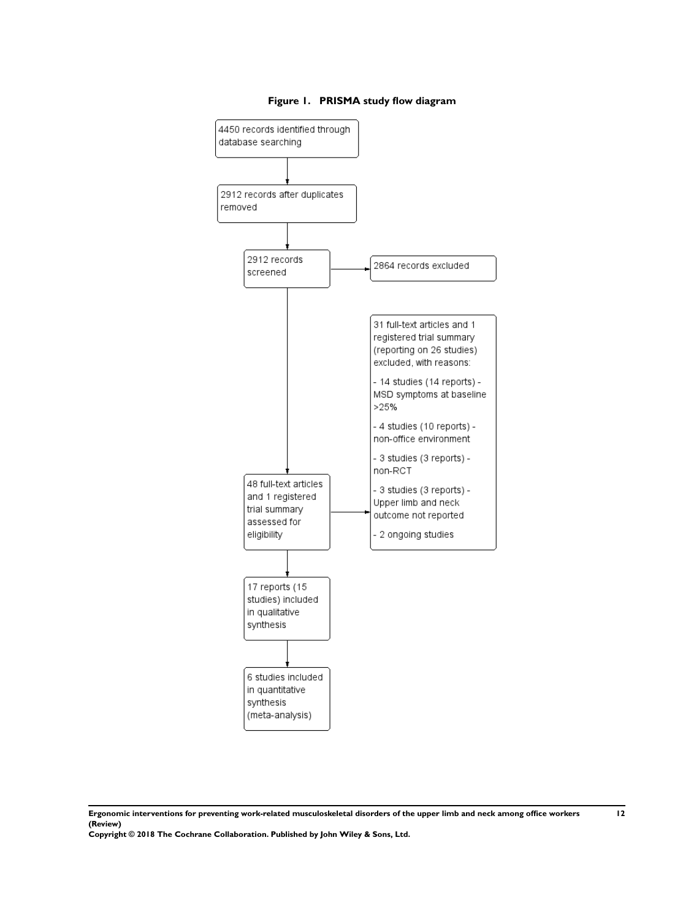

**Figure 1. PRISMA study flow diagram**

**Ergonomic interventions for preventing work-related musculoskeletal disorders of the upper limb and neck among office workers 12 (Review)**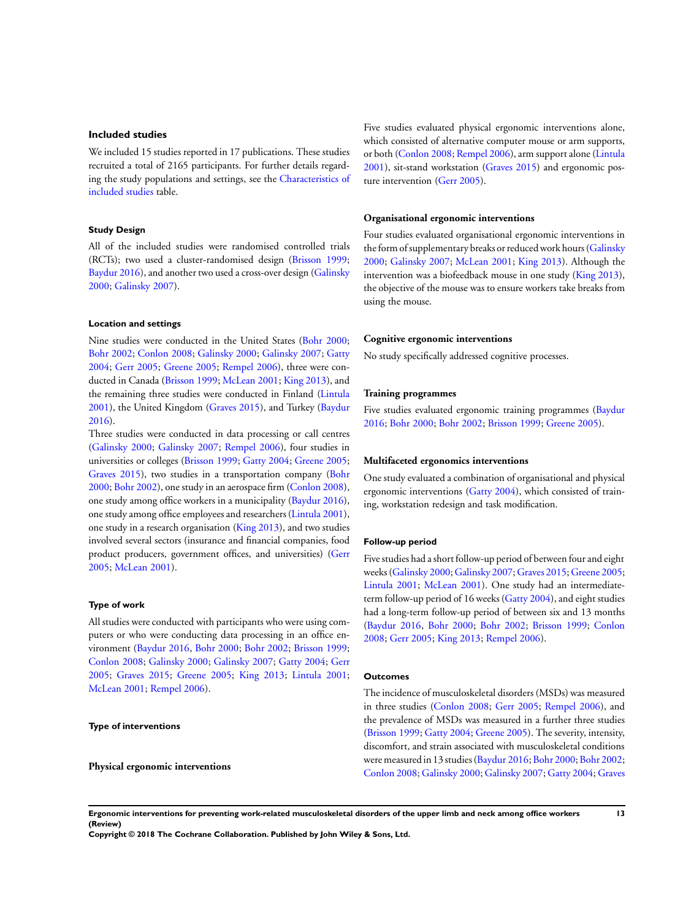### **Included studies**

We included 15 studies reported in 17 publications. These studies recruited a total of 2165 participants. For further details regarding the study populations and settings, see the Characteristics of included studies table.

### **Study Design**

All of the included studies were randomised controlled trials (RCTs); two used a cluster-randomised design (Brisson 1999; Baydur 2016), and another two used a cross-over design (Galinsky 2000; Galinsky 2007).

#### **Location and settings**

Nine studies were conducted in the United States (Bohr 2000; Bohr 2002; Conlon 2008; Galinsky 2000; Galinsky 2007; Gatty 2004; Gerr 2005; Greene 2005; Rempel 2006), three were conducted in Canada (Brisson 1999; McLean 2001; King 2013), and the remaining three studies were conducted in Finland (Lintula 2001), the United Kingdom (Graves 2015), and Turkey (Baydur 2016).

Three studies were conducted in data processing or call centres (Galinsky 2000; Galinsky 2007; Rempel 2006), four studies in universities or colleges (Brisson 1999; Gatty 2004; Greene 2005; Graves 2015), two studies in a transportation company (Bohr 2000; Bohr 2002), one study in an aerospace firm (Conlon 2008), one study among office workers in a municipality (Baydur 2016), one study among office employees and researchers (Lintula 2001), one study in a research organisation (King 2013), and two studies involved several sectors (insurance and financial companies, food product producers, government offices, and universities) (Gerr 2005; McLean 2001).

#### **Type of work**

All studies were conducted with participants who were using computers or who were conducting data processing in an office environment (Baydur 2016, Bohr 2000; Bohr 2002; Brisson 1999; Conlon 2008; Galinsky 2000; Galinsky 2007; Gatty 2004; Gerr 2005; Graves 2015; Greene 2005; King 2013; Lintula 2001; McLean 2001; Rempel 2006).

### **Type of interventions**

**Physical ergonomic interventions**

Five studies evaluated physical ergonomic interventions alone, which consisted of alternative computer mouse or arm supports, or both (Conlon 2008; Rempel 2006), arm support alone (Lintula 2001), sit-stand workstation (Graves 2015) and ergonomic posture intervention (Gerr 2005).

#### **Organisational ergonomic interventions**

Four studies evaluated organisational ergonomic interventions in the form of supplementary breaks or reduced work hours (Galinsky 2000; Galinsky 2007; McLean 2001; King 2013). Although the intervention was a biofeedback mouse in one study (King 2013), the objective of the mouse was to ensure workers take breaks from using the mouse.

#### **Cognitive ergonomic interventions**

No study specifically addressed cognitive processes.

#### **Training programmes**

Five studies evaluated ergonomic training programmes (Baydur 2016; Bohr 2000; Bohr 2002; Brisson 1999; Greene 2005).

#### **Multifaceted ergonomics interventions**

One study evaluated a combination of organisational and physical ergonomic interventions (Gatty 2004), which consisted of training, workstation redesign and task modification.

#### **Follow-up period**

Five studies had a short follow-up period of between four and eight weeks (Galinsky 2000; Galinsky 2007; Graves 2015; Greene 2005; Lintula 2001; McLean 2001). One study had an intermediateterm follow-up period of 16 weeks (Gatty 2004), and eight studies had a long-term follow-up period of between six and 13 months (Baydur 2016, Bohr 2000; Bohr 2002; Brisson 1999; Conlon 2008; Gerr 2005; King 2013; Rempel 2006).

#### **Outcomes**

The incidence of musculoskeletal disorders (MSDs) was measured in three studies (Conlon 2008; Gerr 2005; Rempel 2006), and the prevalence of MSDs was measured in a further three studies (Brisson 1999; Gatty 2004; Greene 2005). The severity, intensity, discomfort, and strain associated with musculoskeletal conditions were measured in 13 studies (Baydur 2016; Bohr 2000; Bohr 2002; Conlon 2008; Galinsky 2000; Galinsky 2007; Gatty 2004; Graves

**Ergonomic interventions for preventing work-related musculoskeletal disorders of the upper limb and neck among office workers 13 (Review)**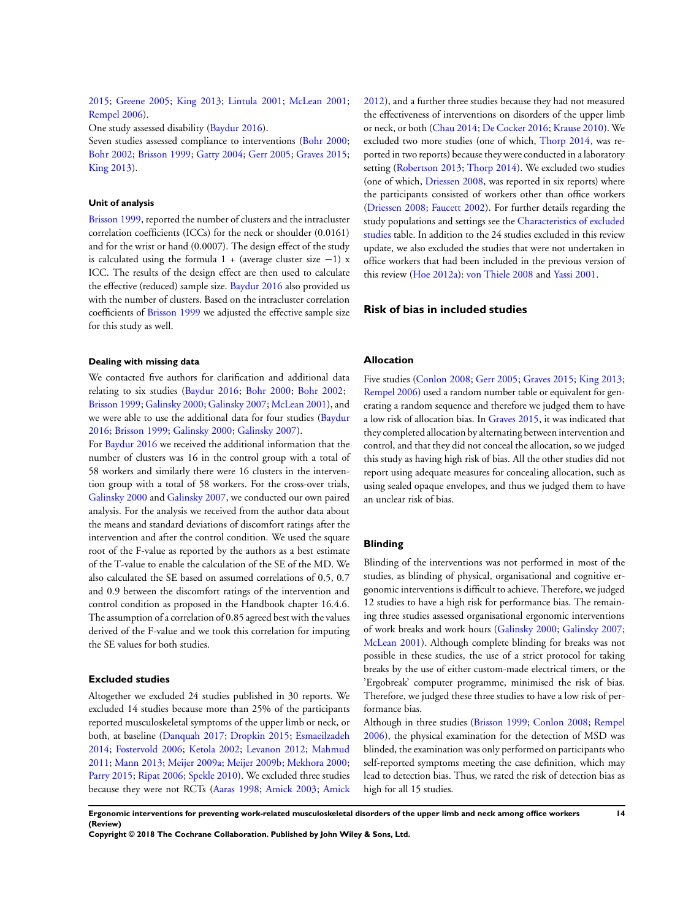2015; Greene 2005; King 2013; Lintula 2001; McLean 2001; Rempel 2006).

One study assessed disability (Baydur 2016).

Seven studies assessed compliance to interventions (Bohr 2000; Bohr 2002; Brisson 1999; Gatty 2004; Gerr 2005; Graves 2015; King 2013).

#### **Unit of analysis**

Brisson 1999, reported the number of clusters and the intracluster correlation coefficients (ICCs) for the neck or shoulder (0.0161) and for the wrist or hand (0.0007). The design effect of the study is calculated using the formula  $1 +$  (average cluster size  $-1$ ) x ICC. The results of the design effect are then used to calculate the effective (reduced) sample size. Baydur 2016 also provided us with the number of clusters. Based on the intracluster correlation coefficients of Brisson 1999 we adjusted the effective sample size for this study as well.

#### **Dealing with missing data**

We contacted five authors for clarification and additional data relating to six studies (Baydur 2016; Bohr 2000; Bohr 2002; Brisson 1999; Galinsky 2000; Galinsky 2007; McLean 2001), and we were able to use the additional data for four studies (Baydur 2016; Brisson 1999; Galinsky 2000; Galinsky 2007).

For Baydur 2016 we received the additional information that the number of clusters was 16 in the control group with a total of 58 workers and similarly there were 16 clusters in the intervention group with a total of 58 workers. For the cross-over trials, Galinsky 2000 and Galinsky 2007, we conducted our own paired analysis. For the analysis we received from the author data about the means and standard deviations of discomfort ratings after the intervention and after the control condition. We used the square root of the F-value as reported by the authors as a best estimate of the T-value to enable the calculation of the SE of the MD. We also calculated the SE based on assumed correlations of 0.5, 0.7 and 0.9 between the discomfort ratings of the intervention and control condition as proposed in the Handbook chapter 16.4.6. The assumption of a correlation of 0.85 agreed best with the values derived of the F-value and we took this correlation for imputing the SE values for both studies.

#### **Excluded studies**

Altogether we excluded 24 studies published in 30 reports. We excluded 14 studies because more than 25% of the participants reported musculoskeletal symptoms of the upper limb or neck, or both, at baseline (Danquah 2017; Dropkin 2015; Esmaeilzadeh 2014; Fostervold 2006; Ketola 2002; Levanon 2012; Mahmud 2011; Mann 2013; Meijer 2009a; Meijer 2009b; Mekhora 2000; Parry 2015; Ripat 2006; Spekle 2010). We excluded three studies because they were not RCTs (Aaras 1998; Amick 2003; Amick 2012), and a further three studies because they had not measured the effectiveness of interventions on disorders of the upper limb or neck, or both (Chau 2014; De Cocker 2016; Krause 2010). We excluded two more studies (one of which, Thorp 2014, was reported in two reports) because they were conducted in a laboratory setting (Robertson 2013; Thorp 2014). We excluded two studies (one of which, Driessen 2008, was reported in six reports) where the participants consisted of workers other than office workers (Driessen 2008; Faucett 2002). For further details regarding the study populations and settings see the Characteristics of excluded studies table. In addition to the 24 studies excluded in this review update, we also excluded the studies that were not undertaken in office workers that had been included in the previous version of this review (Hoe 2012a): von Thiele 2008 and Yassi 2001.

### **Risk of bias in included studies**

#### **Allocation**

Five studies (Conlon 2008; Gerr 2005; Graves 2015; King 2013; Rempel 2006) used a random number table or equivalent for generating a random sequence and therefore we judged them to have a low risk of allocation bias. In Graves 2015, it was indicated that they completed allocation by alternating between intervention and control, and that they did not conceal the allocation, so we judged this study as having high risk of bias. All the other studies did not report using adequate measures for concealing allocation, such as using sealed opaque envelopes, and thus we judged them to have an unclear risk of bias.

#### **Blinding**

Blinding of the interventions was not performed in most of the studies, as blinding of physical, organisational and cognitive ergonomic interventions is difficult to achieve. Therefore, we judged 12 studies to have a high risk for performance bias. The remaining three studies assessed organisational ergonomic interventions of work breaks and work hours (Galinsky 2000; Galinsky 2007; McLean 2001). Although complete blinding for breaks was not possible in these studies, the use of a strict protocol for taking breaks by the use of either custom-made electrical timers, or the 'Ergobreak' computer programme, minimised the risk of bias. Therefore, we judged these three studies to have a low risk of performance bias.

Although in three studies (Brisson 1999; Conlon 2008; Rempel 2006), the physical examination for the detection of MSD was blinded, the examination was only performed on participants who self-reported symptoms meeting the case definition, which may lead to detection bias. Thus, we rated the risk of detection bias as high for all 15 studies.

**Ergonomic interventions for preventing work-related musculoskeletal disorders of the upper limb and neck among office workers 14 (Review)**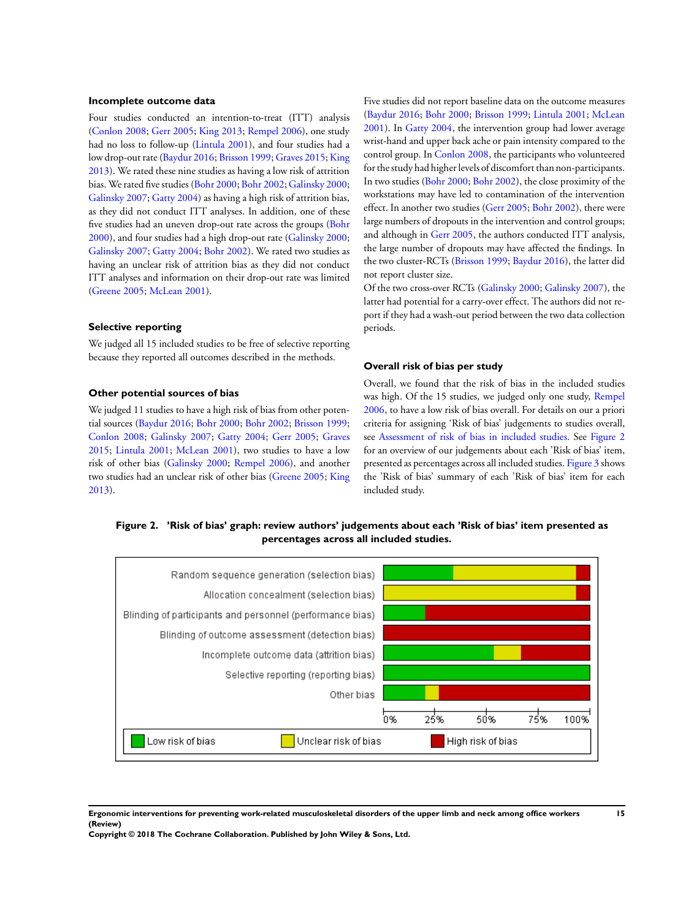#### **Incomplete outcome data**

Four studies conducted an intention-to-treat (ITT) analysis (Conlon 2008; Gerr 2005; King 2013; Rempel 2006), one study had no loss to follow-up (Lintula 2001), and four studies had a low drop-out rate (Baydur 2016; Brisson 1999; Graves 2015; King 2013). We rated these nine studies as having a low risk of attrition bias. We rated five studies (Bohr 2000; Bohr 2002; Galinsky 2000; Galinsky 2007; Gatty 2004) as having a high risk of attrition bias, as they did not conduct ITT analyses. In addition, one of these five studies had an uneven drop-out rate across the groups (Bohr 2000), and four studies had a high drop-out rate (Galinsky 2000; Galinsky 2007; Gatty 2004; Bohr 2002). We rated two studies as having an unclear risk of attrition bias as they did not conduct ITT analyses and information on their drop-out rate was limited (Greene 2005; McLean 2001).

### **Selective reporting**

We judged all 15 included studies to be free of selective reporting because they reported all outcomes described in the methods.

#### **Other potential sources of bias**

We judged 11 studies to have a high risk of bias from other potential sources (Baydur 2016; Bohr 2000; Bohr 2002; Brisson 1999; Conlon 2008; Galinsky 2007; Gatty 2004; Gerr 2005; Graves 2015; Lintula 2001; McLean 2001), two studies to have a low risk of other bias (Galinsky 2000; Rempel 2006), and another two studies had an unclear risk of other bias (Greene 2005; King 2013).

Five studies did not report baseline data on the outcome measures (Baydur 2016; Bohr 2000; Brisson 1999; Lintula 2001; McLean 2001). In Gatty 2004, the intervention group had lower average wrist-hand and upper back ache or pain intensity compared to the control group. In Conlon 2008, the participants who volunteered for the study had higher levels of discomfort than non-participants. In two studies (Bohr 2000; Bohr 2002), the close proximity of the workstations may have led to contamination of the intervention effect. In another two studies (Gerr 2005; Bohr 2002), there were large numbers of dropouts in the intervention and control groups; and although in Gerr 2005, the authors conducted ITT analysis, the large number of dropouts may have affected the findings. In the two cluster-RCTs (Brisson 1999; Baydur 2016), the latter did not report cluster size.

Of the two cross-over RCTs (Galinsky 2000; Galinsky 2007), the latter had potential for a carry-over effect. The authors did not report if they had a wash-out period between the two data collection periods.

#### **Overall risk of bias per study**

Overall, we found that the risk of bias in the included studies was high. Of the 15 studies, we judged only one study, Rempel 2006, to have a low risk of bias overall. For details on our a priori criteria for assigning 'Risk of bias' judgements to studies overall, see Assessment of risk of bias in included studies. See Figure 2 for an overview of our judgements about each 'Risk of bias' item, presented as percentages across all included studies. Figure 3 shows the 'Risk of bias' summary of each 'Risk of bias' item for each included study.

**Figure 2. 'Risk of bias' graph: review authors' judgements about each 'Risk of bias' item presented as percentages across all included studies.**



**Ergonomic interventions for preventing work-related musculoskeletal disorders of the upper limb and neck among office workers 15 (Review)**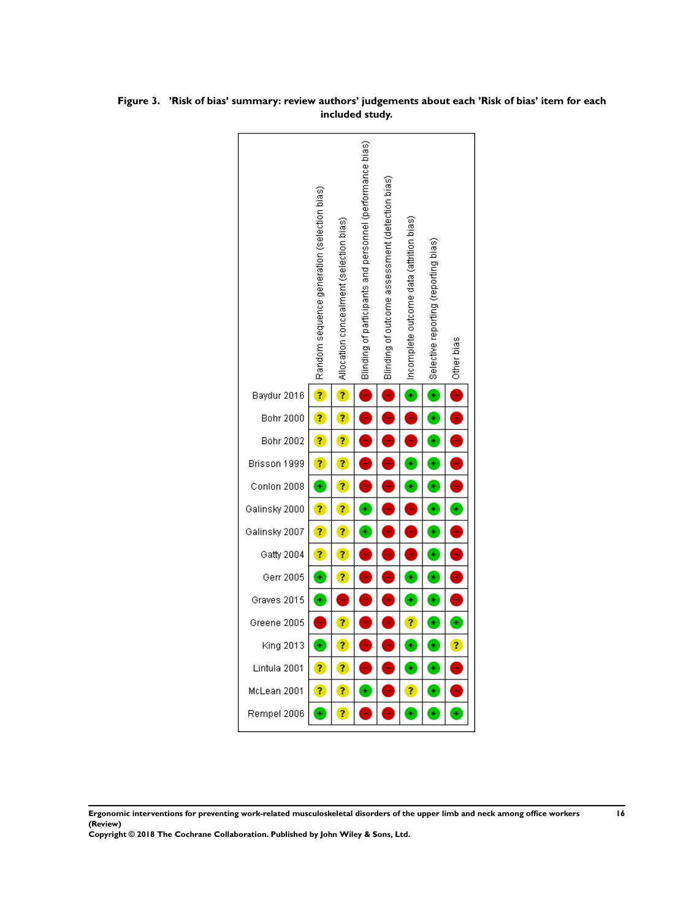

**Figure 3. 'Risk of bias' summary: review authors' judgements about each 'Risk of bias' item for each included study.**

**Ergonomic interventions for preventing work-related musculoskeletal disorders of the upper limb and neck among office workers 16 (Review)**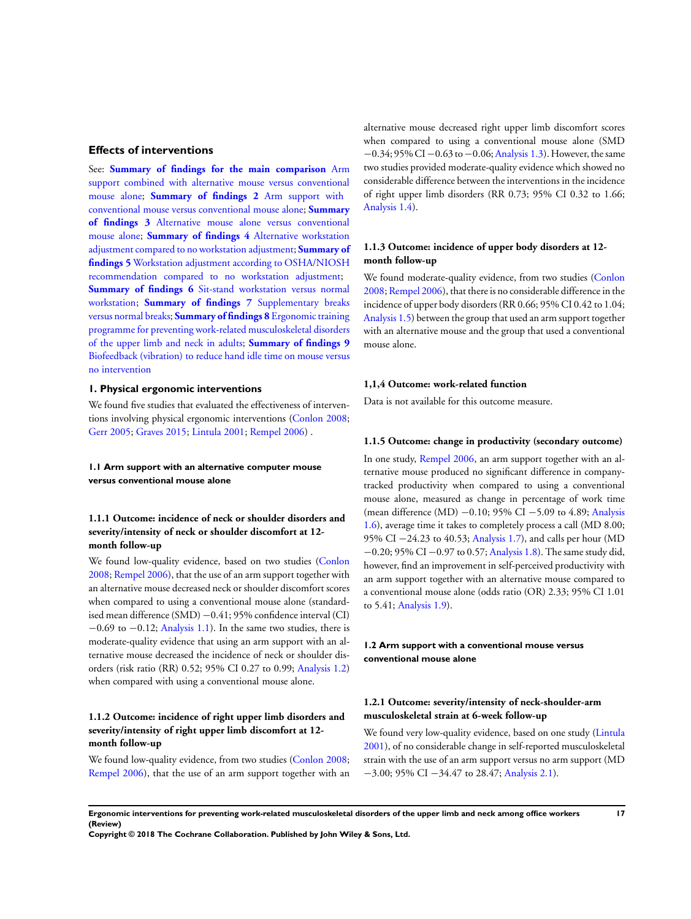### **Effects of interventions**

See: **Summary of findings for the main comparison** Arm support combined with alternative mouse versus conventional mouse alone; **Summary of findings 2** Arm support with conventional mouse versus conventional mouse alone; **Summary of findings 3** Alternative mouse alone versus conventional mouse alone; **Summary of findings 4** Alternative workstation adjustment compared to no workstation adjustment; **Summary of findings 5** Workstation adjustment according to OSHA/NIOSH recommendation compared to no workstation adjustment; **Summary of findings 6** Sit-stand workstation versus normal workstation; **Summary of findings 7** Supplementary breaks versus normal breaks; **Summary of findings 8** Ergonomic training programme for preventing work-related musculoskeletal disorders of the upper limb and neck in adults; **Summary of findings 9** Biofeedback (vibration) to reduce hand idle time on mouse versus no intervention

### **1. Physical ergonomic interventions**

We found five studies that evaluated the effectiveness of interventions involving physical ergonomic interventions (Conlon 2008; Gerr 2005; Graves 2015; Lintula 2001; Rempel 2006) .

**1.1 Arm support with an alternative computer mouse versus conventional mouse alone**

### **1.1.1 Outcome: incidence of neck or shoulder disorders and severity/intensity of neck or shoulder discomfort at 12 month follow-up**

We found low-quality evidence, based on two studies (Conlon 2008; Rempel 2006), that the use of an arm support together with an alternative mouse decreased neck or shoulder discomfort scores when compared to using a conventional mouse alone (standardised mean difference (SMD) −0.41; 95% confidence interval (CI) −0.69 to −0.12; Analysis 1.1). In the same two studies, there is moderate-quality evidence that using an arm support with an alternative mouse decreased the incidence of neck or shoulder disorders (risk ratio (RR) 0.52; 95% CI 0.27 to 0.99; Analysis 1.2) when compared with using a conventional mouse alone.

### **1.1.2 Outcome: incidence of right upper limb disorders and severity/intensity of right upper limb discomfort at 12 month follow-up**

We found low-quality evidence, from two studies (Conlon 2008; Rempel 2006), that the use of an arm support together with an

alternative mouse decreased right upper limb discomfort scores when compared to using a conventional mouse alone (SMD −0.34; 95% CI−0.63 to−0.06;Analysis 1.3). However, the same two studies provided moderate-quality evidence which showed no considerable difference between the interventions in the incidence of right upper limb disorders (RR 0.73; 95% CI 0.32 to 1.66; Analysis 1.4).

### **1.1.3 Outcome: incidence of upper body disorders at 12 month follow-up**

We found moderate-quality evidence, from two studies (Conlon 2008; Rempel 2006), that there is no considerable difference in the incidence of upper body disorders (RR 0.66; 95% CI 0.42 to 1.04; Analysis 1.5) between the group that used an arm support together with an alternative mouse and the group that used a conventional mouse alone.

### **1,1,4 Outcome: work-related function**

Data is not available for this outcome measure.

### **1.1.5 Outcome: change in productivity (secondary outcome)**

In one study, Rempel 2006, an arm support together with an alternative mouse produced no significant difference in companytracked productivity when compared to using a conventional mouse alone, measured as change in percentage of work time (mean difference (MD) −0.10; 95% CI −5.09 to 4.89; Analysis 1.6), average time it takes to completely process a call (MD 8.00; 95% CI −24.23 to 40.53; Analysis 1.7), and calls per hour (MD −0.20; 95% CI −0.97 to 0.57; Analysis 1.8). The same study did, however, find an improvement in self-perceived productivity with an arm support together with an alternative mouse compared to a conventional mouse alone (odds ratio (OR) 2.33; 95% CI 1.01 to 5.41; Analysis 1.9).

### **1.2 Arm support with a conventional mouse versus conventional mouse alone**

### **1.2.1 Outcome: severity/intensity of neck-shoulder-arm musculoskeletal strain at 6-week follow-up**

We found very low-quality evidence, based on one study (Lintula 2001), of no considerable change in self-reported musculoskeletal strain with the use of an arm support versus no arm support (MD −3.00; 95% CI −34.47 to 28.47; Analysis 2.1).

**Ergonomic interventions for preventing work-related musculoskeletal disorders of the upper limb and neck among office workers 17 (Review)**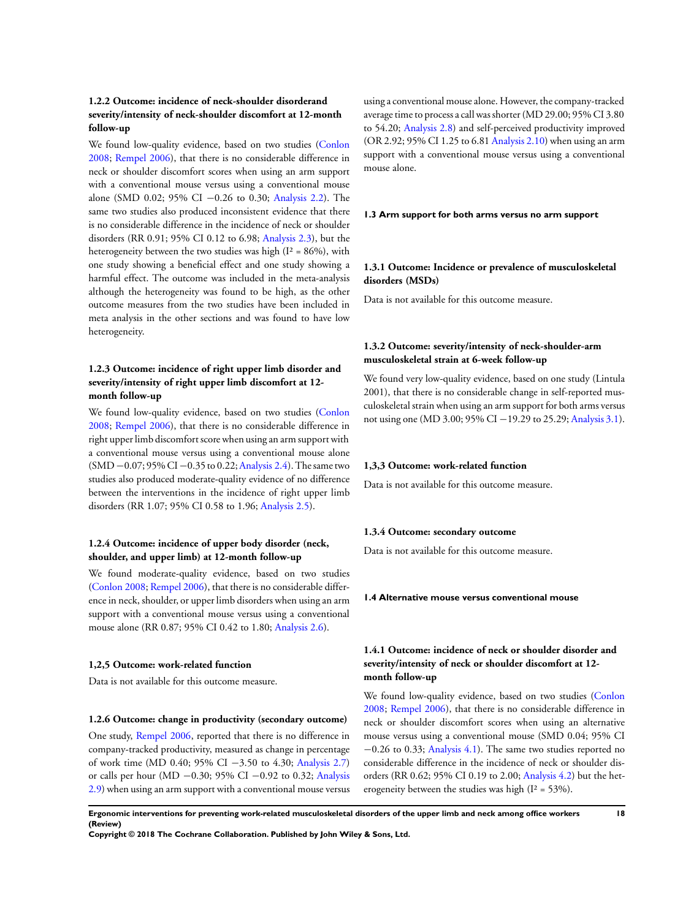### **1.2.2 Outcome: incidence of neck-shoulder disorderand severity/intensity of neck-shoulder discomfort at 12-month follow-up**

We found low-quality evidence, based on two studies (Conlon 2008; Rempel 2006), that there is no considerable difference in neck or shoulder discomfort scores when using an arm support with a conventional mouse versus using a conventional mouse alone (SMD 0.02; 95% CI −0.26 to 0.30; Analysis 2.2). The same two studies also produced inconsistent evidence that there is no considerable difference in the incidence of neck or shoulder disorders (RR 0.91; 95% CI 0.12 to 6.98; Analysis 2.3), but the heterogeneity between the two studies was high ( $I^2 = 86\%$ ), with one study showing a beneficial effect and one study showing a harmful effect. The outcome was included in the meta-analysis although the heterogeneity was found to be high, as the other outcome measures from the two studies have been included in meta analysis in the other sections and was found to have low heterogeneity.

### **1.2.3 Outcome: incidence of right upper limb disorder and severity/intensity of right upper limb discomfort at 12 month follow-up**

We found low-quality evidence, based on two studies (Conlon 2008; Rempel 2006), that there is no considerable difference in right upper limb discomfort score when using an arm support with a conventional mouse versus using a conventional mouse alone (SMD−0.07; 95% CI−0.35 to 0.22;Analysis 2.4). The same two studies also produced moderate-quality evidence of no difference between the interventions in the incidence of right upper limb disorders (RR 1.07; 95% CI 0.58 to 1.96; Analysis 2.5).

### **1.2.4 Outcome: incidence of upper body disorder (neck, shoulder, and upper limb) at 12-month follow-up**

We found moderate-quality evidence, based on two studies (Conlon 2008; Rempel 2006), that there is no considerable difference in neck, shoulder, or upper limb disorders when using an arm support with a conventional mouse versus using a conventional mouse alone (RR 0.87; 95% CI 0.42 to 1.80; Analysis 2.6).

#### **1,2,5 Outcome: work-related function**

Data is not available for this outcome measure.

#### **1.2.6 Outcome: change in productivity (secondary outcome)**

One study, Rempel 2006, reported that there is no difference in company-tracked productivity, measured as change in percentage of work time (MD 0.40; 95% CI −3.50 to 4.30; Analysis 2.7) or calls per hour (MD −0.30; 95% CI −0.92 to 0.32; Analysis 2.9) when using an arm support with a conventional mouse versus using a conventional mouse alone. However, the company-tracked average time to process a call was shorter (MD 29.00; 95% CI 3.80 to 54.20; Analysis 2.8) and self-perceived productivity improved (OR 2.92; 95% CI 1.25 to 6.81 Analysis 2.10) when using an arm support with a conventional mouse versus using a conventional mouse alone.

#### **1.3 Arm support for both arms versus no arm support**

### **1.3.1 Outcome: Incidence or prevalence of musculoskeletal disorders (MSDs)**

Data is not available for this outcome measure.

### **1.3.2 Outcome: severity/intensity of neck-shoulder-arm musculoskeletal strain at 6-week follow-up**

We found very low-quality evidence, based on one study (Lintula 2001), that there is no considerable change in self-reported musculoskeletal strain when using an arm support for both arms versus not using one (MD 3.00; 95% CI −19.29 to 25.29; Analysis 3.1).

### **1,3,3 Outcome: work-related function**

Data is not available for this outcome measure.

#### **1.3.4 Outcome: secondary outcome**

Data is not available for this outcome measure.

### **1.4 Alternative mouse versus conventional mouse**

### **1.4.1 Outcome: incidence of neck or shoulder disorder and severity/intensity of neck or shoulder discomfort at 12 month follow-up**

We found low-quality evidence, based on two studies (Conlon 2008; Rempel 2006), that there is no considerable difference in neck or shoulder discomfort scores when using an alternative mouse versus using a conventional mouse (SMD 0.04; 95% CI −0.26 to 0.33; Analysis 4.1). The same two studies reported no considerable difference in the incidence of neck or shoulder disorders (RR 0.62; 95% CI 0.19 to 2.00; Analysis 4.2) but the heterogeneity between the studies was high  $(I^2 = 53\%).$ 

**Ergonomic interventions for preventing work-related musculoskeletal disorders of the upper limb and neck among office workers 18 (Review)**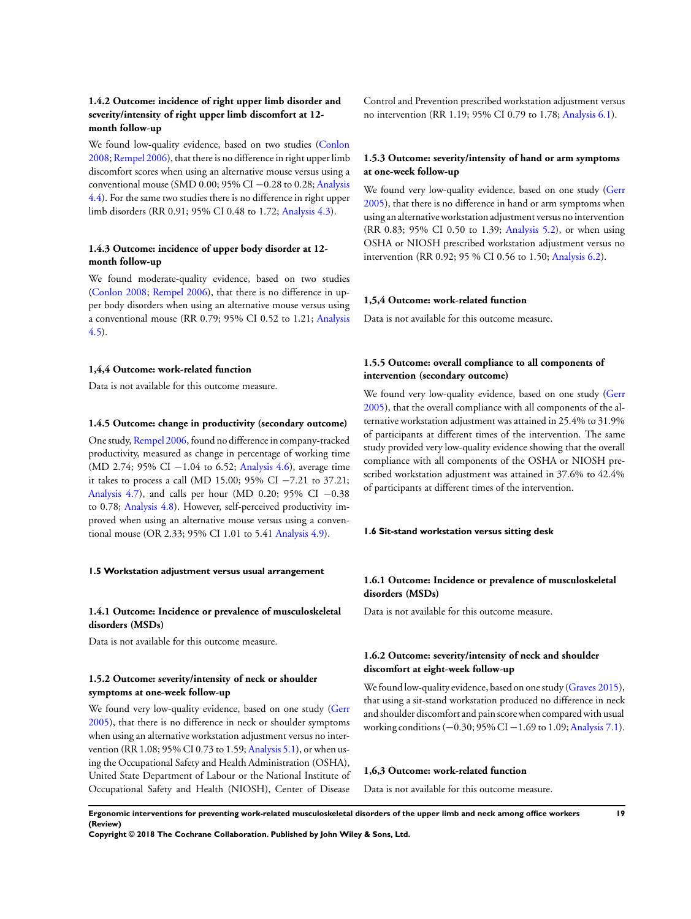### **1.4.2 Outcome: incidence of right upper limb disorder and severity/intensity of right upper limb discomfort at 12 month follow-up**

We found low-quality evidence, based on two studies (Conlon 2008; Rempel 2006), that there is no difference in right upper limb discomfort scores when using an alternative mouse versus using a conventional mouse (SMD 0.00; 95% CI −0.28 to 0.28; Analysis 4.4). For the same two studies there is no difference in right upper limb disorders (RR 0.91; 95% CI 0.48 to 1.72; Analysis 4.3).

### **1.4.3 Outcome: incidence of upper body disorder at 12 month follow-up**

We found moderate-quality evidence, based on two studies (Conlon 2008; Rempel 2006), that there is no difference in upper body disorders when using an alternative mouse versus using a conventional mouse (RR 0.79; 95% CI 0.52 to 1.21; Analysis 4.5).

#### **1,4,4 Outcome: work-related function**

Data is not available for this outcome measure.

### **1.4.5 Outcome: change in productivity (secondary outcome)**

One study, Rempel 2006, found no difference in company-tracked productivity, measured as change in percentage of working time (MD 2.74; 95% CI −1.04 to 6.52; Analysis 4.6), average time it takes to process a call (MD 15.00; 95% CI −7.21 to 37.21; Analysis 4.7), and calls per hour (MD 0.20; 95% CI  $-0.38$ to 0.78; Analysis 4.8). However, self-perceived productivity improved when using an alternative mouse versus using a conventional mouse (OR 2.33; 95% CI 1.01 to 5.41 Analysis 4.9).

#### **1.5 Workstation adjustment versus usual arrangement**

### **1.4.1 Outcome: Incidence or prevalence of musculoskeletal disorders (MSDs)**

Data is not available for this outcome measure.

### **1.5.2 Outcome: severity/intensity of neck or shoulder symptoms at one-week follow-up**

We found very low-quality evidence, based on one study (Gerr 2005), that there is no difference in neck or shoulder symptoms when using an alternative workstation adjustment versus no intervention (RR 1.08; 95% CI 0.73 to 1.59; Analysis 5.1), or when using the Occupational Safety and Health Administration (OSHA), United State Department of Labour or the National Institute of Occupational Safety and Health (NIOSH), Center of Disease

Control and Prevention prescribed workstation adjustment versus no intervention (RR 1.19; 95% CI 0.79 to 1.78; Analysis 6.1).

### **1.5.3 Outcome: severity/intensity of hand or arm symptoms at one-week follow-up**

We found very low-quality evidence, based on one study (Gerr 2005), that there is no difference in hand or arm symptoms when using an alternative workstation adjustment versus no intervention (RR 0.83; 95% CI 0.50 to 1.39; Analysis 5.2), or when using OSHA or NIOSH prescribed workstation adjustment versus no intervention (RR 0.92; 95 % CI 0.56 to 1.50; Analysis 6.2).

### **1,5,4 Outcome: work-related function**

Data is not available for this outcome measure.

### **1.5.5 Outcome: overall compliance to all components of intervention (secondary outcome)**

We found very low-quality evidence, based on one study (Gerr 2005), that the overall compliance with all components of the alternative workstation adjustment was attained in 25.4% to 31.9% of participants at different times of the intervention. The same study provided very low-quality evidence showing that the overall compliance with all components of the OSHA or NIOSH prescribed workstation adjustment was attained in 37.6% to 42.4% of participants at different times of the intervention.

#### **1.6 Sit-stand workstation versus sitting desk**

### **1.6.1 Outcome: Incidence or prevalence of musculoskeletal disorders (MSDs)**

Data is not available for this outcome measure.

### **1.6.2 Outcome: severity/intensity of neck and shoulder discomfort at eight-week follow-up**

We found low-quality evidence, based on one study (Graves 2015), that using a sit-stand workstation produced no difference in neck and shoulder discomfort and pain score when compared with usual working conditions (−0.30; 95% CI−1.69 to 1.09; Analysis 7.1).

#### **1,6,3 Outcome: work-related function**

Data is not available for this outcome measure.

**Ergonomic interventions for preventing work-related musculoskeletal disorders of the upper limb and neck among office workers 19 (Review)**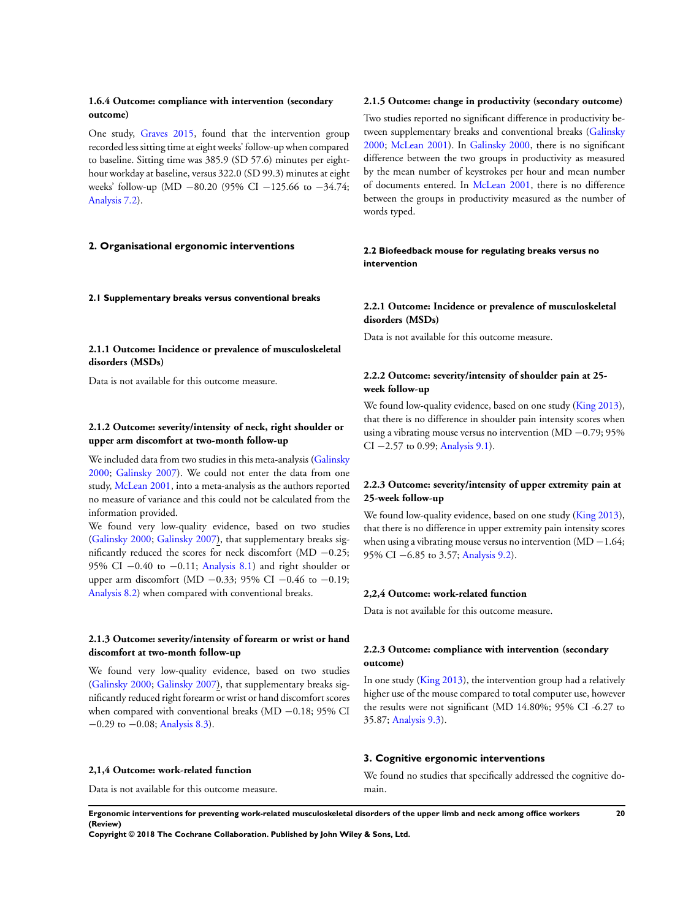### **1.6.4 Outcome: compliance with intervention (secondary outcome)**

One study, Graves 2015, found that the intervention group recorded less sitting time at eight weeks' follow-up when compared to baseline. Sitting time was 385.9 (SD 57.6) minutes per eighthour workday at baseline, versus 322.0 (SD 99.3) minutes at eight weeks' follow-up (MD −80.20 (95% CI −125.66 to −34.74; Analysis 7.2).

### **2. Organisational ergonomic interventions**

#### **2.1 Supplementary breaks versus conventional breaks**

### **2.1.1 Outcome: Incidence or prevalence of musculoskeletal disorders (MSDs)**

Data is not available for this outcome measure.

### **2.1.2 Outcome: severity/intensity of neck, right shoulder or upper arm discomfort at two-month follow-up**

We included data from two studies in this meta-analysis (Galinsky 2000; Galinsky 2007). We could not enter the data from one study, McLean 2001, into a meta-analysis as the authors reported no measure of variance and this could not be calculated from the information provided.

We found very low-quality evidence, based on two studies (Galinsky 2000; Galinsky 2007), that supplementary breaks significantly reduced the scores for neck discomfort (MD −0.25; 95% CI −0.40 to −0.11; Analysis 8.1) and right shoulder or upper arm discomfort (MD −0.33; 95% CI −0.46 to −0.19; Analysis 8.2) when compared with conventional breaks.

### **2.1.3 Outcome: severity/intensity of forearm or wrist or hand discomfort at two-month follow-up**

We found very low-quality evidence, based on two studies (Galinsky 2000; Galinsky 2007), that supplementary breaks significantly reduced right forearm or wrist or hand discomfort scores when compared with conventional breaks (MD −0.18; 95% CI −0.29 to −0.08; Analysis 8.3).

#### **2,1,4 Outcome: work-related function**

Data is not available for this outcome measure.

#### **2.1.5 Outcome: change in productivity (secondary outcome)**

Two studies reported no significant difference in productivity between supplementary breaks and conventional breaks (Galinsky 2000; McLean 2001). In Galinsky 2000, there is no significant difference between the two groups in productivity as measured by the mean number of keystrokes per hour and mean number of documents entered. In McLean 2001, there is no difference between the groups in productivity measured as the number of words typed.

#### **2.2 Biofeedback mouse for regulating breaks versus no intervention**

### **2.2.1 Outcome: Incidence or prevalence of musculoskeletal disorders (MSDs)**

Data is not available for this outcome measure.

### **2.2.2 Outcome: severity/intensity of shoulder pain at 25 week follow-up**

We found low-quality evidence, based on one study (King 2013), that there is no difference in shoulder pain intensity scores when using a vibrating mouse versus no intervention (MD −0.79; 95% CI −2.57 to 0.99; Analysis 9.1).

### **2.2.3 Outcome: severity/intensity of upper extremity pain at 25-week follow-up**

We found low-quality evidence, based on one study (King 2013), that there is no difference in upper extremity pain intensity scores when using a vibrating mouse versus no intervention (MD −1.64; 95% CI −6.85 to 3.57; Analysis 9.2).

#### **2,2,4 Outcome: work-related function**

Data is not available for this outcome measure.

### **2.2.3 Outcome: compliance with intervention (secondary outcome)**

In one study (King 2013), the intervention group had a relatively higher use of the mouse compared to total computer use, however the results were not significant (MD 14.80%; 95% CI -6.27 to 35.87; Analysis 9.3).

### **3. Cognitive ergonomic interventions**

We found no studies that specifically addressed the cognitive domain.

**Ergonomic interventions for preventing work-related musculoskeletal disorders of the upper limb and neck among office workers 20 (Review)**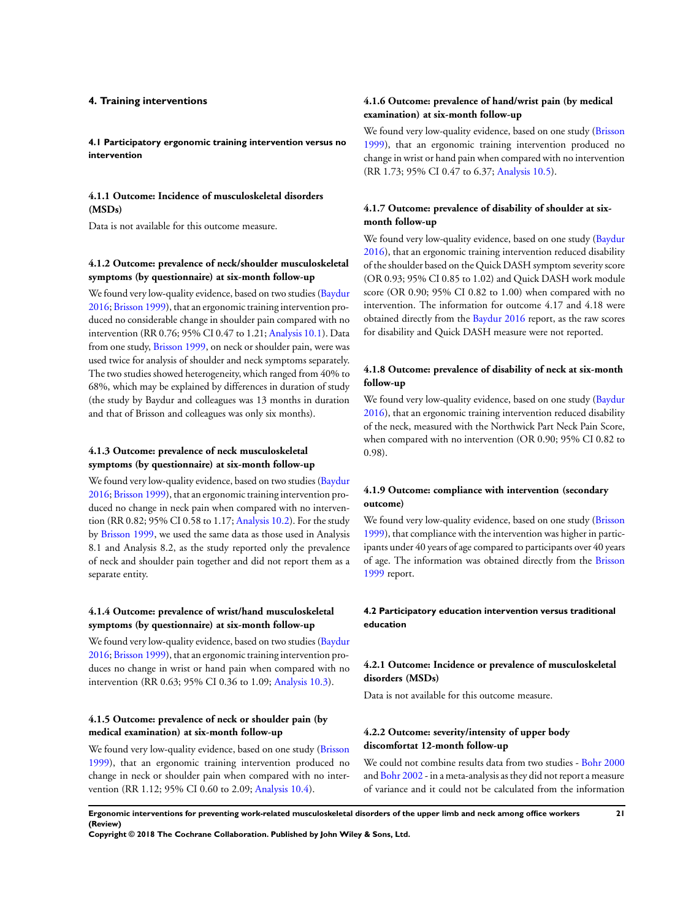### **4. Training interventions**

**4.1 Participatory ergonomic training intervention versus no intervention**

### **4.1.1 Outcome: Incidence of musculoskeletal disorders (MSDs)**

Data is not available for this outcome measure.

### **4.1.2 Outcome: prevalence of neck/shoulder musculoskeletal symptoms (by questionnaire) at six-month follow-up**

We found very low-quality evidence, based on two studies (Baydur 2016; Brisson 1999), that an ergonomic training intervention produced no considerable change in shoulder pain compared with no intervention (RR 0.76; 95% CI 0.47 to 1.21; Analysis 10.1). Data from one study, Brisson 1999, on neck or shoulder pain, were was used twice for analysis of shoulder and neck symptoms separately. The two studies showed heterogeneity, which ranged from 40% to 68%, which may be explained by differences in duration of study (the study by Baydur and colleagues was 13 months in duration and that of Brisson and colleagues was only six months).

### **4.1.3 Outcome: prevalence of neck musculoskeletal symptoms (by questionnaire) at six-month follow-up**

We found very low-quality evidence, based on two studies (Baydur 2016; Brisson 1999), that an ergonomic training intervention produced no change in neck pain when compared with no intervention (RR 0.82; 95% CI 0.58 to 1.17; Analysis 10.2). For the study by Brisson 1999, we used the same data as those used in Analysis 8.1 and Analysis 8.2, as the study reported only the prevalence of neck and shoulder pain together and did not report them as a separate entity.

### **4.1.4 Outcome: prevalence of wrist/hand musculoskeletal symptoms (by questionnaire) at six-month follow-up**

We found very low-quality evidence, based on two studies (Baydur 2016; Brisson 1999), that an ergonomic training intervention produces no change in wrist or hand pain when compared with no intervention (RR 0.63; 95% CI 0.36 to 1.09; Analysis 10.3).

### **4.1.5 Outcome: prevalence of neck or shoulder pain (by medical examination) at six-month follow-up**

We found very low-quality evidence, based on one study (Brisson 1999), that an ergonomic training intervention produced no change in neck or shoulder pain when compared with no intervention (RR 1.12; 95% CI 0.60 to 2.09; Analysis 10.4).

### **4.1.6 Outcome: prevalence of hand/wrist pain (by medical examination) at six-month follow-up**

We found very low-quality evidence, based on one study (Brisson 1999), that an ergonomic training intervention produced no change in wrist or hand pain when compared with no intervention (RR 1.73; 95% CI 0.47 to 6.37; Analysis 10.5).

### **4.1.7 Outcome: prevalence of disability of shoulder at sixmonth follow-up**

We found very low-quality evidence, based on one study (Baydur 2016), that an ergonomic training intervention reduced disability of the shoulder based on the Quick DASH symptom severity score (OR 0.93; 95% CI 0.85 to 1.02) and Quick DASH work module score (OR 0.90; 95% CI 0.82 to 1.00) when compared with no intervention. The information for outcome 4.17 and 4.18 were obtained directly from the Baydur 2016 report, as the raw scores for disability and Quick DASH measure were not reported.

### **4.1.8 Outcome: prevalence of disability of neck at six-month follow-up**

We found very low-quality evidence, based on one study (Baydur 2016), that an ergonomic training intervention reduced disability of the neck, measured with the Northwick Part Neck Pain Score, when compared with no intervention (OR 0.90; 95% CI 0.82 to 0.98).

### **4.1.9 Outcome: compliance with intervention (secondary outcome)**

We found very low-quality evidence, based on one study (Brisson 1999), that compliance with the intervention was higher in participants under 40 years of age compared to participants over 40 years of age. The information was obtained directly from the Brisson 1999 report.

### **4.2 Participatory education intervention versus traditional education**

### **4.2.1 Outcome: Incidence or prevalence of musculoskeletal disorders (MSDs)**

Data is not available for this outcome measure.

### **4.2.2 Outcome: severity/intensity of upper body discomfortat 12-month follow-up**

We could not combine results data from two studies - Bohr 2000 and Bohr 2002 - in a meta-analysis as they did not report a measure of variance and it could not be calculated from the information

**Ergonomic interventions for preventing work-related musculoskeletal disorders of the upper limb and neck among office workers 21 (Review)**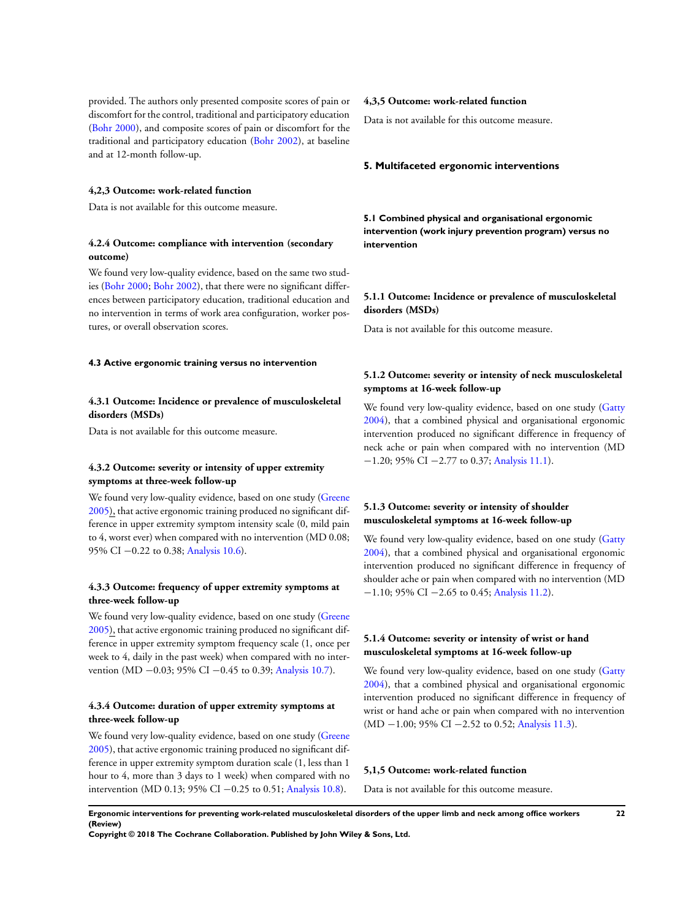provided. The authors only presented composite scores of pain or discomfort for the control, traditional and participatory education (Bohr 2000), and composite scores of pain or discomfort for the traditional and participatory education (Bohr 2002), at baseline and at 12-month follow-up.

#### **4,2,3 Outcome: work-related function**

Data is not available for this outcome measure.

### **4.2.4 Outcome: compliance with intervention (secondary outcome)**

We found very low-quality evidence, based on the same two studies (Bohr 2000; Bohr 2002), that there were no significant differences between participatory education, traditional education and no intervention in terms of work area configuration, worker postures, or overall observation scores.

**4.3 Active ergonomic training versus no intervention**

### **4.3.1 Outcome: Incidence or prevalence of musculoskeletal disorders (MSDs)**

Data is not available for this outcome measure.

### **4.3.2 Outcome: severity or intensity of upper extremity symptoms at three-week follow-up**

We found very low-quality evidence, based on one study (Greene 2005), that active ergonomic training produced no significant difference in upper extremity symptom intensity scale (0, mild pain to 4, worst ever) when compared with no intervention (MD 0.08; 95% CI −0.22 to 0.38; Analysis 10.6).

### **4.3.3 Outcome: frequency of upper extremity symptoms at three-week follow-up**

We found very low-quality evidence, based on one study (Greene 2005), that active ergonomic training produced no significant difference in upper extremity symptom frequency scale (1, once per week to 4, daily in the past week) when compared with no intervention (MD −0.03; 95% CI −0.45 to 0.39; Analysis 10.7).

### **4.3.4 Outcome: duration of upper extremity symptoms at three-week follow-up**

We found very low-quality evidence, based on one study (Greene 2005), that active ergonomic training produced no significant difference in upper extremity symptom duration scale (1, less than 1 hour to 4, more than 3 days to 1 week) when compared with no intervention (MD 0.13; 95% CI −0.25 to 0.51; Analysis 10.8).

### **4,3,5 Outcome: work-related function**

Data is not available for this outcome measure.

### **5. Multifaceted ergonomic interventions**

**5.1 Combined physical and organisational ergonomic intervention (work injury prevention program) versus no intervention**

### **5.1.1 Outcome: Incidence or prevalence of musculoskeletal disorders (MSDs)**

Data is not available for this outcome measure.

### **5.1.2 Outcome: severity or intensity of neck musculoskeletal symptoms at 16-week follow-up**

We found very low-quality evidence, based on one study (Gatty 2004), that a combined physical and organisational ergonomic intervention produced no significant difference in frequency of neck ache or pain when compared with no intervention (MD −1.20; 95% CI −2.77 to 0.37; Analysis 11.1).

### **5.1.3 Outcome: severity or intensity of shoulder musculoskeletal symptoms at 16-week follow-up**

We found very low-quality evidence, based on one study (Gatty 2004), that a combined physical and organisational ergonomic intervention produced no significant difference in frequency of shoulder ache or pain when compared with no intervention (MD −1.10; 95% CI −2.65 to 0.45; Analysis 11.2).

### **5.1.4 Outcome: severity or intensity of wrist or hand musculoskeletal symptoms at 16-week follow-up**

We found very low-quality evidence, based on one study (Gatty 2004), that a combined physical and organisational ergonomic intervention produced no significant difference in frequency of wrist or hand ache or pain when compared with no intervention (MD −1.00; 95% CI −2.52 to 0.52; Analysis 11.3).

#### **5,1,5 Outcome: work-related function**

Data is not available for this outcome measure.

**Ergonomic interventions for preventing work-related musculoskeletal disorders of the upper limb and neck among office workers 22 (Review)**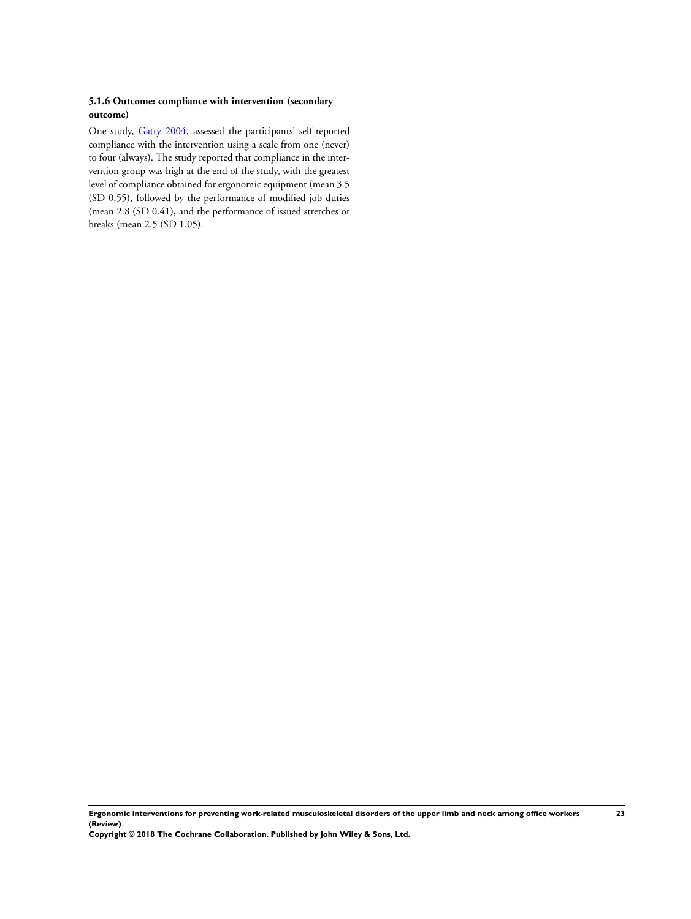### **5.1.6 Outcome: compliance with intervention (secondary outcome)**

One study, Gatty 2004, assessed the participants' self-reported compliance with the intervention using a scale from one (never) to four (always). The study reported that compliance in the intervention group was high at the end of the study, with the greatest level of compliance obtained for ergonomic equipment (mean 3.5 (SD 0.55), followed by the performance of modified job duties (mean 2.8 (SD 0.41), and the performance of issued stretches or breaks (mean 2.5 (SD 1.05).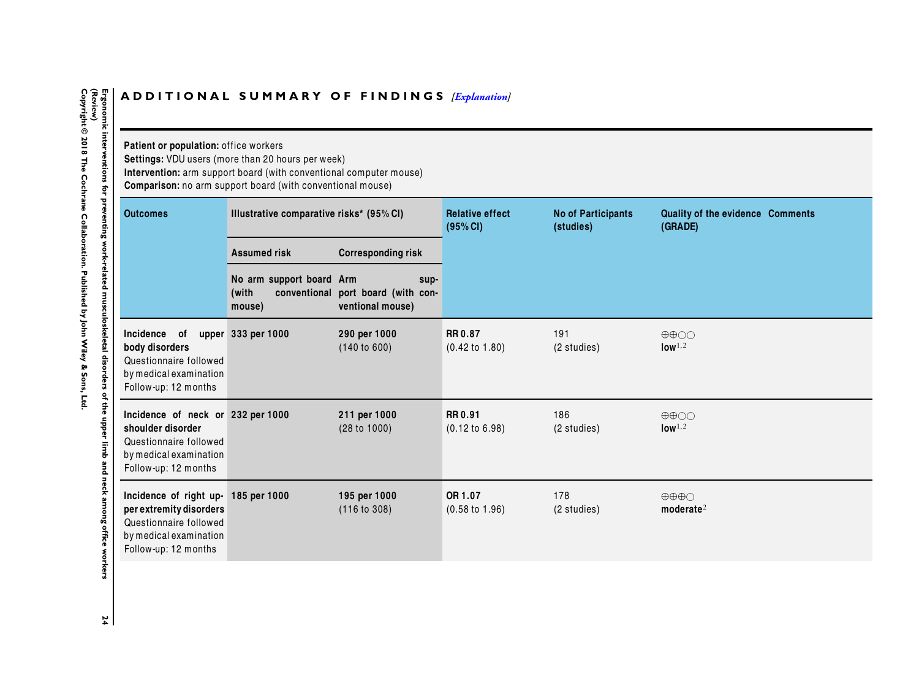# ADDITIONAL SUMMARY OF FINDINGS *[Explanation]*

**Patient or population:** office workers

**Settings:** VDU users (more than <sup>20</sup> hours per week)

**Intervention:** arm support board (with conventional computer mouse)

**Comparison:** no arm support board (with conventional mouse)

| <b>Outcomes</b>                                                                                                                    | Illustrative comparative risks* (95% CI)    |                                                                | <b>Relative effect</b><br>(95% CI)         | <b>No of Participants</b><br>(studies) | Quality of the evidence Comments<br>(GRADE)             |
|------------------------------------------------------------------------------------------------------------------------------------|---------------------------------------------|----------------------------------------------------------------|--------------------------------------------|----------------------------------------|---------------------------------------------------------|
|                                                                                                                                    | <b>Assumed risk</b>                         | <b>Corresponding risk</b>                                      |                                            |                                        |                                                         |
|                                                                                                                                    | No arm support board Arm<br>(with<br>mouse) | sup-<br>conventional port board (with con-<br>ventional mouse) |                                            |                                        |                                                         |
| Incidence<br>of<br>body disorders<br>Questionnaire followed<br>by medical examination<br>Follow-up: 12 months                      | upper 333 per 1000                          | 290 per 1000<br>$(140 \text{ to } 600)$                        | <b>RR0.87</b><br>$(0.42 \text{ to } 1.80)$ | 191<br>(2 studies)                     | $\oplus \oplus \bigcirc \bigcirc$<br>low <sup>1,2</sup> |
| Incidence of neck or 232 per 1000<br>shoulder disorder<br>Questionnaire followed<br>by medical examination<br>Follow-up: 12 months |                                             | 211 per 1000<br>(28 to 1000)                                   | RR 0.91<br>$(0.12 \text{ to } 6.98)$       | 186<br>(2 studies)                     | $\oplus \oplus \bigcirc \bigcirc$<br>low <sup>1,2</sup> |
| Incidence of right up-<br>per extremity disorders<br>Questionnaire followed<br>by medical examination<br>Follow-up: 12 months      | 185 per 1000                                | 195 per 1000<br>(116 to 308)                                   | OR 1.07<br>$(0.58 \text{ to } 1.96)$       | 178<br>(2 studies)                     | $\oplus \oplus \oplus \cap$<br>moderate $2$             |

**Copyright © 2018 The Cochrane Collaboration. Published by J** Ergonomic interventions for preventing work-related musculoskeletal disorders of the upper limb and neck among office workers<br>(Review)<br>Copyright © 2018 The Cochrane Collaboration. Published by John Wiley & Sons, Ltd. **ohn Wiley & Sons, Ltd.**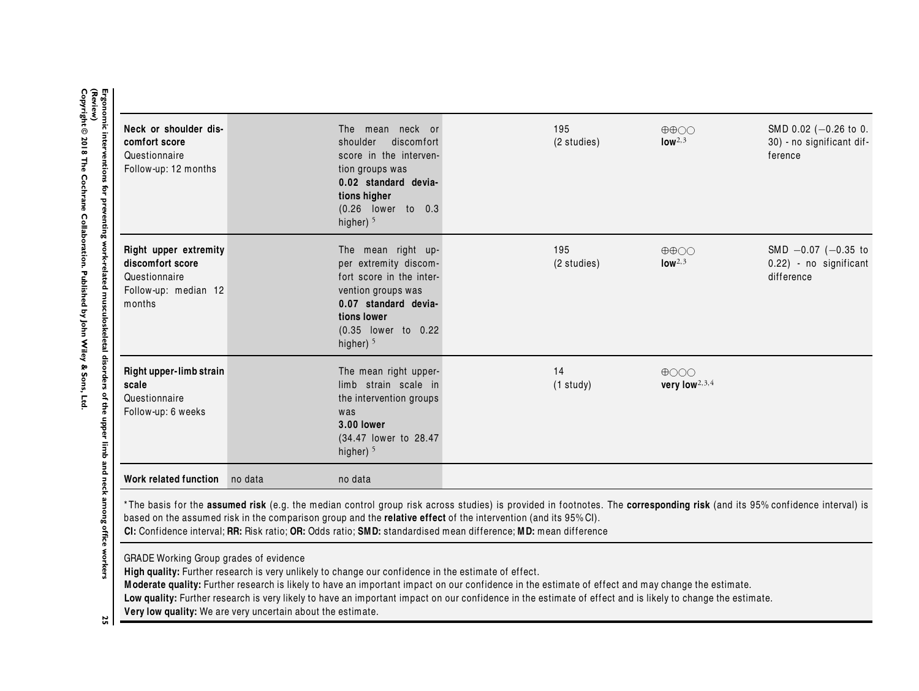| Neck or shoulder dis-<br>comfort score<br>Questionnaire<br>Follow-up: 12 months              |         | mean neck or<br><b>The</b><br>shoulder<br>discomfort<br>score in the interven-<br>tion groups was<br>0.02 standard devia-<br>tions higher<br>(0.26 lower to 0.3<br>higher) <sup>5</sup> | 195<br>(2 studies) | $\oplus \oplus \bigcirc \bigcirc$<br>low <sup>2,3</sup> | SMD 0.02 ( $-0.26$ to 0.<br>30) - no significant dif-<br>ference |
|----------------------------------------------------------------------------------------------|---------|-----------------------------------------------------------------------------------------------------------------------------------------------------------------------------------------|--------------------|---------------------------------------------------------|------------------------------------------------------------------|
| Right upper extremity<br>discomfort score<br>Questionnaire<br>Follow-up: median 12<br>months |         | The mean right up-<br>per extremity discom-<br>fort score in the inter-<br>vention groups was<br>0.07 standard devia-<br>tions lower<br>(0.35 lower to 0.22<br>higher) $5$              | 195<br>(2 studies) | $\oplus \oplus \bigcirc \bigcirc$<br>low <sup>2,3</sup> | SMD $-0.07$ ( $-0.35$ to<br>0.22) - no significant<br>difference |
| Right upper-limb strain<br>scale<br>Questionnaire<br>Follow-up: 6 weeks                      |         | The mean right upper-<br>limb strain scale in<br>the intervention groups<br>was<br><b>3.00 lower</b><br>(34.47 lower to 28.47<br>higher) $5$                                            | 14<br>$(1$ study)  | $\bigoplus$ OOO<br>very low <sup>2,3,4</sup>            |                                                                  |
| Work related function                                                                        | no data | no data                                                                                                                                                                                 |                    |                                                         |                                                                  |

GRADE Working Group grades of evidence<br>**High quality:** Further research is very unlikely to change our confidence in the estimate of effect. **High quality:** Further research is very unlikely to change our confidence in the estimate of effect.<br>Moderate quality: Further research is likely to have an important impact on our confidence in the

**Moderate quality:** Further research is likely to have an important impact on our confidence in the estimate of effect and may change the estimate.<br>Low quality: Eurther research is very likely to have an impactant impact o

Low quality: Further research is very likely to have an important impact on our confidence in the estimate of effect and is likely to change the estimate.

**22Very low quality:** We are very uncertain about the estimate.

**Copyright © 2018 The Cochrane Collaboration. Published by J** Ergonomic interventions for preventing work-related musculoskeletal disorders of th<br>(Review)<br>Copyright © 2018 The Cochrane Collaboration. Published by John Wiley & Sons, Ltd. **ohn Wiley & Sons, Ltd.**

**workers**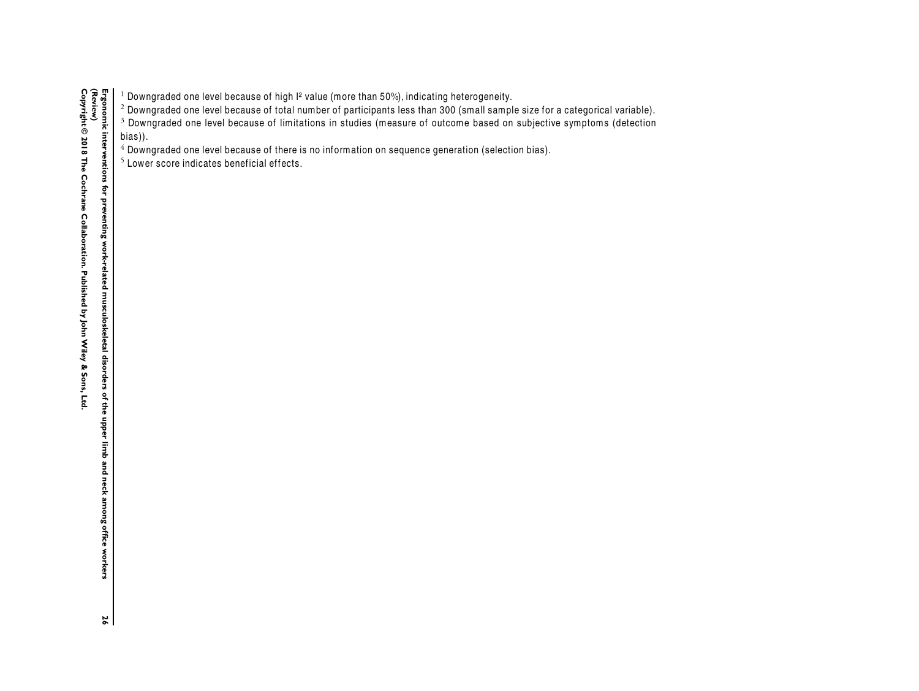<sup>1</sup> Downgraded one level because of high l<sup>2</sup> value (more than 50%), indicating heterogeneity.<br><sup>2</sup> Downgraded one level because of total number of participants less than 300 (small sample size for a categorical variable).<br> bias)).

 $\frac{4}{5}$  Downgraded one level because of there is no information on sequence generation (selection bias).

 $5$  Lower score indicates beneficial effects.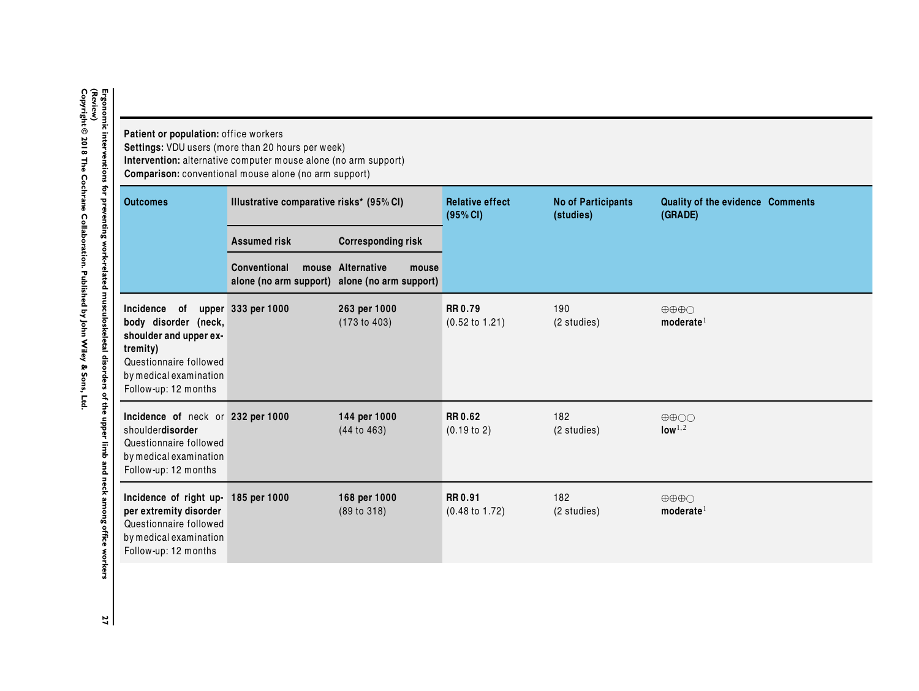|                                                                                                                                                        | Intervention: alternative computer mouse alone (no arm support)<br>Comparison: conventional mouse alone (no arm support) |                                                                             |                                      |                                        |                                                          |
|--------------------------------------------------------------------------------------------------------------------------------------------------------|--------------------------------------------------------------------------------------------------------------------------|-----------------------------------------------------------------------------|--------------------------------------|----------------------------------------|----------------------------------------------------------|
| <b>Outcomes</b>                                                                                                                                        | Illustrative comparative risks* (95% CI)                                                                                 |                                                                             | <b>Relative effect</b><br>(95% CI)   | <b>No of Participants</b><br>(studies) | Quality of the evidence Comments<br>(GRADE)              |
|                                                                                                                                                        | <b>Assumed risk</b>                                                                                                      | <b>Corresponding risk</b>                                                   |                                      |                                        |                                                          |
|                                                                                                                                                        | Conventional                                                                                                             | mouse Alternative<br>mouse<br>alone (no arm support) alone (no arm support) |                                      |                                        |                                                          |
| Incidence of<br>body disorder (neck,<br>shoulder and upper ex-<br>tremity)<br>Questionnaire followed<br>by medical examination<br>Follow-up: 12 months | upper 333 per 1000                                                                                                       | 263 per 1000<br>(173 to 403)                                                | RR 0.79<br>$(0.52 \text{ to } 1.21)$ | 190<br>(2 studies)                     | $\oplus \oplus \oplus \cap$<br>moderate <sup>1</sup>     |
| Incidence of neck or 232 per 1000<br>shoulderdisorder<br>Questionnaire followed<br>by medical examination<br>Follow-up: 12 months                      |                                                                                                                          | 144 per 1000<br>(44 to 463)                                                 | RR 0.62<br>(0.19 to 2)               | 182<br>(2 studies)                     | $\oplus \oplus \odot \odot$<br>low <sup>1,2</sup>        |
| Incidence of right up-<br>per extremity disorder<br>Questionnaire followed<br>by medical examination<br>Follow-up: 12 months                           | 185 per 1000                                                                                                             | 168 per 1000<br>(89 to 318)                                                 | RR 0.91<br>$(0.48 \text{ to } 1.72)$ | 182<br>(2 studies)                     | $\oplus \oplus \oplus \bigcirc$<br>moderate <sup>1</sup> |

**Copyright © 2018 The Cochrane Collaboration. Published by J** Ergonomic interventions for preventing work-related musculoskeletal disorders of the upper limb and neck among office workers<br>(Review)<br>Copyright © 2018 The Cochrane Collaboration. Published by John Wiley & Sons, Ltd. **ohn Wiley & Sons, Ltd.**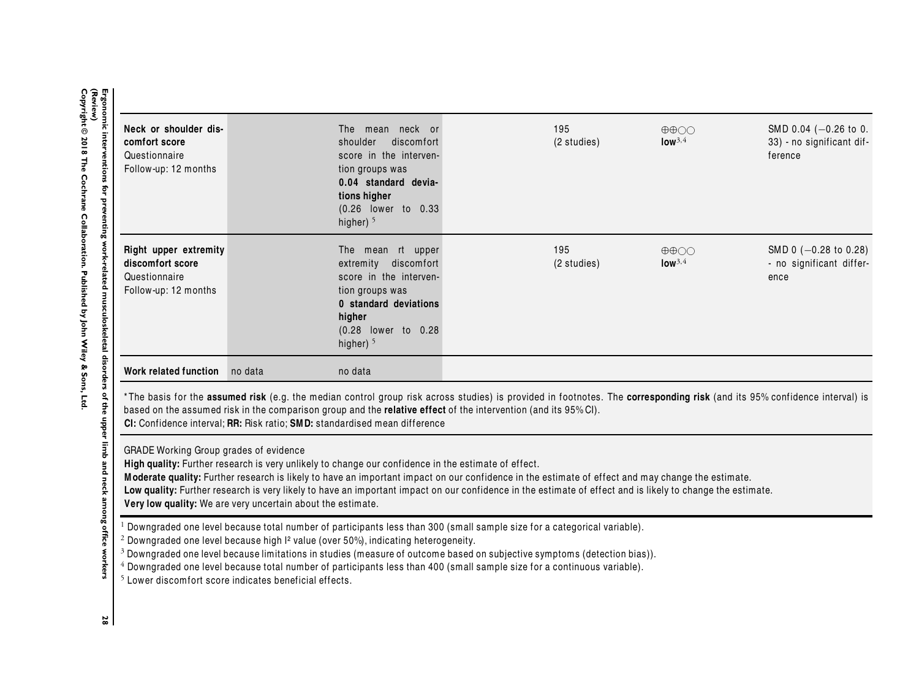| Neck or shoulder dis-<br>comfort score<br>Questionnaire<br>Follow-up: 12 months    | The mean neck or<br>discomfort<br>shoulder<br>score in the interven-<br>tion groups was<br>0.04 standard devia-<br>tions higher<br>(0.26 lower to 0.33<br>higher) $5$ | 195<br>(2 studies) | $\oplus \oplus \bigcirc \bigcirc$<br>low <sup>3,4</sup> | SMD 0.04 ( $-0.26$ to 0.<br>33) - no significant dif-<br>ference |
|------------------------------------------------------------------------------------|-----------------------------------------------------------------------------------------------------------------------------------------------------------------------|--------------------|---------------------------------------------------------|------------------------------------------------------------------|
| Right upper extremity<br>discomfort score<br>Questionnaire<br>Follow-up: 12 months | The mean rt upper<br>discomfort<br>extremity<br>score in the interven-<br>tion groups was<br>0 standard deviations<br>higher<br>(0.28 lower to 0.28<br>higher) $5$    | 195<br>(2 studies) | $\oplus \oplus \odot \odot$<br>low <sup>3,4</sup>       | SMD 0 $(-0.28$ to 0.28)<br>- no significant differ-<br>ence      |
| Work related function no data                                                      | no data                                                                                                                                                               |                    |                                                         |                                                                  |

\* The basis for the **assumed risk** (e.g. the median control group risk across studies) is provided in footnotes. The **corresponding risk** (and its 95% conf idence interval) is based on the assumed risk in the comparison group and the **relative effect** of the intervention (and its 95% CI). **CI:** Conf idence interval; **RR:** Risk ratio; **SMD:** standardised mean difference

GRADE Working Group grades of evidence<br>**High quality:** Further research is very unlikely to change our confidence in the estimate of effect.

**Moderate quality:** Further research is likely to have an important impact on our confidence in the estimate of effect and may change the estimate. **Moderate quality:** Further research is likely to have an important impact on our confidence in the estimate of effect and may change the estimate.<br>Low quality: Further research is very likely to have an important impact o

**Low quality:** Further research is very likely to have an important impact on our confidence in the estimate of effect and is likely to change the estimate.<br>Very low quality: We are very uportain about the estimate.

**Very low quality:** We are very uncertain about the estimate.

 $^{\rm 1}$  Downgraded one level because total number of participants less than 300 (small sample size for a categorical variable).

 $^2$  Downgraded one level because high I $^2$  value (over 50%), indicating heterogeneity.

 $^3$  Downgraded one level because limitations in studies (measure of outcome based on subjective symptoms (detection bias)).

 $^4$  Downgraded one level because total number of participants less than 400 (small sample size for a continuous variable).

 $5$  Lower discomfort score indicates beneficial effects.

neck among

office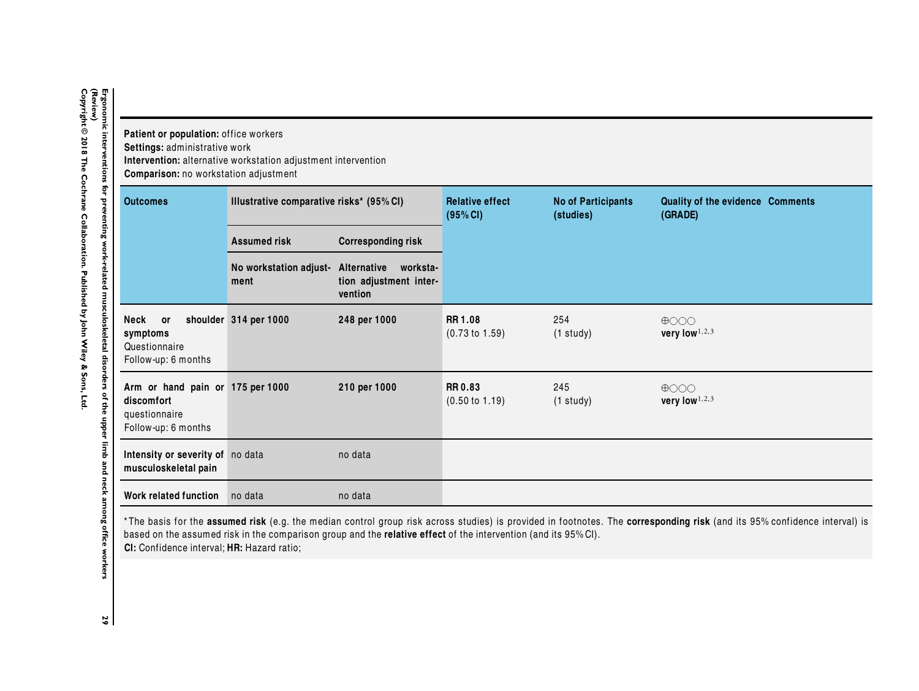| <b>Patient or population:</b> office workers |  |
|----------------------------------------------|--|
| Settings: administrative work                |  |

**Intervention:** alternative workstation adjustment intervention

**Comparison:** no workstation adjustment

| <b>Outcomes</b>                                                                        | Illustrative comparative risks* (95% CI) |                                                              | <b>Relative effect</b><br>$(95\% \, \text{Cl})$ | <b>No of Participants</b><br>(studies) | Quality of the evidence Comments<br>(GRADE) |
|----------------------------------------------------------------------------------------|------------------------------------------|--------------------------------------------------------------|-------------------------------------------------|----------------------------------------|---------------------------------------------|
|                                                                                        | <b>Assumed risk</b>                      | <b>Corresponding risk</b>                                    |                                                 |                                        |                                             |
|                                                                                        | No workstation adjust-<br>ment           | Alternative<br>worksta-<br>tion adjustment inter-<br>vention |                                                 |                                        |                                             |
| Neck<br><b>or</b><br>symptoms<br>Questionnaire<br>Follow-up: 6 months                  | shoulder 314 per 1000                    | 248 per 1000                                                 | <b>RR1.08</b><br>$(0.73 \text{ to } 1.59)$      | 254<br>$(1$ study)                     | $\bigoplus$ OOO<br>very low $^{1,2,3}$      |
| Arm or hand pain or 175 per 1000<br>discomfort<br>questionnaire<br>Follow-up: 6 months |                                          | 210 per 1000                                                 | <b>RR0.83</b><br>$(0.50 \text{ to } 1.19)$      | 245<br>$(1$ study)                     | $\bigoplus$<br>very low $^{1,2,3}$          |
| Intensity or severity of no data<br>musculoskeletal pain                               |                                          | no data                                                      |                                                 |                                        |                                             |
| Work related function                                                                  | no data                                  | no data                                                      |                                                 |                                        |                                             |

\* The basis for the **assumed risk** (e.g. the median control group risk across studies) is provided in footnotes. The **corresponding risk** (and its 95% conf idence interval) is based on the assumed risk in the comparison group and the **relative effect** of the intervention (and its 95% CI). **CI:** Conf idence interval; **HR:** Hazard ratio;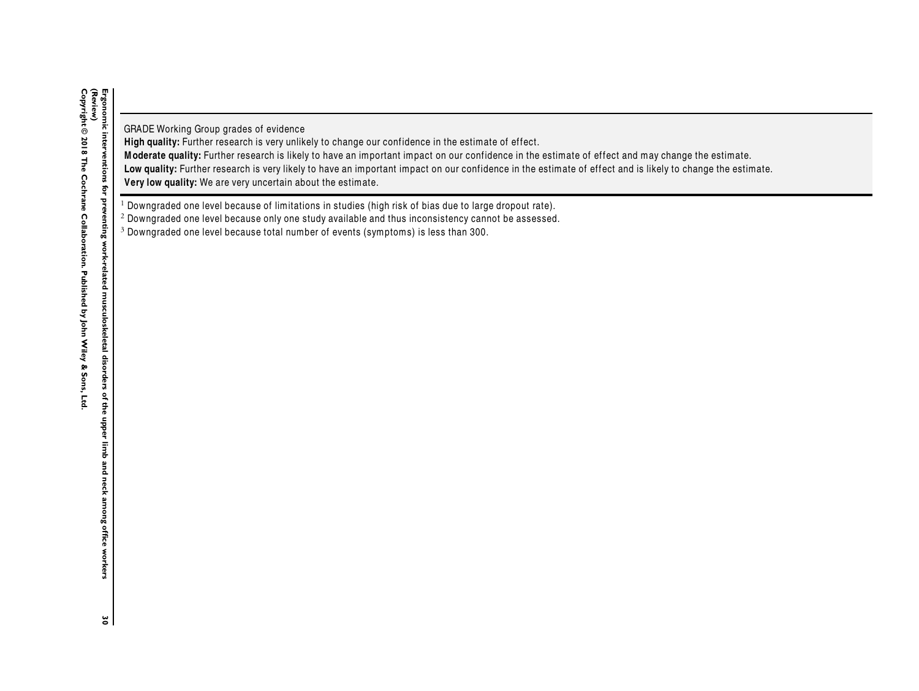GRADE Working Group grades of evidence

High quality: Further research is very unlikely to change our confidence in the estimate of effect.<br>Moderate quality: Further research is likely to have an important impact on our confidence in the estimate of effect and m **Moderate quality:** Further research is likely to have an important impact on our confidence in the estimate of effect and may change the estimate.<br>Low quality: Eurther research is very likely to have an impactant impact o

**Low quality:** Further research is very likely to have an important impact on our confidence in the estimate of effect and is likely to change the estimate.<br>Very low quality: We are very uncertain about the estimate.

**Very low quality:** We are very uncertain about the estimate.

 $^{\rm 1}$  Downgraded one level because of limitations in studies (high risk of bias due to large dropout rate).<br>-

 $^2$  Downgraded one level because only one study available and thus inconsistency cannot be assessed.<br>-

 $^3$  Downgraded one level because total number of events (symptoms) is less than 300.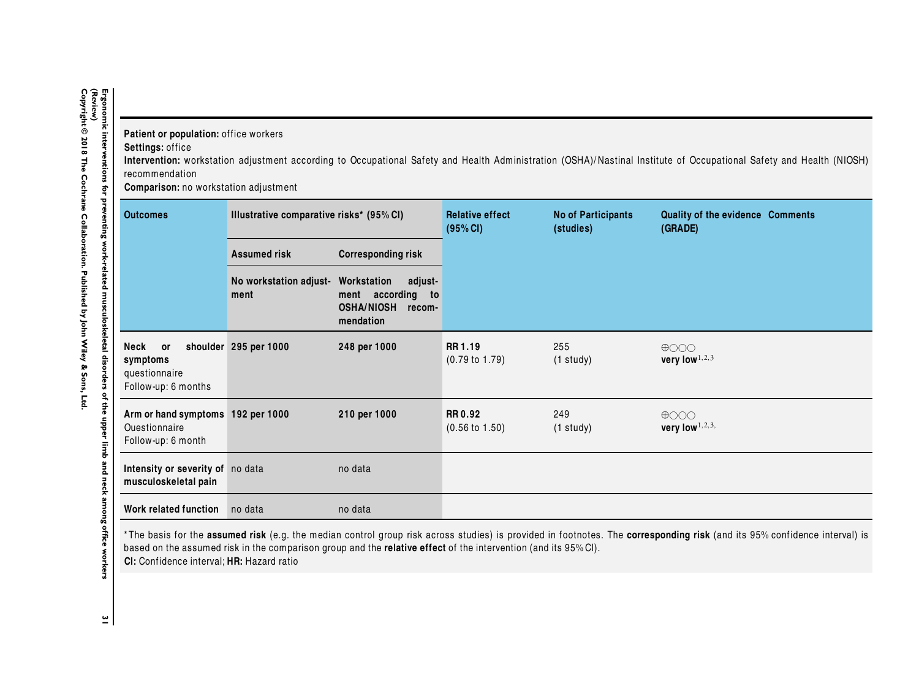| <b>Patient or population:</b> office workers |  |
|----------------------------------------------|--|
| <b>Settings:</b> office                      |  |

**Intervention:** workstation adjustment according to Occupational Safety and Health Administration (OSHA)/Nastinal Institute of Occupational Safety and Health (NIOSH) recommendation

**Comparison:** no workstation adjustment

| <b>Outcomes</b>                                                                 | Illustrative comparative risks* (95% CI) |                                                                                            | <b>Relative effect</b><br>(95% CI)          | <b>No of Participants</b><br>(studies) | Quality of the evidence Comments<br>(GRADE)           |
|---------------------------------------------------------------------------------|------------------------------------------|--------------------------------------------------------------------------------------------|---------------------------------------------|----------------------------------------|-------------------------------------------------------|
|                                                                                 | <b>Assumed risk</b>                      | <b>Corresponding risk</b>                                                                  |                                             |                                        |                                                       |
|                                                                                 | No workstation adjust-<br>ment           | Workstation<br>adjust-<br>ment<br>according to<br><b>OSHA/NIOSH</b><br>recom-<br>mendation |                                             |                                        |                                                       |
| Neck<br>or<br>symptoms<br>questionnaire<br>Follow-up: 6 months                  | shoulder 295 per 1000                    | 248 per 1000                                                                               | <b>RR 1.19</b><br>$(0.79 \text{ to } 1.79)$ | 255<br>$(1$ study)                     | $\bigoplus$ $\bigcirc$ $\bigcirc$<br>very low $1,2,3$ |
| Arm or hand symptoms 192 per 1000<br><b>Ouestionnaire</b><br>Follow-up: 6 month |                                          | 210 per 1000                                                                               | <b>RR 0.92</b><br>$(0.56 \text{ to } 1.50)$ | 249<br>$(1$ study)                     | $\bigoplus$ OOO<br>very low $1,2,3$ ,                 |
| Intensity or severity of no data<br>musculoskeletal pain                        |                                          | no data                                                                                    |                                             |                                        |                                                       |
| Work related function                                                           | no data                                  | no data                                                                                    |                                             |                                        |                                                       |

\* The basis for the **assumed risk** (e.g. the median control group risk across studies) is provided in footnotes. The **corresponding risk** (and its 95% conf idence interval) is based on the assumed risk in the comparison group and the **relative effect** of the intervention (and its 95% CI). **CI:** Conf idence interval; **HR:** Hazard ratio

**Copyright © 2018 The Cochrane Collaboration. Published by J** Ergonomic interventions for preventing work-related musculoskeletal disorders of the upper limb and neck among office workers<br>(Review)<br>Copyright © 2018 The Cochrane Collaboration. Published by John Wiley & Sons, Ltd. **ohn Wiley & Sons, Ltd.**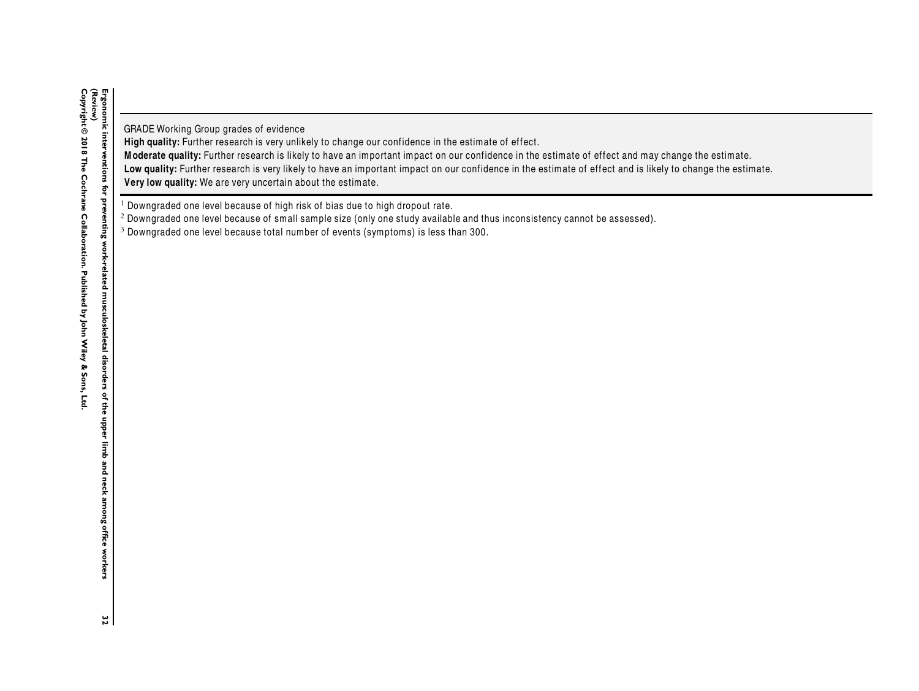GRADE Working Group grades of evidence

High quality: Further research is very unlikely to change our confidence in the estimate of effect.<br>Moderate quality: Further research is likely to have an important impact on our confidence in the estimate of effect and m **Moderate quality:** Further research is likely to have an important impact on our confidence in the estimate of effect and may change the estimate.<br>Low quality: Eurther research is very likely to have an impactant impact o

**Low quality:** Further research is very likely to have an important impact on our confidence in the estimate of effect and is likely to change the estimate.<br>Very low quality: We are very uncertain about the estimate.

**Very low quality:** We are very uncertain about the estimate.

 $^{\rm 1}$  Downgraded one level because of high risk of bias due to high dropout rate.

 $^2$  Downgraded one level because of small sample size (only one study available and thus inconsistency cannot be assessed).<br>-

 $^3$  Downgraded one level because total number of events (symptoms) is less than 300.

**32 Ergonomic interventions for preventing work-related musculoskeletal disorders of the upper limb and neck among office workers**  $32$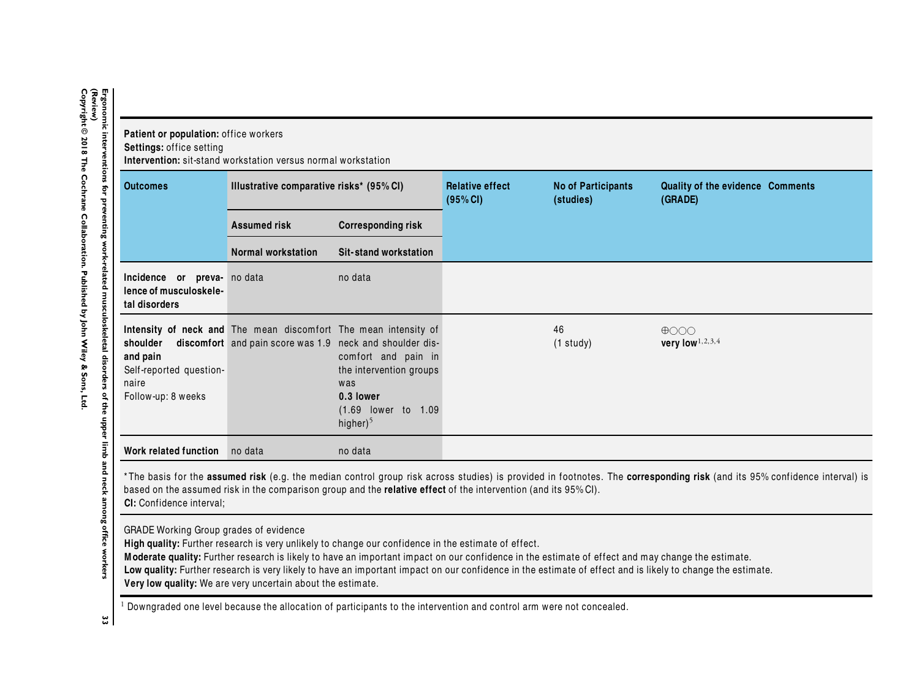| <b>Outcomes</b>                                                                | Illustrative comparative risks* (95% CI)                                                                                    |                                                                                                          | <b>Relative effect</b><br>(95% CI) | <b>No of Participants</b><br>(studies) | Quality of the evidence Comments<br>(GRADE)                                                                                                                               |
|--------------------------------------------------------------------------------|-----------------------------------------------------------------------------------------------------------------------------|----------------------------------------------------------------------------------------------------------|------------------------------------|----------------------------------------|---------------------------------------------------------------------------------------------------------------------------------------------------------------------------|
|                                                                                | <b>Assumed risk</b>                                                                                                         | <b>Corresponding risk</b>                                                                                |                                    |                                        |                                                                                                                                                                           |
|                                                                                | <b>Normal workstation</b>                                                                                                   | <b>Sit-stand workstation</b>                                                                             |                                    |                                        |                                                                                                                                                                           |
| Incidence or preva- no data<br>lence of musculoskele-<br>tal disorders         |                                                                                                                             | no data                                                                                                  |                                    |                                        |                                                                                                                                                                           |
| shoulder<br>and pain<br>Self-reported question-<br>naire<br>Follow-up: 8 weeks | Intensity of neck and The mean discomfort The mean intensity of<br>discomfort and pain score was 1.9 neck and shoulder dis- | comfort and pain in<br>the intervention groups<br>was<br>0.3 lower<br>(1.69 lower to 1.09<br>higher) $5$ |                                    | 46<br>$(1$ study)                      | $\bigoplus$<br>very low $^{1,2,3,4}$                                                                                                                                      |
| Work related function                                                          | no data                                                                                                                     | no data                                                                                                  |                                    |                                        |                                                                                                                                                                           |
| CI: Confidence interval;                                                       | based on the assumed risk in the comparison group and the relative effect of the intervention (and its 95%CI).              |                                                                                                          |                                    |                                        | *The basis for the assumed risk (e.g. the median control group risk across studies) is provided in footnotes. The corresponding risk (and its 95% confidence interval) is |

 $^1$  Downgraded one level because the allocation of participants to the intervention and control arm were not concealed.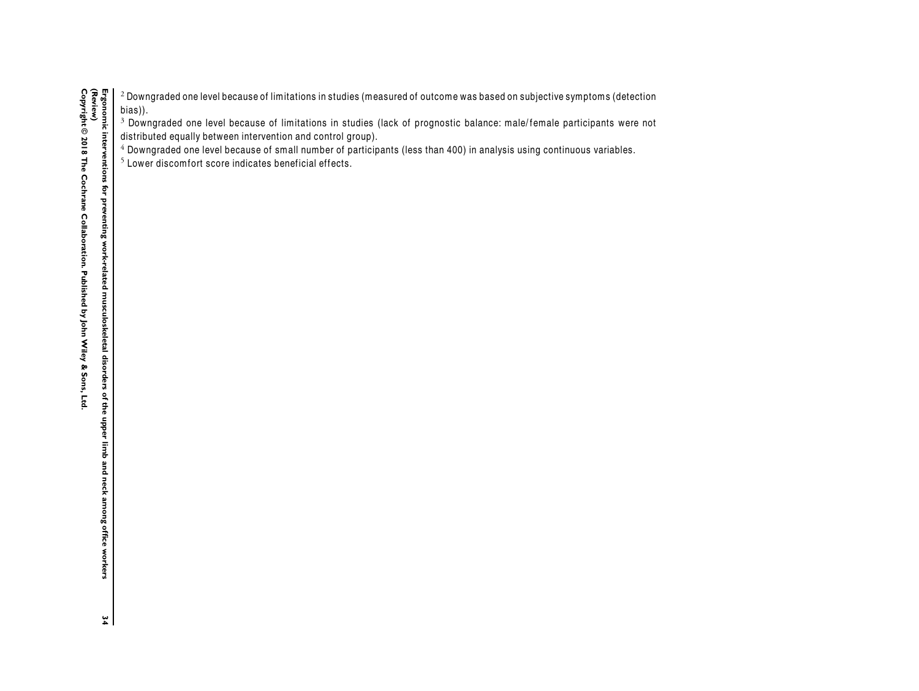| $^{-2}$ Downgraded one level because of limitations in studies (measured of outcome was based on subjective symptoms (detection |
|---------------------------------------------------------------------------------------------------------------------------------|
| bias)).                                                                                                                         |

bias)).<br><sup>3</sup> Downgraded one level because of limitations in studies (lack of prognostic balance: male/female participants were not

distributed equally between intervention and control group).<br><sup>4</sup> Downgraded one level because of small number of participants (less than 400) in analysis using continuous variables.

 $5$  Lower discomfort score indicates beneficial effects.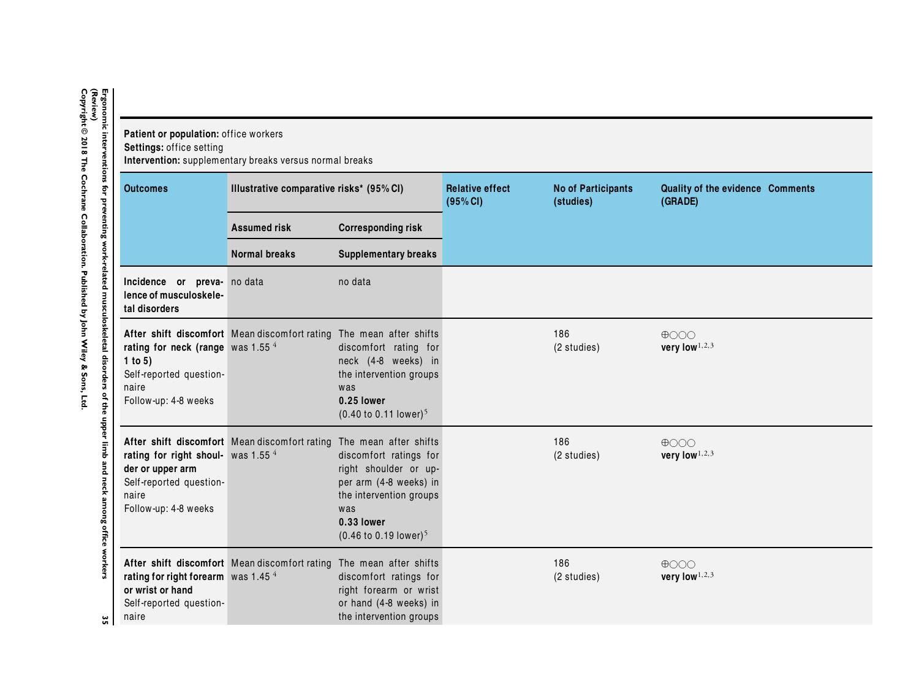| <b>Outcomes</b>                                                                                                               | Intervention: supplementary breaks versus normal breaks<br>Illustrative comparative risks* (95% CI) |                                                                                                                                                                        | <b>Relative effect</b><br>(95% CI) | <b>No of Participants</b><br>(studies) | Quality of the evidence Comments             |
|-------------------------------------------------------------------------------------------------------------------------------|-----------------------------------------------------------------------------------------------------|------------------------------------------------------------------------------------------------------------------------------------------------------------------------|------------------------------------|----------------------------------------|----------------------------------------------|
|                                                                                                                               | <b>Assumed risk</b>                                                                                 | <b>Corresponding risk</b>                                                                                                                                              |                                    |                                        | (GRADE)                                      |
|                                                                                                                               | <b>Normal breaks</b>                                                                                | <b>Supplementary breaks</b>                                                                                                                                            |                                    |                                        |                                              |
| Incidence or preva- no data<br>lence of musculoskele-<br>tal disorders                                                        |                                                                                                     | no data                                                                                                                                                                |                                    |                                        |                                              |
| rating for neck (range was 1.55 <sup>4</sup><br>1 to $5)$<br>Self-reported question-<br>naire<br>Follow-up: 4-8 weeks         | After shift discomfort Mean discomfort rating The mean after shifts                                 | discomfort rating for<br>neck (4-8 weeks) in<br>the intervention groups<br>was<br>$0.25$ lower<br>$(0.40 \text{ to } 0.11 \text{ lower})^5$                            |                                    | 186<br>(2 studies)                     | $\bigoplus$ OOO<br>very low $^{1,2,3}$       |
| rating for right shoul- was 1.55 <sup>4</sup><br>der or upper arm<br>Self-reported question-<br>naire<br>Follow-up: 4-8 weeks | After shift discomfort Mean discomfort rating The mean after shifts                                 | discomfort ratings for<br>right shoulder or up-<br>per arm (4-8 weeks) in<br>the intervention groups<br>was<br>0.33 lower<br>$(0.46 \text{ to } 0.19 \text{ lower})^5$ |                                    | 186<br>(2 studies)                     | $\bigoplus$ OOO<br>very low <sup>1,2,3</sup> |
| rating for right forearm was 1.45 <sup>4</sup><br>or wrist or hand<br>Self-reported question-<br>naire                        | After shift discomfort Mean discomfort rating The mean after shifts                                 | discomfort ratings for<br>right forearm or wrist<br>or hand (4-8 weeks) in<br>the intervention groups                                                                  |                                    | 186<br>(2 studies)                     | $\bigoplus$ OOO<br>very low $^{1,2,3}$       |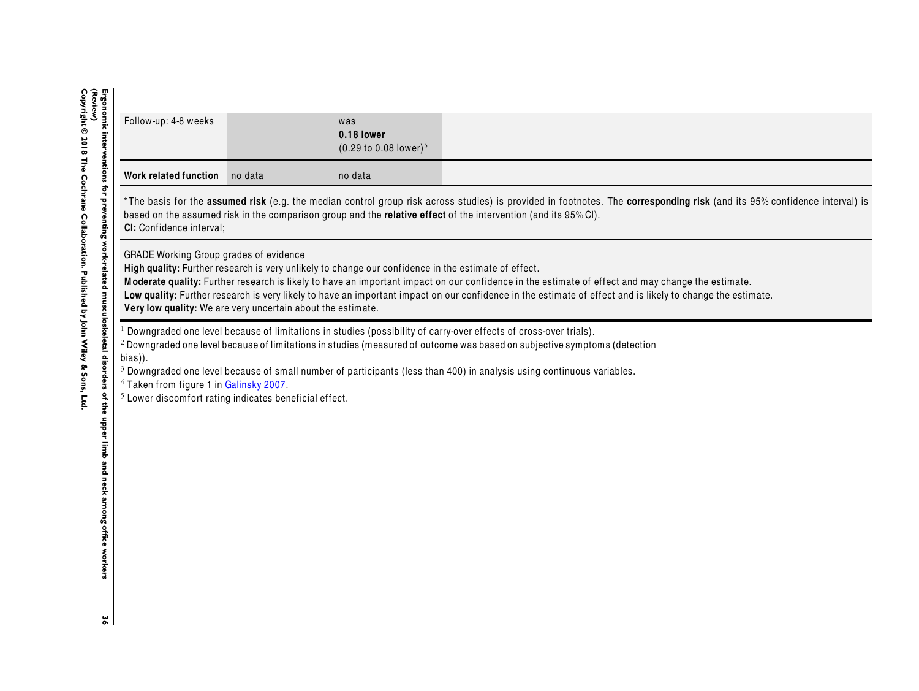|                                                                                                                                    |         | was<br>0.18 lower<br>$(0.29 \text{ to } 0.08 \text{ lower})^5$                                      |                                                                                                                                                                                                                                                                                                                                                                                                            |
|------------------------------------------------------------------------------------------------------------------------------------|---------|-----------------------------------------------------------------------------------------------------|------------------------------------------------------------------------------------------------------------------------------------------------------------------------------------------------------------------------------------------------------------------------------------------------------------------------------------------------------------------------------------------------------------|
| Work related function                                                                                                              | no data | no data                                                                                             |                                                                                                                                                                                                                                                                                                                                                                                                            |
| CI: Confidence interval;                                                                                                           |         |                                                                                                     | *The basis for the assumed risk (e.g. the median control group risk across studies) is provided in footnotes. The corresponding risk (and its 95% confidence interval) is<br>based on the assumed risk in the comparison group and the relative effect of the intervention (and its 95%CI).                                                                                                                |
| <b>GRADE Working Group grades of evidence</b><br>Very low quality: We are very uncertain about the estimate.                       |         | High quality: Further research is very unlikely to change our confidence in the estimate of effect. | Moderate quality: Further research is likely to have an important impact on our confidence in the estimate of effect and may change the estimate.<br>Low quality: Further research is very likely to have an important impact on our confidence in the estimate of effect and is likely to change the estimate.                                                                                            |
| bias)).<br><sup>4</sup> Taken from figure 1 in Galinsky 2007.<br><sup>5</sup> Lower discomfort rating indicates beneficial effect. |         |                                                                                                     | <sup>1</sup> Downgraded one level because of limitations in studies (possibility of carry-over effects of cross-over trials).<br><sup>2</sup> Downgraded one level because of limitations in studies (measured of outcome was based on subjective symptoms (detection<br><sup>3</sup> Downgraded one level because of small number of participants (less than 400) in analysis using continuous variables. |

 $\frac{8}{2}$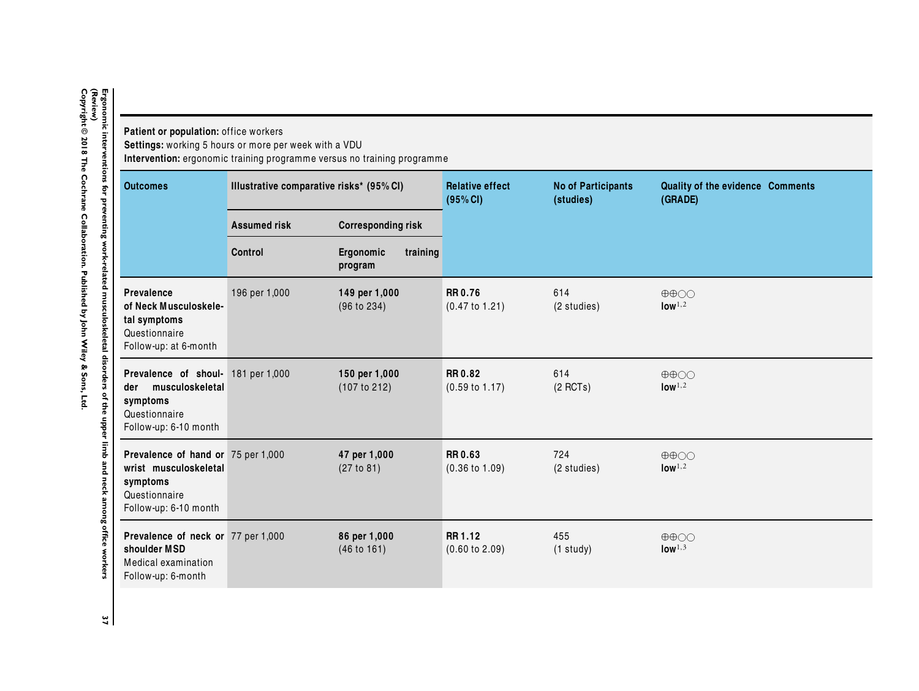| Patient or population: office workers |  |  |
|---------------------------------------|--|--|
|                                       |  |  |

**Patient <mark>or population:</mark>** office workers<br>**Settings:** working 5 hours or more per week with a VDU<br><mark>Intervention:</mark> ergonomic training programme versus no training programme

| <b>Outcomes</b>                                                                                                   | Illustrative comparative risks* (95% CI) |                                  | <b>Relative effect</b><br><b>No of Participants</b><br>(95% CI)<br>(studies) |                    | Quality of the evidence Comments<br>(GRADE)             |
|-------------------------------------------------------------------------------------------------------------------|------------------------------------------|----------------------------------|------------------------------------------------------------------------------|--------------------|---------------------------------------------------------|
|                                                                                                                   | <b>Assumed risk</b>                      | <b>Corresponding risk</b>        |                                                                              |                    |                                                         |
|                                                                                                                   | <b>Control</b>                           | training<br>Ergonomic<br>program |                                                                              |                    |                                                         |
| Prevalence<br>of Neck Musculoskele-<br>tal symptoms<br>Questionnaire<br>Follow-up: at 6-month                     | 196 per 1,000                            | 149 per 1,000<br>(96 to 234)     | RR 0.76<br>$(0.47 \text{ to } 1.21)$                                         | 614<br>(2 studies) | $\oplus \oplus \odot \odot$<br>low <sup>1,2</sup>       |
| Prevalence of shoul-<br>musculoskeletal<br>der<br>symptoms<br>Questionnaire<br>Follow-up: 6-10 month              | 181 per 1,000                            | 150 per 1,000<br>(107 to 212)    | <b>RR 0.82</b><br>$(0.59 \text{ to } 1.17)$                                  | 614<br>$(2$ RCTs)  | $\oplus \oplus \bigcirc \bigcirc$<br>low <sup>1,2</sup> |
| Prevalence of hand or 75 per 1,000<br>wrist musculoskeletal<br>symptoms<br>Questionnaire<br>Follow-up: 6-10 month |                                          | 47 per 1,000<br>(27 to 81)       | RR 0.63<br>$(0.36 \text{ to } 1.09)$                                         | 724<br>(2 studies) | $\oplus \oplus \bigcirc \bigcirc$<br>low <sup>1,2</sup> |
| Prevalence of neck or 77 per 1,000<br>shoulder MSD<br>Medical examination<br>Follow-up: 6-month                   |                                          | 86 per 1,000<br>(46 to 161)      | RR 1.12<br>$(0.60 \text{ to } 2.09)$                                         | 455<br>$(1$ study) | $\oplus \oplus \odot \odot$<br>low <sup>1,3</sup>       |

**Copyright © 2018 The Cochrane Collaboration. Published by J** Ergonomic interventions for preventing work-related musculoskeletal disorders of the upper limb and neck among office workers<br>(Review)<br>Copyright © 2018 The Cochrane Collaboration. Published by John Wiley & Sons, Ltd. **ohn Wiley & Sons, Ltd.**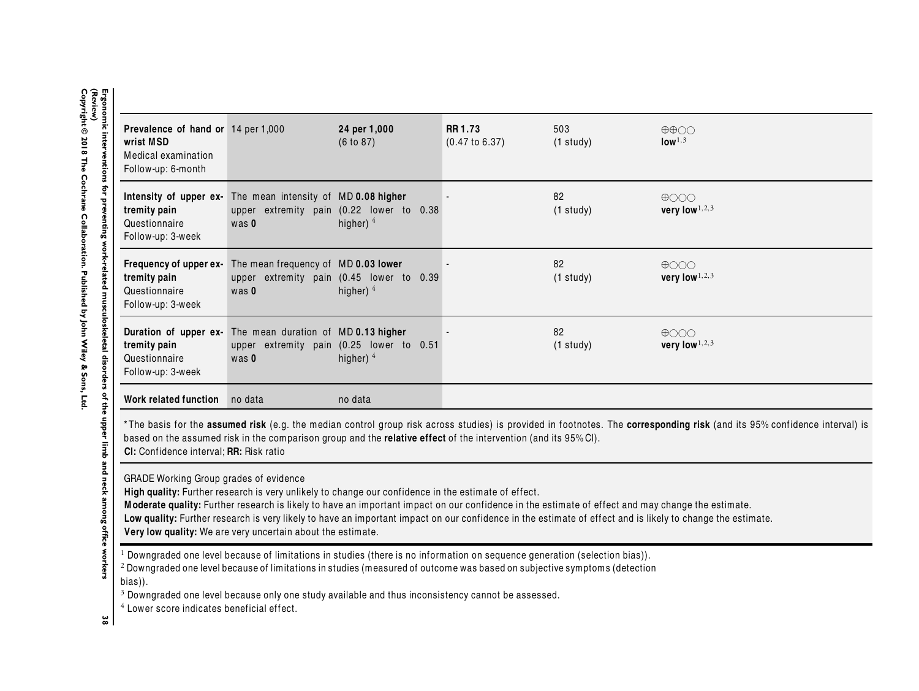| Prevalence of hand or 14 per 1,000<br>wrist MSD<br>Medical examination<br>Follow-up: 6-month |                                                                                 | 24 per 1,000<br>(6 to 87)                                                                                                                                                                                                                                                                                                                                                      | RR 1.73<br>$(0.47 \text{ to } 6.37)$ | 503<br>$(1$ study) | $\oplus \oplus \bigcirc \bigcirc$<br>low <sup>1,3</sup>                                                                                                                                                                                                                                                                                                                                                                                                                                      |
|----------------------------------------------------------------------------------------------|---------------------------------------------------------------------------------|--------------------------------------------------------------------------------------------------------------------------------------------------------------------------------------------------------------------------------------------------------------------------------------------------------------------------------------------------------------------------------|--------------------------------------|--------------------|----------------------------------------------------------------------------------------------------------------------------------------------------------------------------------------------------------------------------------------------------------------------------------------------------------------------------------------------------------------------------------------------------------------------------------------------------------------------------------------------|
| tremity pain<br>Questionnaire<br>Follow-up: 3-week                                           | Intensity of upper ex- The mean intensity of MD 0.08 higher<br>was <sub>0</sub> | upper extremity pain (0.22 lower to 0.38<br>higher) $4$                                                                                                                                                                                                                                                                                                                        |                                      | 82<br>$(1$ study)  | $\bigoplus$<br>very low $^{1,2,3}$                                                                                                                                                                                                                                                                                                                                                                                                                                                           |
| Frequency of upper ex-<br>tremity pain<br>Questionnaire<br>Follow-up: 3-week                 | The mean frequency of MD 0.03 lower<br>was <sub>0</sub>                         | upper extremity pain (0.45 lower to 0.39<br>higher) $4$                                                                                                                                                                                                                                                                                                                        |                                      | 82<br>$(1$ study)  | $\bigoplus$ OOO<br>very low $1,2,3$                                                                                                                                                                                                                                                                                                                                                                                                                                                          |
| Duration of upper ex-<br>tremity pain<br>Questionnaire<br>Follow-up: 3-week                  | The mean duration of MD 0.13 higher<br>was <sub>0</sub>                         | upper extremity pain (0.25 lower to 0.51<br>higher) $4$                                                                                                                                                                                                                                                                                                                        |                                      | 82<br>$(1$ study)  | $\bigoplus$ OOO<br>very low $1,2,3$                                                                                                                                                                                                                                                                                                                                                                                                                                                          |
| Work related function                                                                        | no data                                                                         | no data                                                                                                                                                                                                                                                                                                                                                                        |                                      |                    |                                                                                                                                                                                                                                                                                                                                                                                                                                                                                              |
| CI: Confidence interval; RR: Risk ratio<br><b>GRADE Working Group grades of evidence</b>     |                                                                                 | based on the assumed risk in the comparison group and the relative effect of the intervention (and its 95%CI).<br>High quality: Further research is very unlikely to change our confidence in the estimate of effect.                                                                                                                                                          |                                      |                    | *The basis for the assumed risk (e.g. the median control group risk across studies) is provided in footnotes. The corresponding risk (and its 95% confidence interval) is<br>Moderate quality: Further research is likely to have an important impact on our confidence in the estimate of effect and may change the estimate.<br>Low quality: Further research is very likely to have an important impact on our confidence in the estimate of effect and is likely to change the estimate. |
|                                                                                              | Very low quality: We are very uncertain about the estimate.                     |                                                                                                                                                                                                                                                                                                                                                                                |                                      |                    |                                                                                                                                                                                                                                                                                                                                                                                                                                                                                              |
| bias)).<br>$4$ Lower score indicates beneficial effect.                                      |                                                                                 | <sup>1</sup> Downgraded one level because of limitations in studies (there is no information on sequence generation (selection bias)).<br>$^2$ Downgraded one level because of limitations in studies (measured of outcome was based on subjective symptoms (detection<br>$3$ Downgraded one level because only one study available and thus inconsistency cannot be assessed. |                                      |                    |                                                                                                                                                                                                                                                                                                                                                                                                                                                                                              |

**Copyright © 2018 The Cochrane Collaboration. Published by J Ergonomic interventions for preventing wor**k-related musculoskeletal disorders of the upper limb and neck among office workers<br>(Review)<br>Copyright © 2018 The Cochrane Collaboration. Published by John Wiley & Sons, Ltd. **ohn Wiley & Sons, Ltd.**

**38 Ergonomic interventions for preventing work-related musculoskeletal disorders of the upper limb and neck among office workers**  $\rm \ddot{\rm s}$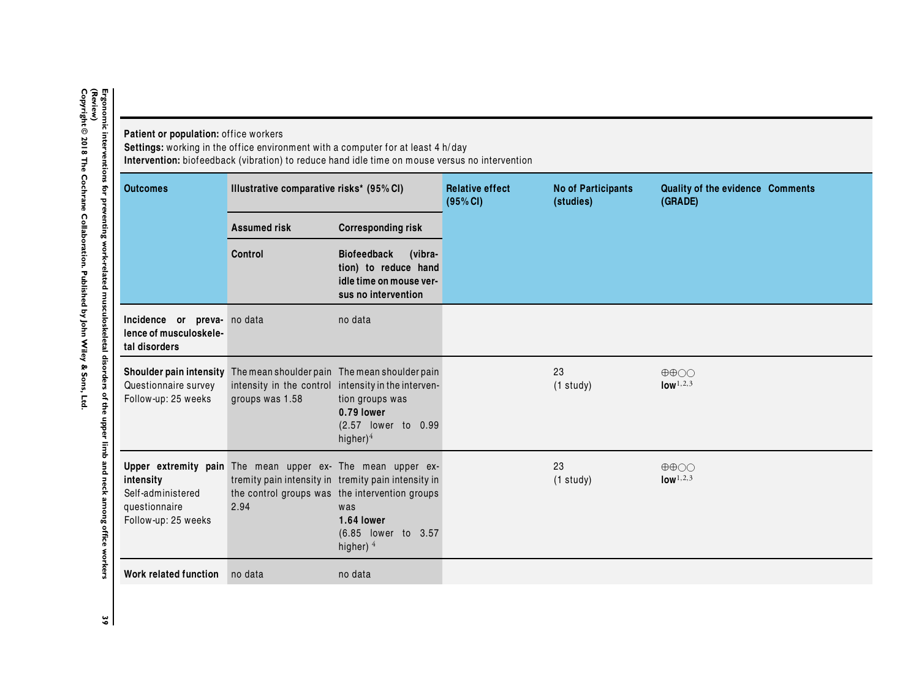| <b>Outcomes</b>                                                        | Illustrative comparative risks* (95% CI)                                                 |                                                                                                                                                                                                                                | <b>Relative effect</b><br>(95% CI) | <b>No of Participants</b><br>(studies) | Quality of the evidence Comments<br>(GRADE)        |
|------------------------------------------------------------------------|------------------------------------------------------------------------------------------|--------------------------------------------------------------------------------------------------------------------------------------------------------------------------------------------------------------------------------|------------------------------------|----------------------------------------|----------------------------------------------------|
|                                                                        | <b>Assumed risk</b>                                                                      | <b>Corresponding risk</b>                                                                                                                                                                                                      |                                    |                                        |                                                    |
|                                                                        | <b>Control</b>                                                                           | <b>Biofeedback</b><br>(vibra-<br>tion) to reduce hand<br>idle time on mouse ver-<br>sus no intervention                                                                                                                        |                                    |                                        |                                                    |
| Incidence or preva- no data<br>lence of musculoskele-<br>tal disorders |                                                                                          | no data                                                                                                                                                                                                                        |                                    |                                        |                                                    |
| Questionnaire survey<br>Follow-up: 25 weeks                            | Shoulder pain intensity The mean shoulder pain The mean shoulder pain<br>groups was 1.58 | intensity in the control intensity in the interven-<br>tion groups was<br>0.79 lower<br>(2.57 lower to 0.99<br>higher) $4$                                                                                                     |                                    | 23<br>$(1$ study)                      | $\oplus \oplus \bigcirc \bigcirc$<br>$low^{1,2,3}$ |
| intensity<br>Self-administered<br>questionnaire<br>Follow-up: 25 weeks | 2.94                                                                                     | Upper extremity pain The mean upper ex- The mean upper ex-<br>tremity pain intensity in tremity pain intensity in<br>the control groups was the intervention groups<br>was<br>1.64 lower<br>(6.85 lower to 3.57<br>higher) $4$ |                                    | 23<br>$(1$ study)                      | $\oplus \oplus \odot \odot$<br>$low^{1,2,3}$       |
| Work related function                                                  | no data                                                                                  | no data                                                                                                                                                                                                                        |                                    |                                        |                                                    |

**39 Ergonomic interventions for preventing work-related musculoskeletal disorders of the upper limb and neck among office workers**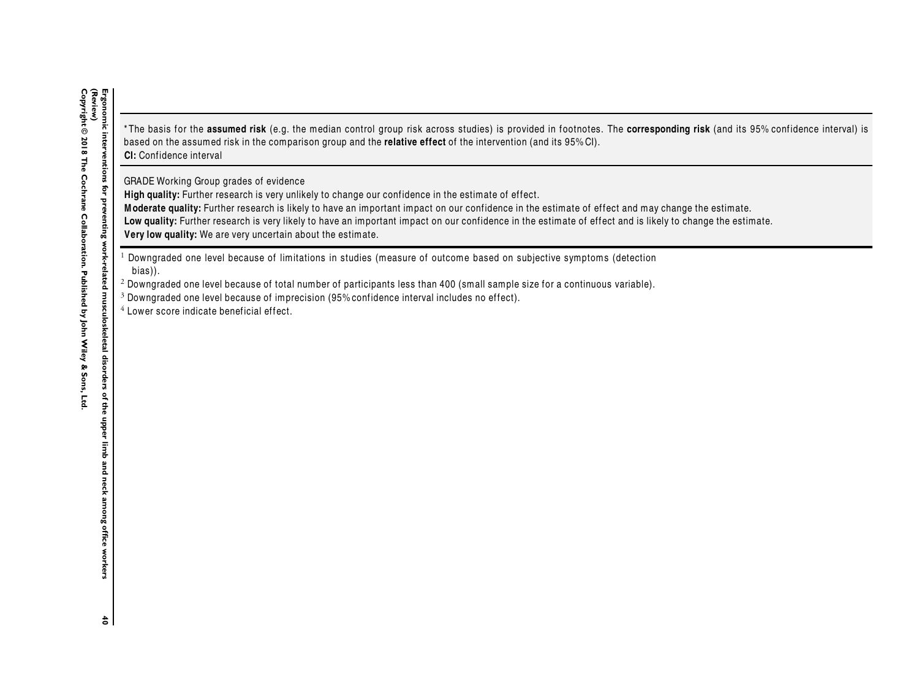\* The basis for the **assumed risk** (e.g. the median control group risk across studies) is provided in footnotes. The **corresponding risk** (and its 95% conf idence interval) is based on the assumed risk in the comparison group and the **relative effect** of the intervention (and its 95% CI). **CI:** Conf idence interval

GRADE Working Group grades of evidence

High quality: Further research is very unlikely to change our confidence in the estimate of effect.<br>Moderate quality: Further research is likely to have an important impact on our confidence in the estimate of effect and m **Moderate quality:** Further research is likely to have an important impact on our confidence in the estimate of effect and may change the estimate.<br>Low quality: Further research is very likely to have an important impact o

**Low quality:** Further research is very likely to have an important impact on our confidence in the estimate of effect and is likely to change the estimate.<br>Very low quality: We are very uncertain about the estimate.

**Very low quality:** We are very uncertain about the estimate.

Downgraded one level because of limitations in studies (measure of outcome based on subjective symptoms (detection bias)).

 $^2$  Downgraded one level because of total number of participants less than 400 (small sample size for a continuous variable).

 $^3$  Downgraded one level because of imprecision (95% confidence interval includes no effect).

 $^4$  Lower score indicate beneficial effect.

**40 Ergonomic interventions for preventing work-related musculoskeletal disorders of the upper limb and neck among office workers**

 $\frac{4}{5}$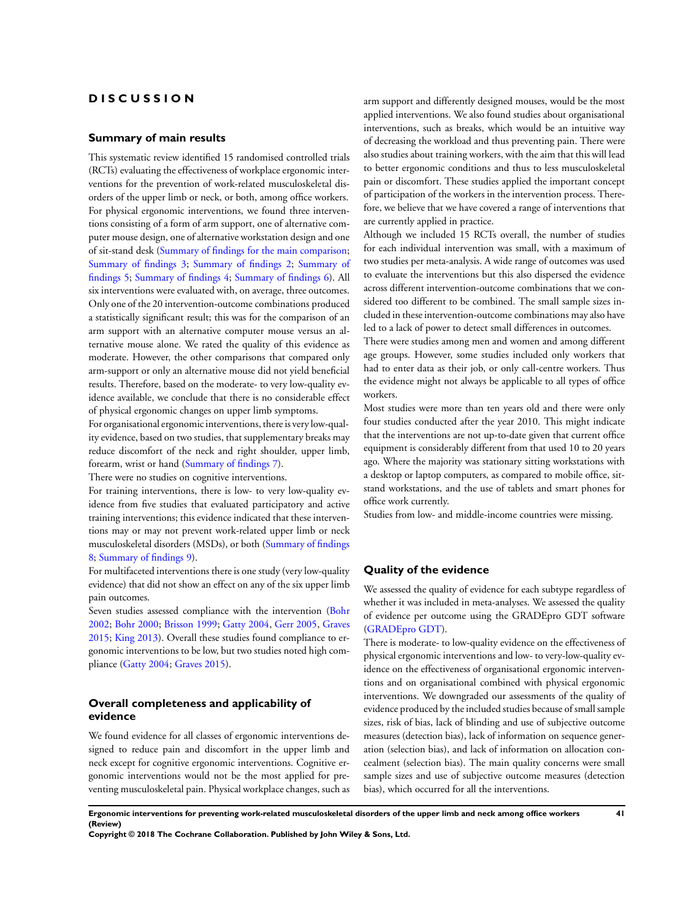## **D I S C U S S I O N**

## **Summary of main results**

This systematic review identified 15 randomised controlled trials (RCTs) evaluating the effectiveness of workplace ergonomic interventions for the prevention of work-related musculoskeletal disorders of the upper limb or neck, or both, among office workers. For physical ergonomic interventions, we found three interventions consisting of a form of arm support, one of alternative computer mouse design, one of alternative workstation design and one of sit-stand desk (Summary of findings for the main comparison; Summary of findings 3; Summary of findings 2; Summary of findings 5; Summary of findings 4; Summary of findings 6). All six interventions were evaluated with, on average, three outcomes. Only one of the 20 intervention-outcome combinations produced a statistically significant result; this was for the comparison of an arm support with an alternative computer mouse versus an alternative mouse alone. We rated the quality of this evidence as moderate. However, the other comparisons that compared only arm-support or only an alternative mouse did not yield beneficial results. Therefore, based on the moderate- to very low-quality evidence available, we conclude that there is no considerable effect of physical ergonomic changes on upper limb symptoms.

For organisational ergonomic interventions, there is very low-quality evidence, based on two studies, that supplementary breaks may reduce discomfort of the neck and right shoulder, upper limb, forearm, wrist or hand (Summary of findings 7).

There were no studies on cognitive interventions.

For training interventions, there is low- to very low-quality evidence from five studies that evaluated participatory and active training interventions; this evidence indicated that these interventions may or may not prevent work-related upper limb or neck musculoskeletal disorders (MSDs), or both (Summary of findings 8; Summary of findings 9).

For multifaceted interventions there is one study (very low-quality evidence) that did not show an effect on any of the six upper limb pain outcomes.

Seven studies assessed compliance with the intervention (Bohr 2002; Bohr 2000; Brisson 1999; Gatty 2004, Gerr 2005, Graves 2015; King 2013). Overall these studies found compliance to ergonomic interventions to be low, but two studies noted high compliance (Gatty 2004; Graves 2015).

## **Overall completeness and applicability of evidence**

We found evidence for all classes of ergonomic interventions designed to reduce pain and discomfort in the upper limb and neck except for cognitive ergonomic interventions. Cognitive ergonomic interventions would not be the most applied for preventing musculoskeletal pain. Physical workplace changes, such as arm support and differently designed mouses, would be the most applied interventions. We also found studies about organisational interventions, such as breaks, which would be an intuitive way of decreasing the workload and thus preventing pain. There were also studies about training workers, with the aim that this will lead to better ergonomic conditions and thus to less musculoskeletal pain or discomfort. These studies applied the important concept of participation of the workers in the intervention process. Therefore, we believe that we have covered a range of interventions that are currently applied in practice.

Although we included 15 RCTs overall, the number of studies for each individual intervention was small, with a maximum of two studies per meta-analysis. A wide range of outcomes was used to evaluate the interventions but this also dispersed the evidence across different intervention-outcome combinations that we considered too different to be combined. The small sample sizes included in these intervention-outcome combinations may also have led to a lack of power to detect small differences in outcomes.

There were studies among men and women and among different age groups. However, some studies included only workers that had to enter data as their job, or only call-centre workers. Thus the evidence might not always be applicable to all types of office workers.

Most studies were more than ten years old and there were only four studies conducted after the year 2010. This might indicate that the interventions are not up-to-date given that current office equipment is considerably different from that used 10 to 20 years ago. Where the majority was stationary sitting workstations with a desktop or laptop computers, as compared to mobile office, sitstand workstations, and the use of tablets and smart phones for office work currently.

Studies from low- and middle-income countries were missing.

## **Quality of the evidence**

We assessed the quality of evidence for each subtype regardless of whether it was included in meta-analyses. We assessed the quality of evidence per outcome using the GRADEpro GDT software (GRADEpro GDT).

There is moderate- to low-quality evidence on the effectiveness of physical ergonomic interventions and low- to very-low-quality evidence on the effectiveness of organisational ergonomic interventions and on organisational combined with physical ergonomic interventions. We downgraded our assessments of the quality of evidence produced by the included studies because of small sample sizes, risk of bias, lack of blinding and use of subjective outcome measures (detection bias), lack of information on sequence generation (selection bias), and lack of information on allocation concealment (selection bias). The main quality concerns were small sample sizes and use of subjective outcome measures (detection bias), which occurred for all the interventions.

**Ergonomic interventions for preventing work-related musculoskeletal disorders of the upper limb and neck among office workers 41 (Review)**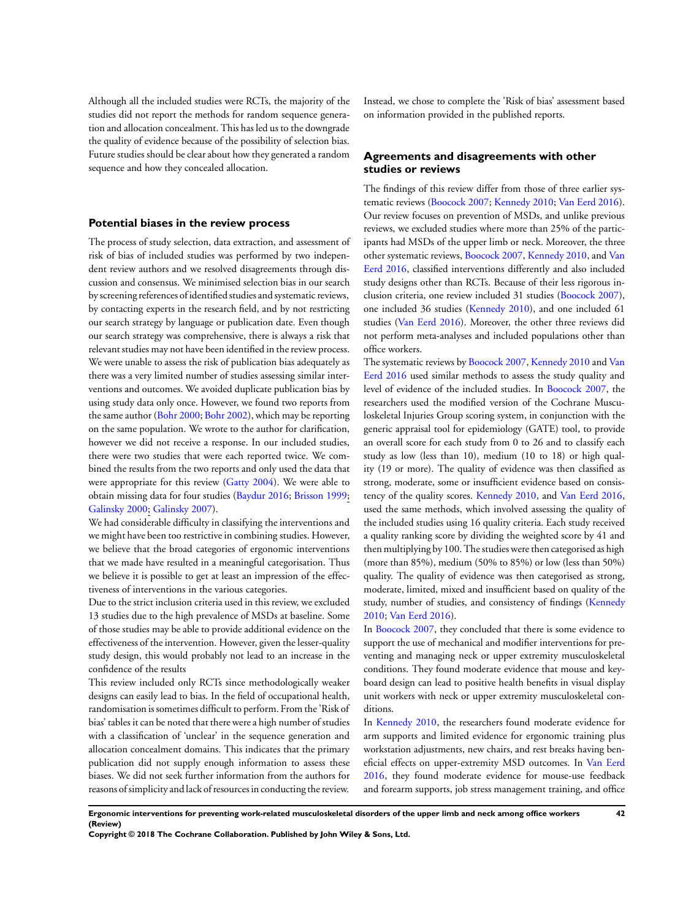Although all the included studies were RCTs, the majority of the studies did not report the methods for random sequence generation and allocation concealment. This has led us to the downgrade the quality of evidence because of the possibility of selection bias. Future studies should be clear about how they generated a random sequence and how they concealed allocation.

## **Potential biases in the review process**

The process of study selection, data extraction, and assessment of risk of bias of included studies was performed by two independent review authors and we resolved disagreements through discussion and consensus. We minimised selection bias in our search by screening references of identified studies and systematic reviews, by contacting experts in the research field, and by not restricting our search strategy by language or publication date. Even though our search strategy was comprehensive, there is always a risk that relevant studies may not have been identified in the review process. We were unable to assess the risk of publication bias adequately as there was a very limited number of studies assessing similar interventions and outcomes. We avoided duplicate publication bias by using study data only once. However, we found two reports from the same author (Bohr 2000; Bohr 2002), which may be reporting on the same population. We wrote to the author for clarification, however we did not receive a response. In our included studies, there were two studies that were each reported twice. We combined the results from the two reports and only used the data that were appropriate for this review (Gatty 2004). We were able to obtain missing data for four studies (Baydur 2016; Brisson 1999; Galinsky 2000; Galinsky 2007).

We had considerable difficulty in classifying the interventions and we might have been too restrictive in combining studies. However, we believe that the broad categories of ergonomic interventions that we made have resulted in a meaningful categorisation. Thus we believe it is possible to get at least an impression of the effectiveness of interventions in the various categories.

Due to the strict inclusion criteria used in this review, we excluded 13 studies due to the high prevalence of MSDs at baseline. Some of those studies may be able to provide additional evidence on the effectiveness of the intervention. However, given the lesser-quality study design, this would probably not lead to an increase in the confidence of the results

This review included only RCTs since methodologically weaker designs can easily lead to bias. In the field of occupational health, randomisation is sometimes difficult to perform. From the 'Risk of bias' tables it can be noted that there were a high number of studies with a classification of 'unclear' in the sequence generation and allocation concealment domains. This indicates that the primary publication did not supply enough information to assess these biases. We did not seek further information from the authors for reasons of simplicity and lack of resources in conducting the review. Instead, we chose to complete the 'Risk of bias' assessment based on information provided in the published reports.

## **Agreements and disagreements with other studies or reviews**

The findings of this review differ from those of three earlier systematic reviews (Boocock 2007; Kennedy 2010; Van Eerd 2016). Our review focuses on prevention of MSDs, and unlike previous reviews, we excluded studies where more than 25% of the participants had MSDs of the upper limb or neck. Moreover, the three other systematic reviews, Boocock 2007, Kennedy 2010, and Van Eerd 2016, classified interventions differently and also included study designs other than RCTs. Because of their less rigorous inclusion criteria, one review included 31 studies (Boocock 2007), one included 36 studies (Kennedy 2010), and one included 61 studies (Van Eerd 2016). Moreover, the other three reviews did not perform meta-analyses and included populations other than office workers.

The systematic reviews by Boocock 2007, Kennedy 2010 and Van Eerd 2016 used similar methods to assess the study quality and level of evidence of the included studies. In Boocock 2007, the researchers used the modified version of the Cochrane Musculoskeletal Injuries Group scoring system, in conjunction with the generic appraisal tool for epidemiology (GATE) tool, to provide an overall score for each study from 0 to 26 and to classify each study as low (less than 10), medium (10 to 18) or high quality (19 or more). The quality of evidence was then classified as strong, moderate, some or insufficient evidence based on consistency of the quality scores. Kennedy 2010, and Van Eerd 2016, used the same methods, which involved assessing the quality of the included studies using 16 quality criteria. Each study received a quality ranking score by dividing the weighted score by 41 and then multiplying by 100. The studies were then categorised as high (more than 85%), medium (50% to 85%) or low (less than 50%) quality. The quality of evidence was then categorised as strong, moderate, limited, mixed and insufficient based on quality of the study, number of studies, and consistency of findings (Kennedy 2010; Van Eerd 2016).

In Boocock 2007, they concluded that there is some evidence to support the use of mechanical and modifier interventions for preventing and managing neck or upper extremity musculoskeletal conditions. They found moderate evidence that mouse and keyboard design can lead to positive health benefits in visual display unit workers with neck or upper extremity musculoskeletal conditions.

In Kennedy 2010, the researchers found moderate evidence for arm supports and limited evidence for ergonomic training plus workstation adjustments, new chairs, and rest breaks having beneficial effects on upper-extremity MSD outcomes. In Van Eerd 2016, they found moderate evidence for mouse-use feedback and forearm supports, job stress management training, and office

**Ergonomic interventions for preventing work-related musculoskeletal disorders of the upper limb and neck among office workers 42 (Review)**

**Copyright © 2018 The Cochrane Collaboration. Published by John Wiley & Sons, Ltd.**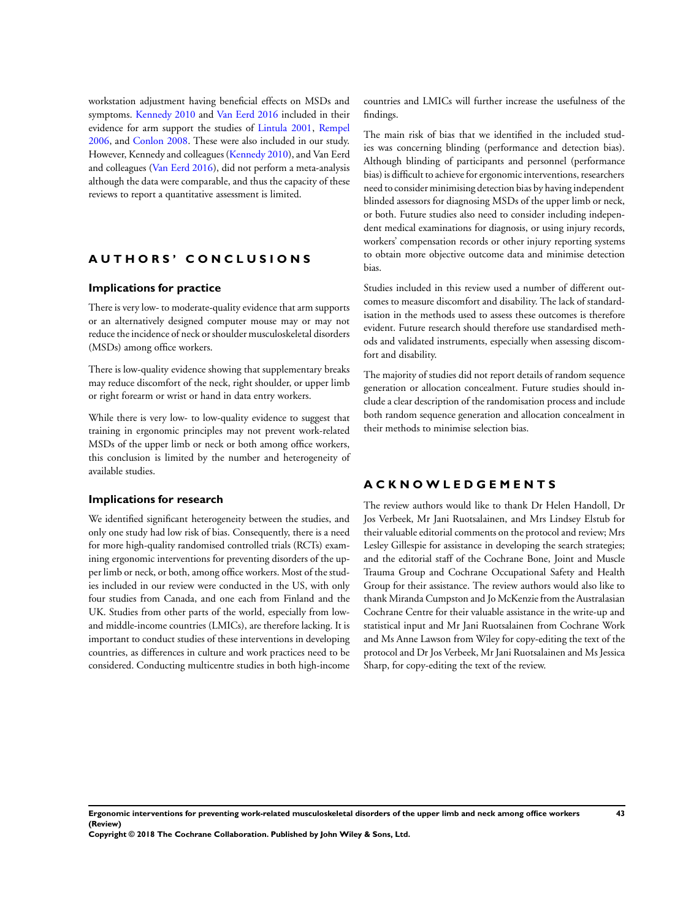workstation adjustment having beneficial effects on MSDs and symptoms. Kennedy 2010 and Van Eerd 2016 included in their evidence for arm support the studies of Lintula 2001, Rempel 2006, and Conlon 2008. These were also included in our study. However, Kennedy and colleagues (Kennedy 2010), and Van Eerd and colleagues (Van Eerd 2016), did not perform a meta-analysis although the data were comparable, and thus the capacity of these reviews to report a quantitative assessment is limited.

# **A U T H O R S ' C O N C L U S I O N S**

## **Implications for practice**

There is very low- to moderate-quality evidence that arm supports or an alternatively designed computer mouse may or may not reduce the incidence of neck or shoulder musculoskeletal disorders (MSDs) among office workers.

There is low-quality evidence showing that supplementary breaks may reduce discomfort of the neck, right shoulder, or upper limb or right forearm or wrist or hand in data entry workers.

While there is very low- to low-quality evidence to suggest that training in ergonomic principles may not prevent work-related MSDs of the upper limb or neck or both among office workers, this conclusion is limited by the number and heterogeneity of available studies.

## **Implications for research**

We identified significant heterogeneity between the studies, and only one study had low risk of bias. Consequently, there is a need for more high-quality randomised controlled trials (RCTs) examining ergonomic interventions for preventing disorders of the upper limb or neck, or both, among office workers. Most of the studies included in our review were conducted in the US, with only four studies from Canada, and one each from Finland and the UK. Studies from other parts of the world, especially from lowand middle-income countries (LMICs), are therefore lacking. It is important to conduct studies of these interventions in developing countries, as differences in culture and work practices need to be considered. Conducting multicentre studies in both high-income countries and LMICs will further increase the usefulness of the findings.

The main risk of bias that we identified in the included studies was concerning blinding (performance and detection bias). Although blinding of participants and personnel (performance bias) is difficult to achieve for ergonomic interventions, researchers need to consider minimising detection bias by having independent blinded assessors for diagnosing MSDs of the upper limb or neck, or both. Future studies also need to consider including independent medical examinations for diagnosis, or using injury records, workers' compensation records or other injury reporting systems to obtain more objective outcome data and minimise detection bias.

Studies included in this review used a number of different outcomes to measure discomfort and disability. The lack of standardisation in the methods used to assess these outcomes is therefore evident. Future research should therefore use standardised methods and validated instruments, especially when assessing discomfort and disability.

The majority of studies did not report details of random sequence generation or allocation concealment. Future studies should include a clear description of the randomisation process and include both random sequence generation and allocation concealment in their methods to minimise selection bias.

## **A C K N O W L E D G E M E N T S**

The review authors would like to thank Dr Helen Handoll, Dr Jos Verbeek, Mr Jani Ruotsalainen, and Mrs Lindsey Elstub for their valuable editorial comments on the protocol and review; Mrs Lesley Gillespie for assistance in developing the search strategies; and the editorial staff of the Cochrane Bone, Joint and Muscle Trauma Group and Cochrane Occupational Safety and Health Group for their assistance. The review authors would also like to thank Miranda Cumpston and Jo McKenzie from the Australasian Cochrane Centre for their valuable assistance in the write-up and statistical input and Mr Jani Ruotsalainen from Cochrane Work and Ms Anne Lawson from Wiley for copy-editing the text of the protocol and Dr Jos Verbeek, Mr Jani Ruotsalainen and Ms Jessica Sharp, for copy-editing the text of the review.

**Ergonomic interventions for preventing work-related musculoskeletal disorders of the upper limb and neck among office workers 43 (Review)**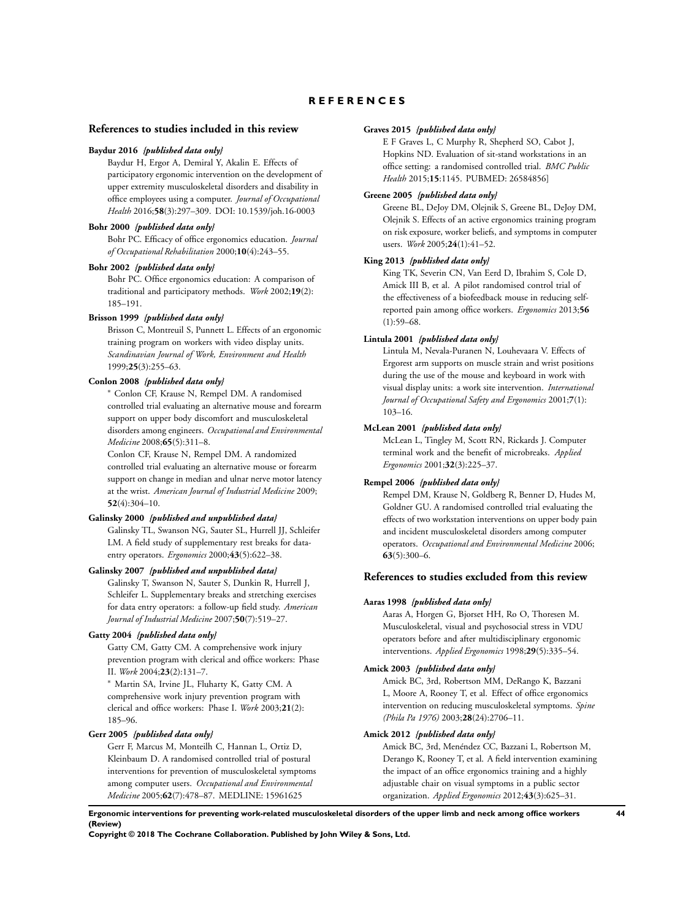## **R E F E R E N C E S**

## **References to studies included in this review**

#### **Baydur 2016** *{published data only}*

Baydur H, Ergor A, Demiral Y, Akalin E. Effects of participatory ergonomic intervention on the development of upper extremity musculoskeletal disorders and disability in office employees using a computer. *Journal of Occupational Health* 2016;**58**(3):297–309. DOI: 10.1539/joh.16-0003

### **Bohr 2000** *{published data only}*

Bohr PC. Efficacy of office ergonomics education. *Journal of Occupational Rehabilitation* 2000;**10**(4):243–55.

### **Bohr 2002** *{published data only}*

Bohr PC. Office ergonomics education: A comparison of traditional and participatory methods. *Work* 2002;**19**(2): 185–191.

### **Brisson 1999** *{published data only}*

Brisson C, Montreuil S, Punnett L. Effects of an ergonomic training program on workers with video display units. *Scandinavian Journal of Work, Environment and Health* 1999;**25**(3):255–63.

## **Conlon 2008** *{published data only}*

<sup>∗</sup> Conlon CF, Krause N, Rempel DM. A randomised controlled trial evaluating an alternative mouse and forearm support on upper body discomfort and musculoskeletal disorders among engineers. *Occupational and Environmental Medicine* 2008;**65**(5):311–8.

Conlon CF, Krause N, Rempel DM. A randomized controlled trial evaluating an alternative mouse or forearm support on change in median and ulnar nerve motor latency at the wrist. *American Journal of Industrial Medicine* 2009; **52**(4):304–10.

### **Galinsky 2000** *{published and unpublished data}*

Galinsky TL, Swanson NG, Sauter SL, Hurrell JJ, Schleifer LM. A field study of supplementary rest breaks for dataentry operators. *Ergonomics* 2000;**43**(5):622–38.

### **Galinsky 2007** *{published and unpublished data}*

Galinsky T, Swanson N, Sauter S, Dunkin R, Hurrell J, Schleifer L. Supplementary breaks and stretching exercises for data entry operators: a follow-up field study. *American Journal of Industrial Medicine* 2007;**50**(7):519–27.

### **Gatty 2004** *{published data only}*

Gatty CM, Gatty CM. A comprehensive work injury prevention program with clerical and office workers: Phase II. *Work* 2004;**23**(2):131–7.

<sup>∗</sup> Martin SA, Irvine JL, Fluharty K, Gatty CM. A comprehensive work injury prevention program with clerical and office workers: Phase I. *Work* 2003;**21**(2): 185–96.

### **Gerr 2005** *{published data only}*

Gerr F, Marcus M, Monteilh C, Hannan L, Ortiz D, Kleinbaum D. A randomised controlled trial of postural interventions for prevention of musculoskeletal symptoms among computer users. *Occupational and Environmental Medicine* 2005;**62**(7):478–87. MEDLINE: 15961625

#### **Graves 2015** *{published data only}*

E F Graves L, C Murphy R, Shepherd SO, Cabot J, Hopkins ND. Evaluation of sit-stand workstations in an office setting: a randomised controlled trial. *BMC Public Health* 2015;**15**:1145. PUBMED: 26584856]

#### **Greene 2005** *{published data only}*

Greene BL, DeJoy DM, Olejnik S, Greene BL, DeJoy DM, Olejnik S. Effects of an active ergonomics training program on risk exposure, worker beliefs, and symptoms in computer users. *Work* 2005;**24**(1):41–52.

## **King 2013** *{published data only}*

King TK, Severin CN, Van Eerd D, Ibrahim S, Cole D, Amick III B, et al. A pilot randomised control trial of the effectiveness of a biofeedback mouse in reducing selfreported pain among office workers. *Ergonomics* 2013;**56**  $(1):$ 59–68.

## **Lintula 2001** *{published data only}*

Lintula M, Nevala-Puranen N, Louhevaara V. Effects of Ergorest arm supports on muscle strain and wrist positions during the use of the mouse and keyboard in work with visual display units: a work site intervention. *International Journal of Occupational Safety and Ergonomics* 2001;**7**(1): 103–16.

## **McLean 2001** *{published data only}*

McLean L, Tingley M, Scott RN, Rickards J. Computer terminal work and the benefit of microbreaks. *Applied Ergonomics* 2001;**32**(3):225–37.

#### **Rempel 2006** *{published data only}*

Rempel DM, Krause N, Goldberg R, Benner D, Hudes M, Goldner GU. A randomised controlled trial evaluating the effects of two workstation interventions on upper body pain and incident musculoskeletal disorders among computer operators. *Occupational and Environmental Medicine* 2006; **63**(5):300–6.

## **References to studies excluded from this review**

### **Aaras 1998** *{published data only}*

Aaras A, Horgen G, Bjorset HH, Ro O, Thoresen M. Musculoskeletal, visual and psychosocial stress in VDU operators before and after multidisciplinary ergonomic interventions. *Applied Ergonomics* 1998;**29**(5):335–54.

## **Amick 2003** *{published data only}*

Amick BC, 3rd, Robertson MM, DeRango K, Bazzani L, Moore A, Rooney T, et al. Effect of office ergonomics intervention on reducing musculoskeletal symptoms. *Spine (Phila Pa 1976)* 2003;**28**(24):2706–11.

### **Amick 2012** *{published data only}*

Amick BC, 3rd, Menéndez CC, Bazzani L, Robertson M, Derango K, Rooney T, et al. A field intervention examining the impact of an office ergonomics training and a highly adjustable chair on visual symptoms in a public sector organization. *Applied Ergonomics* 2012;**43**(3):625–31.

**Ergonomic interventions for preventing work-related musculoskeletal disorders of the upper limb and neck among office workers 44 (Review)**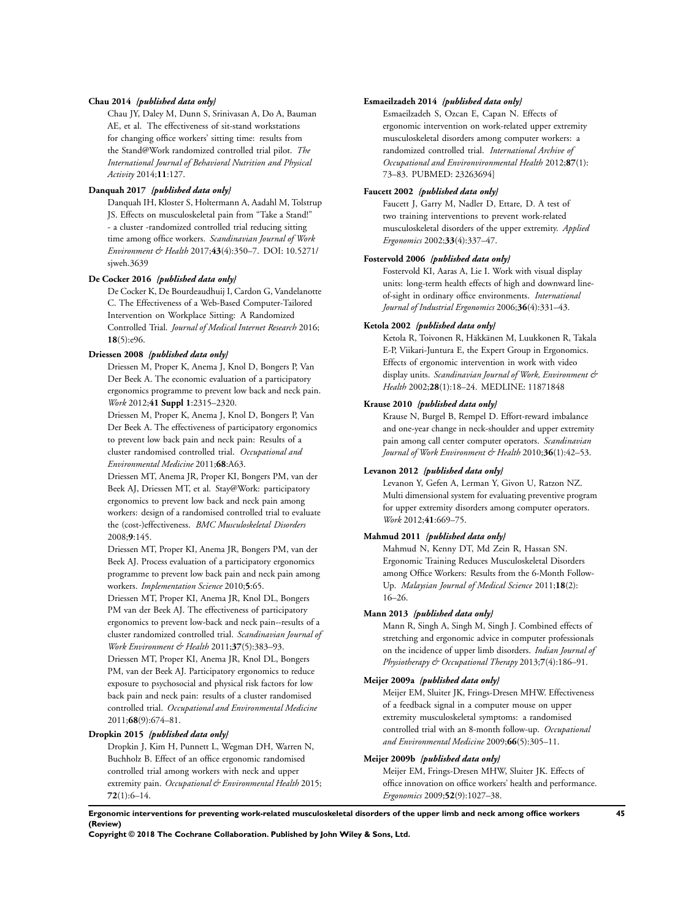### **Chau 2014** *{published data only}*

Chau JY, Daley M, Dunn S, Srinivasan A, Do A, Bauman AE, et al. The effectiveness of sit-stand workstations for changing office workers' sitting time: results from the Stand@Work randomized controlled trial pilot. *The International Journal of Behavioral Nutrition and Physical Activity* 2014;**11**:127.

## **Danquah 2017** *{published data only}*

Danquah IH, Kloster S, Holtermann A, Aadahl M, Tolstrup JS. Effects on musculoskeletal pain from "Take a Stand!" - a cluster -randomized controlled trial reducing sitting time among office workers. *Scandinavian Journal of Work Environment & Health* 2017;**43**(4):350–7. DOI: 10.5271/ sjweh.3639

### **De Cocker 2016** *{published data only}*

De Cocker K, De Bourdeaudhuij I, Cardon G, Vandelanotte C. The Effectiveness of a Web-Based Computer-Tailored Intervention on Workplace Sitting: A Randomized Controlled Trial. *Journal of Medical Internet Research* 2016; **18**(5):e96.

#### **Driessen 2008** *{published data only}*

Driessen M, Proper K, Anema J, Knol D, Bongers P, Van Der Beek A. The economic evaluation of a participatory ergonomics programme to prevent low back and neck pain. *Work* 2012;**41 Suppl 1**:2315–2320.

Driessen M, Proper K, Anema J, Knol D, Bongers P, Van Der Beek A. The effectiveness of participatory ergonomics to prevent low back pain and neck pain: Results of a cluster randomised controlled trial. *Occupational and Environmental Medicine* 2011;**68**:A63.

Driessen MT, Anema JR, Proper KI, Bongers PM, van der Beek AJ, Driessen MT, et al. Stay@Work: participatory ergonomics to prevent low back and neck pain among workers: design of a randomised controlled trial to evaluate the (cost-)effectiveness. *BMC Musculoskeletal Disorders* 2008;**9**:145.

Driessen MT, Proper KI, Anema JR, Bongers PM, van der Beek AJ. Process evaluation of a participatory ergonomics programme to prevent low back pain and neck pain among workers. *Implementation Science* 2010;**5**:65.

Driessen MT, Proper KI, Anema JR, Knol DL, Bongers PM van der Beek AJ. The effectiveness of participatory ergonomics to prevent low-back and neck pain--results of a cluster randomized controlled trial. *Scandinavian Journal of Work Environment & Health* 2011;**37**(5):383–93.

Driessen MT, Proper KI, Anema JR, Knol DL, Bongers PM, van der Beek AJ. Participatory ergonomics to reduce exposure to psychosocial and physical risk factors for low back pain and neck pain: results of a cluster randomised controlled trial. *Occupational and Environmental Medicine* 2011;**68**(9):674–81.

#### **Dropkin 2015** *{published data only}*

Dropkin J, Kim H, Punnett L, Wegman DH, Warren N, Buchholz B. Effect of an office ergonomic randomised controlled trial among workers with neck and upper extremity pain. *Occupational & Environmental Health* 2015; **72**(1):6–14.

## **Esmaeilzadeh 2014** *{published data only}*

Esmaeilzadeh S, Ozcan E, Capan N. Effects of ergonomic intervention on work-related upper extremity musculoskeletal disorders among computer workers: a randomized controlled trial. *International Archive of Occupational and Environvironmental Health* 2012;**87**(1): 73–83. PUBMED: 23263694]

## **Faucett 2002** *{published data only}*

Faucett J, Garry M, Nadler D, Ettare, D. A test of two training interventions to prevent work-related musculoskeletal disorders of the upper extremity. *Applied Ergonomics* 2002;**33**(4):337–47.

#### **Fostervold 2006** *{published data only}*

Fostervold KI, Aaras A, Lie I. Work with visual display units: long-term health effects of high and downward lineof-sight in ordinary office environments. *International Journal of Industrial Ergonomics* 2006;**36**(4):331–43.

## **Ketola 2002** *{published data only}*

Ketola R, Toivonen R, Häkkänen M, Luukkonen R, Takala E-P, Viikari-Juntura E, the Expert Group in Ergonomics. Effects of ergonomic intervention in work with video display units. *Scandinavian Journal of Work, Environment & Health* 2002;**28**(1):18–24. MEDLINE: 11871848

#### **Krause 2010** *{published data only}*

Krause N, Burgel B, Rempel D. Effort-reward imbalance and one-year change in neck-shoulder and upper extremity pain among call center computer operators. *Scandinavian Journal of Work Environment & Health* 2010;**36**(1):42–53.

## **Levanon 2012** *{published data only}*

Levanon Y, Gefen A, Lerman Y, Givon U, Ratzon NZ. Multi dimensional system for evaluating preventive program for upper extremity disorders among computer operators. *Work* 2012;**41**:669–75.

## **Mahmud 2011** *{published data only}*

Mahmud N, Kenny DT, Md Zein R, Hassan SN. Ergonomic Training Reduces Musculoskeletal Disorders among Office Workers: Results from the 6-Month Follow-Up. *Malaysian Journal of Medical Science* 2011;**18**(2): 16–26.

#### **Mann 2013** *{published data only}*

Mann R, Singh A, Singh M, Singh J. Combined effects of stretching and ergonomic advice in computer professionals on the incidence of upper limb disorders. *Indian Journal of Physiotherapy & Occupational Therapy* 2013;**7**(4):186–91.

## **Meijer 2009a** *{published data only}*

Meijer EM, Sluiter JK, Frings-Dresen MHW. Effectiveness of a feedback signal in a computer mouse on upper extremity musculoskeletal symptoms: a randomised controlled trial with an 8-month follow-up. *Occupational and Environmental Medicine* 2009;**66**(5):305–11.

## **Meijer 2009b** *{published data only}*

Meijer EM, Frings-Dresen MHW, Sluiter JK. Effects of office innovation on office workers' health and performance. *Ergonomics* 2009;**52**(9):1027–38.

**Ergonomic interventions for preventing work-related musculoskeletal disorders of the upper limb and neck among office workers 45 (Review)**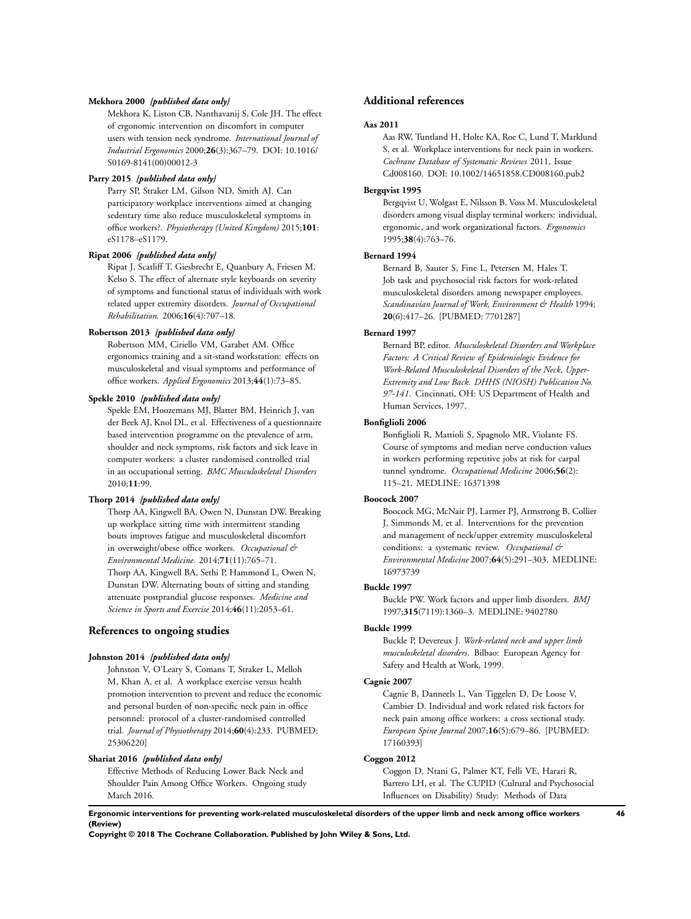## **Mekhora 2000** *{published data only}*

Mekhora K, Liston CB, Nanthavanij S, Cole JH. The effect of ergonomic intervention on discomfort in computer users with tension neck syndrome. *International Journal of Industrial Ergonomics* 2000;**26**(3):367–79. DOI: 10.1016/ S0169-8141(00)00012-3

## **Parry 2015** *{published data only}*

Parry SP, Straker LM, Gilson ND, Smith AJ. Can participatory workplace interventions aimed at changing sedentary time also reduce musculoskeletal symptoms in office workers?. *Physiotherapy (United Kingdom)* 2015;**101**: eS1178–eS1179.

## **Ripat 2006** *{published data only}*

Ripat J, Scatliff T, Giesbrecht E, Quanbury A, Friesen M, Kelso S. The effect of alternate style keyboards on severity of symptoms and functional status of individuals with work related upper extremity disorders. *Journal of Occupational Rehabilitation.* 2006;**16**(4):707–18.

## **Robertson 2013** *{published data only}*

Robertson MM, Ciriello VM, Garabet AM. Office ergonomics training and a sit-stand workstation: effects on musculoskeletal and visual symptoms and performance of office workers. *Applied Ergonomics* 2013;**44**(1):73–85.

### **Spekle 2010** *{published data only}*

Spekle EM, Hoozemans MJ, Blatter BM, Heinrich J, van der Beek AJ, Knol DL, et al. Effectiveness of a questionnaire based intervention programme on the prevalence of arm, shoulder and neck symptoms, risk factors and sick leave in computer workers: a cluster randomised controlled trial in an occupational setting. *BMC Musculoskeletal Disorders* 2010;**11**:99.

## **Thorp 2014** *{published data only}*

Thorp AA, Kingwell BA, Owen N, Dunstan DW. Breaking up workplace sitting time with intermittent standing bouts improves fatigue and musculoskeletal discomfort in overweight/obese office workers. *Occupational & Environmental Medicine.* 2014;**71**(11):765–71. Thorp AA, Kingwell BA, Sethi P, Hammond L, Owen N, Dunstan DW. Alternating bouts of sitting and standing attenuate postprandial glucose responses. *Medicine and Science in Sports and Exercise* 2014;**46**(11):2053–61.

## **References to ongoing studies**

## **Johnston 2014** *{published data only}*

Johnston V, O'Leary S, Comans T, Straker L, Melloh M, Khan A, et al. A workplace exercise versus health promotion intervention to prevent and reduce the economic and personal burden of non-specific neck pain in office personnel: protocol of a cluster-randomised controlled trial. *Journal of Physiotherapy* 2014;**60**(4):233. PUBMED: 25306220]

## **Shariat 2016** *{published data only}*

Effective Methods of Reducing Lower Back Neck and Shoulder Pain Among Office Workers. Ongoing study March 2016.

## **Additional references**

#### **Aas 2011**

Aas RW, Tuntland H, Holte KA, Roe C, Lund T, Marklund S, et al. Workplace interventions for neck pain in workers. *Cochrane Database of Systematic Reviews* 2011, Issue Cd008160. DOI: 10.1002/14651858.CD008160.pub2

## **Bergqvist 1995**

Bergqvist U, Wolgast E, Nilsson B, Voss M. Musculoskeletal disorders among visual display terminal workers: individual, ergonomic, and work organizational factors. *Ergonomics* 1995;**38**(4):763–76.

## **Bernard 1994**

Bernard B, Sauter S, Fine L, Petersen M, Hales T. Job task and psychosocial risk factors for work-related musculoskeletal disorders among newspaper employees. *Scandinavian Journal of Work, Environment & Health* 1994; **20**(6):417–26. [PUBMED: 7701287]

### **Bernard 1997**

Bernard BP, editor. *Musculoskeletal Disorders and Workplace Factors: A Critical Review of Epidemiologic Evidence for Work-Related Musculoskeletal Disorders of the Neck, Upper-Extremity and Low Back. DHHS (NIOSH) Publication No. 97-141*. Cincinnati, OH: US Department of Health and Human Services, 1997.

## **Bonfiglioli 2006**

Bonfiglioli R, Mattioli S, Spagnolo MR, Violante FS. Course of symptoms and median nerve conduction values in workers performing repetitive jobs at risk for carpal tunnel syndrome. *Occupational Medicine* 2006;**56**(2): 115–21. MEDLINE: 16371398

## **Boocock 2007**

Boocock MG, McNair PJ, Larmer PJ, Armstrong B, Collier J, Simmonds M, et al. Interventions for the prevention and management of neck/upper extremity musculoskeletal conditions: a systematic review. *Occupational & Environmental Medicine* 2007;**64**(5):291–303. MEDLINE: 16973739

#### **Buckle 1997**

Buckle PW. Work factors and upper limb disorders. *BMJ* 1997;**315**(7119):1360–3. MEDLINE: 9402780

#### **Buckle 1999**

Buckle P, Devereux J. *Work-related neck and upper limb musculoskeletal disorders*. Bilbao: European Agency for Safety and Health at Work, 1999.

## **Cagnie 2007**

Cagnie B, Danneels L, Van Tiggelen D, De Loose V, Cambier D. Individual and work related risk factors for neck pain among office workers: a cross sectional study. *European Spine Journal* 2007;**16**(5):679–86. [PUBMED: 17160393]

## **Coggon 2012**

Coggon D, Ntani G, Palmer KT, Felli VE, Harari R, Barrero LH, et al. The CUPID (Cultural and Psychosocial Influences on Disability) Study: Methods of Data

**Ergonomic interventions for preventing work-related musculoskeletal disorders of the upper limb and neck among office workers 46 (Review)**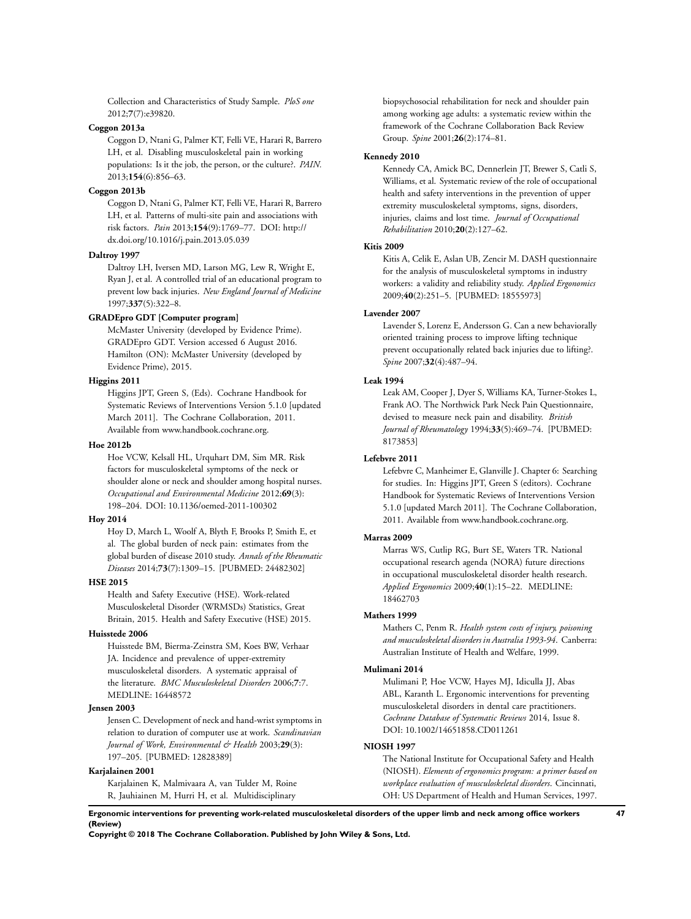Collection and Characteristics of Study Sample. *PloS one* 2012;**7**(7):e39820.

### **Coggon 2013a**

Coggon D, Ntani G, Palmer KT, Felli VE, Harari R, Barrero LH, et al. Disabling musculoskeletal pain in working populations: Is it the job, the person, or the culture?. *PAIN.* 2013;**154**(6):856–63.

# **Coggon 2013b**

Coggon D, Ntani G, Palmer KT, Felli VE, Harari R, Barrero LH, et al. Patterns of multi-site pain and associations with risk factors. *Pain* 2013;**154**(9):1769–77. DOI: http:// dx.doi.org/10.1016/j.pain.2013.05.039

## **Daltroy 1997**

Daltroy LH, Iversen MD, Larson MG, Lew R, Wright E, Ryan J, et al. A controlled trial of an educational program to prevent low back injuries. *New England Journal of Medicine* 1997;**337**(5):322–8.

## **GRADEpro GDT [Computer program]**

McMaster University (developed by Evidence Prime). GRADEpro GDT. Version accessed 6 August 2016. Hamilton (ON): McMaster University (developed by Evidence Prime), 2015.

## **Higgins 2011**

Higgins JPT, Green S, (Eds). Cochrane Handbook for Systematic Reviews of Interventions Version 5.1.0 [updated March 2011]. The Cochrane Collaboration, 2011. Available from www.handbook.cochrane.org.

#### **Hoe 2012b**

Hoe VCW, Kelsall HL, Urquhart DM, Sim MR. Risk factors for musculoskeletal symptoms of the neck or shoulder alone or neck and shoulder among hospital nurses. *Occupational and Environmental Medicine* 2012;**69**(3): 198–204. DOI: 10.1136/oemed-2011-100302

## **Hoy 2014**

Hoy D, March L, Woolf A, Blyth F, Brooks P, Smith E, et al. The global burden of neck pain: estimates from the global burden of disease 2010 study. *Annals of the Rheumatic Diseases* 2014;**73**(7):1309–15. [PUBMED: 24482302]

#### **HSE 2015**

Health and Safety Executive (HSE). Work-related Musculoskeletal Disorder (WRMSDs) Statistics, Great Britain, 2015. Health and Safety Executive (HSE) 2015.

#### **Huisstede 2006**

Huisstede BM, Bierma-Zeinstra SM, Koes BW, Verhaar JA. Incidence and prevalence of upper-extremity musculoskeletal disorders. A systematic appraisal of the literature. *BMC Musculoskeletal Disorders* 2006;**7**:7. MEDLINE: 16448572

## **Jensen 2003**

Jensen C. Development of neck and hand-wrist symptoms in relation to duration of computer use at work. *Scandinavian Journal of Work, Environmental & Health* 2003;**29**(3): 197–205. [PUBMED: 12828389]

## **Karjalainen 2001**

Karjalainen K, Malmivaara A, van Tulder M, Roine R, Jauhiainen M, Hurri H, et al. Multidisciplinary

biopsychosocial rehabilitation for neck and shoulder pain among working age adults: a systematic review within the framework of the Cochrane Collaboration Back Review Group. *Spine* 2001;**26**(2):174–81.

## **Kennedy 2010**

Kennedy CA, Amick BC, Dennerlein JT, Brewer S, Catli S, Williams, et al. Systematic review of the role of occupational health and safety interventions in the prevention of upper extremity musculoskeletal symptoms, signs, disorders, injuries, claims and lost time. *Journal of Occupational Rehabilitation* 2010;**20**(2):127–62.

### **Kitis 2009**

Kitis A, Celik E, Aslan UB, Zencir M. DASH questionnaire for the analysis of musculoskeletal symptoms in industry workers: a validity and reliability study. *Applied Ergonomics* 2009;**40**(2):251–5. [PUBMED: 18555973]

#### **Lavender 2007**

Lavender S, Lorenz E, Andersson G. Can a new behaviorally oriented training process to improve lifting technique prevent occupationally related back injuries due to lifting?. *Spine* 2007;**32**(4):487–94.

## **Leak 1994**

Leak AM, Cooper J, Dyer S, Williams KA, Turner-Stokes L, Frank AO. The Northwick Park Neck Pain Questionnaire, devised to measure neck pain and disability. *British Journal of Rheumatology* 1994;**33**(5):469–74. [PUBMED: 8173853]

## **Lefebvre 2011**

Lefebvre C, Manheimer E, Glanville J. Chapter 6: Searching for studies. In: Higgins JPT, Green S (editors). Cochrane Handbook for Systematic Reviews of Interventions Version 5.1.0 [updated March 2011]. The Cochrane Collaboration, 2011. Available from www.handbook.cochrane.org.

#### **Marras 2009**

Marras WS, Cutlip RG, Burt SE, Waters TR. National occupational research agenda (NORA) future directions in occupational musculoskeletal disorder health research. *Applied Ergonomics* 2009;**40**(1):15–22. MEDLINE: 18462703

### **Mathers 1999**

Mathers C, Penm R. *Health system costs of injury, poisoning and musculoskeletal disorders in Australia 1993-94*. Canberra: Australian Institute of Health and Welfare, 1999.

#### **Mulimani 2014**

Mulimani P, Hoe VCW, Hayes MJ, Idiculla JJ, Abas ABL, Karanth L. Ergonomic interventions for preventing musculoskeletal disorders in dental care practitioners. *Cochrane Database of Systematic Reviews* 2014, Issue 8. DOI: 10.1002/14651858.CD011261

## **NIOSH 1997**

The National Institute for Occupational Safety and Health (NIOSH). *Elements of ergonomics program: a primer based on workplace evaluation of musculoskeletal disorders*. Cincinnati, OH: US Department of Health and Human Services, 1997.

**Ergonomic interventions for preventing work-related musculoskeletal disorders of the upper limb and neck among office workers 47 (Review)**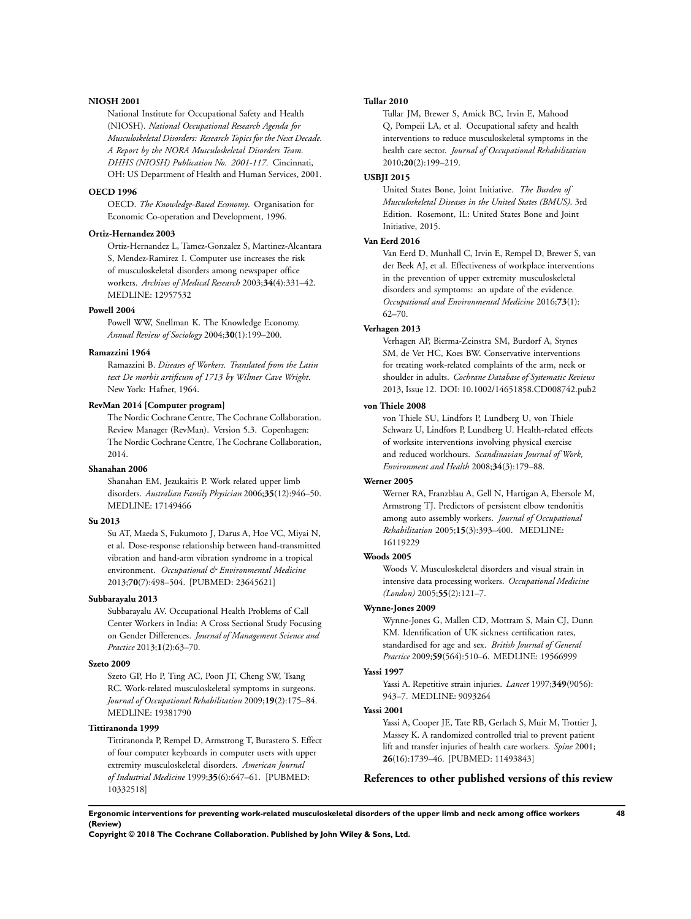## **NIOSH 2001**

National Institute for Occupational Safety and Health (NIOSH). *National Occupational Research Agenda for Musculoskeletal Disorders: Research Topics for the Next Decade. A Report by the NORA Musculoskeletal Disorders Team. DHHS (NIOSH) Publication No. 2001-117*. Cincinnati, OH: US Department of Health and Human Services, 2001.

### **OECD 1996**

OECD. *The Knowledge-Based Economy*. Organisation for Economic Co-operation and Development, 1996.

## **Ortiz-Hernandez 2003**

Ortiz-Hernandez L, Tamez-Gonzalez S, Martinez-Alcantara S, Mendez-Ramirez I. Computer use increases the risk of musculoskeletal disorders among newspaper office workers. *Archives of Medical Research* 2003;**34**(4):331–42. MEDLINE: 12957532

### **Powell 2004**

Powell WW, Snellman K. The Knowledge Economy. *Annual Review of Sociology* 2004;**30**(1):199–200.

## **Ramazzini 1964**

Ramazzini B. *Diseases of Workers. Translated from the Latin text De morbis artificum of 1713 by Wilmer Cave Wright*. New York: Hafner, 1964.

## **RevMan 2014 [Computer program]**

The Nordic Cochrane Centre, The Cochrane Collaboration. Review Manager (RevMan). Version 5.3. Copenhagen: The Nordic Cochrane Centre, The Cochrane Collaboration, 2014.

### **Shanahan 2006**

Shanahan EM, Jezukaitis P. Work related upper limb disorders. *Australian Family Physician* 2006;**35**(12):946–50. MEDLINE: 17149466

### **Su 2013**

Su AT, Maeda S, Fukumoto J, Darus A, Hoe VC, Miyai N, et al. Dose-response relationship between hand-transmitted vibration and hand-arm vibration syndrome in a tropical environment. *Occupational & Environmental Medicine* 2013;**70**(7):498–504. [PUBMED: 23645621]

### **Subbarayalu 2013**

Subbarayalu AV. Occupational Health Problems of Call Center Workers in India: A Cross Sectional Study Focusing on Gender Differences. *Journal of Management Science and Practice* 2013;**1**(2):63–70.

#### **Szeto 2009**

Szeto GP, Ho P, Ting AC, Poon JT, Cheng SW, Tsang RC. Work-related musculoskeletal symptoms in surgeons. *Journal of Occupational Rehabilitation* 2009;**19**(2):175–84. MEDLINE: 19381790

## **Tittiranonda 1999**

Tittiranonda P, Rempel D, Armstrong T, Burastero S. Effect of four computer keyboards in computer users with upper extremity musculoskeletal disorders. *American Journal of Industrial Medicine* 1999;**35**(6):647–61. [PUBMED: 10332518]

#### **Tullar 2010**

Tullar JM, Brewer S, Amick BC, Irvin E, Mahood Q, Pompeii LA, et al. Occupational safety and health interventions to reduce musculoskeletal symptoms in the health care sector. *Journal of Occupational Rehabilitation* 2010;**20**(2):199–219.

## **USBJI 2015**

United States Bone, Joint Initiative. *The Burden of Musculoskeletal Diseases in the United States (BMUS)*. 3rd Edition. Rosemont, IL: United States Bone and Joint Initiative, 2015.

#### **Van Eerd 2016**

Van Eerd D, Munhall C, Irvin E, Rempel D, Brewer S, van der Beek AJ, et al. Effectiveness of workplace interventions in the prevention of upper extremity musculoskeletal disorders and symptoms: an update of the evidence. *Occupational and Environmental Medicine* 2016;**73**(1): 62–70.

## **Verhagen 2013**

Verhagen AP, Bierma-Zeinstra SM, Burdorf A, Stynes SM, de Vet HC, Koes BW. Conservative interventions for treating work-related complaints of the arm, neck or shoulder in adults. *Cochrane Database of Systematic Reviews* 2013, Issue 12. DOI: 10.1002/14651858.CD008742.pub2

#### **von Thiele 2008**

von Thiele SU, Lindfors P, Lundberg U, von Thiele Schwarz U, Lindfors P, Lundberg U. Health-related effects of worksite interventions involving physical exercise and reduced workhours. *Scandinavian Journal of Work, Environment and Health* 2008;**34**(3):179–88.

#### **Werner 2005**

Werner RA, Franzblau A, Gell N, Hartigan A, Ebersole M, Armstrong TJ. Predictors of persistent elbow tendonitis among auto assembly workers. *Journal of Occupational Rehabilitation* 2005;**15**(3):393–400. MEDLINE: 16119229

### **Woods 2005**

Woods V. Musculoskeletal disorders and visual strain in intensive data processing workers. *Occupational Medicine (London)* 2005;**55**(2):121–7.

#### **Wynne-Jones 2009**

Wynne-Jones G, Mallen CD, Mottram S, Main CJ, Dunn KM. Identification of UK sickness certification rates, standardised for age and sex. *British Journal of General Practice* 2009;**59**(564):510–6. MEDLINE: 19566999

### **Yassi 1997**

Yassi A. Repetitive strain injuries. *Lancet* 1997;**349**(9056): 943–7. MEDLINE: 9093264

#### **Yassi 2001**

Yassi A, Cooper JE, Tate RB, Gerlach S, Muir M, Trottier J, Massey K. A randomized controlled trial to prevent patient lift and transfer injuries of health care workers. *Spine* 2001; **26**(16):1739–46. [PUBMED: 11493843]

## **References to other published versions of this review**

**Ergonomic interventions for preventing work-related musculoskeletal disorders of the upper limb and neck among office workers 48 (Review)**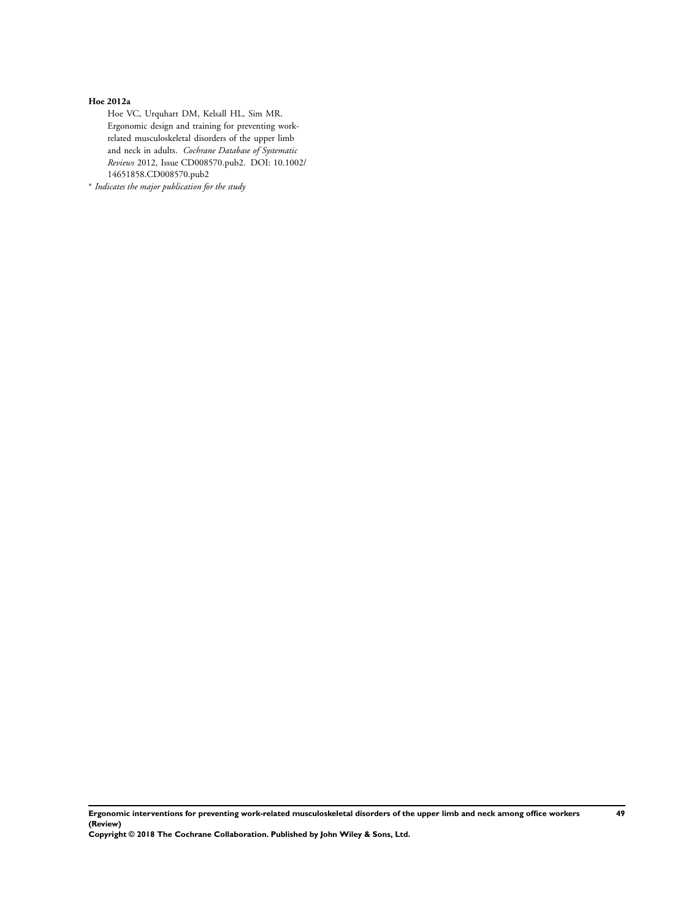## **Hoe 2012a**

Hoe VC, Urquhart DM, Kelsall HL, Sim MR. Ergonomic design and training for preventing workrelated musculoskeletal disorders of the upper limb and neck in adults. *Cochrane Database of Systematic Reviews* 2012, Issue CD008570.pub2. DOI: 10.1002/ 14651858.CD008570.pub2

∗ *Indicates the major publication for the study*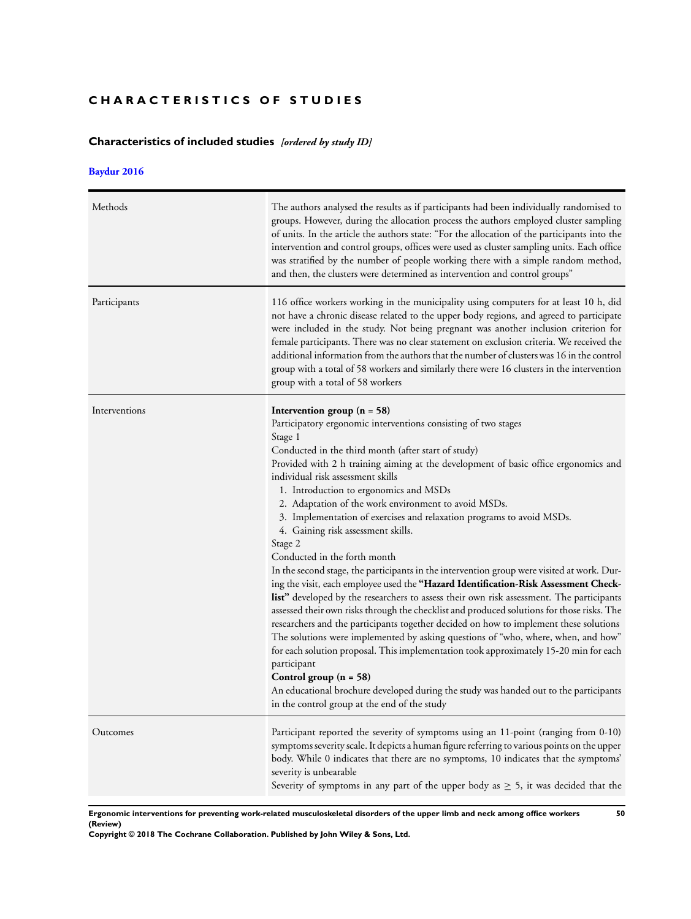# **CHARACTERISTICS OF STUDIES**

# **Characteristics of included studies** *[ordered by study ID]*

# **Baydur 2016**

| Methods       | The authors analysed the results as if participants had been individually randomised to<br>groups. However, during the allocation process the authors employed cluster sampling<br>of units. In the article the authors state: "For the allocation of the participants into the<br>intervention and control groups, offices were used as cluster sampling units. Each office<br>was stratified by the number of people working there with a simple random method,<br>and then, the clusters were determined as intervention and control groups"                                                                                                                                                                                                                                                                                                                                                                                                                                                                                                                                                                                                                                                                                                                                                                                                                                                             |
|---------------|-------------------------------------------------------------------------------------------------------------------------------------------------------------------------------------------------------------------------------------------------------------------------------------------------------------------------------------------------------------------------------------------------------------------------------------------------------------------------------------------------------------------------------------------------------------------------------------------------------------------------------------------------------------------------------------------------------------------------------------------------------------------------------------------------------------------------------------------------------------------------------------------------------------------------------------------------------------------------------------------------------------------------------------------------------------------------------------------------------------------------------------------------------------------------------------------------------------------------------------------------------------------------------------------------------------------------------------------------------------------------------------------------------------|
| Participants  | 116 office workers working in the municipality using computers for at least 10 h, did<br>not have a chronic disease related to the upper body regions, and agreed to participate<br>were included in the study. Not being pregnant was another inclusion criterion for<br>female participants. There was no clear statement on exclusion criteria. We received the<br>additional information from the authors that the number of clusters was 16 in the control<br>group with a total of 58 workers and similarly there were 16 clusters in the intervention<br>group with a total of 58 workers                                                                                                                                                                                                                                                                                                                                                                                                                                                                                                                                                                                                                                                                                                                                                                                                            |
| Interventions | Intervention group $(n = 58)$<br>Participatory ergonomic interventions consisting of two stages<br>Stage 1<br>Conducted in the third month (after start of study)<br>Provided with 2 h training aiming at the development of basic office ergonomics and<br>individual risk assessment skills<br>1. Introduction to ergonomics and MSDs<br>2. Adaptation of the work environment to avoid MSDs.<br>3. Implementation of exercises and relaxation programs to avoid MSDs.<br>4. Gaining risk assessment skills.<br>Stage 2<br>Conducted in the forth month<br>In the second stage, the participants in the intervention group were visited at work. Dur-<br>ing the visit, each employee used the "Hazard Identification-Risk Assessment Check-<br><b>list</b> " developed by the researchers to assess their own risk assessment. The participants<br>assessed their own risks through the checklist and produced solutions for those risks. The<br>researchers and the participants together decided on how to implement these solutions<br>The solutions were implemented by asking questions of "who, where, when, and how"<br>for each solution proposal. This implementation took approximately 15-20 min for each<br>participant<br>Control group $(n = 58)$<br>An educational brochure developed during the study was handed out to the participants<br>in the control group at the end of the study |
| Outcomes      | Participant reported the severity of symptoms using an 11-point (ranging from 0-10)<br>symptoms severity scale. It depicts a human figure referring to various points on the upper<br>body. While 0 indicates that there are no symptoms, 10 indicates that the symptoms'<br>severity is unbearable<br>Severity of symptoms in any part of the upper body as $\geq$ 5, it was decided that the                                                                                                                                                                                                                                                                                                                                                                                                                                                                                                                                                                                                                                                                                                                                                                                                                                                                                                                                                                                                              |

**Ergonomic interventions for preventing work-related musculoskeletal disorders of the upper limb and neck among office workers 50 (Review)**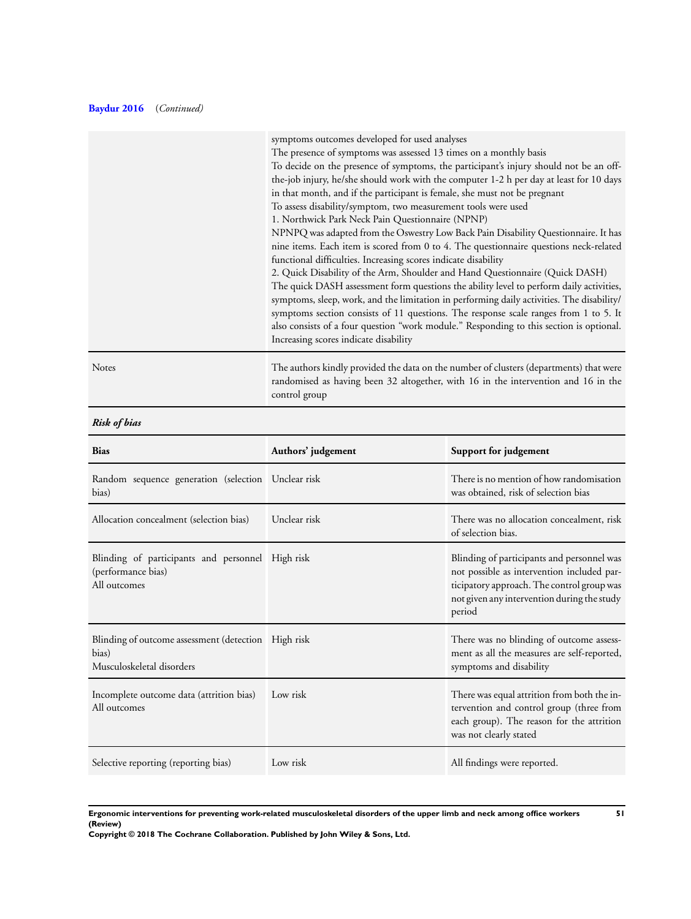# **Baydur 2016** (*Continued)*

|              | symptoms outcomes developed for used analyses<br>The presence of symptoms was assessed 13 times on a monthly basis<br>To decide on the presence of symptoms, the participant's injury should not be an off-<br>the-job injury, he/she should work with the computer 1-2 h per day at least for 10 days<br>in that month, and if the participant is female, she must not be pregnant<br>To assess disability/symptom, two measurement tools were used<br>1. Northwick Park Neck Pain Questionnaire (NPNP)<br>NPNPQ was adapted from the Oswestry Low Back Pain Disability Questionnaire. It has<br>nine items. Each item is scored from 0 to 4. The questionnaire questions neck-related<br>functional difficulties. Increasing scores indicate disability<br>2. Quick Disability of the Arm, Shoulder and Hand Questionnaire (Quick DASH)<br>The quick DASH assessment form questions the ability level to perform daily activities,<br>symptoms, sleep, work, and the limitation in performing daily activities. The disability/<br>symptoms section consists of 11 questions. The response scale ranges from 1 to 5. It<br>also consists of a four question "work module." Responding to this section is optional.<br>Increasing scores indicate disability |
|--------------|---------------------------------------------------------------------------------------------------------------------------------------------------------------------------------------------------------------------------------------------------------------------------------------------------------------------------------------------------------------------------------------------------------------------------------------------------------------------------------------------------------------------------------------------------------------------------------------------------------------------------------------------------------------------------------------------------------------------------------------------------------------------------------------------------------------------------------------------------------------------------------------------------------------------------------------------------------------------------------------------------------------------------------------------------------------------------------------------------------------------------------------------------------------------------------------------------------------------------------------------------------------|
| <b>Notes</b> | The authors kindly provided the data on the number of clusters (departments) that were<br>randomised as having been 32 altogether, with 16 in the intervention and 16 in the                                                                                                                                                                                                                                                                                                                                                                                                                                                                                                                                                                                                                                                                                                                                                                                                                                                                                                                                                                                                                                                                                  |

control group

# *Risk of bias*

| <b>Bias</b>                                                                               | Authors' judgement | Support for judgement                                                                                                                                                                           |
|-------------------------------------------------------------------------------------------|--------------------|-------------------------------------------------------------------------------------------------------------------------------------------------------------------------------------------------|
| Random sequence generation (selection Unclear risk<br>bias)                               |                    | There is no mention of how randomisation<br>was obtained, risk of selection bias                                                                                                                |
| Allocation concealment (selection bias)                                                   | Unclear risk       | There was no allocation concealment, risk<br>of selection bias.                                                                                                                                 |
| Blinding of participants and personnel High risk<br>(performance bias)<br>All outcomes    |                    | Blinding of participants and personnel was<br>not possible as intervention included par-<br>ticipatory approach. The control group was<br>not given any intervention during the study<br>period |
| Blinding of outcome assessment (detection High risk<br>bias)<br>Musculoskeletal disorders |                    | There was no blinding of outcome assess-<br>ment as all the measures are self-reported,<br>symptoms and disability                                                                              |
| Incomplete outcome data (attrition bias)<br>All outcomes                                  | Low risk           | There was equal attrition from both the in-<br>tervention and control group (three from<br>each group). The reason for the attrition<br>was not clearly stated                                  |
| Selective reporting (reporting bias)                                                      | Low risk           | All findings were reported.                                                                                                                                                                     |

**Ergonomic interventions for preventing work-related musculoskeletal disorders of the upper limb and neck among office workers 51 (Review)**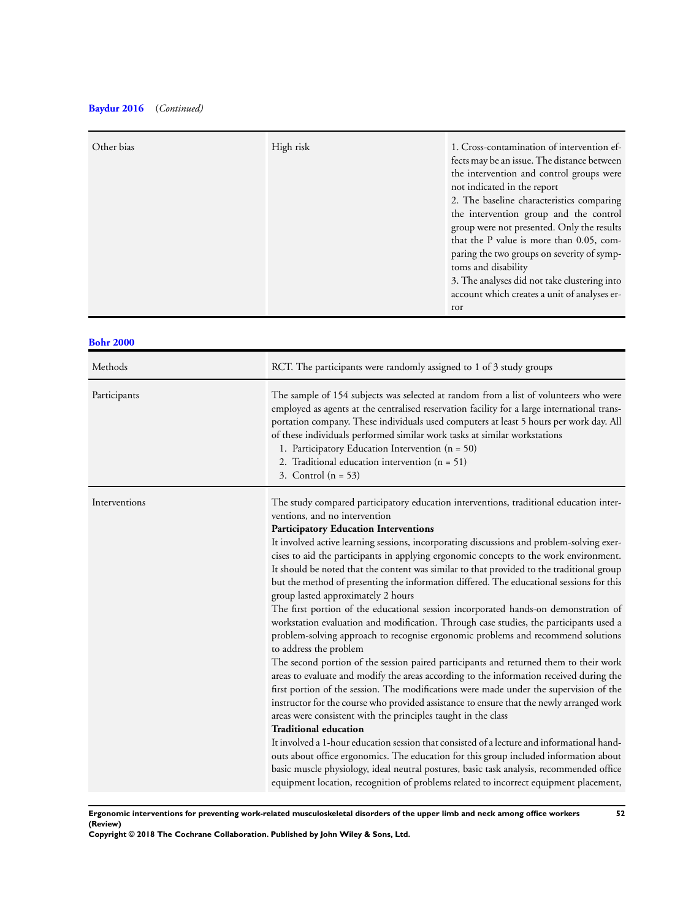# **Baydur 2016** (*Continued)*

| Other bias | High risk | 1. Cross-contamination of intervention ef-   |
|------------|-----------|----------------------------------------------|
|            |           | fects may be an issue. The distance between  |
|            |           | the intervention and control groups were     |
|            |           | not indicated in the report                  |
|            |           | 2. The baseline characteristics comparing    |
|            |           | the intervention group and the control       |
|            |           | group were not presented. Only the results   |
|            |           | that the P value is more than 0.05, com-     |
|            |           | paring the two groups on severity of symp-   |
|            |           | toms and disability                          |
|            |           | 3. The analyses did not take clustering into |
|            |           | account which creates a unit of analyses er- |
|            |           | ror                                          |

## **Bohr 2000**

| Methods       | RCT. The participants were randomly assigned to 1 of 3 study groups                                                                                                                                                                                                                                                                                                                                                                                                                                                                                                                                                                                                                                                                                                                                                                                                                                                                                                                                                                                                                                                                                                                                                                                                                                                                                                                                                                                                                                                                                                                                                                                                                                                                                |
|---------------|----------------------------------------------------------------------------------------------------------------------------------------------------------------------------------------------------------------------------------------------------------------------------------------------------------------------------------------------------------------------------------------------------------------------------------------------------------------------------------------------------------------------------------------------------------------------------------------------------------------------------------------------------------------------------------------------------------------------------------------------------------------------------------------------------------------------------------------------------------------------------------------------------------------------------------------------------------------------------------------------------------------------------------------------------------------------------------------------------------------------------------------------------------------------------------------------------------------------------------------------------------------------------------------------------------------------------------------------------------------------------------------------------------------------------------------------------------------------------------------------------------------------------------------------------------------------------------------------------------------------------------------------------------------------------------------------------------------------------------------------------|
| Participants  | The sample of 154 subjects was selected at random from a list of volunteers who were<br>employed as agents at the centralised reservation facility for a large international trans-<br>portation company. These individuals used computers at least 5 hours per work day. All<br>of these individuals performed similar work tasks at similar workstations<br>1. Participatory Education Intervention ( $n = 50$ )<br>2. Traditional education intervention $(n = 51)$<br>3. Control $(n = 53)$                                                                                                                                                                                                                                                                                                                                                                                                                                                                                                                                                                                                                                                                                                                                                                                                                                                                                                                                                                                                                                                                                                                                                                                                                                                    |
| Interventions | The study compared participatory education interventions, traditional education inter-<br>ventions, and no intervention<br><b>Participatory Education Interventions</b><br>It involved active learning sessions, incorporating discussions and problem-solving exer-<br>cises to aid the participants in applying ergonomic concepts to the work environment.<br>It should be noted that the content was similar to that provided to the traditional group<br>but the method of presenting the information differed. The educational sessions for this<br>group lasted approximately 2 hours<br>The first portion of the educational session incorporated hands-on demonstration of<br>workstation evaluation and modification. Through case studies, the participants used a<br>problem-solving approach to recognise ergonomic problems and recommend solutions<br>to address the problem<br>The second portion of the session paired participants and returned them to their work<br>areas to evaluate and modify the areas according to the information received during the<br>first portion of the session. The modifications were made under the supervision of the<br>instructor for the course who provided assistance to ensure that the newly arranged work<br>areas were consistent with the principles taught in the class<br><b>Traditional education</b><br>It involved a 1-hour education session that consisted of a lecture and informational hand-<br>outs about office ergonomics. The education for this group included information about<br>basic muscle physiology, ideal neutral postures, basic task analysis, recommended office<br>equipment location, recognition of problems related to incorrect equipment placement, |

## **Ergonomic interventions for preventing work-related musculoskeletal disorders of the upper limb and neck among office workers 52 (Review)**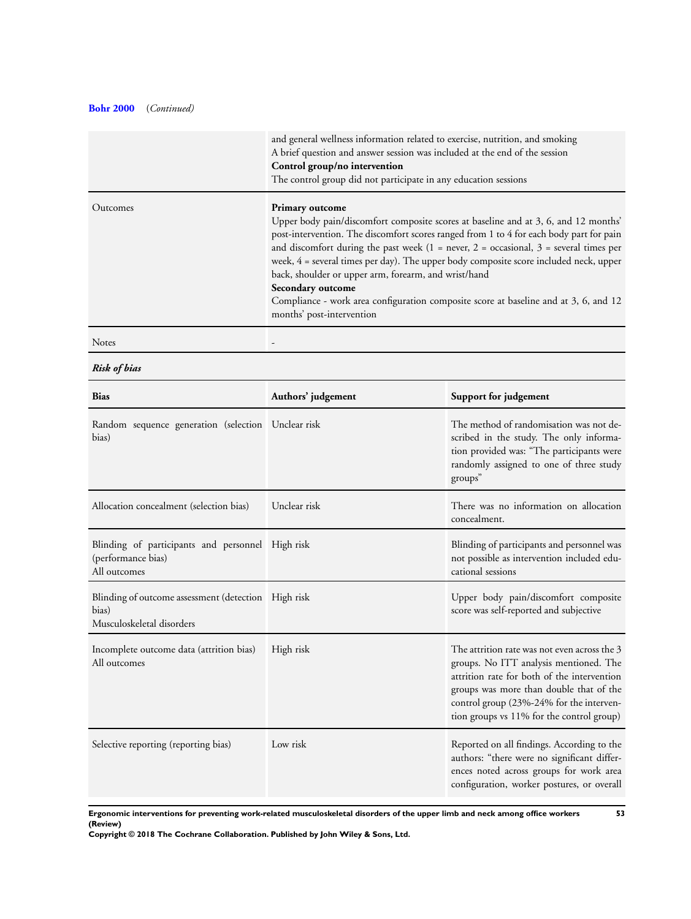|                 | and general wellness information related to exercise, nutrition, and smoking<br>A brief question and answer session was included at the end of the session<br>Control group/no intervention<br>The control group did not participate in any education sessions                                                                                                                                                                                                                                                                                                                                  |
|-----------------|-------------------------------------------------------------------------------------------------------------------------------------------------------------------------------------------------------------------------------------------------------------------------------------------------------------------------------------------------------------------------------------------------------------------------------------------------------------------------------------------------------------------------------------------------------------------------------------------------|
| <b>Outcomes</b> | <b>Primary outcome</b><br>Upper body pain/discomfort composite scores at baseline and at 3, 6, and 12 months'<br>post-intervention. The discomfort scores ranged from 1 to 4 for each body part for pain<br>and discomfort during the past week $(1 = never, 2 = occasional, 3 = several times per)$<br>week, 4 = several times per day). The upper body composite score included neck, upper<br>back, shoulder or upper arm, forearm, and wrist/hand<br>Secondary outcome<br>Compliance - work area configuration composite score at baseline and at 3, 6, and 12<br>months' post-intervention |
| <b>Notes</b>    |                                                                                                                                                                                                                                                                                                                                                                                                                                                                                                                                                                                                 |

*Risk of bias*

| <b>Bias</b>                                                                               | Authors' judgement | Support for judgement                                                                                                                                                                                                                                                     |
|-------------------------------------------------------------------------------------------|--------------------|---------------------------------------------------------------------------------------------------------------------------------------------------------------------------------------------------------------------------------------------------------------------------|
| Random sequence generation (selection Unclear risk<br>bias)                               |                    | The method of randomisation was not de-<br>scribed in the study. The only informa-<br>tion provided was: "The participants were<br>randomly assigned to one of three study<br>groups"                                                                                     |
| Allocation concealment (selection bias)                                                   | Unclear risk       | There was no information on allocation<br>concealment.                                                                                                                                                                                                                    |
| Blinding of participants and personnel High risk<br>(performance bias)<br>All outcomes    |                    | Blinding of participants and personnel was<br>not possible as intervention included edu-<br>cational sessions                                                                                                                                                             |
| Blinding of outcome assessment (detection High risk<br>bias)<br>Musculoskeletal disorders |                    | Upper body pain/discomfort composite<br>score was self-reported and subjective                                                                                                                                                                                            |
| Incomplete outcome data (attrition bias)<br>All outcomes                                  | High risk          | The attrition rate was not even across the 3<br>groups. No ITT analysis mentioned. The<br>attrition rate for both of the intervention<br>groups was more than double that of the<br>control group (23%-24% for the interven-<br>tion groups vs 11% for the control group) |
| Selective reporting (reporting bias)                                                      | Low risk           | Reported on all findings. According to the<br>authors: "there were no significant differ-<br>ences noted across groups for work area<br>configuration, worker postures, or overall                                                                                        |

**Ergonomic interventions for preventing work-related musculoskeletal disorders of the upper limb and neck among office workers 53 (Review)**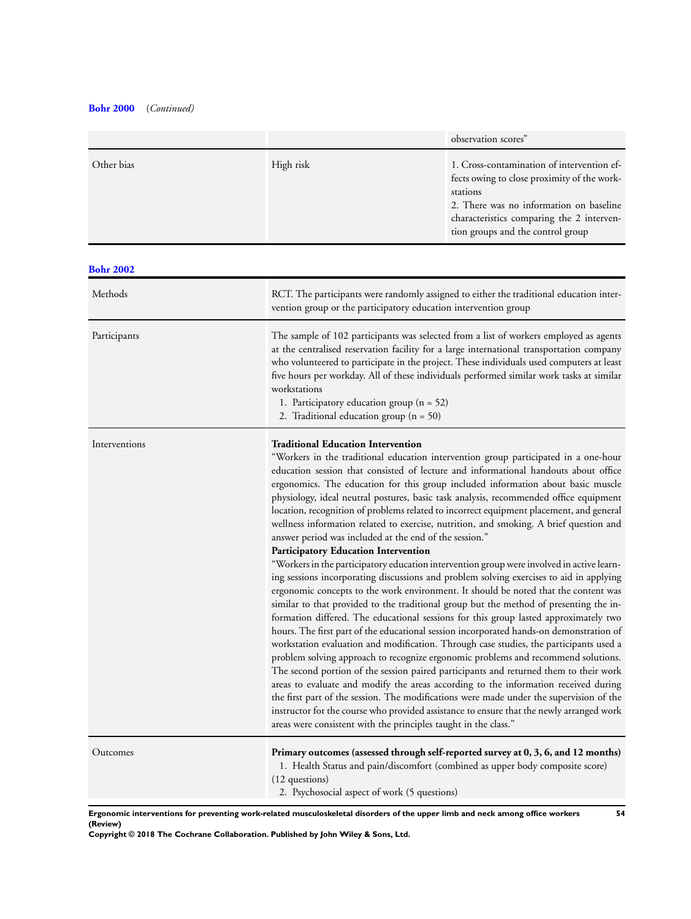# **Bohr 2000** (*Continued)*

|                  |                                                                                                                                                                                                                                                                                                                                                                                                                                                                                                                                                                                                                                                                                                                                                                                                                                                                                                                                                                                                                                                                                                                                                                                                                                                                                                                                                                                                                                                                                                                                                                                                                                                                                                                                                                                                               | observation scores"                                                                                                                                                                                                                |
|------------------|---------------------------------------------------------------------------------------------------------------------------------------------------------------------------------------------------------------------------------------------------------------------------------------------------------------------------------------------------------------------------------------------------------------------------------------------------------------------------------------------------------------------------------------------------------------------------------------------------------------------------------------------------------------------------------------------------------------------------------------------------------------------------------------------------------------------------------------------------------------------------------------------------------------------------------------------------------------------------------------------------------------------------------------------------------------------------------------------------------------------------------------------------------------------------------------------------------------------------------------------------------------------------------------------------------------------------------------------------------------------------------------------------------------------------------------------------------------------------------------------------------------------------------------------------------------------------------------------------------------------------------------------------------------------------------------------------------------------------------------------------------------------------------------------------------------|------------------------------------------------------------------------------------------------------------------------------------------------------------------------------------------------------------------------------------|
| Other bias       | High risk                                                                                                                                                                                                                                                                                                                                                                                                                                                                                                                                                                                                                                                                                                                                                                                                                                                                                                                                                                                                                                                                                                                                                                                                                                                                                                                                                                                                                                                                                                                                                                                                                                                                                                                                                                                                     | 1. Cross-contamination of intervention ef-<br>fects owing to close proximity of the work-<br>stations<br>2. There was no information on baseline<br>characteristics comparing the 2 interven-<br>tion groups and the control group |
| <b>Bohr 2002</b> |                                                                                                                                                                                                                                                                                                                                                                                                                                                                                                                                                                                                                                                                                                                                                                                                                                                                                                                                                                                                                                                                                                                                                                                                                                                                                                                                                                                                                                                                                                                                                                                                                                                                                                                                                                                                               |                                                                                                                                                                                                                                    |
| Methods          | RCT. The participants were randomly assigned to either the traditional education inter-<br>vention group or the participatory education intervention group                                                                                                                                                                                                                                                                                                                                                                                                                                                                                                                                                                                                                                                                                                                                                                                                                                                                                                                                                                                                                                                                                                                                                                                                                                                                                                                                                                                                                                                                                                                                                                                                                                                    |                                                                                                                                                                                                                                    |
| Participants     | The sample of 102 participants was selected from a list of workers employed as agents<br>at the centralised reservation facility for a large international transportation company<br>who volunteered to participate in the project. These individuals used computers at least<br>five hours per workday. All of these individuals performed similar work tasks at similar<br>workstations<br>1. Participatory education group ( $n = 52$ )<br>2. Traditional education group $(n = 50)$                                                                                                                                                                                                                                                                                                                                                                                                                                                                                                                                                                                                                                                                                                                                                                                                                                                                                                                                                                                                                                                                                                                                                                                                                                                                                                                       |                                                                                                                                                                                                                                    |
| Interventions    | <b>Traditional Education Intervention</b><br>"Workers in the traditional education intervention group participated in a one-hour<br>education session that consisted of lecture and informational handouts about office<br>ergonomics. The education for this group included information about basic muscle<br>physiology, ideal neutral postures, basic task analysis, recommended office equipment<br>location, recognition of problems related to incorrect equipment placement, and general<br>wellness information related to exercise, nutrition, and smoking. A brief question and<br>answer period was included at the end of the session."<br>Participatory Education Intervention<br>"Workers in the participatory education intervention group were involved in active learn-<br>ing sessions incorporating discussions and problem solving exercises to aid in applying<br>ergonomic concepts to the work environment. It should be noted that the content was<br>similar to that provided to the traditional group but the method of presenting the in-<br>formation differed. The educational sessions for this group lasted approximately two<br>hours. The first part of the educational session incorporated hands-on demonstration of<br>workstation evaluation and modification. Through case studies, the participants used a<br>problem solving approach to recognize ergonomic problems and recommend solutions.<br>The second portion of the session paired participants and returned them to their work<br>areas to evaluate and modify the areas according to the information received during<br>the first part of the session. The modifications were made under the supervision of the<br>instructor for the course who provided assistance to ensure that the newly arranged work |                                                                                                                                                                                                                                    |
| Outcomes         | areas were consistent with the principles taught in the class."<br>Primary outcomes (assessed through self-reported survey at 0, 3, 6, and 12 months)<br>1. Health Status and pain/discomfort (combined as upper body composite score)                                                                                                                                                                                                                                                                                                                                                                                                                                                                                                                                                                                                                                                                                                                                                                                                                                                                                                                                                                                                                                                                                                                                                                                                                                                                                                                                                                                                                                                                                                                                                                        |                                                                                                                                                                                                                                    |
|                  | (12 questions)<br>2. Psychosocial aspect of work (5 questions)                                                                                                                                                                                                                                                                                                                                                                                                                                                                                                                                                                                                                                                                                                                                                                                                                                                                                                                                                                                                                                                                                                                                                                                                                                                                                                                                                                                                                                                                                                                                                                                                                                                                                                                                                |                                                                                                                                                                                                                                    |

**Ergonomic interventions for preventing work-related musculoskeletal disorders of the upper limb and neck among office workers 54 (Review)**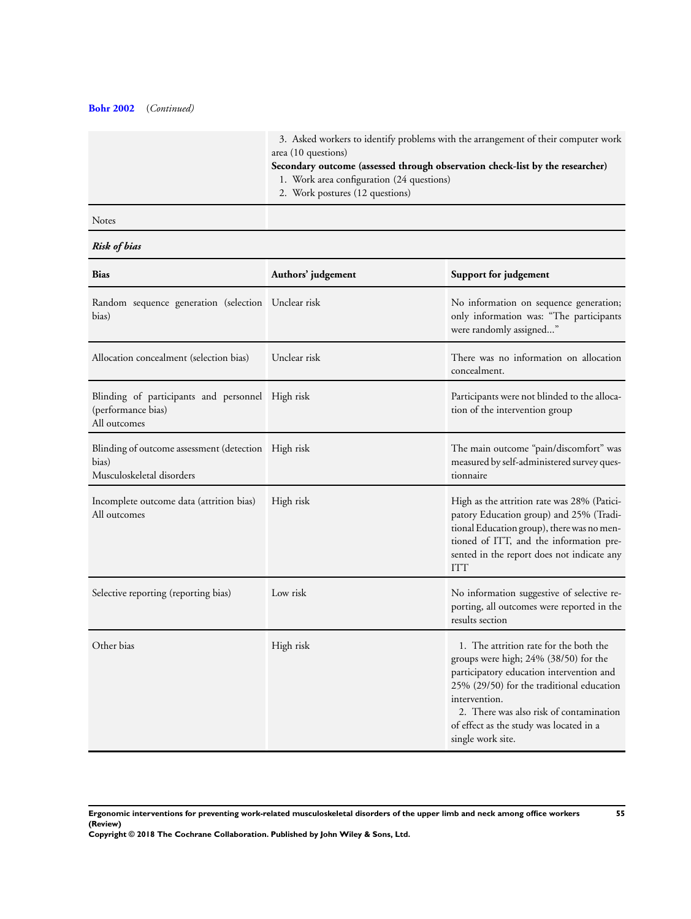# **Bohr 2002** (*Continued)*

| 3. Asked workers to identify problems with the arrangement of their computer work |
|-----------------------------------------------------------------------------------|
| area (10 questions)                                                               |
| Secondary outcome (assessed through observation check-list by the researcher)     |
| 1. Work area configuration (24 questions)                                         |
| 2. Work postures (12 questions)                                                   |
|                                                                                   |

## Notes

# *Risk of bias*

| <b>Bias</b>                                                                               | Authors' judgement | Support for judgement                                                                                                                                                                                                                                                                                |
|-------------------------------------------------------------------------------------------|--------------------|------------------------------------------------------------------------------------------------------------------------------------------------------------------------------------------------------------------------------------------------------------------------------------------------------|
| Random sequence generation (selection Unclear risk<br>bias)                               |                    | No information on sequence generation;<br>only information was: "The participants<br>were randomly assigned"                                                                                                                                                                                         |
| Allocation concealment (selection bias)                                                   | Unclear risk       | There was no information on allocation<br>concealment.                                                                                                                                                                                                                                               |
| Blinding of participants and personnel High risk<br>(performance bias)<br>All outcomes    |                    | Participants were not blinded to the alloca-<br>tion of the intervention group                                                                                                                                                                                                                       |
| Blinding of outcome assessment (detection High risk<br>bias)<br>Musculoskeletal disorders |                    | The main outcome "pain/discomfort" was<br>measured by self-administered survey ques-<br>tionnaire                                                                                                                                                                                                    |
| Incomplete outcome data (attrition bias)<br>All outcomes                                  | High risk          | High as the attrition rate was 28% (Patici-<br>patory Education group) and 25% (Tradi-<br>tional Education group), there was no men-<br>tioned of ITT, and the information pre-<br>sented in the report does not indicate any<br><b>ITT</b>                                                          |
| Selective reporting (reporting bias)                                                      | Low risk           | No information suggestive of selective re-<br>porting, all outcomes were reported in the<br>results section                                                                                                                                                                                          |
| Other bias                                                                                | High risk          | 1. The attrition rate for the both the<br>groups were high; 24% (38/50) for the<br>participatory education intervention and<br>25% (29/50) for the traditional education<br>intervention.<br>2. There was also risk of contamination<br>of effect as the study was located in a<br>single work site. |

**Ergonomic interventions for preventing work-related musculoskeletal disorders of the upper limb and neck among office workers 55 (Review)**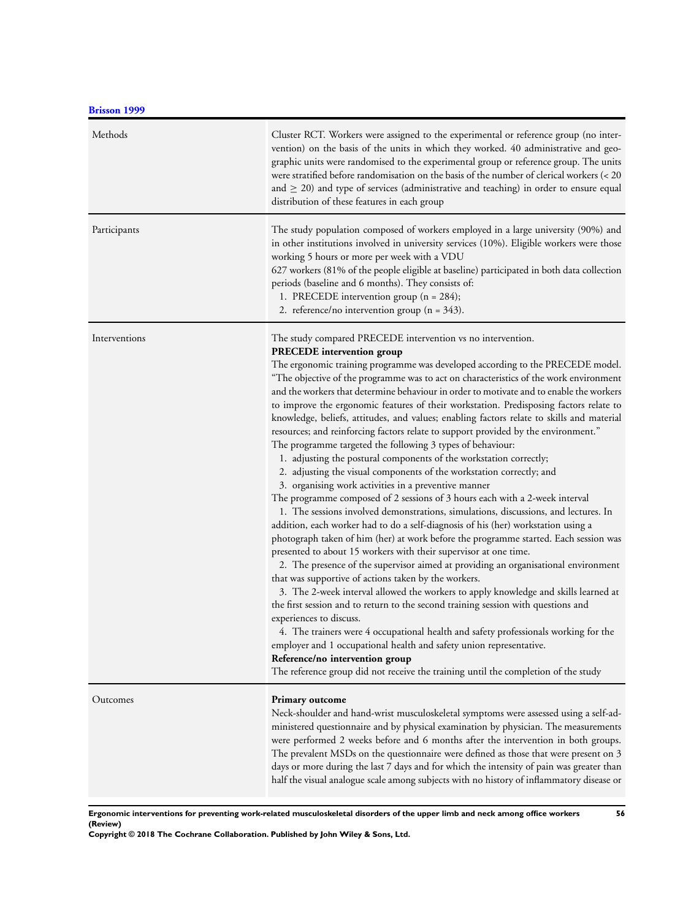| Methods       | Cluster RCT. Workers were assigned to the experimental or reference group (no inter-<br>vention) on the basis of the units in which they worked. 40 administrative and geo-<br>graphic units were randomised to the experimental group or reference group. The units<br>were stratified before randomisation on the basis of the number of clerical workers (< 20<br>and $\geq$ 20) and type of services (administrative and teaching) in order to ensure equal<br>distribution of these features in each group                                                                                                                                                                                                                                                                                                                                                                                                                                                                                                                                                                                                                                                                                                                                                                                                                                                                                                                                                                                                                                                                                                                                                                                                                                                                                                                                                                                                                                                                     |
|---------------|-------------------------------------------------------------------------------------------------------------------------------------------------------------------------------------------------------------------------------------------------------------------------------------------------------------------------------------------------------------------------------------------------------------------------------------------------------------------------------------------------------------------------------------------------------------------------------------------------------------------------------------------------------------------------------------------------------------------------------------------------------------------------------------------------------------------------------------------------------------------------------------------------------------------------------------------------------------------------------------------------------------------------------------------------------------------------------------------------------------------------------------------------------------------------------------------------------------------------------------------------------------------------------------------------------------------------------------------------------------------------------------------------------------------------------------------------------------------------------------------------------------------------------------------------------------------------------------------------------------------------------------------------------------------------------------------------------------------------------------------------------------------------------------------------------------------------------------------------------------------------------------------------------------------------------------------------------------------------------------|
| Participants  | The study population composed of workers employed in a large university (90%) and<br>in other institutions involved in university services (10%). Eligible workers were those<br>working 5 hours or more per week with a VDU<br>627 workers (81% of the people eligible at baseline) participated in both data collection<br>periods (baseline and 6 months). They consists of:<br>1. PRECEDE intervention group ( $n = 284$ );<br>2. reference/no intervention group ( $n = 343$ ).                                                                                                                                                                                                                                                                                                                                                                                                                                                                                                                                                                                                                                                                                                                                                                                                                                                                                                                                                                                                                                                                                                                                                                                                                                                                                                                                                                                                                                                                                                |
| Interventions | The study compared PRECEDE intervention vs no intervention.<br>PRECEDE intervention group<br>The ergonomic training programme was developed according to the PRECEDE model.<br>"The objective of the programme was to act on characteristics of the work environment<br>and the workers that determine behaviour in order to motivate and to enable the workers<br>to improve the ergonomic features of their workstation. Predisposing factors relate to<br>knowledge, beliefs, attitudes, and values; enabling factors relate to skills and material<br>resources; and reinforcing factors relate to support provided by the environment."<br>The programme targeted the following 3 types of behaviour:<br>1. adjusting the postural components of the workstation correctly;<br>2. adjusting the visual components of the workstation correctly; and<br>3. organising work activities in a preventive manner<br>The programme composed of 2 sessions of 3 hours each with a 2-week interval<br>1. The sessions involved demonstrations, simulations, discussions, and lectures. In<br>addition, each worker had to do a self-diagnosis of his (her) workstation using a<br>photograph taken of him (her) at work before the programme started. Each session was<br>presented to about 15 workers with their supervisor at one time.<br>2. The presence of the supervisor aimed at providing an organisational environment<br>that was supportive of actions taken by the workers.<br>3. The 2-week interval allowed the workers to apply knowledge and skills learned at<br>the first session and to return to the second training session with questions and<br>experiences to discuss.<br>4. The trainers were 4 occupational health and safety professionals working for the<br>employer and 1 occupational health and safety union representative.<br>Reference/no intervention group<br>The reference group did not receive the training until the completion of the study |
| Outcomes      | Primary outcome<br>Neck-shoulder and hand-wrist musculoskeletal symptoms were assessed using a self-ad-<br>ministered questionnaire and by physical examination by physician. The measurements<br>were performed 2 weeks before and 6 months after the intervention in both groups.<br>The prevalent MSDs on the questionnaire were defined as those that were present on 3<br>days or more during the last 7 days and for which the intensity of pain was greater than<br>half the visual analogue scale among subjects with no history of inflammatory disease or                                                                                                                                                                                                                                                                                                                                                                                                                                                                                                                                                                                                                                                                                                                                                                                                                                                                                                                                                                                                                                                                                                                                                                                                                                                                                                                                                                                                                 |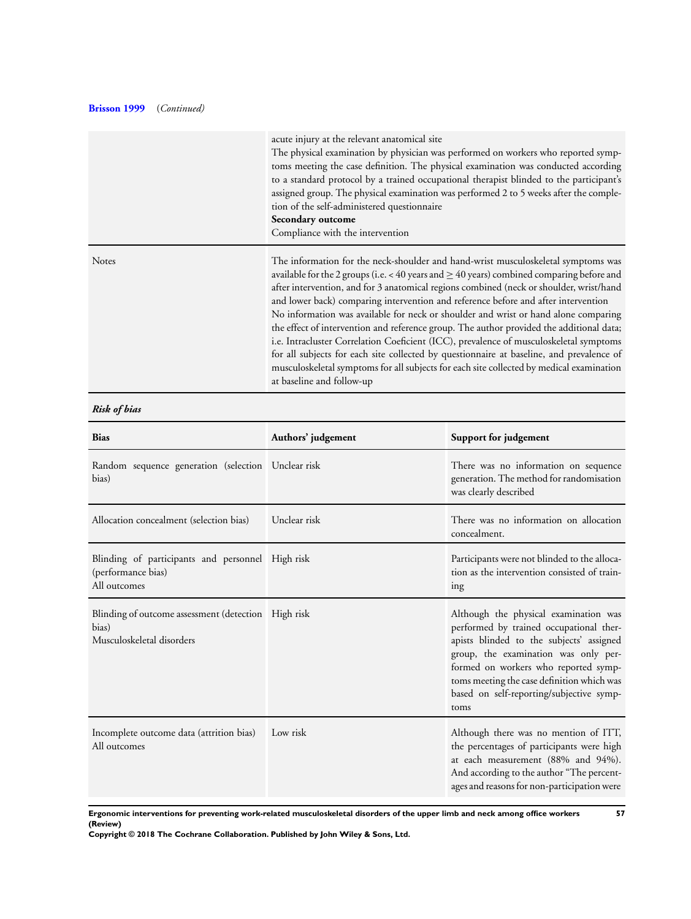# **Brisson 1999** (*Continued)*

|              | acute injury at the relevant anatomical site<br>The physical examination by physician was performed on workers who reported symp-<br>toms meeting the case definition. The physical examination was conducted according<br>to a standard protocol by a trained occupational therapist blinded to the participant's<br>assigned group. The physical examination was performed 2 to 5 weeks after the comple-<br>tion of the self-administered questionnaire<br>Secondary outcome<br>Compliance with the intervention                                                                                                                                                                                                                                                                                                                                                      |
|--------------|--------------------------------------------------------------------------------------------------------------------------------------------------------------------------------------------------------------------------------------------------------------------------------------------------------------------------------------------------------------------------------------------------------------------------------------------------------------------------------------------------------------------------------------------------------------------------------------------------------------------------------------------------------------------------------------------------------------------------------------------------------------------------------------------------------------------------------------------------------------------------|
| <b>Notes</b> | The information for the neck-shoulder and hand-wrist musculoskeletal symptoms was<br>available for the 2 groups (i.e. $<$ 40 years and $\geq$ 40 years) combined comparing before and<br>after intervention, and for 3 anatomical regions combined (neck or shoulder, wrist/hand<br>and lower back) comparing intervention and reference before and after intervention<br>No information was available for neck or shoulder and wrist or hand alone comparing<br>the effect of intervention and reference group. The author provided the additional data;<br>i.e. Intracluster Correlation Coeficient (ICC), prevalence of musculoskeletal symptoms<br>for all subjects for each site collected by questionnaire at baseline, and prevalence of<br>musculoskeletal symptoms for all subjects for each site collected by medical examination<br>at baseline and follow-up |

# *Risk of bias*

| <b>Bias</b>                                                                               | Authors' judgement | Support for judgement                                                                                                                                                                                                                                                                                          |
|-------------------------------------------------------------------------------------------|--------------------|----------------------------------------------------------------------------------------------------------------------------------------------------------------------------------------------------------------------------------------------------------------------------------------------------------------|
| Random sequence generation (selection Unclear risk<br>bias)                               |                    | There was no information on sequence<br>generation. The method for randomisation<br>was clearly described                                                                                                                                                                                                      |
| Allocation concealment (selection bias)                                                   | Unclear risk       | There was no information on allocation<br>concealment.                                                                                                                                                                                                                                                         |
| Blinding of participants and personnel High risk<br>(performance bias)<br>All outcomes    |                    | Participants were not blinded to the alloca-<br>tion as the intervention consisted of train-<br>ing                                                                                                                                                                                                            |
| Blinding of outcome assessment (detection High risk<br>bias)<br>Musculoskeletal disorders |                    | Although the physical examination was<br>performed by trained occupational ther-<br>apists blinded to the subjects' assigned<br>group, the examination was only per-<br>formed on workers who reported symp-<br>toms meeting the case definition which was<br>based on self-reporting/subjective symp-<br>toms |
| Incomplete outcome data (attrition bias)<br>All outcomes                                  | Low risk           | Although there was no mention of ITT,<br>the percentages of participants were high<br>at each measurement (88% and 94%).<br>And according to the author "The percent-<br>ages and reasons for non-participation were                                                                                           |

**Ergonomic interventions for preventing work-related musculoskeletal disorders of the upper limb and neck among office workers 57 (Review)**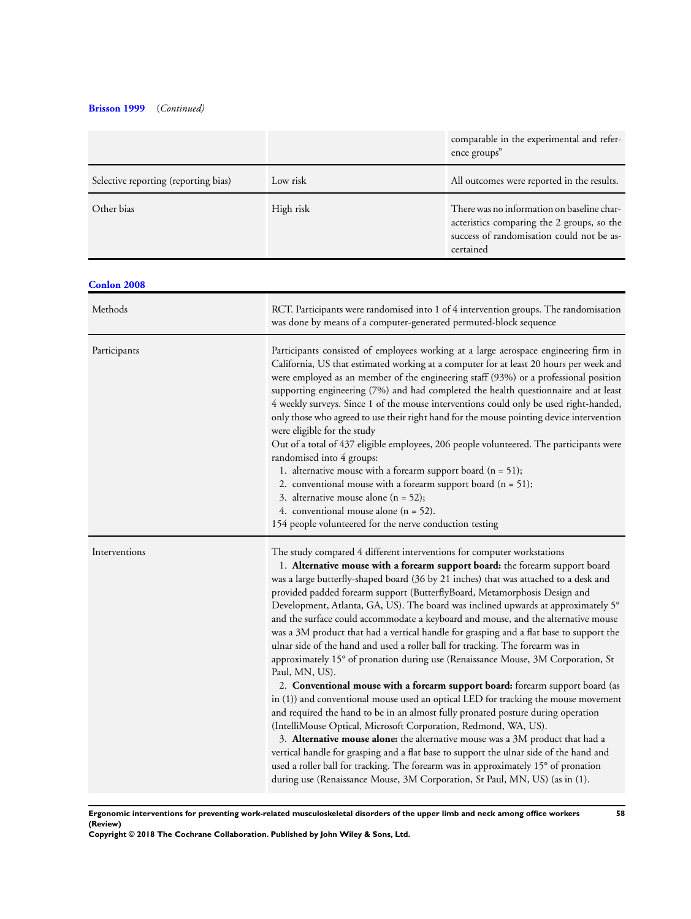## **Brisson 1999** (*Continued)*

|                                      |                                                                                                                                                                                                                                                                                                                                                                                                                                                                                                                                                                                                                                                                                                                                                                                                                                                                                                                                                                                                                                                                                                                                                                                                                                                                                                                                                                                                                                                                        | comparable in the experimental and refer-<br>ence groups"                                                                                          |
|--------------------------------------|------------------------------------------------------------------------------------------------------------------------------------------------------------------------------------------------------------------------------------------------------------------------------------------------------------------------------------------------------------------------------------------------------------------------------------------------------------------------------------------------------------------------------------------------------------------------------------------------------------------------------------------------------------------------------------------------------------------------------------------------------------------------------------------------------------------------------------------------------------------------------------------------------------------------------------------------------------------------------------------------------------------------------------------------------------------------------------------------------------------------------------------------------------------------------------------------------------------------------------------------------------------------------------------------------------------------------------------------------------------------------------------------------------------------------------------------------------------------|----------------------------------------------------------------------------------------------------------------------------------------------------|
| Selective reporting (reporting bias) | Low risk                                                                                                                                                                                                                                                                                                                                                                                                                                                                                                                                                                                                                                                                                                                                                                                                                                                                                                                                                                                                                                                                                                                                                                                                                                                                                                                                                                                                                                                               | All outcomes were reported in the results.                                                                                                         |
| Other bias                           | High risk                                                                                                                                                                                                                                                                                                                                                                                                                                                                                                                                                                                                                                                                                                                                                                                                                                                                                                                                                                                                                                                                                                                                                                                                                                                                                                                                                                                                                                                              | There was no information on baseline char-<br>acteristics comparing the 2 groups, so the<br>success of randomisation could not be as-<br>certained |
| <b>Conlon 2008</b>                   |                                                                                                                                                                                                                                                                                                                                                                                                                                                                                                                                                                                                                                                                                                                                                                                                                                                                                                                                                                                                                                                                                                                                                                                                                                                                                                                                                                                                                                                                        |                                                                                                                                                    |
| Methods                              | RCT. Participants were randomised into 1 of 4 intervention groups. The randomisation<br>was done by means of a computer-generated permuted-block sequence                                                                                                                                                                                                                                                                                                                                                                                                                                                                                                                                                                                                                                                                                                                                                                                                                                                                                                                                                                                                                                                                                                                                                                                                                                                                                                              |                                                                                                                                                    |
| Participants                         | Participants consisted of employees working at a large aerospace engineering firm in<br>California, US that estimated working at a computer for at least 20 hours per week and<br>were employed as an member of the engineering staff (93%) or a professional position<br>supporting engineering (7%) and had completed the health questionnaire and at least<br>4 weekly surveys. Since 1 of the mouse interventions could only be used right-handed,<br>only those who agreed to use their right hand for the mouse pointing device intervention<br>were eligible for the study<br>Out of a total of 437 eligible employees, 206 people volunteered. The participants were<br>randomised into 4 groups:<br>1. alternative mouse with a forearm support board $(n = 51)$ ;<br>2. conventional mouse with a forearm support board ( $n = 51$ );<br>3. alternative mouse alone $(n = 52)$ ;<br>4. conventional mouse alone $(n = 52)$ .<br>154 people volunteered for the nerve conduction testing                                                                                                                                                                                                                                                                                                                                                                                                                                                                      |                                                                                                                                                    |
| Interventions                        | The study compared 4 different interventions for computer workstations<br>1. Alternative mouse with a forearm support board: the forearm support board<br>was a large butterfly-shaped board (36 by 21 inches) that was attached to a desk and<br>provided padded forearm support (ButterflyBoard, Metamorphosis Design and<br>Development, Atlanta, GA, US). The board was inclined upwards at approximately 5°<br>and the surface could accommodate a keyboard and mouse, and the alternative mouse<br>was a 3M product that had a vertical handle for grasping and a flat base to support the<br>ulnar side of the hand and used a roller ball for tracking. The forearm was in<br>approximately 15° of pronation during use (Renaissance Mouse, 3M Corporation, St<br>Paul, MN, US).<br>2. Conventional mouse with a forearm support board: forearm support board (as<br>in (1)) and conventional mouse used an optical LED for tracking the mouse movement<br>and required the hand to be in an almost fully pronated posture during operation<br>(IntelliMouse Optical, Microsoft Corporation, Redmond, WA, US).<br>3. Alternative mouse alone: the alternative mouse was a 3M product that had a<br>vertical handle for grasping and a flat base to support the ulnar side of the hand and<br>used a roller ball for tracking. The forearm was in approximately 15° of pronation<br>during use (Renaissance Mouse, 3M Corporation, St Paul, MN, US) (as in (1). |                                                                                                                                                    |

**Ergonomic interventions for preventing work-related musculoskeletal disorders of the upper limb and neck among office workers 58 (Review)**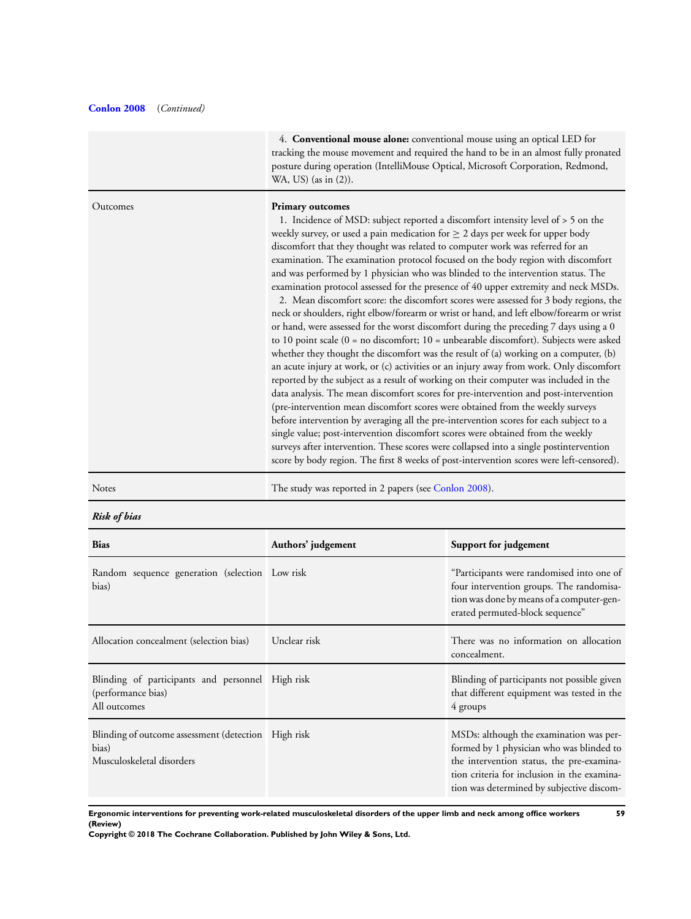|              | 4. Conventional mouse alone: conventional mouse using an optical LED for<br>tracking the mouse movement and required the hand to be in an almost fully pronated<br>posture during operation (IntelliMouse Optical, Microsoft Corporation, Redmond,<br>WA, US) (as in (2)).                                                                                                                                                                                                                                                                                                                                                                                                                                                                                                                                                                                                                                                                                                                                                                                                                                                                                                                                                                                                                                                                                                                                                                                                                                                                                                                                                                                                                                                                            |
|--------------|-------------------------------------------------------------------------------------------------------------------------------------------------------------------------------------------------------------------------------------------------------------------------------------------------------------------------------------------------------------------------------------------------------------------------------------------------------------------------------------------------------------------------------------------------------------------------------------------------------------------------------------------------------------------------------------------------------------------------------------------------------------------------------------------------------------------------------------------------------------------------------------------------------------------------------------------------------------------------------------------------------------------------------------------------------------------------------------------------------------------------------------------------------------------------------------------------------------------------------------------------------------------------------------------------------------------------------------------------------------------------------------------------------------------------------------------------------------------------------------------------------------------------------------------------------------------------------------------------------------------------------------------------------------------------------------------------------------------------------------------------------|
| Outcomes     | <b>Primary outcomes</b><br>1. Incidence of MSD: subject reported a discomfort intensity level of > 5 on the<br>weekly survey, or used a pain medication for $\geq 2$ days per week for upper body<br>discomfort that they thought was related to computer work was referred for an<br>examination. The examination protocol focused on the body region with discomfort<br>and was performed by 1 physician who was blinded to the intervention status. The<br>examination protocol assessed for the presence of 40 upper extremity and neck MSDs.<br>2. Mean discomfort score: the discomfort scores were assessed for 3 body regions, the<br>neck or shoulders, right elbow/forearm or wrist or hand, and left elbow/forearm or wrist<br>or hand, were assessed for the worst discomfort during the preceding 7 days using a 0<br>to 10 point scale $(0 = no$ discomfort; $10 =$ unbearable discomfort). Subjects were asked<br>whether they thought the discomfort was the result of (a) working on a computer, (b)<br>an acute injury at work, or (c) activities or an injury away from work. Only discomfort<br>reported by the subject as a result of working on their computer was included in the<br>data analysis. The mean discomfort scores for pre-intervention and post-intervention<br>(pre-intervention mean discomfort scores were obtained from the weekly surveys<br>before intervention by averaging all the pre-intervention scores for each subject to a<br>single value; post-intervention discomfort scores were obtained from the weekly<br>surveys after intervention. These scores were collapsed into a single postintervention<br>score by body region. The first 8 weeks of post-intervention scores were left-censored). |
| <b>Notes</b> | The study was reported in 2 papers (see Conlon 2008).                                                                                                                                                                                                                                                                                                                                                                                                                                                                                                                                                                                                                                                                                                                                                                                                                                                                                                                                                                                                                                                                                                                                                                                                                                                                                                                                                                                                                                                                                                                                                                                                                                                                                                 |

# *Risk of bias*

| <b>Bias</b>                                                                               | Authors' judgement | Support for judgement                                                                                                                                                                                                        |
|-------------------------------------------------------------------------------------------|--------------------|------------------------------------------------------------------------------------------------------------------------------------------------------------------------------------------------------------------------------|
| Random sequence generation (selection Low risk<br>bias)                                   |                    | "Participants were randomised into one of<br>four intervention groups. The randomisa-<br>tion was done by means of a computer-gen-<br>erated permuted-block sequence"                                                        |
| Allocation concealment (selection bias)                                                   | Unclear risk       | There was no information on allocation<br>concealment.                                                                                                                                                                       |
| Blinding of participants and personnel High risk<br>(performance bias)<br>All outcomes    |                    | Blinding of participants not possible given<br>that different equipment was tested in the<br>4 groups                                                                                                                        |
| Blinding of outcome assessment (detection High risk<br>bias)<br>Musculoskeletal disorders |                    | MSDs: although the examination was per-<br>formed by 1 physician who was blinded to<br>the intervention status, the pre-examina-<br>tion criteria for inclusion in the examina-<br>tion was determined by subjective discom- |

**Ergonomic interventions for preventing work-related musculoskeletal disorders of the upper limb and neck among office workers 59 (Review)**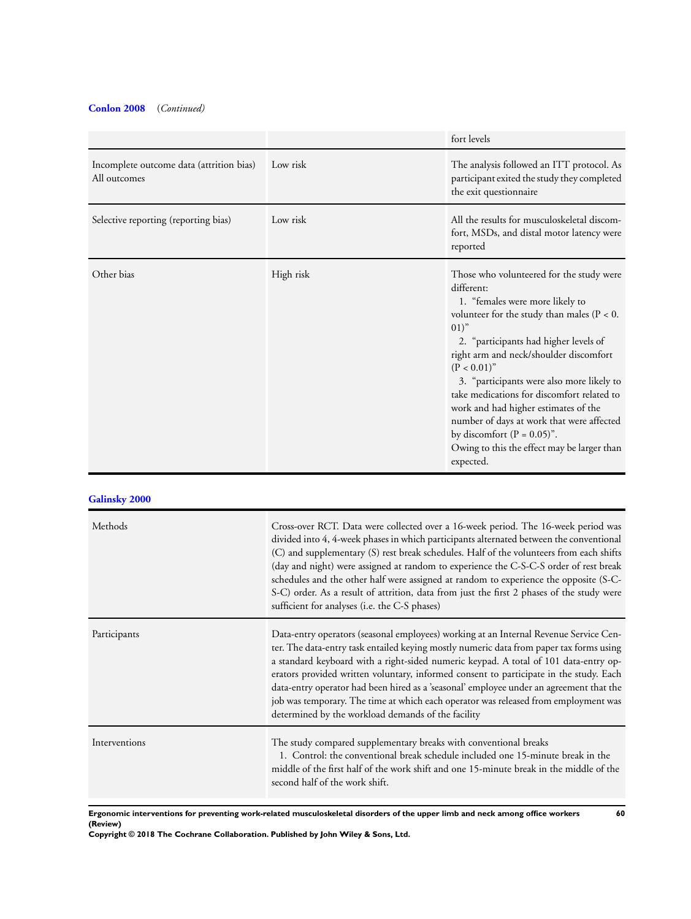# **Conlon 2008** (*Continued)*

|                                                          |           | fort levels                                                                                                                                                                                                                                                                                                                                                                                                                                                                                                                               |
|----------------------------------------------------------|-----------|-------------------------------------------------------------------------------------------------------------------------------------------------------------------------------------------------------------------------------------------------------------------------------------------------------------------------------------------------------------------------------------------------------------------------------------------------------------------------------------------------------------------------------------------|
| Incomplete outcome data (attrition bias)<br>All outcomes | Low risk  | The analysis followed an ITT protocol. As<br>participant exited the study they completed<br>the exit questionnaire                                                                                                                                                                                                                                                                                                                                                                                                                        |
| Selective reporting (reporting bias)                     | Low risk  | All the results for musculoskeletal discom-<br>fort, MSDs, and distal motor latency were<br>reported                                                                                                                                                                                                                                                                                                                                                                                                                                      |
| Other bias                                               | High risk | Those who volunteered for the study were<br>different:<br>1. "females were more likely to<br>volunteer for the study than males ( $P < 0$ .<br>$(01)$ "<br>2. "participants had higher levels of<br>right arm and neck/shoulder discomfort<br>$(P < 0.01)$ "<br>3. "participants were also more likely to<br>take medications for discomfort related to<br>work and had higher estimates of the<br>number of days at work that were affected<br>by discomfort $(P = 0.05)$ ".<br>Owing to this the effect may be larger than<br>expected. |

# **Galinsky 2000**

| Methods       | Cross-over RCT. Data were collected over a 16-week period. The 16-week period was<br>divided into 4, 4-week phases in which participants alternated between the conventional<br>(C) and supplementary (S) rest break schedules. Half of the volunteers from each shifts<br>(day and night) were assigned at random to experience the C-S-C-S order of rest break<br>schedules and the other half were assigned at random to experience the opposite (S-C-<br>S-C) order. As a result of attrition, data from just the first 2 phases of the study were<br>sufficient for analyses (i.e. the C-S phases)    |
|---------------|------------------------------------------------------------------------------------------------------------------------------------------------------------------------------------------------------------------------------------------------------------------------------------------------------------------------------------------------------------------------------------------------------------------------------------------------------------------------------------------------------------------------------------------------------------------------------------------------------------|
| Participants  | Data-entry operators (seasonal employees) working at an Internal Revenue Service Cen-<br>ter. The data-entry task entailed keying mostly numeric data from paper tax forms using<br>a standard keyboard with a right-sided numeric keypad. A total of 101 data-entry op-<br>erators provided written voluntary, informed consent to participate in the study. Each<br>data-entry operator had been hired as a 'seasonal' employee under an agreement that the<br>job was temporary. The time at which each operator was released from employment was<br>determined by the workload demands of the facility |
| Interventions | The study compared supplementary breaks with conventional breaks<br>1. Control: the conventional break schedule included one 15-minute break in the<br>middle of the first half of the work shift and one 15-minute break in the middle of the<br>second half of the work shift.                                                                                                                                                                                                                                                                                                                           |

**Ergonomic interventions for preventing work-related musculoskeletal disorders of the upper limb and neck among office workers 60 (Review)**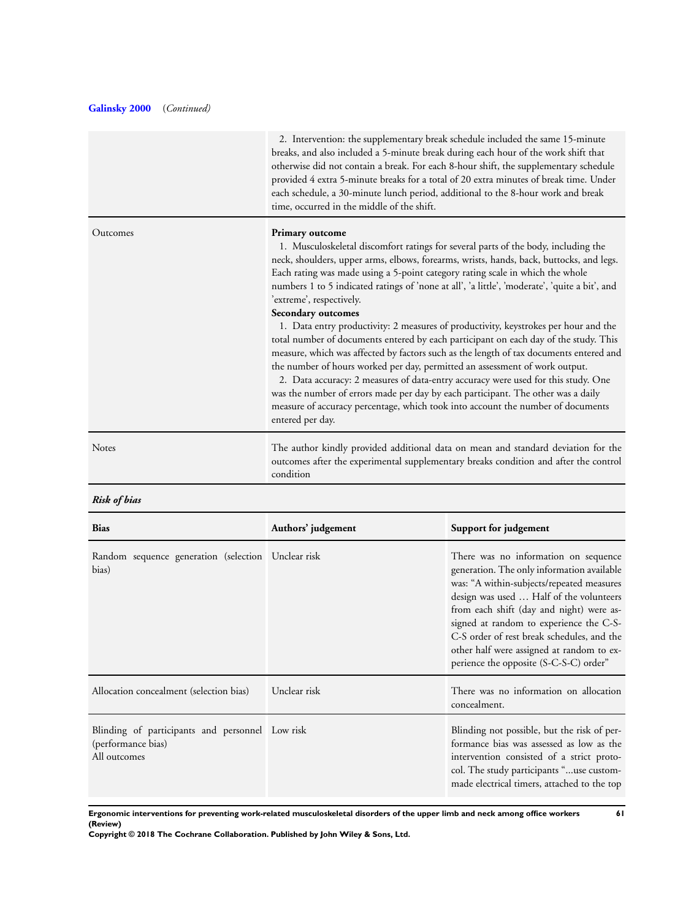# **Galinsky 2000** (*Continued)*

|              | 2. Intervention: the supplementary break schedule included the same 15-minute<br>breaks, and also included a 5-minute break during each hour of the work shift that<br>otherwise did not contain a break. For each 8-hour shift, the supplementary schedule<br>provided 4 extra 5-minute breaks for a total of 20 extra minutes of break time. Under<br>each schedule, a 30-minute lunch period, additional to the 8-hour work and break<br>time, occurred in the middle of the shift.                                                                                                                                                                                                                                                                                                                                                                                                                                                                                                                                                                                       |
|--------------|------------------------------------------------------------------------------------------------------------------------------------------------------------------------------------------------------------------------------------------------------------------------------------------------------------------------------------------------------------------------------------------------------------------------------------------------------------------------------------------------------------------------------------------------------------------------------------------------------------------------------------------------------------------------------------------------------------------------------------------------------------------------------------------------------------------------------------------------------------------------------------------------------------------------------------------------------------------------------------------------------------------------------------------------------------------------------|
| Outcomes     | Primary outcome<br>1. Musculoskeletal discomfort ratings for several parts of the body, including the<br>neck, shoulders, upper arms, elbows, forearms, wrists, hands, back, buttocks, and legs.<br>Each rating was made using a 5-point category rating scale in which the whole<br>numbers 1 to 5 indicated ratings of 'none at all', 'a little', 'moderate', 'quite a bit', and<br>'extreme', respectively.<br>Secondary outcomes<br>1. Data entry productivity: 2 measures of productivity, keystrokes per hour and the<br>total number of documents entered by each participant on each day of the study. This<br>measure, which was affected by factors such as the length of tax documents entered and<br>the number of hours worked per day, permitted an assessment of work output.<br>2. Data accuracy: 2 measures of data-entry accuracy were used for this study. One<br>was the number of errors made per day by each participant. The other was a daily<br>measure of accuracy percentage, which took into account the number of documents<br>entered per day. |
| <b>Notes</b> | The author kindly provided additional data on mean and standard deviation for the<br>outcomes after the experimental supplementary breaks condition and after the control<br>condition                                                                                                                                                                                                                                                                                                                                                                                                                                                                                                                                                                                                                                                                                                                                                                                                                                                                                       |

*Risk of bias*

| <b>Bias</b>                                                                           | Authors' judgement | Support for judgement                                                                                                                                                                                                                                                                                                                                                                                  |
|---------------------------------------------------------------------------------------|--------------------|--------------------------------------------------------------------------------------------------------------------------------------------------------------------------------------------------------------------------------------------------------------------------------------------------------------------------------------------------------------------------------------------------------|
| Random sequence generation (selection Unclear risk<br>bias)                           |                    | There was no information on sequence<br>generation. The only information available<br>was: "A within-subjects/repeated measures<br>design was used  Half of the volunteers<br>from each shift (day and night) were as-<br>signed at random to experience the C-S-<br>C-S order of rest break schedules, and the<br>other half were assigned at random to ex-<br>perience the opposite (S-C-S-C) order" |
| Allocation concealment (selection bias)                                               | Unclear risk       | There was no information on allocation<br>concealment.                                                                                                                                                                                                                                                                                                                                                 |
| Blinding of participants and personnel Low risk<br>(performance bias)<br>All outcomes |                    | Blinding not possible, but the risk of per-<br>formance bias was assessed as low as the<br>intervention consisted of a strict proto-<br>col. The study participants "use custom-<br>made electrical timers, attached to the top                                                                                                                                                                        |

**Ergonomic interventions for preventing work-related musculoskeletal disorders of the upper limb and neck among office workers 61 (Review)**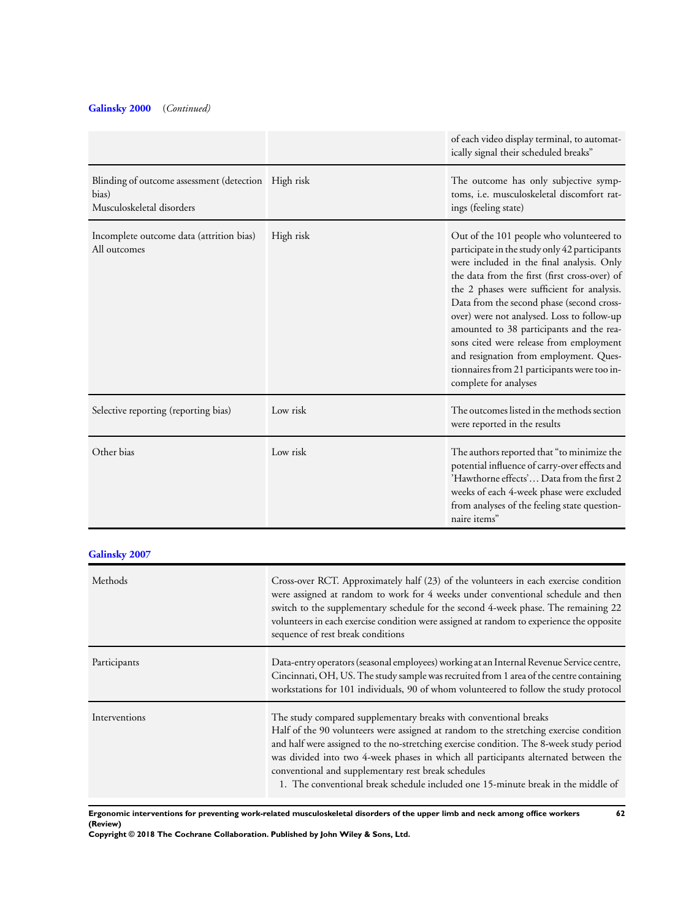# **Galinsky 2000** (*Continued)*

|                                                                                           |                                                                                                                                                                                                                                                                                                                                                                                                                                                                                         | of each video display terminal, to automat-<br>ically signal their scheduled breaks"                                                                                                                                                                                                                                                                                                                                                                                                                                                       |
|-------------------------------------------------------------------------------------------|-----------------------------------------------------------------------------------------------------------------------------------------------------------------------------------------------------------------------------------------------------------------------------------------------------------------------------------------------------------------------------------------------------------------------------------------------------------------------------------------|--------------------------------------------------------------------------------------------------------------------------------------------------------------------------------------------------------------------------------------------------------------------------------------------------------------------------------------------------------------------------------------------------------------------------------------------------------------------------------------------------------------------------------------------|
| Blinding of outcome assessment (detection High risk<br>bias)<br>Musculoskeletal disorders |                                                                                                                                                                                                                                                                                                                                                                                                                                                                                         | The outcome has only subjective symp-<br>toms, i.e. musculoskeletal discomfort rat-<br>ings (feeling state)                                                                                                                                                                                                                                                                                                                                                                                                                                |
| Incomplete outcome data (attrition bias)<br>All outcomes                                  | High risk                                                                                                                                                                                                                                                                                                                                                                                                                                                                               | Out of the 101 people who volunteered to<br>participate in the study only 42 participants<br>were included in the final analysis. Only<br>the data from the first (first cross-over) of<br>the 2 phases were sufficient for analysis.<br>Data from the second phase (second cross-<br>over) were not analysed. Loss to follow-up<br>amounted to 38 participants and the rea-<br>sons cited were release from employment<br>and resignation from employment. Ques-<br>tionnaires from 21 participants were too in-<br>complete for analyses |
| Selective reporting (reporting bias)                                                      | Low risk                                                                                                                                                                                                                                                                                                                                                                                                                                                                                | The outcomes listed in the methods section<br>were reported in the results                                                                                                                                                                                                                                                                                                                                                                                                                                                                 |
| Other bias                                                                                | Low risk                                                                                                                                                                                                                                                                                                                                                                                                                                                                                | The authors reported that "to minimize the<br>potential influence of carry-over effects and<br>'Hawthorne effects' Data from the first 2<br>weeks of each 4-week phase were excluded<br>from analyses of the feeling state question-<br>naire items"                                                                                                                                                                                                                                                                                       |
| <b>Galinsky 2007</b>                                                                      |                                                                                                                                                                                                                                                                                                                                                                                                                                                                                         |                                                                                                                                                                                                                                                                                                                                                                                                                                                                                                                                            |
| Methods                                                                                   | Cross-over RCT. Approximately half (23) of the volunteers in each exercise condition<br>were assigned at random to work for 4 weeks under conventional schedule and then<br>switch to the supplementary schedule for the second 4-week phase. The remaining 22<br>volunteers in each exercise condition were assigned at random to experience the opposite<br>sequence of rest break conditions                                                                                         |                                                                                                                                                                                                                                                                                                                                                                                                                                                                                                                                            |
| Participants                                                                              | Data-entry operators (seasonal employees) working at an Internal Revenue Service centre,<br>Cincinnati, OH, US. The study sample was recruited from 1 area of the centre containing<br>workstations for 101 individuals, 90 of whom volunteered to follow the study protocol                                                                                                                                                                                                            |                                                                                                                                                                                                                                                                                                                                                                                                                                                                                                                                            |
| Interventions                                                                             | The study compared supplementary breaks with conventional breaks<br>Half of the 90 volunteers were assigned at random to the stretching exercise condition<br>and half were assigned to the no-stretching exercise condition. The 8-week study period<br>was divided into two 4-week phases in which all participants alternated between the<br>conventional and supplementary rest break schedules<br>1. The conventional break schedule included one 15-minute break in the middle of |                                                                                                                                                                                                                                                                                                                                                                                                                                                                                                                                            |

**Ergonomic interventions for preventing work-related musculoskeletal disorders of the upper limb and neck among office workers 62 (Review)**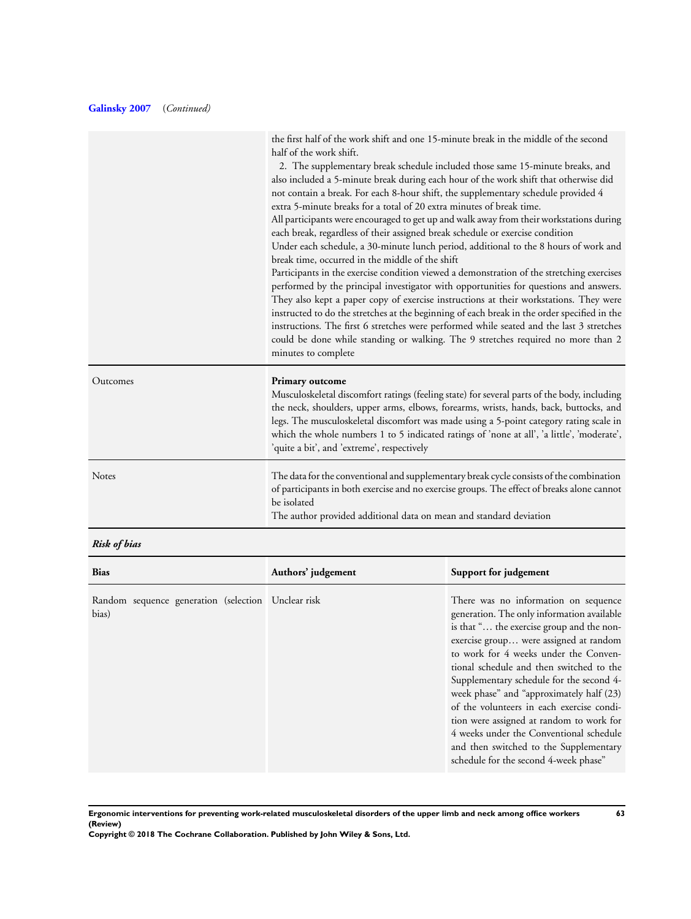# **Galinsky 2007** (*Continued)*

|          | the first half of the work shift and one 15-minute break in the middle of the second<br>half of the work shift.<br>2. The supplementary break schedule included those same 15-minute breaks, and<br>also included a 5-minute break during each hour of the work shift that otherwise did<br>not contain a break. For each 8-hour shift, the supplementary schedule provided 4<br>extra 5-minute breaks for a total of 20 extra minutes of break time.<br>All participants were encouraged to get up and walk away from their workstations during<br>each break, regardless of their assigned break schedule or exercise condition<br>Under each schedule, a 30-minute lunch period, additional to the 8 hours of work and<br>break time, occurred in the middle of the shift |
|----------|------------------------------------------------------------------------------------------------------------------------------------------------------------------------------------------------------------------------------------------------------------------------------------------------------------------------------------------------------------------------------------------------------------------------------------------------------------------------------------------------------------------------------------------------------------------------------------------------------------------------------------------------------------------------------------------------------------------------------------------------------------------------------|
|          | Participants in the exercise condition viewed a demonstration of the stretching exercises<br>performed by the principal investigator with opportunities for questions and answers.<br>They also kept a paper copy of exercise instructions at their workstations. They were<br>instructed to do the stretches at the beginning of each break in the order specified in the<br>instructions. The first 6 stretches were performed while seated and the last 3 stretches<br>could be done while standing or walking. The 9 stretches required no more than 2<br>minutes to complete                                                                                                                                                                                            |
| Outcomes | <b>Primary outcome</b><br>Musculoskeletal discomfort ratings (feeling state) for several parts of the body, including<br>the neck, shoulders, upper arms, elbows, forearms, wrists, hands, back, buttocks, and<br>legs. The musculoskeletal discomfort was made using a 5-point category rating scale in<br>which the whole numbers 1 to 5 indicated ratings of 'none at all', 'a little', 'moderate',<br>'quite a bit', and 'extreme', respectively                                                                                                                                                                                                                                                                                                                         |
| Notes    | The data for the conventional and supplementary break cycle consists of the combination<br>of participants in both exercise and no exercise groups. The effect of breaks alone cannot<br>be isolated<br>The author provided additional data on mean and standard deviation                                                                                                                                                                                                                                                                                                                                                                                                                                                                                                   |

*Risk of bias*

| <b>Bias</b>                                                 | Authors' judgement | Support for judgement                                                                                                                                                                                                                                                                                                                                                                                                                                                                                                                                                         |
|-------------------------------------------------------------|--------------------|-------------------------------------------------------------------------------------------------------------------------------------------------------------------------------------------------------------------------------------------------------------------------------------------------------------------------------------------------------------------------------------------------------------------------------------------------------------------------------------------------------------------------------------------------------------------------------|
| Random sequence generation (selection Unclear risk<br>bias) |                    | There was no information on sequence<br>generation. The only information available<br>is that " the exercise group and the non-<br>exercise group were assigned at random<br>to work for 4 weeks under the Conven-<br>tional schedule and then switched to the<br>Supplementary schedule for the second 4-<br>week phase" and "approximately half (23)<br>of the volunteers in each exercise condi-<br>tion were assigned at random to work for<br>4 weeks under the Conventional schedule<br>and then switched to the Supplementary<br>schedule for the second 4-week phase" |

## **Ergonomic interventions for preventing work-related musculoskeletal disorders of the upper limb and neck among office workers 63 (Review)**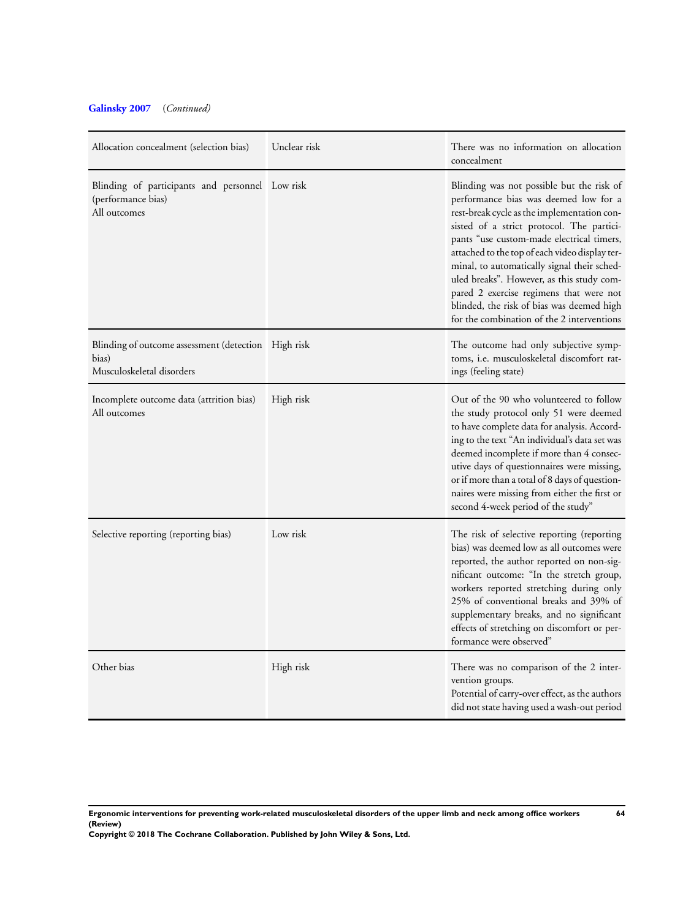# **Galinsky 2007** (*Continued)*

| Allocation concealment (selection bias)                                                   | Unclear risk | There was no information on allocation<br>concealment                                                                                                                                                                                                                                                                                                                                                                                                                                                           |
|-------------------------------------------------------------------------------------------|--------------|-----------------------------------------------------------------------------------------------------------------------------------------------------------------------------------------------------------------------------------------------------------------------------------------------------------------------------------------------------------------------------------------------------------------------------------------------------------------------------------------------------------------|
| Blinding of participants and personnel Low risk<br>(performance bias)<br>All outcomes     |              | Blinding was not possible but the risk of<br>performance bias was deemed low for a<br>rest-break cycle as the implementation con-<br>sisted of a strict protocol. The partici-<br>pants "use custom-made electrical timers,<br>attached to the top of each video display ter-<br>minal, to automatically signal their sched-<br>uled breaks". However, as this study com-<br>pared 2 exercise regimens that were not<br>blinded, the risk of bias was deemed high<br>for the combination of the 2 interventions |
| Blinding of outcome assessment (detection High risk<br>bias)<br>Musculoskeletal disorders |              | The outcome had only subjective symp-<br>toms, i.e. musculoskeletal discomfort rat-<br>ings (feeling state)                                                                                                                                                                                                                                                                                                                                                                                                     |
| Incomplete outcome data (attrition bias)<br>All outcomes                                  | High risk    | Out of the 90 who volunteered to follow<br>the study protocol only 51 were deemed<br>to have complete data for analysis. Accord-<br>ing to the text "An individual's data set was<br>deemed incomplete if more than 4 consec-<br>utive days of questionnaires were missing,<br>or if more than a total of 8 days of question-<br>naires were missing from either the first or<br>second 4-week period of the study"                                                                                             |
| Selective reporting (reporting bias)                                                      | Low risk     | The risk of selective reporting (reporting<br>bias) was deemed low as all outcomes were<br>reported, the author reported on non-sig-<br>nificant outcome: "In the stretch group,<br>workers reported stretching during only<br>25% of conventional breaks and 39% of<br>supplementary breaks, and no significant<br>effects of stretching on discomfort or per-<br>formance were observed"                                                                                                                      |
| Other bias                                                                                | High risk    | There was no comparison of the 2 inter-<br>vention groups.<br>Potential of carry-over effect, as the authors<br>did not state having used a wash-out period                                                                                                                                                                                                                                                                                                                                                     |

**Ergonomic interventions for preventing work-related musculoskeletal disorders of the upper limb and neck among office workers 64 (Review)**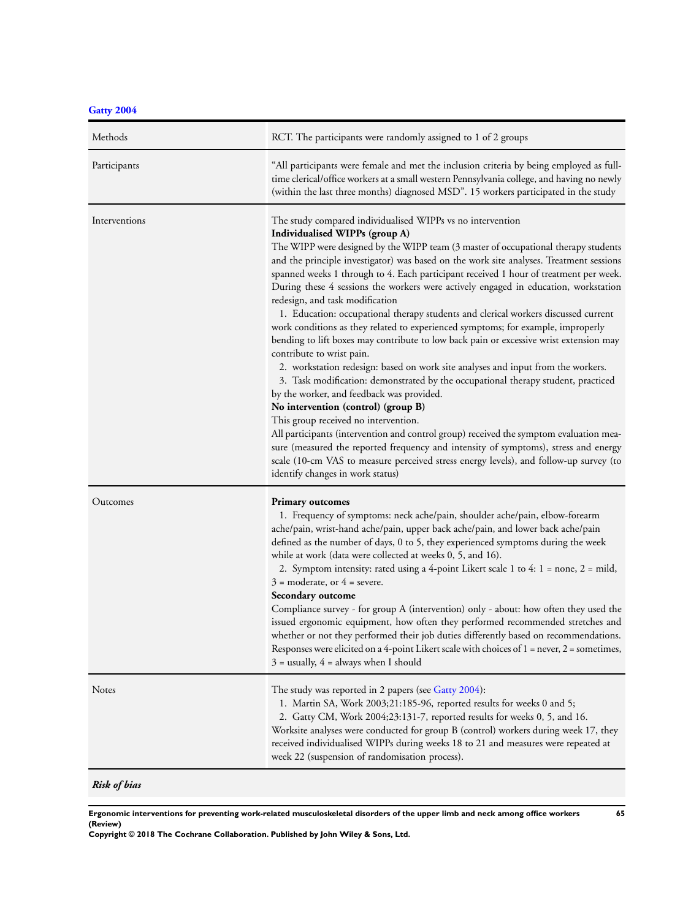**Gatty 2004**

| Methods       | RCT. The participants were randomly assigned to 1 of 2 groups                                                                                                                                                                                                                                                                                                                                                                                                                                                                                                                                                                                                                                                                                                                                                                                                                                                                                                                                                                                                                                                                                                                                                                                                                                                                                                                                                        |
|---------------|----------------------------------------------------------------------------------------------------------------------------------------------------------------------------------------------------------------------------------------------------------------------------------------------------------------------------------------------------------------------------------------------------------------------------------------------------------------------------------------------------------------------------------------------------------------------------------------------------------------------------------------------------------------------------------------------------------------------------------------------------------------------------------------------------------------------------------------------------------------------------------------------------------------------------------------------------------------------------------------------------------------------------------------------------------------------------------------------------------------------------------------------------------------------------------------------------------------------------------------------------------------------------------------------------------------------------------------------------------------------------------------------------------------------|
| Participants  | "All participants were female and met the inclusion criteria by being employed as full-<br>time clerical/office workers at a small western Pennsylvania college, and having no newly<br>(within the last three months) diagnosed MSD". 15 workers participated in the study                                                                                                                                                                                                                                                                                                                                                                                                                                                                                                                                                                                                                                                                                                                                                                                                                                                                                                                                                                                                                                                                                                                                          |
| Interventions | The study compared individualised WIPPs vs no intervention<br>Individualised WIPPs (group A)<br>The WIPP were designed by the WIPP team (3 master of occupational therapy students<br>and the principle investigator) was based on the work site analyses. Treatment sessions<br>spanned weeks 1 through to 4. Each participant received 1 hour of treatment per week.<br>During these 4 sessions the workers were actively engaged in education, workstation<br>redesign, and task modification<br>1. Education: occupational therapy students and clerical workers discussed current<br>work conditions as they related to experienced symptoms; for example, improperly<br>bending to lift boxes may contribute to low back pain or excessive wrist extension may<br>contribute to wrist pain.<br>2. workstation redesign: based on work site analyses and input from the workers.<br>3. Task modification: demonstrated by the occupational therapy student, practiced<br>by the worker, and feedback was provided.<br>No intervention (control) (group B)<br>This group received no intervention.<br>All participants (intervention and control group) received the symptom evaluation mea-<br>sure (measured the reported frequency and intensity of symptoms), stress and energy<br>scale (10-cm VAS to measure perceived stress energy levels), and follow-up survey (to<br>identify changes in work status) |
| Outcomes      | <b>Primary outcomes</b><br>1. Frequency of symptoms: neck ache/pain, shoulder ache/pain, elbow-forearm<br>ache/pain, wrist-hand ache/pain, upper back ache/pain, and lower back ache/pain<br>defined as the number of days, 0 to 5, they experienced symptoms during the week<br>while at work (data were collected at weeks 0, 5, and 16).<br>2. Symptom intensity: rated using a 4-point Likert scale 1 to 4: $1 =$ none, $2 =$ mild,<br>$3$ = moderate, or $4$ = severe.<br>Secondary outcome<br>Compliance survey - for group A (intervention) only - about: how often they used the<br>issued ergonomic equipment, how often they performed recommended stretches and<br>whether or not they performed their job duties differently based on recommendations.<br>Responses were elicited on a 4-point Likert scale with choices of $1 =$ never, $2 =$ sometimes,<br>$3 =$ usually, $4 =$ always when I should                                                                                                                                                                                                                                                                                                                                                                                                                                                                                                   |
| Notes         | The study was reported in 2 papers (see Gatty 2004):<br>1. Martin SA, Work 2003;21:185-96, reported results for weeks 0 and 5;<br>2. Gatty CM, Work 2004;23:131-7, reported results for weeks 0, 5, and 16.<br>Worksite analyses were conducted for group B (control) workers during week 17, they<br>received individualised WIPPs during weeks 18 to 21 and measures were repeated at<br>week 22 (suspension of randomisation process).                                                                                                                                                                                                                                                                                                                                                                                                                                                                                                                                                                                                                                                                                                                                                                                                                                                                                                                                                                            |

*Risk of bias*

**Ergonomic interventions for preventing work-related musculoskeletal disorders of the upper limb and neck among office workers 65 (Review)**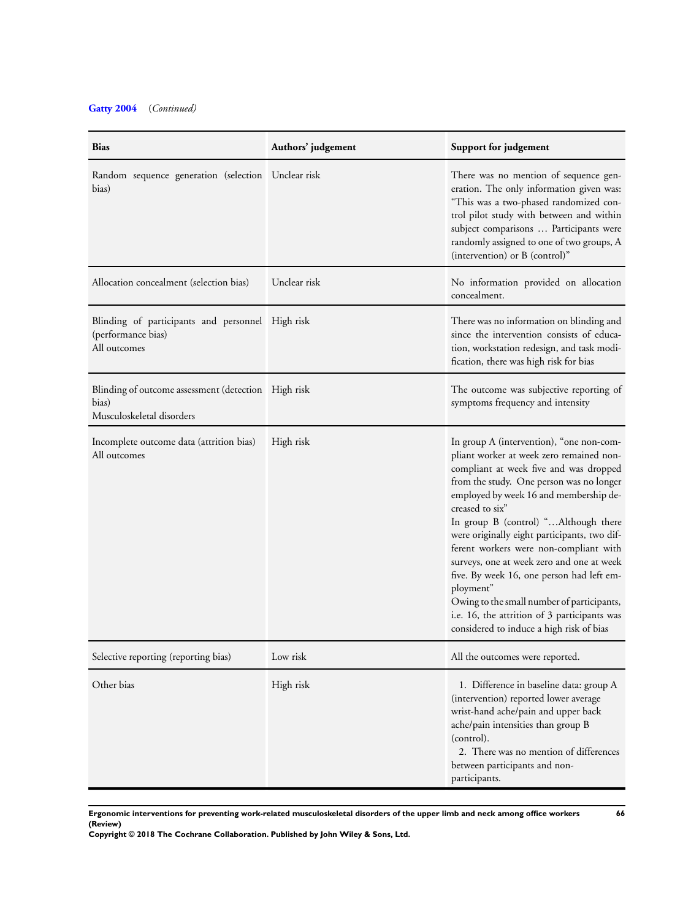# **Gatty 2004** (*Continued)*

| <b>Bias</b>                                                                               | Authors' judgement | Support for judgement                                                                                                                                                                                                                                                                                                                                                                                                                                                                                                                                                                                                      |
|-------------------------------------------------------------------------------------------|--------------------|----------------------------------------------------------------------------------------------------------------------------------------------------------------------------------------------------------------------------------------------------------------------------------------------------------------------------------------------------------------------------------------------------------------------------------------------------------------------------------------------------------------------------------------------------------------------------------------------------------------------------|
| Random sequence generation (selection Unclear risk<br>bias)                               |                    | There was no mention of sequence gen-<br>eration. The only information given was:<br>"This was a two-phased randomized con-<br>trol pilot study with between and within<br>subject comparisons  Participants were<br>randomly assigned to one of two groups, A<br>(intervention) or B (control)"                                                                                                                                                                                                                                                                                                                           |
| Allocation concealment (selection bias)                                                   | Unclear risk       | No information provided on allocation<br>concealment.                                                                                                                                                                                                                                                                                                                                                                                                                                                                                                                                                                      |
| Blinding of participants and personnel High risk<br>(performance bias)<br>All outcomes    |                    | There was no information on blinding and<br>since the intervention consists of educa-<br>tion, workstation redesign, and task modi-<br>fication, there was high risk for bias                                                                                                                                                                                                                                                                                                                                                                                                                                              |
| Blinding of outcome assessment (detection High risk<br>bias)<br>Musculoskeletal disorders |                    | The outcome was subjective reporting of<br>symptoms frequency and intensity                                                                                                                                                                                                                                                                                                                                                                                                                                                                                                                                                |
| Incomplete outcome data (attrition bias)<br>All outcomes                                  | High risk          | In group A (intervention), "one non-com-<br>pliant worker at week zero remained non-<br>compliant at week five and was dropped<br>from the study. One person was no longer<br>employed by week 16 and membership de-<br>creased to six"<br>In group B (control) "Although there<br>were originally eight participants, two dif-<br>ferent workers were non-compliant with<br>surveys, one at week zero and one at week<br>five. By week 16, one person had left em-<br>ployment"<br>Owing to the small number of participants,<br>i.e. 16, the attrition of 3 participants was<br>considered to induce a high risk of bias |
| Selective reporting (reporting bias)                                                      | Low risk           | All the outcomes were reported.                                                                                                                                                                                                                                                                                                                                                                                                                                                                                                                                                                                            |
| Other bias                                                                                | High risk          | 1. Difference in baseline data: group A<br>(intervention) reported lower average<br>wrist-hand ache/pain and upper back<br>ache/pain intensities than group B<br>(control).<br>2. There was no mention of differences<br>between participants and non-<br>participants.                                                                                                                                                                                                                                                                                                                                                    |

**Ergonomic interventions for preventing work-related musculoskeletal disorders of the upper limb and neck among office workers 66 (Review)**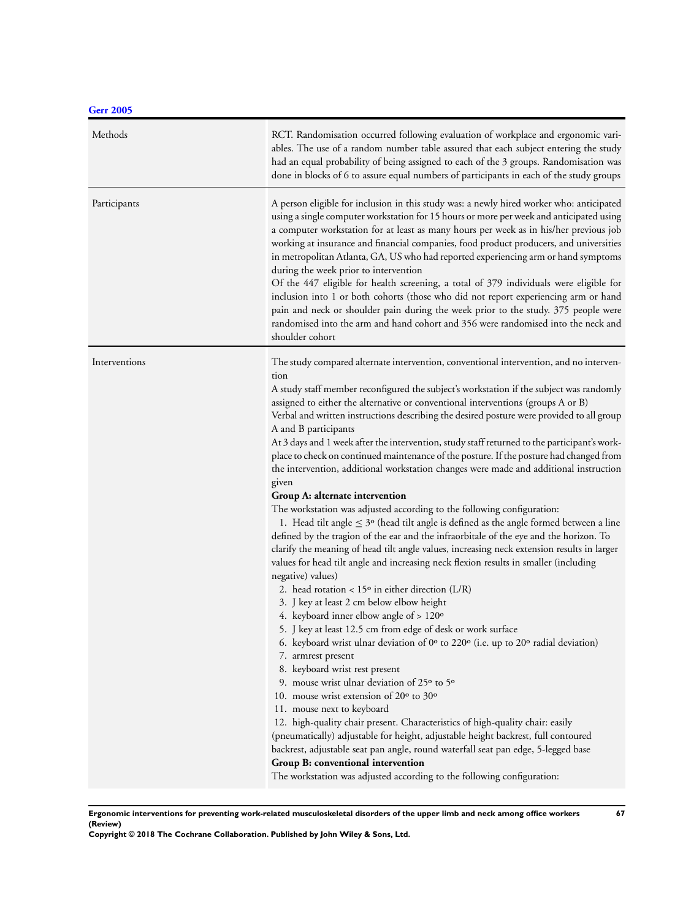| Methods       | RCT. Randomisation occurred following evaluation of workplace and ergonomic vari-<br>ables. The use of a random number table assured that each subject entering the study<br>had an equal probability of being assigned to each of the 3 groups. Randomisation was<br>done in blocks of 6 to assure equal numbers of participants in each of the study groups                                                                                                                                                                                                                                                                                                                                                                                                                                                                                                                                                                                                                                                                                                                                                                                                                                                                                                                                                                                                                                                                                                                                                                                                                                                                                                                                                                                                                                                                                                                                                                                                                                                                                                                                                 |
|---------------|---------------------------------------------------------------------------------------------------------------------------------------------------------------------------------------------------------------------------------------------------------------------------------------------------------------------------------------------------------------------------------------------------------------------------------------------------------------------------------------------------------------------------------------------------------------------------------------------------------------------------------------------------------------------------------------------------------------------------------------------------------------------------------------------------------------------------------------------------------------------------------------------------------------------------------------------------------------------------------------------------------------------------------------------------------------------------------------------------------------------------------------------------------------------------------------------------------------------------------------------------------------------------------------------------------------------------------------------------------------------------------------------------------------------------------------------------------------------------------------------------------------------------------------------------------------------------------------------------------------------------------------------------------------------------------------------------------------------------------------------------------------------------------------------------------------------------------------------------------------------------------------------------------------------------------------------------------------------------------------------------------------------------------------------------------------------------------------------------------------|
| Participants  | A person eligible for inclusion in this study was: a newly hired worker who: anticipated<br>using a single computer workstation for 15 hours or more per week and anticipated using<br>a computer workstation for at least as many hours per week as in his/her previous job<br>working at insurance and financial companies, food product producers, and universities<br>in metropolitan Atlanta, GA, US who had reported experiencing arm or hand symptoms<br>during the week prior to intervention<br>Of the 447 eligible for health screening, a total of 379 individuals were eligible for<br>inclusion into 1 or both cohorts (those who did not report experiencing arm or hand<br>pain and neck or shoulder pain during the week prior to the study. 375 people were<br>randomised into the arm and hand cohort and 356 were randomised into the neck and<br>shoulder cohort                                                                                                                                                                                                                                                                                                                                                                                                                                                                                                                                                                                                                                                                                                                                                                                                                                                                                                                                                                                                                                                                                                                                                                                                                          |
| Interventions | The study compared alternate intervention, conventional intervention, and no interven-<br>tion<br>A study staff member reconfigured the subject's workstation if the subject was randomly<br>assigned to either the alternative or conventional interventions (groups A or B)<br>Verbal and written instructions describing the desired posture were provided to all group<br>A and B participants<br>At 3 days and 1 week after the intervention, study staff returned to the participant's work-<br>place to check on continued maintenance of the posture. If the posture had changed from<br>the intervention, additional workstation changes were made and additional instruction<br>given<br>Group A: alternate intervention<br>The workstation was adjusted according to the following configuration:<br>1. Head tilt angle $\leq$ 3° (head tilt angle is defined as the angle formed between a line<br>defined by the tragion of the ear and the infraorbitale of the eye and the horizon. To<br>clarify the meaning of head tilt angle values, increasing neck extension results in larger<br>values for head tilt angle and increasing neck flexion results in smaller (including<br>negative) values)<br>2. head rotation < $15^{\circ}$ in either direction (L/R)<br>3. J key at least 2 cm below elbow height<br>4. keyboard inner elbow angle of $> 120^\circ$<br>5. J key at least 12.5 cm from edge of desk or work surface<br>6. keyboard wrist ulnar deviation of 0° to 220° (i.e. up to 20° radial deviation)<br>7. armrest present<br>8. keyboard wrist rest present<br>9. mouse wrist ulnar deviation of 25° to 5°<br>10. mouse wrist extension of $20^{\circ}$ to $30^{\circ}$<br>11. mouse next to keyboard<br>12. high-quality chair present. Characteristics of high-quality chair: easily<br>(pneumatically) adjustable for height, adjustable height backrest, full contoured<br>backrest, adjustable seat pan angle, round waterfall seat pan edge, 5-legged base<br>Group B: conventional intervention<br>The workstation was adjusted according to the following configuration: |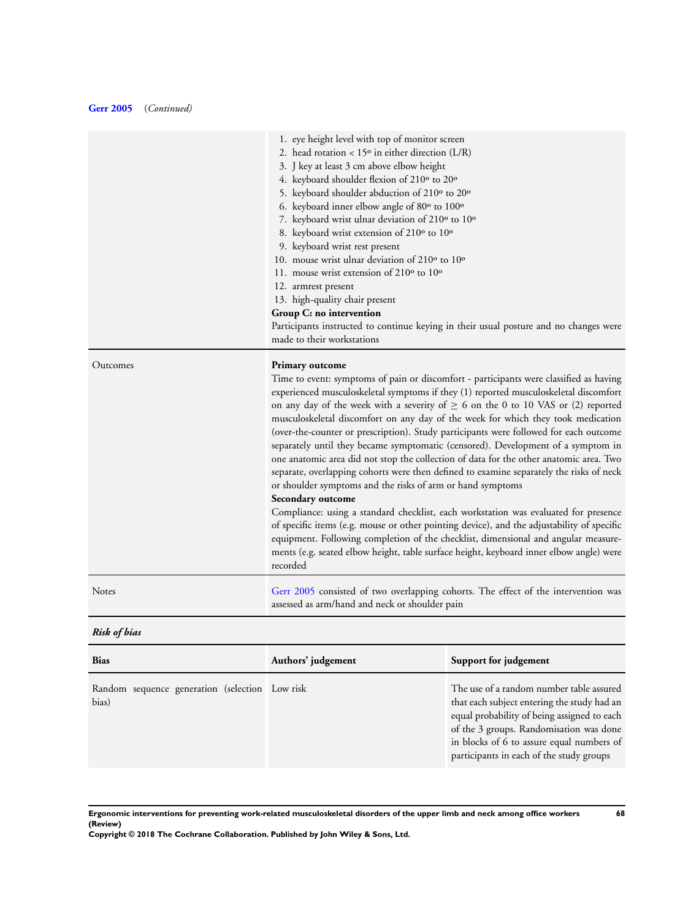|          | 1. eye height level with top of monitor screen<br>2. head rotation < $15^{\circ}$ in either direction (L/R)<br>3. J key at least 3 cm above elbow height<br>4. keyboard shoulder flexion of 210° to 20°<br>5. keyboard shoulder abduction of 210° to 20°<br>6. keyboard inner elbow angle of 80° to 100°<br>7. keyboard wrist ulnar deviation of 210° to 10°<br>8. keyboard wrist extension of 210° to 10°<br>9. keyboard wrist rest present<br>10. mouse wrist ulnar deviation of 210° to 10°<br>11. mouse wrist extension of 210° to 10°<br>12. armrest present<br>13. high-quality chair present<br>Group C: no intervention<br>Participants instructed to continue keying in their usual posture and no changes were<br>made to their workstations                                                                                                                                                                                                                                                                                                                                                                                                                                                                |
|----------|-----------------------------------------------------------------------------------------------------------------------------------------------------------------------------------------------------------------------------------------------------------------------------------------------------------------------------------------------------------------------------------------------------------------------------------------------------------------------------------------------------------------------------------------------------------------------------------------------------------------------------------------------------------------------------------------------------------------------------------------------------------------------------------------------------------------------------------------------------------------------------------------------------------------------------------------------------------------------------------------------------------------------------------------------------------------------------------------------------------------------------------------------------------------------------------------------------------------------|
| Outcomes | Primary outcome<br>Time to event: symptoms of pain or discomfort - participants were classified as having<br>experienced musculoskeletal symptoms if they (1) reported musculoskeletal discomfort<br>on any day of the week with a severity of $\geq 6$ on the 0 to 10 VAS or (2) reported<br>musculoskeletal discomfort on any day of the week for which they took medication<br>(over-the-counter or prescription). Study participants were followed for each outcome<br>separately until they became symptomatic (censored). Development of a symptom in<br>one anatomic area did not stop the collection of data for the other anatomic area. Two<br>separate, overlapping cohorts were then defined to examine separately the risks of neck<br>or shoulder symptoms and the risks of arm or hand symptoms<br>Secondary outcome<br>Compliance: using a standard checklist, each workstation was evaluated for presence<br>of specific items (e.g. mouse or other pointing device), and the adjustability of specific<br>equipment. Following completion of the checklist, dimensional and angular measure-<br>ments (e.g. seated elbow height, table surface height, keyboard inner elbow angle) were<br>recorded |
| Notes    | Gerr 2005 consisted of two overlapping cohorts. The effect of the intervention was<br>assessed as arm/hand and neck or shoulder pain                                                                                                                                                                                                                                                                                                                                                                                                                                                                                                                                                                                                                                                                                                                                                                                                                                                                                                                                                                                                                                                                                  |

*Risk of bias*

| <b>Bias</b>                                             | Authors' judgement | Support for judgement                                                                                                                                                                                                                                                      |
|---------------------------------------------------------|--------------------|----------------------------------------------------------------------------------------------------------------------------------------------------------------------------------------------------------------------------------------------------------------------------|
| Random sequence generation (selection Low risk<br>bias) |                    | The use of a random number table assured<br>that each subject entering the study had an<br>equal probability of being assigned to each<br>of the 3 groups. Randomisation was done<br>in blocks of 6 to assure equal numbers of<br>participants in each of the study groups |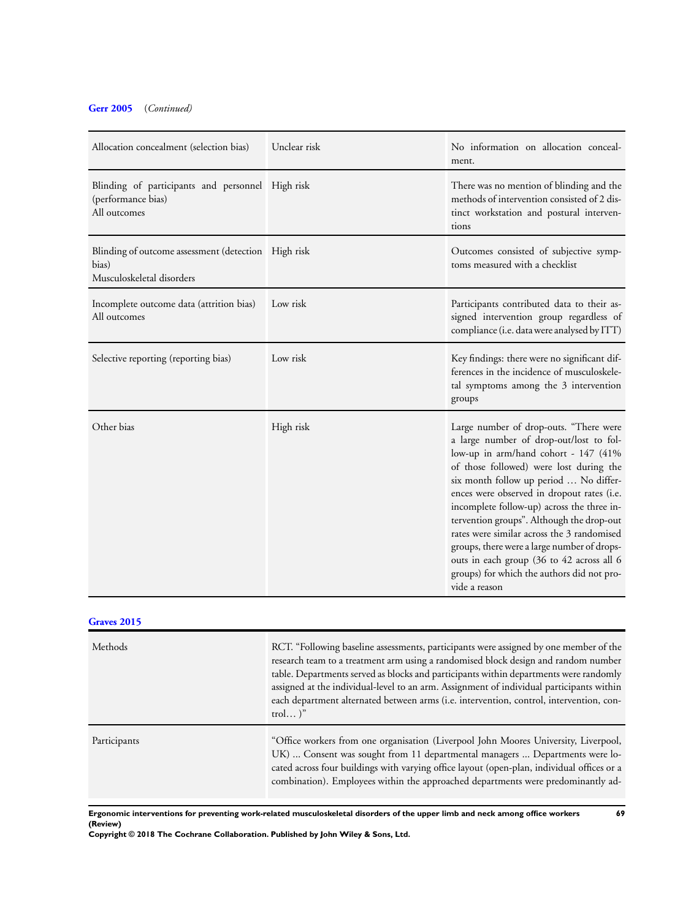# **Gerr 2005** (*Continued)*

| Allocation concealment (selection bias)                                                   | Unclear risk | No information on allocation conceal-<br>ment.                                                                                                                                                                                                                                                                                                                                                                                                                                                                                                                   |
|-------------------------------------------------------------------------------------------|--------------|------------------------------------------------------------------------------------------------------------------------------------------------------------------------------------------------------------------------------------------------------------------------------------------------------------------------------------------------------------------------------------------------------------------------------------------------------------------------------------------------------------------------------------------------------------------|
| Blinding of participants and personnel High risk<br>(performance bias)<br>All outcomes    |              | There was no mention of blinding and the<br>methods of intervention consisted of 2 dis-<br>tinct workstation and postural interven-<br>tions                                                                                                                                                                                                                                                                                                                                                                                                                     |
| Blinding of outcome assessment (detection High risk<br>bias)<br>Musculoskeletal disorders |              | Outcomes consisted of subjective symp-<br>toms measured with a checklist                                                                                                                                                                                                                                                                                                                                                                                                                                                                                         |
| Incomplete outcome data (attrition bias)<br>All outcomes                                  | Low risk     | Participants contributed data to their as-<br>signed intervention group regardless of<br>compliance (i.e. data were analysed by ITT)                                                                                                                                                                                                                                                                                                                                                                                                                             |
| Selective reporting (reporting bias)                                                      | Low risk     | Key findings: there were no significant dif-<br>ferences in the incidence of musculoskele-<br>tal symptoms among the 3 intervention<br>groups                                                                                                                                                                                                                                                                                                                                                                                                                    |
| Other bias                                                                                | High risk    | Large number of drop-outs. "There were<br>a large number of drop-out/lost to fol-<br>low-up in arm/hand cohort - 147 (41%<br>of those followed) were lost during the<br>six month follow up period  No differ-<br>ences were observed in dropout rates (i.e.<br>incomplete follow-up) across the three in-<br>tervention groups". Although the drop-out<br>rates were similar across the 3 randomised<br>groups, there were a large number of drops-<br>outs in each group (36 to 42 across all 6<br>groups) for which the authors did not pro-<br>vide a reason |

# **Graves 2015**

| Methods      | RCT. "Following baseline assessments, participants were assigned by one member of the<br>research team to a treatment arm using a randomised block design and random number<br>table. Departments served as blocks and participants within departments were randomly<br>assigned at the individual-level to an arm. Assignment of individual participants within<br>each department alternated between arms (i.e. intervention, control, intervention, con-<br>trol)" |
|--------------|-----------------------------------------------------------------------------------------------------------------------------------------------------------------------------------------------------------------------------------------------------------------------------------------------------------------------------------------------------------------------------------------------------------------------------------------------------------------------|
| Participants | "Office workers from one organisation (Liverpool John Moores University, Liverpool,<br>UK)  Consent was sought from 11 departmental managers  Departments were lo-<br>cated across four buildings with varying office layout (open-plan, individual offices or a<br>combination). Employees within the approached departments were predominantly ad-                                                                                                                  |

**Ergonomic interventions for preventing work-related musculoskeletal disorders of the upper limb and neck among office workers 69 (Review)**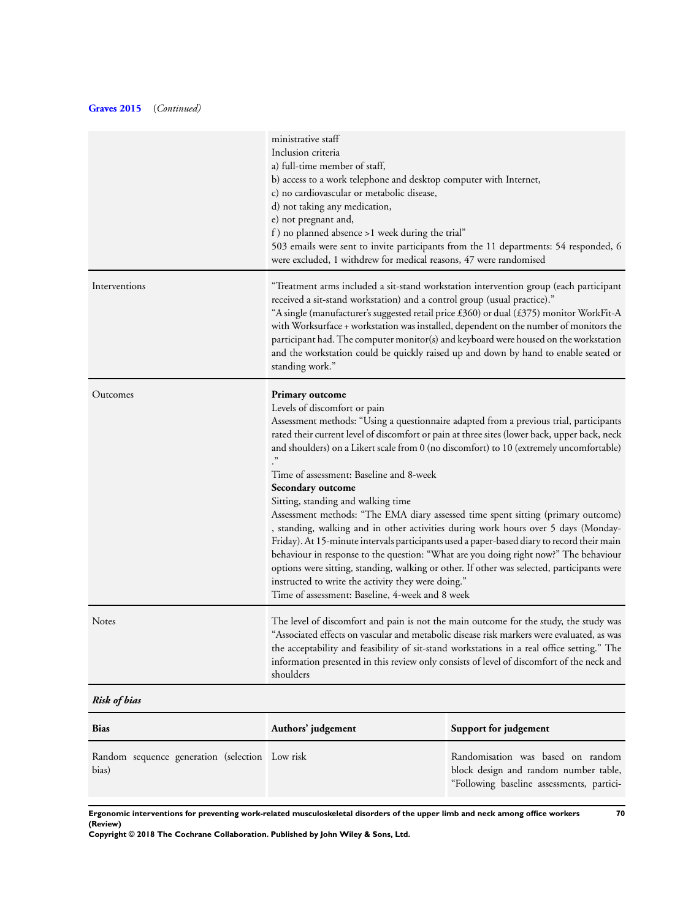# **Graves 2015** (*Continued)*

|                     | ministrative staff<br>Inclusion criteria<br>a) full-time member of staff,<br>b) access to a work telephone and desktop computer with Internet,<br>c) no cardiovascular or metabolic disease,<br>d) not taking any medication,<br>e) not pregnant and,<br>f) no planned absence >1 week during the trial"<br>503 emails were sent to invite participants from the 11 departments: 54 responded, 6<br>were excluded, 1 withdrew for medical reasons, 47 were randomised                                                                                                                                                                                                                                                                                                                                                                                                                                                                                                                                             |
|---------------------|-------------------------------------------------------------------------------------------------------------------------------------------------------------------------------------------------------------------------------------------------------------------------------------------------------------------------------------------------------------------------------------------------------------------------------------------------------------------------------------------------------------------------------------------------------------------------------------------------------------------------------------------------------------------------------------------------------------------------------------------------------------------------------------------------------------------------------------------------------------------------------------------------------------------------------------------------------------------------------------------------------------------|
| Interventions       | "Treatment arms included a sit-stand workstation intervention group (each participant<br>received a sit-stand workstation) and a control group (usual practice)."<br>"A single (manufacturer's suggested retail price £360) or dual (£375) monitor WorkFit-A<br>with Worksurface + workstation was installed, dependent on the number of monitors the<br>participant had. The computer monitor(s) and keyboard were housed on the workstation<br>and the workstation could be quickly raised up and down by hand to enable seated or<br>standing work."                                                                                                                                                                                                                                                                                                                                                                                                                                                           |
| Outcomes            | Primary outcome<br>Levels of discomfort or pain<br>Assessment methods: "Using a questionnaire adapted from a previous trial, participants<br>rated their current level of discomfort or pain at three sites (lower back, upper back, neck<br>and shoulders) on a Likert scale from 0 (no discomfort) to 10 (extremely uncomfortable)<br>Time of assessment: Baseline and 8-week<br>Secondary outcome<br>Sitting, standing and walking time<br>Assessment methods: "The EMA diary assessed time spent sitting (primary outcome)<br>, standing, walking and in other activities during work hours over 5 days (Monday-<br>Friday). At 15-minute intervals participants used a paper-based diary to record their main<br>behaviour in response to the question: "What are you doing right now?" The behaviour<br>options were sitting, standing, walking or other. If other was selected, participants were<br>instructed to write the activity they were doing."<br>Time of assessment: Baseline, 4-week and 8 week |
| Notes               | The level of discomfort and pain is not the main outcome for the study, the study was<br>"Associated effects on vascular and metabolic disease risk markers were evaluated, as was<br>the acceptability and feasibility of sit-stand workstations in a real office setting." The<br>information presented in this review only consists of level of discomfort of the neck and<br>shoulders                                                                                                                                                                                                                                                                                                                                                                                                                                                                                                                                                                                                                        |
| <b>Risk of bias</b> |                                                                                                                                                                                                                                                                                                                                                                                                                                                                                                                                                                                                                                                                                                                                                                                                                                                                                                                                                                                                                   |

| <b>Bias</b>                                             | Authors' judgement | Support for judgement                                                                                                   |
|---------------------------------------------------------|--------------------|-------------------------------------------------------------------------------------------------------------------------|
| Random sequence generation (selection Low risk<br>bias) |                    | Randomisation was based on random<br>block design and random number table,<br>"Following baseline assessments, partici- |

**Ergonomic interventions for preventing work-related musculoskeletal disorders of the upper limb and neck among office workers 70 (Review)**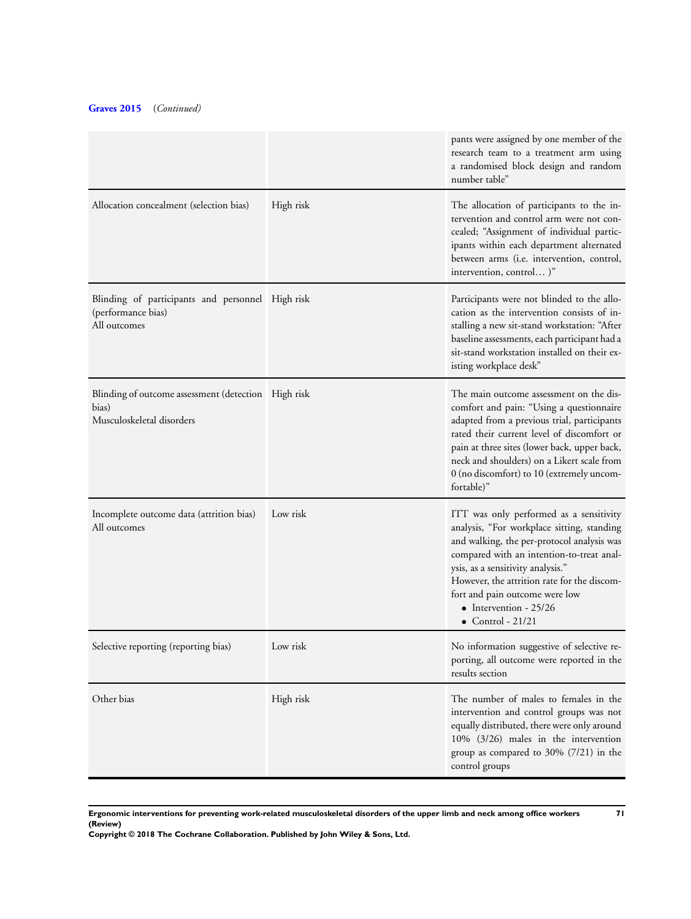# **Graves 2015** (*Continued)*

|                                                                                           |           | pants were assigned by one member of the<br>research team to a treatment arm using<br>a randomised block design and random<br>number table"                                                                                                                                                                                                                     |
|-------------------------------------------------------------------------------------------|-----------|-----------------------------------------------------------------------------------------------------------------------------------------------------------------------------------------------------------------------------------------------------------------------------------------------------------------------------------------------------------------|
| Allocation concealment (selection bias)                                                   | High risk | The allocation of participants to the in-<br>tervention and control arm were not con-<br>cealed; "Assignment of individual partic-<br>ipants within each department alternated<br>between arms (i.e. intervention, control,<br>intervention, control)"                                                                                                          |
| Blinding of participants and personnel High risk<br>(performance bias)<br>All outcomes    |           | Participants were not blinded to the allo-<br>cation as the intervention consists of in-<br>stalling a new sit-stand workstation: "After<br>baseline assessments, each participant had a<br>sit-stand workstation installed on their ex-<br>isting workplace desk"                                                                                              |
| Blinding of outcome assessment (detection High risk<br>bias)<br>Musculoskeletal disorders |           | The main outcome assessment on the dis-<br>comfort and pain: "Using a questionnaire<br>adapted from a previous trial, participants<br>rated their current level of discomfort or<br>pain at three sites (lower back, upper back,<br>neck and shoulders) on a Likert scale from<br>0 (no discomfort) to 10 (extremely uncom-<br>fortable)"                       |
| Incomplete outcome data (attrition bias)<br>All outcomes                                  | Low risk  | ITT was only performed as a sensitivity<br>analysis, "For workplace sitting, standing<br>and walking, the per-protocol analysis was<br>compared with an intention-to-treat anal-<br>ysis, as a sensitivity analysis."<br>However, the attrition rate for the discom-<br>fort and pain outcome were low<br>$\bullet$ Intervention - 25/26<br>• Control - $21/21$ |
| Selective reporting (reporting bias)                                                      | Low risk  | No information suggestive of selective re-<br>porting, all outcome were reported in the<br>results section                                                                                                                                                                                                                                                      |
| Other bias                                                                                | High risk | The number of males to females in the<br>intervention and control groups was not<br>equally distributed, there were only around<br>10% (3/26) males in the intervention<br>group as compared to 30% (7/21) in the<br>control groups                                                                                                                             |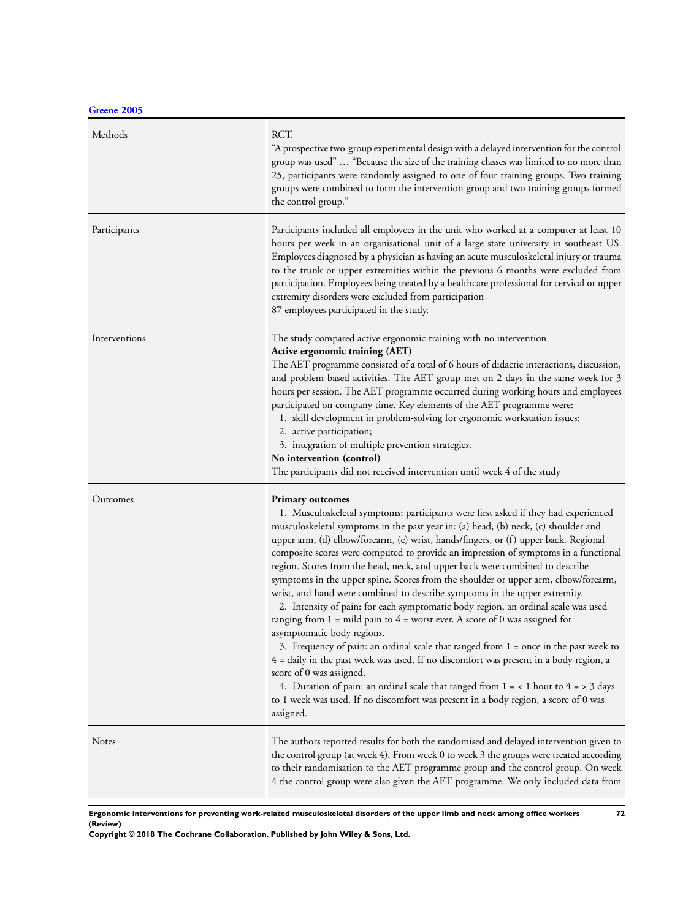| Greene 2005   |                                                                                                                                                                                                                                                                                                                                                                                                                                                                                                                                                                                                                                                                                                                                                                                                                                                                                                                                                                                                                                                                                                                                                                                                                                                             |
|---------------|-------------------------------------------------------------------------------------------------------------------------------------------------------------------------------------------------------------------------------------------------------------------------------------------------------------------------------------------------------------------------------------------------------------------------------------------------------------------------------------------------------------------------------------------------------------------------------------------------------------------------------------------------------------------------------------------------------------------------------------------------------------------------------------------------------------------------------------------------------------------------------------------------------------------------------------------------------------------------------------------------------------------------------------------------------------------------------------------------------------------------------------------------------------------------------------------------------------------------------------------------------------|
| Methods       | RCT.<br>"A prospective two-group experimental design with a delayed intervention for the control<br>group was used"  "Because the size of the training classes was limited to no more than<br>25, participants were randomly assigned to one of four training groups. Two training<br>groups were combined to form the intervention group and two training groups formed<br>the control group."                                                                                                                                                                                                                                                                                                                                                                                                                                                                                                                                                                                                                                                                                                                                                                                                                                                             |
| Participants  | Participants included all employees in the unit who worked at a computer at least 10<br>hours per week in an organisational unit of a large state university in southeast US.<br>Employees diagnosed by a physician as having an acute musculoskeletal injury or trauma<br>to the trunk or upper extremities within the previous 6 months were excluded from<br>participation. Employees being treated by a healthcare professional for cervical or upper<br>extremity disorders were excluded from participation<br>87 employees participated in the study.                                                                                                                                                                                                                                                                                                                                                                                                                                                                                                                                                                                                                                                                                                |
| Interventions | The study compared active ergonomic training with no intervention<br>Active ergonomic training (AET)<br>The AET programme consisted of a total of 6 hours of didactic interactions, discussion,<br>and problem-based activities. The AET group met on 2 days in the same week for 3<br>hours per session. The AET programme occurred during working hours and employees<br>participated on company time. Key elements of the AET programme were:<br>1. skill development in problem-solving for ergonomic workstation issues;<br>2. active participation;<br>3. integration of multiple prevention strategies.<br>No intervention (control)<br>The participants did not received intervention until week 4 of the study                                                                                                                                                                                                                                                                                                                                                                                                                                                                                                                                     |
| Outcomes      | <b>Primary outcomes</b><br>1. Musculoskeletal symptoms: participants were first asked if they had experienced<br>musculoskeletal symptoms in the past year in: (a) head, (b) neck, (c) shoulder and<br>upper arm, (d) elbow/forearm, (e) wrist, hands/fingers, or (f) upper back. Regional<br>composite scores were computed to provide an impression of symptoms in a functional<br>region. Scores from the head, neck, and upper back were combined to describe<br>symptoms in the upper spine. Scores from the shoulder or upper arm, elbow/forearm,<br>wrist, and hand were combined to describe symptoms in the upper extremity.<br>2. Intensity of pain: for each symptomatic body region, an ordinal scale was used<br>ranging from $1 =$ mild pain to $4 =$ worst ever. A score of 0 was assigned for<br>asymptomatic body regions.<br>3. Frequency of pain: an ordinal scale that ranged from $1 =$ once in the past week to<br>$4$ = daily in the past week was used. If no discomfort was present in a body region, a<br>score of 0 was assigned.<br>4. Duration of pain: an ordinal scale that ranged from $1 = < 1$ hour to $4 = > 3$ days<br>to 1 week was used. If no discomfort was present in a body region, a score of 0 was<br>assigned. |
| Notes         | The authors reported results for both the randomised and delayed intervention given to<br>the control group (at week 4). From week 0 to week 3 the groups were treated according<br>to their randomisation to the AET programme group and the control group. On week<br>4 the control group were also given the AET programme. We only included data from                                                                                                                                                                                                                                                                                                                                                                                                                                                                                                                                                                                                                                                                                                                                                                                                                                                                                                   |

**Ergonomic interventions for preventing work-related musculoskeletal disorders of the upper limb and neck among office workers 72 (Review)**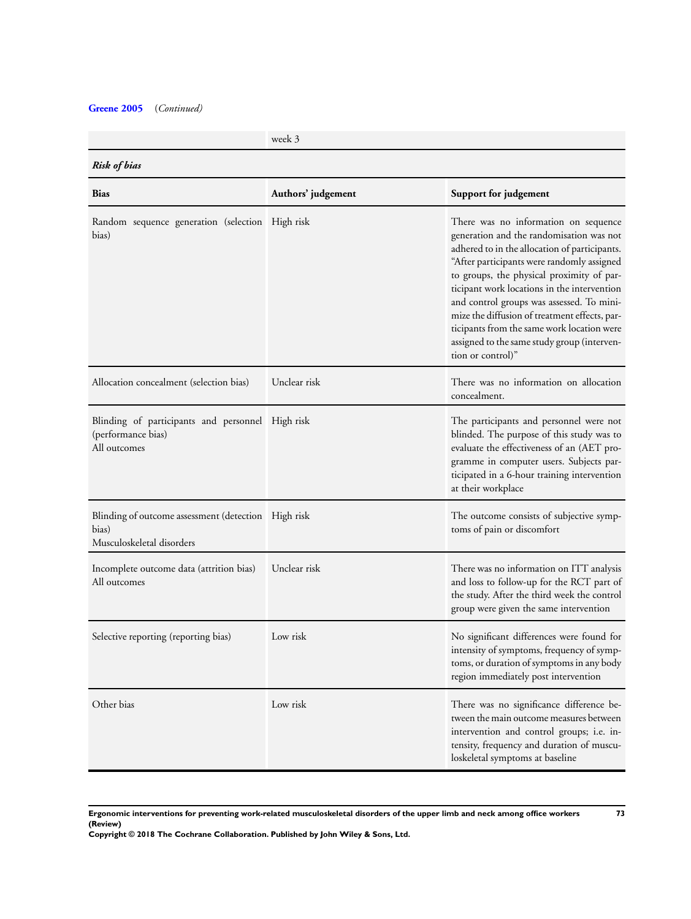# **Greene 2005** (*Continued)*

| <b>Risk of bias</b>                                                                       |                    |                                                                                                                                                                                                                                                                                                                                                                                                                                                                                             |
|-------------------------------------------------------------------------------------------|--------------------|---------------------------------------------------------------------------------------------------------------------------------------------------------------------------------------------------------------------------------------------------------------------------------------------------------------------------------------------------------------------------------------------------------------------------------------------------------------------------------------------|
| <b>Bias</b>                                                                               | Authors' judgement | Support for judgement                                                                                                                                                                                                                                                                                                                                                                                                                                                                       |
| Random sequence generation (selection High risk<br>bias)                                  |                    | There was no information on sequence<br>generation and the randomisation was not<br>adhered to in the allocation of participants.<br>"After participants were randomly assigned<br>to groups, the physical proximity of par-<br>ticipant work locations in the intervention<br>and control groups was assessed. To mini-<br>mize the diffusion of treatment effects, par-<br>ticipants from the same work location were<br>assigned to the same study group (interven-<br>tion or control)" |
| Allocation concealment (selection bias)                                                   | Unclear risk       | There was no information on allocation<br>concealment.                                                                                                                                                                                                                                                                                                                                                                                                                                      |
| Blinding of participants and personnel High risk<br>(performance bias)<br>All outcomes    |                    | The participants and personnel were not<br>blinded. The purpose of this study was to<br>evaluate the effectiveness of an (AET pro-<br>gramme in computer users. Subjects par-<br>ticipated in a 6-hour training intervention<br>at their workplace                                                                                                                                                                                                                                          |
| Blinding of outcome assessment (detection High risk<br>bias)<br>Musculoskeletal disorders |                    | The outcome consists of subjective symp-<br>toms of pain or discomfort                                                                                                                                                                                                                                                                                                                                                                                                                      |
| Incomplete outcome data (attrition bias)<br>All outcomes                                  | Unclear risk       | There was no information on ITT analysis<br>and loss to follow-up for the RCT part of<br>the study. After the third week the control<br>group were given the same intervention                                                                                                                                                                                                                                                                                                              |
| Selective reporting (reporting bias)                                                      | Low risk           | No significant differences were found for<br>intensity of symptoms, frequency of symp-<br>toms, or duration of symptoms in any body<br>region immediately post intervention                                                                                                                                                                                                                                                                                                                 |
| Other bias                                                                                | Low risk           | There was no significance difference be-<br>tween the main outcome measures between<br>intervention and control groups; i.e. in-<br>tensity, frequency and duration of muscu-<br>loskeletal symptoms at baseline                                                                                                                                                                                                                                                                            |

week 3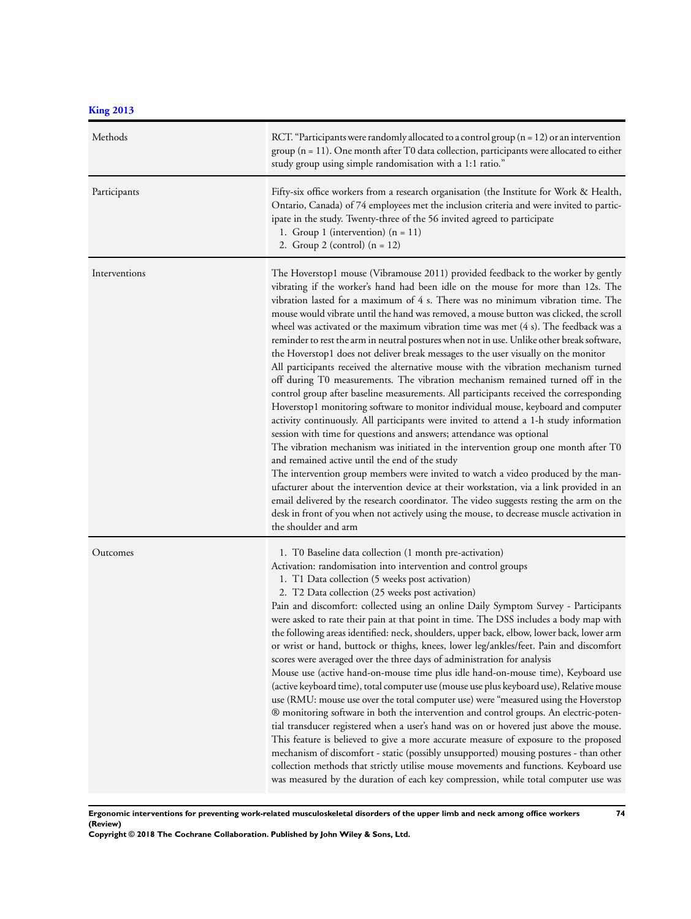| Methods       | RCT. "Participants were randomly allocated to a control group ( $n = 12$ ) or an intervention<br>group (n = 11). One month after T0 data collection, participants were allocated to either<br>study group using simple randomisation with a 1:1 ratio."                                                                                                                                                                                                                                                                                                                                                                                                                                                                                                                                                                                                                                                                                                                                                                                                                                                                                                                                                                                                                                                                                                                                                                                                                                                                                                                                                                                                                                         |
|---------------|-------------------------------------------------------------------------------------------------------------------------------------------------------------------------------------------------------------------------------------------------------------------------------------------------------------------------------------------------------------------------------------------------------------------------------------------------------------------------------------------------------------------------------------------------------------------------------------------------------------------------------------------------------------------------------------------------------------------------------------------------------------------------------------------------------------------------------------------------------------------------------------------------------------------------------------------------------------------------------------------------------------------------------------------------------------------------------------------------------------------------------------------------------------------------------------------------------------------------------------------------------------------------------------------------------------------------------------------------------------------------------------------------------------------------------------------------------------------------------------------------------------------------------------------------------------------------------------------------------------------------------------------------------------------------------------------------|
| Participants  | Fifty-six office workers from a research organisation (the Institute for Work & Health,<br>Ontario, Canada) of 74 employees met the inclusion criteria and were invited to partic-<br>ipate in the study. Twenty-three of the 56 invited agreed to participate<br>1. Group 1 (intervention) $(n = 11)$<br>2. Group 2 (control) $(n = 12)$                                                                                                                                                                                                                                                                                                                                                                                                                                                                                                                                                                                                                                                                                                                                                                                                                                                                                                                                                                                                                                                                                                                                                                                                                                                                                                                                                       |
| Interventions | The Hoverstop1 mouse (Vibramouse 2011) provided feedback to the worker by gently<br>vibrating if the worker's hand had been idle on the mouse for more than 12s. The<br>vibration lasted for a maximum of 4 s. There was no minimum vibration time. The<br>mouse would vibrate until the hand was removed, a mouse button was clicked, the scroll<br>wheel was activated or the maximum vibration time was met $(4 s)$ . The feedback was a<br>reminder to rest the arm in neutral postures when not in use. Unlike other break software,<br>the Hoverstop1 does not deliver break messages to the user visually on the monitor<br>All participants received the alternative mouse with the vibration mechanism turned<br>off during T0 measurements. The vibration mechanism remained turned off in the<br>control group after baseline measurements. All participants received the corresponding<br>Hoverstop1 monitoring software to monitor individual mouse, keyboard and computer<br>activity continuously. All participants were invited to attend a 1-h study information<br>session with time for questions and answers; attendance was optional<br>The vibration mechanism was initiated in the intervention group one month after T0<br>and remained active until the end of the study<br>The intervention group members were invited to watch a video produced by the man-<br>ufacturer about the intervention device at their workstation, via a link provided in an<br>email delivered by the research coordinator. The video suggests resting the arm on the<br>desk in front of you when not actively using the mouse, to decrease muscle activation in<br>the shoulder and arm |
| Outcomes      | 1. T0 Baseline data collection (1 month pre-activation)<br>Activation: randomisation into intervention and control groups<br>1. T1 Data collection (5 weeks post activation)<br>2. T2 Data collection (25 weeks post activation)<br>Pain and discomfort: collected using an online Daily Symptom Survey - Participants<br>were asked to rate their pain at that point in time. The DSS includes a body map with<br>the following areas identified: neck, shoulders, upper back, elbow, lower back, lower arm<br>or wrist or hand, buttock or thighs, knees, lower leg/ankles/feet. Pain and discomfort<br>scores were averaged over the three days of administration for analysis<br>Mouse use (active hand-on-mouse time plus idle hand-on-mouse time), Keyboard use<br>(active keyboard time), total computer use (mouse use plus keyboard use), Relative mouse<br>use (RMU: mouse use over the total computer use) were "measured using the Hoverstop<br>® monitoring software in both the intervention and control groups. An electric-poten-<br>tial transducer registered when a user's hand was on or hovered just above the mouse.<br>This feature is believed to give a more accurate measure of exposure to the proposed<br>mechanism of discomfort - static (possibly unsupported) mousing postures - than other<br>collection methods that strictly utilise mouse movements and functions. Keyboard use<br>was measured by the duration of each key compression, while total computer use was                                                                                                                                                                                       |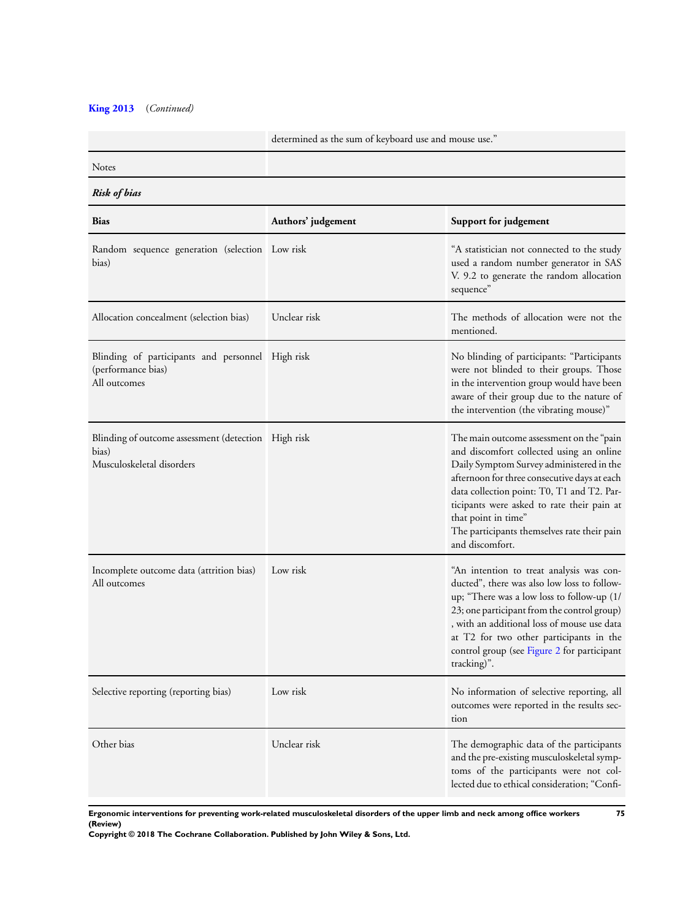# **King 2013** (*Continued)*

determined as the sum of keyboard use and mouse use."

#### Notes

*Risk of bias*

| <b>Bias</b>                                                                               | Authors' judgement | Support for judgement                                                                                                                                                                                                                                                                                                                                                  |
|-------------------------------------------------------------------------------------------|--------------------|------------------------------------------------------------------------------------------------------------------------------------------------------------------------------------------------------------------------------------------------------------------------------------------------------------------------------------------------------------------------|
| Random sequence generation (selection Low risk<br>bias)                                   |                    | "A statistician not connected to the study<br>used a random number generator in SAS<br>V. 9.2 to generate the random allocation<br>sequence"                                                                                                                                                                                                                           |
| Allocation concealment (selection bias)                                                   | Unclear risk       | The methods of allocation were not the<br>mentioned.                                                                                                                                                                                                                                                                                                                   |
| Blinding of participants and personnel High risk<br>(performance bias)<br>All outcomes    |                    | No blinding of participants: "Participants<br>were not blinded to their groups. Those<br>in the intervention group would have been<br>aware of their group due to the nature of<br>the intervention (the vibrating mouse)"                                                                                                                                             |
| Blinding of outcome assessment (detection High risk<br>bias)<br>Musculoskeletal disorders |                    | The main outcome assessment on the "pain"<br>and discomfort collected using an online<br>Daily Symptom Survey administered in the<br>afternoon for three consecutive days at each<br>data collection point: T0, T1 and T2. Par-<br>ticipants were asked to rate their pain at<br>that point in time"<br>The participants themselves rate their pain<br>and discomfort. |
| Incomplete outcome data (attrition bias)<br>All outcomes                                  | Low risk           | "An intention to treat analysis was con-<br>ducted", there was also low loss to follow-<br>up; "There was a low loss to follow-up (1/<br>23; one participant from the control group)<br>, with an additional loss of mouse use data<br>at T2 for two other participants in the<br>control group (see Figure 2 for participant<br>tracking)".                           |
| Selective reporting (reporting bias)                                                      | Low risk           | No information of selective reporting, all<br>outcomes were reported in the results sec-<br>tion                                                                                                                                                                                                                                                                       |
| Other bias                                                                                | Unclear risk       | The demographic data of the participants<br>and the pre-existing musculoskeletal symp-<br>toms of the participants were not col-<br>lected due to ethical consideration; "Confi-                                                                                                                                                                                       |

**Ergonomic interventions for preventing work-related musculoskeletal disorders of the upper limb and neck among office workers 75 (Review)**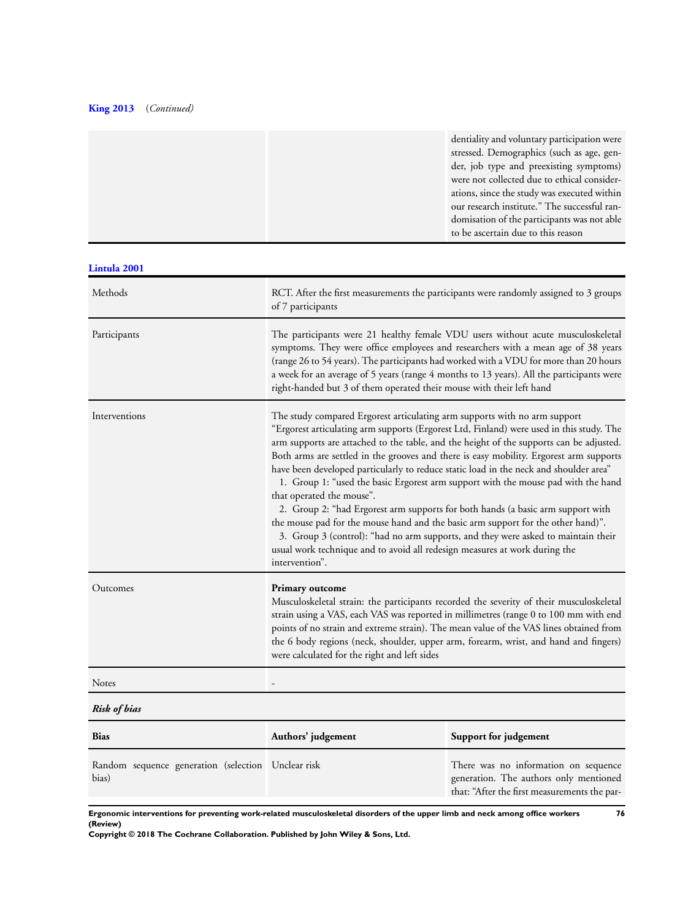# **King 2013** (*Continued)*

|  | dentiality and voluntary participation were  |
|--|----------------------------------------------|
|  | stressed. Demographics (such as age, gen-    |
|  | der, job type and preexisting symptoms)      |
|  | were not collected due to ethical consider-  |
|  | ations, since the study was executed within  |
|  | our research institute." The successful ran- |
|  | domisation of the participants was not able  |
|  | to be ascertain due to this reason           |
|  |                                              |

| Lintula 2001        |                                                                                                                                                                                                                                                                                                                                                                                                                                                                        |                                                                                                                                                                                                                                                                                                                                                                                                                                                         |
|---------------------|------------------------------------------------------------------------------------------------------------------------------------------------------------------------------------------------------------------------------------------------------------------------------------------------------------------------------------------------------------------------------------------------------------------------------------------------------------------------|---------------------------------------------------------------------------------------------------------------------------------------------------------------------------------------------------------------------------------------------------------------------------------------------------------------------------------------------------------------------------------------------------------------------------------------------------------|
| Methods             | RCT. After the first measurements the participants were randomly assigned to 3 groups<br>of 7 participants                                                                                                                                                                                                                                                                                                                                                             |                                                                                                                                                                                                                                                                                                                                                                                                                                                         |
| Participants        | The participants were 21 healthy female VDU users without acute musculoskeletal<br>symptoms. They were office employees and researchers with a mean age of 38 years<br>(range 26 to 54 years). The participants had worked with a VDU for more than 20 hours<br>a week for an average of 5 years (range 4 months to 13 years). All the participants were<br>right-handed but 3 of them operated their mouse with their left hand                                       |                                                                                                                                                                                                                                                                                                                                                                                                                                                         |
| Interventions       | The study compared Ergorest articulating arm supports with no arm support<br>have been developed particularly to reduce static load in the neck and shoulder area"<br>that operated the mouse".<br>2. Group 2: "had Ergorest arm supports for both hands (a basic arm support with<br>the mouse pad for the mouse hand and the basic arm support for the other hand)".<br>usual work technique and to avoid all redesign measures at work during the<br>intervention". | "Ergorest articulating arm supports (Ergorest Ltd, Finland) were used in this study. The<br>arm supports are attached to the table, and the height of the supports can be adjusted.<br>Both arms are settled in the grooves and there is easy mobility. Ergorest arm supports<br>1. Group 1: "used the basic Ergorest arm support with the mouse pad with the hand<br>3. Group 3 (control): "had no arm supports, and they were asked to maintain their |
| Outcomes            | <b>Primary outcome</b><br>Musculoskeletal strain: the participants recorded the severity of their musculoskeletal<br>strain using a VAS, each VAS was reported in millimetres (range 0 to 100 mm with end<br>points of no strain and extreme strain). The mean value of the VAS lines obtained from<br>the 6 body regions (neck, shoulder, upper arm, forearm, wrist, and hand and fingers)<br>were calculated for the right and left sides                            |                                                                                                                                                                                                                                                                                                                                                                                                                                                         |
| <b>Notes</b>        |                                                                                                                                                                                                                                                                                                                                                                                                                                                                        |                                                                                                                                                                                                                                                                                                                                                                                                                                                         |
| <b>Risk of bias</b> |                                                                                                                                                                                                                                                                                                                                                                                                                                                                        |                                                                                                                                                                                                                                                                                                                                                                                                                                                         |
| <b>Bias</b>         | Authors' judgement                                                                                                                                                                                                                                                                                                                                                                                                                                                     | Support for judgement                                                                                                                                                                                                                                                                                                                                                                                                                                   |

| Random sequence generation (selection Unclear risk<br>bias) | There was no information on sequence<br>generation. The authors only mentioned<br>that: "After the first measurements the par- |
|-------------------------------------------------------------|--------------------------------------------------------------------------------------------------------------------------------|
|                                                             |                                                                                                                                |

**Ergonomic interventions for preventing work-related musculoskeletal disorders of the upper limb and neck among office workers 76 (Review)**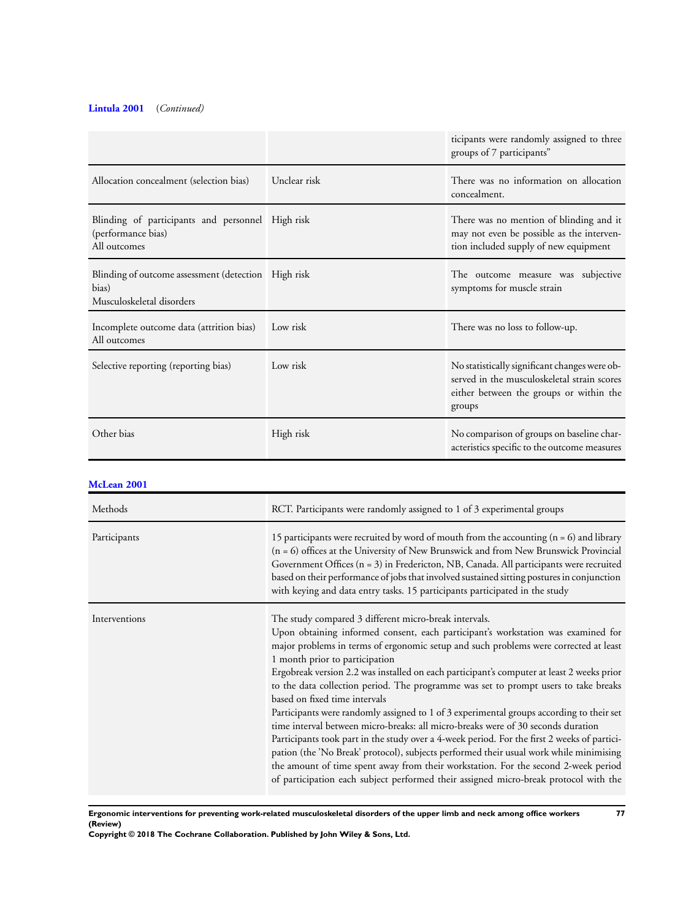# **Lintula 2001** (*Continued)*

|                                                                                           |              | ticipants were randomly assigned to three<br>groups of 7 participants"                                                                            |
|-------------------------------------------------------------------------------------------|--------------|---------------------------------------------------------------------------------------------------------------------------------------------------|
| Allocation concealment (selection bias)                                                   | Unclear risk | There was no information on allocation<br>concealment.                                                                                            |
| Blinding of participants and personnel High risk<br>(performance bias)<br>All outcomes    |              | There was no mention of blinding and it<br>may not even be possible as the interven-<br>tion included supply of new equipment                     |
| Blinding of outcome assessment (detection High risk<br>bias)<br>Musculoskeletal disorders |              | The outcome measure was subjective<br>symptoms for muscle strain                                                                                  |
| Incomplete outcome data (attrition bias)<br>All outcomes                                  | Low risk     | There was no loss to follow-up.                                                                                                                   |
| Selective reporting (reporting bias)                                                      | Low risk     | No statistically significant changes were ob-<br>served in the musculoskeletal strain scores<br>either between the groups or within the<br>groups |
| Other bias                                                                                | High risk    | No comparison of groups on baseline char-<br>acteristics specific to the outcome measures                                                         |

#### **McLean 2001**

| Methods       | RCT. Participants were randomly assigned to 1 of 3 experimental groups                                                                                                                                                                                                                                                                                                                                                                                                                                                                                                                                                                                                                                                                                                                                                                                                                                                                                                                                                                          |
|---------------|-------------------------------------------------------------------------------------------------------------------------------------------------------------------------------------------------------------------------------------------------------------------------------------------------------------------------------------------------------------------------------------------------------------------------------------------------------------------------------------------------------------------------------------------------------------------------------------------------------------------------------------------------------------------------------------------------------------------------------------------------------------------------------------------------------------------------------------------------------------------------------------------------------------------------------------------------------------------------------------------------------------------------------------------------|
| Participants  | 15 participants were recruited by word of mouth from the accounting $(n = 6)$ and library<br>$(n = 6)$ offices at the University of New Brunswick and from New Brunswick Provincial<br>Government Offices ( $n = 3$ ) in Fredericton, NB, Canada. All participants were recruited<br>based on their performance of jobs that involved sustained sitting postures in conjunction<br>with keying and data entry tasks. 15 participants participated in the study                                                                                                                                                                                                                                                                                                                                                                                                                                                                                                                                                                                  |
| Interventions | The study compared 3 different micro-break intervals.<br>Upon obtaining informed consent, each participant's workstation was examined for<br>major problems in terms of ergonomic setup and such problems were corrected at least<br>1 month prior to participation<br>Ergobreak version 2.2 was installed on each participant's computer at least 2 weeks prior<br>to the data collection period. The programme was set to prompt users to take breaks<br>based on fixed time intervals<br>Participants were randomly assigned to 1 of 3 experimental groups according to their set<br>time interval between micro-breaks: all micro-breaks were of 30 seconds duration<br>Participants took part in the study over a 4-week period. For the first 2 weeks of partici-<br>pation (the 'No Break' protocol), subjects performed their usual work while minimising<br>the amount of time spent away from their workstation. For the second 2-week period<br>of participation each subject performed their assigned micro-break protocol with the |

**Ergonomic interventions for preventing work-related musculoskeletal disorders of the upper limb and neck among office workers 77 (Review)**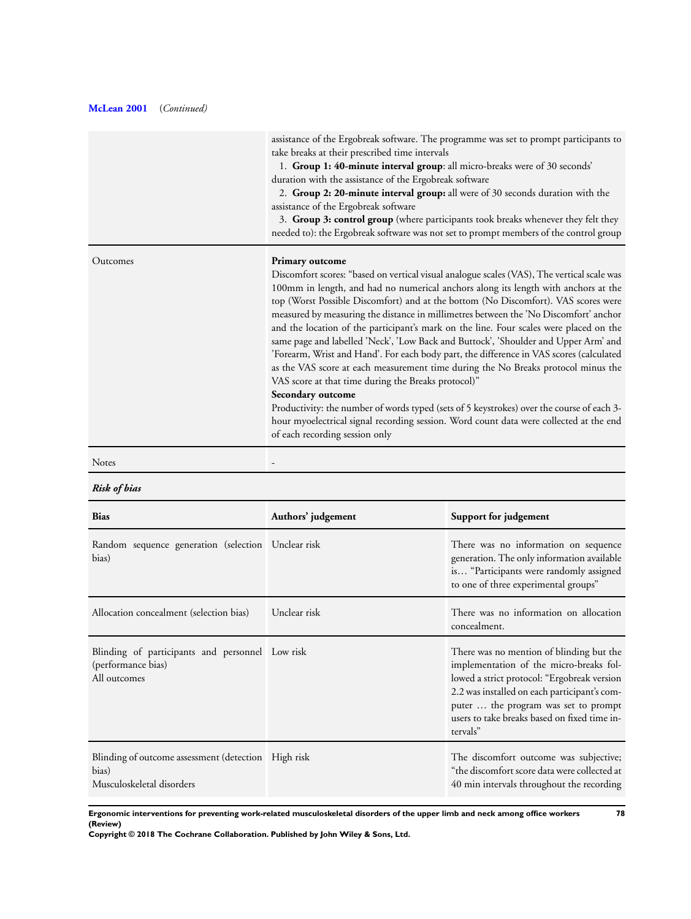# **McLean 2001** (*Continued)*

|          | assistance of the Ergobreak software. The programme was set to prompt participants to<br>take breaks at their prescribed time intervals<br>1. Group 1: 40-minute interval group: all micro-breaks were of 30 seconds'<br>duration with the assistance of the Ergobreak software<br>2. Group 2: 20-minute interval group: all were of 30 seconds duration with the<br>assistance of the Ergobreak software<br>3. Group 3: control group (where participants took breaks whenever they felt they<br>needed to): the Ergobreak software was not set to prompt members of the control group                                                                                                                                                                                                                                                                                                                                                                                                                                                                        |
|----------|----------------------------------------------------------------------------------------------------------------------------------------------------------------------------------------------------------------------------------------------------------------------------------------------------------------------------------------------------------------------------------------------------------------------------------------------------------------------------------------------------------------------------------------------------------------------------------------------------------------------------------------------------------------------------------------------------------------------------------------------------------------------------------------------------------------------------------------------------------------------------------------------------------------------------------------------------------------------------------------------------------------------------------------------------------------|
| Outcomes | <b>Primary outcome</b><br>Discomfort scores: "based on vertical visual analogue scales (VAS), The vertical scale was<br>100mm in length, and had no numerical anchors along its length with anchors at the<br>top (Worst Possible Discomfort) and at the bottom (No Discomfort). VAS scores were<br>measured by measuring the distance in millimetres between the 'No Discomfort' anchor<br>and the location of the participant's mark on the line. Four scales were placed on the<br>same page and labelled 'Neck', 'Low Back and Buttock', 'Shoulder and Upper Arm' and<br>'Forearm, Wrist and Hand'. For each body part, the difference in VAS scores (calculated<br>as the VAS score at each measurement time during the No Breaks protocol minus the<br>VAS score at that time during the Breaks protocol)"<br>Secondary outcome<br>Productivity: the number of words typed (sets of 5 keystrokes) over the course of each 3-<br>hour myoelectrical signal recording session. Word count data were collected at the end<br>of each recording session only |
|          |                                                                                                                                                                                                                                                                                                                                                                                                                                                                                                                                                                                                                                                                                                                                                                                                                                                                                                                                                                                                                                                                |

Notes

*Risk of bias*

| <b>Bias</b>                                                                               | Authors' judgement | Support for judgement                                                                                                                                                                                                                                                                  |
|-------------------------------------------------------------------------------------------|--------------------|----------------------------------------------------------------------------------------------------------------------------------------------------------------------------------------------------------------------------------------------------------------------------------------|
| Random sequence generation (selection Unclear risk<br>bias)                               |                    | There was no information on sequence<br>generation. The only information available<br>is "Participants were randomly assigned<br>to one of three experimental groups"                                                                                                                  |
| Allocation concealment (selection bias)                                                   | Unclear risk       | There was no information on allocation<br>concealment.                                                                                                                                                                                                                                 |
| Blinding of participants and personnel Low risk<br>(performance bias)<br>All outcomes     |                    | There was no mention of blinding but the<br>implementation of the micro-breaks fol-<br>lowed a strict protocol: "Ergobreak version<br>2.2 was installed on each participant's com-<br>puter  the program was set to prompt<br>users to take breaks based on fixed time in-<br>tervals" |
| Blinding of outcome assessment (detection High risk<br>bias)<br>Musculoskeletal disorders |                    | The discomfort outcome was subjective;<br>"the discomfort score data were collected at<br>40 min intervals throughout the recording                                                                                                                                                    |

**Ergonomic interventions for preventing work-related musculoskeletal disorders of the upper limb and neck among office workers 78 (Review)**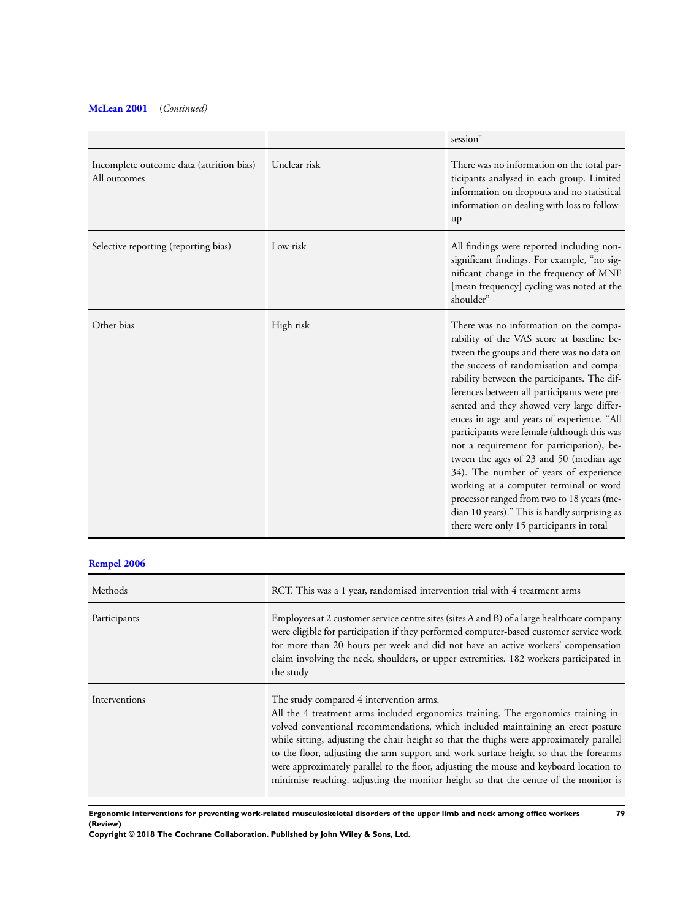# **McLean 2001** (*Continued)*

|                                                          |              | session"                                                                                                                                                                                                                                                                                                                                                                                                                                                                                                                                                                                                                                                                                                                                   |
|----------------------------------------------------------|--------------|--------------------------------------------------------------------------------------------------------------------------------------------------------------------------------------------------------------------------------------------------------------------------------------------------------------------------------------------------------------------------------------------------------------------------------------------------------------------------------------------------------------------------------------------------------------------------------------------------------------------------------------------------------------------------------------------------------------------------------------------|
| Incomplete outcome data (attrition bias)<br>All outcomes | Unclear risk | There was no information on the total par-<br>ticipants analysed in each group. Limited<br>information on dropouts and no statistical<br>information on dealing with loss to follow-<br>up                                                                                                                                                                                                                                                                                                                                                                                                                                                                                                                                                 |
| Selective reporting (reporting bias)                     | Low risk     | All findings were reported including non-<br>significant findings. For example, "no sig-<br>nificant change in the frequency of MNF<br>[mean frequency] cycling was noted at the<br>shoulder"                                                                                                                                                                                                                                                                                                                                                                                                                                                                                                                                              |
| Other bias                                               | High risk    | There was no information on the compa-<br>rability of the VAS score at baseline be-<br>tween the groups and there was no data on<br>the success of randomisation and compa-<br>rability between the participants. The dif-<br>ferences between all participants were pre-<br>sented and they showed very large differ-<br>ences in age and years of experience. "All<br>participants were female (although this was<br>not a requirement for participation), be-<br>tween the ages of 23 and 50 (median age<br>34). The number of years of experience<br>working at a computer terminal or word<br>processor ranged from two to 18 years (me-<br>dian 10 years)." This is hardly surprising as<br>there were only 15 participants in total |

# **Rempel 2006**

| Methods       | RCT. This was a 1 year, randomised intervention trial with 4 treatment arms                                                                                                                                                                                                                                                                                                                                                                                                                                                                                                             |
|---------------|-----------------------------------------------------------------------------------------------------------------------------------------------------------------------------------------------------------------------------------------------------------------------------------------------------------------------------------------------------------------------------------------------------------------------------------------------------------------------------------------------------------------------------------------------------------------------------------------|
| Participants  | Employees at 2 customer service centre sites (sites A and B) of a large healthcare company<br>were eligible for participation if they performed computer-based customer service work<br>for more than 20 hours per week and did not have an active workers' compensation<br>claim involving the neck, shoulders, or upper extremities. 182 workers participated in<br>the study                                                                                                                                                                                                         |
| Interventions | The study compared 4 intervention arms.<br>All the 4 treatment arms included ergonomics training. The ergonomics training in-<br>volved conventional recommendations, which included maintaining an erect posture<br>while sitting, adjusting the chair height so that the thighs were approximately parallel<br>to the floor, adjusting the arm support and work surface height so that the forearms<br>were approximately parallel to the floor, adjusting the mouse and keyboard location to<br>minimise reaching, adjusting the monitor height so that the centre of the monitor is |

**Ergonomic interventions for preventing work-related musculoskeletal disorders of the upper limb and neck among office workers 79 (Review)**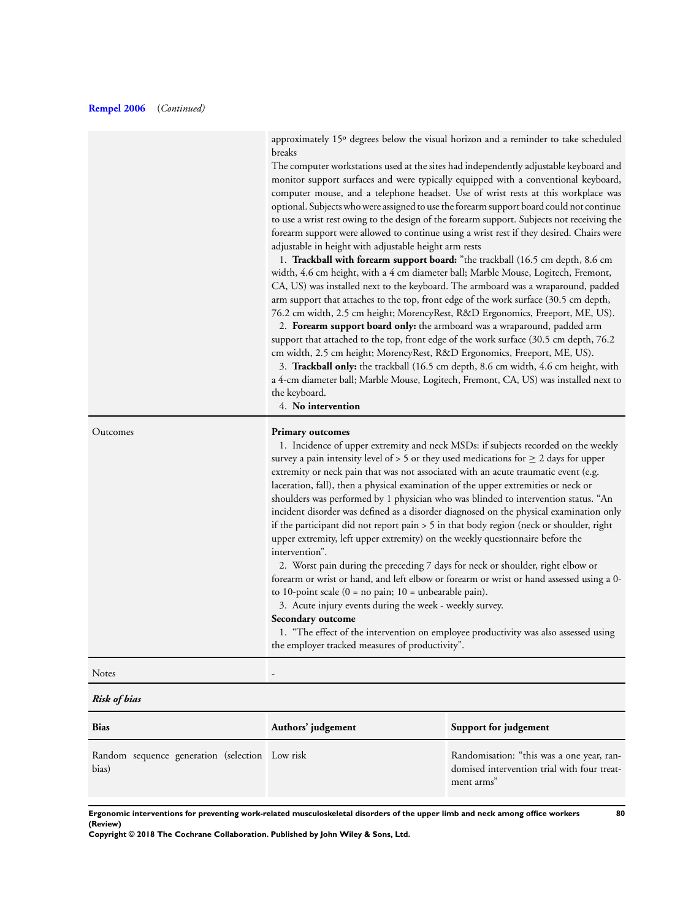#### **Rempel 2006** (*Continued)*

approximately 15º degrees below the visual horizon and a reminder to take scheduled breaks

The computer workstations used at the sites had independently adjustable keyboard and monitor support surfaces and were typically equipped with a conventional keyboard, computer mouse, and a telephone headset. Use of wrist rests at this workplace was optional. Subjects who were assigned to use the forearm support board could not continue to use a wrist rest owing to the design of the forearm support. Subjects not receiving the forearm support were allowed to continue using a wrist rest if they desired. Chairs were adjustable in height with adjustable height arm rests

1. **Trackball with forearm support board:** "the trackball (16.5 cm depth, 8.6 cm width, 4.6 cm height, with a 4 cm diameter ball; Marble Mouse, Logitech, Fremont, CA, US) was installed next to the keyboard. The armboard was a wraparound, padded arm support that attaches to the top, front edge of the work surface (30.5 cm depth, 76.2 cm width, 2.5 cm height; MorencyRest, R&D Ergonomics, Freeport, ME, US).

2. **Forearm support board only:** the armboard was a wraparound, padded arm support that attached to the top, front edge of the work surface (30.5 cm depth, 76.2 cm width, 2.5 cm height; MorencyRest, R&D Ergonomics, Freeport, ME, US).

3. **Trackball only:** the trackball (16.5 cm depth, 8.6 cm width, 4.6 cm height, with a 4-cm diameter ball; Marble Mouse, Logitech, Fremont, CA, US) was installed next to the keyboard.

4. **No intervention**

#### Outcomes **Primary outcomes**

1. Incidence of upper extremity and neck MSDs: if subjects recorded on the weekly survey a pain intensity level of  $> 5$  or they used medications for  $\geq 2$  days for upper extremity or neck pain that was not associated with an acute traumatic event (e.g. laceration, fall), then a physical examination of the upper extremities or neck or shoulders was performed by 1 physician who was blinded to intervention status. "An incident disorder was defined as a disorder diagnosed on the physical examination only if the participant did not report pain > 5 in that body region (neck or shoulder, right upper extremity, left upper extremity) on the weekly questionnaire before the intervention".

2. Worst pain during the preceding 7 days for neck or shoulder, right elbow or forearm or wrist or hand, and left elbow or forearm or wrist or hand assessed using a 0 to 10-point scale  $(0 = no pain; 10 = unbearable pain)$ .

3. Acute injury events during the week - weekly survey.

#### **Secondary outcome**

1. "The effect of the intervention on employee productivity was also assessed using the employer tracked measures of productivity".

Notes

#### *Risk of bias*

| <b>Bias</b>                                             | Authors' judgement | Support for judgement                                                                                  |
|---------------------------------------------------------|--------------------|--------------------------------------------------------------------------------------------------------|
| Random sequence generation (selection Low risk<br>bias) |                    | Randomisation: "this was a one year, ran-<br>domised intervention trial with four treat-<br>ment arms" |

**Ergonomic interventions for preventing work-related musculoskeletal disorders of the upper limb and neck among office workers 80 (Review)**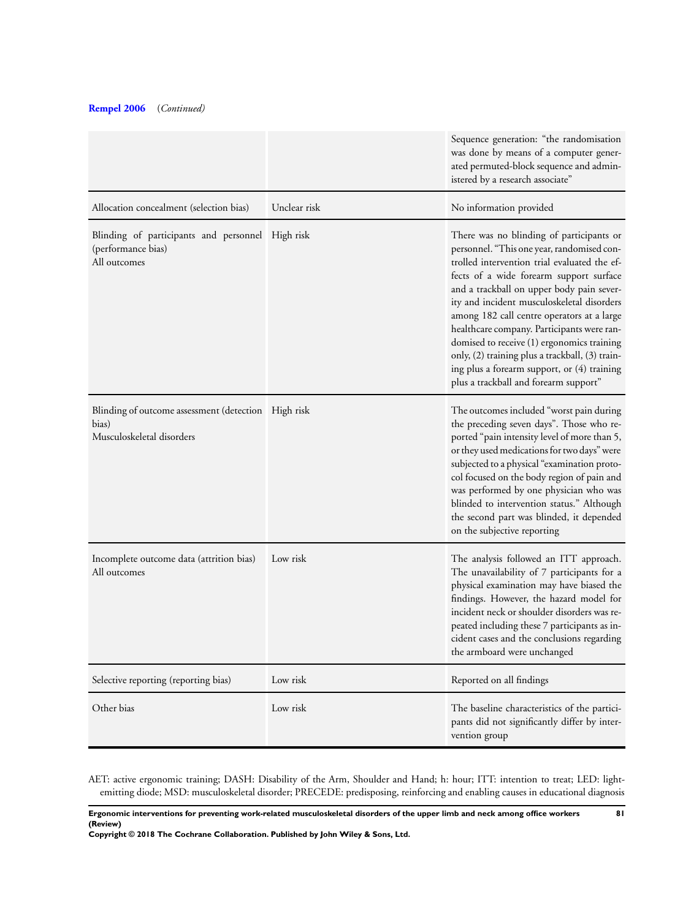#### **Rempel 2006** (*Continued)*

|                                                                                           |              | Sequence generation: "the randomisation<br>was done by means of a computer gener-<br>ated permuted-block sequence and admin-<br>istered by a research associate"                                                                                                                                                                                                                                                                                                                                                                                                  |
|-------------------------------------------------------------------------------------------|--------------|-------------------------------------------------------------------------------------------------------------------------------------------------------------------------------------------------------------------------------------------------------------------------------------------------------------------------------------------------------------------------------------------------------------------------------------------------------------------------------------------------------------------------------------------------------------------|
| Allocation concealment (selection bias)                                                   | Unclear risk | No information provided                                                                                                                                                                                                                                                                                                                                                                                                                                                                                                                                           |
| Blinding of participants and personnel High risk<br>(performance bias)<br>All outcomes    |              | There was no blinding of participants or<br>personnel. "This one year, randomised con-<br>trolled intervention trial evaluated the ef-<br>fects of a wide forearm support surface<br>and a trackball on upper body pain sever-<br>ity and incident musculoskeletal disorders<br>among 182 call centre operators at a large<br>healthcare company. Participants were ran-<br>domised to receive (1) ergonomics training<br>only, (2) training plus a trackball, (3) train-<br>ing plus a forearm support, or (4) training<br>plus a trackball and forearm support" |
| Blinding of outcome assessment (detection High risk<br>bias)<br>Musculoskeletal disorders |              | The outcomes included "worst pain during<br>the preceding seven days". Those who re-<br>ported "pain intensity level of more than 5,<br>or they used medications for two days" were<br>subjected to a physical "examination proto-<br>col focused on the body region of pain and<br>was performed by one physician who was<br>blinded to intervention status." Although<br>the second part was blinded, it depended<br>on the subjective reporting                                                                                                                |
| Incomplete outcome data (attrition bias)<br>All outcomes                                  | Low risk     | The analysis followed an ITT approach.<br>The unavailability of 7 participants for a<br>physical examination may have biased the<br>findings. However, the hazard model for<br>incident neck or shoulder disorders was re-<br>peated including these 7 participants as in-<br>cident cases and the conclusions regarding<br>the armboard were unchanged                                                                                                                                                                                                           |
| Selective reporting (reporting bias)                                                      | Low risk     | Reported on all findings                                                                                                                                                                                                                                                                                                                                                                                                                                                                                                                                          |
| Other bias                                                                                | Low risk     | The baseline characteristics of the partici-<br>pants did not significantly differ by inter-<br>vention group                                                                                                                                                                                                                                                                                                                                                                                                                                                     |

AET: active ergonomic training; DASH: Disability of the Arm, Shoulder and Hand; h: hour; ITT: intention to treat; LED: lightemitting diode; MSD: musculoskeletal disorder; PRECEDE: predisposing, reinforcing and enabling causes in educational diagnosis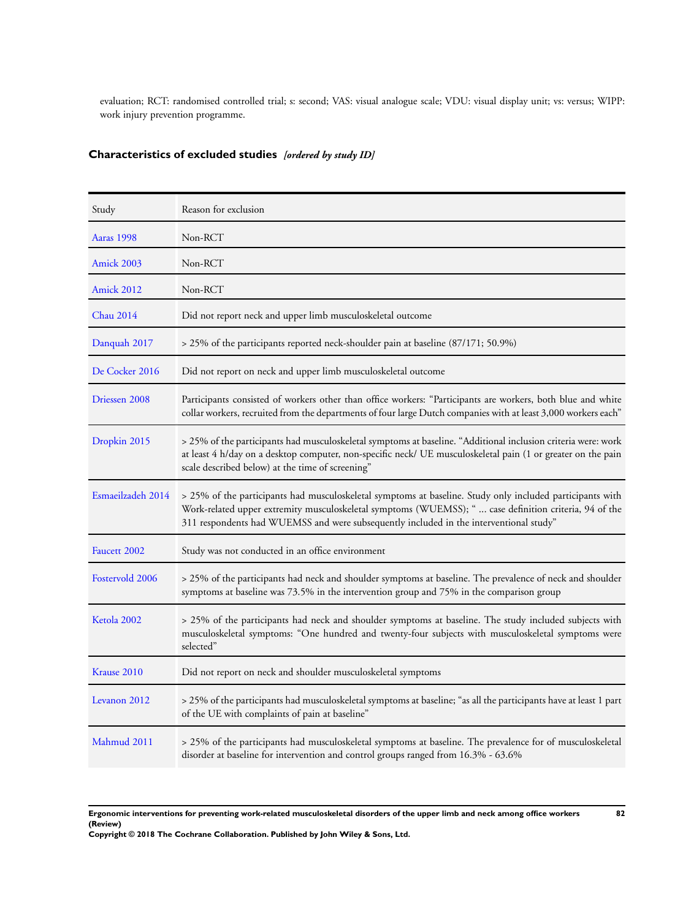evaluation; RCT: randomised controlled trial; s: second; VAS: visual analogue scale; VDU: visual display unit; vs: versus; WIPP: work injury prevention programme.

| Study             | Reason for exclusion                                                                                                                                                                                                                                                                                          |
|-------------------|---------------------------------------------------------------------------------------------------------------------------------------------------------------------------------------------------------------------------------------------------------------------------------------------------------------|
| <b>Aaras</b> 1998 | Non-RCT                                                                                                                                                                                                                                                                                                       |
| <b>Amick 2003</b> | Non-RCT                                                                                                                                                                                                                                                                                                       |
| <b>Amick 2012</b> | Non-RCT                                                                                                                                                                                                                                                                                                       |
| Chau 2014         | Did not report neck and upper limb musculoskeletal outcome                                                                                                                                                                                                                                                    |
| Danquah 2017      | > 25% of the participants reported neck-shoulder pain at baseline (87/171; 50.9%)                                                                                                                                                                                                                             |
| De Cocker 2016    | Did not report on neck and upper limb musculoskeletal outcome                                                                                                                                                                                                                                                 |
| Driessen 2008     | Participants consisted of workers other than office workers: "Participants are workers, both blue and white<br>collar workers, recruited from the departments of four large Dutch companies with at least 3,000 workers each"                                                                                 |
| Dropkin 2015      | > 25% of the participants had musculoskeletal symptoms at baseline. "Additional inclusion criteria were: work<br>at least 4 h/day on a desktop computer, non-specific neck/ UE musculoskeletal pain (1 or greater on the pain<br>scale described below) at the time of screening"                             |
| Esmaeilzadeh 2014 | > 25% of the participants had musculoskeletal symptoms at baseline. Study only included participants with<br>Work-related upper extremity musculoskeletal symptoms (WUEMSS); "  case definition criteria, 94 of the<br>311 respondents had WUEMSS and were subsequently included in the interventional study" |
| Faucett 2002      | Study was not conducted in an office environment                                                                                                                                                                                                                                                              |
| Fostervold 2006   | > 25% of the participants had neck and shoulder symptoms at baseline. The prevalence of neck and shoulder<br>symptoms at baseline was 73.5% in the intervention group and 75% in the comparison group                                                                                                         |
| Ketola 2002       | > 25% of the participants had neck and shoulder symptoms at baseline. The study included subjects with<br>musculoskeletal symptoms: "One hundred and twenty-four subjects with musculoskeletal symptoms were<br>selected"                                                                                     |
| Krause 2010       | Did not report on neck and shoulder musculoskeletal symptoms                                                                                                                                                                                                                                                  |
| Levanon 2012      | > 25% of the participants had musculoskeletal symptoms at baseline; "as all the participants have at least 1 part<br>of the UE with complaints of pain at baseline"                                                                                                                                           |
| Mahmud 2011       | > 25% of the participants had musculoskeletal symptoms at baseline. The prevalence for of musculoskeletal<br>disorder at baseline for intervention and control groups ranged from 16.3% - 63.6%                                                                                                               |

# **Characteristics of excluded studies** *[ordered by study ID]*

**Ergonomic interventions for preventing work-related musculoskeletal disorders of the upper limb and neck among office workers 82 (Review)**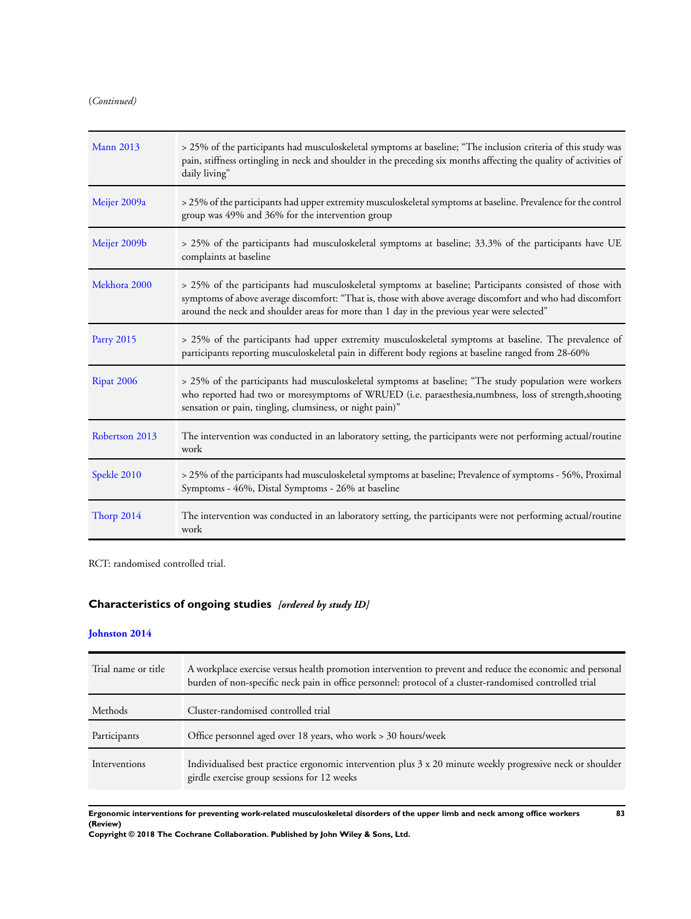(*Continued)*

| <b>Mann 2013</b>  | > 25% of the participants had musculoskeletal symptoms at baseline; "The inclusion criteria of this study was<br>pain, stiffness ortingling in neck and shoulder in the preceding six months affecting the quality of activities of<br>daily living"                                                                 |
|-------------------|----------------------------------------------------------------------------------------------------------------------------------------------------------------------------------------------------------------------------------------------------------------------------------------------------------------------|
| Meijer 2009a      | > 25% of the participants had upper extremity musculoskeletal symptoms at baseline. Prevalence for the control<br>group was 49% and 36% for the intervention group                                                                                                                                                   |
| Meijer 2009b      | > 25% of the participants had musculoskeletal symptoms at baseline; 33.3% of the participants have UE<br>complaints at baseline                                                                                                                                                                                      |
| Mekhora 2000      | > 25% of the participants had musculoskeletal symptoms at baseline; Participants consisted of those with<br>symptoms of above average discomfort: "That is, those with above average discomfort and who had discomfort<br>around the neck and shoulder areas for more than 1 day in the previous year were selected" |
| Parry 2015        | > 25% of the participants had upper extremity musculoskeletal symptoms at baseline. The prevalence of<br>participants reporting musculoskeletal pain in different body regions at baseline ranged from 28-60%                                                                                                        |
| <b>Ripat 2006</b> | > 25% of the participants had musculoskeletal symptoms at baseline; "The study population were workers<br>who reported had two or moresymptoms of WRUED (i.e. paraesthesia,numbness, loss of strength,shooting<br>sensation or pain, tingling, clumsiness, or night pain)"                                           |
| Robertson 2013    | The intervention was conducted in an laboratory setting, the participants were not performing actual/routine<br>work                                                                                                                                                                                                 |
| Spekle 2010       | > 25% of the participants had musculoskeletal symptoms at baseline; Prevalence of symptoms - 56%, Proximal<br>Symptoms - 46%, Distal Symptoms - 26% at baseline                                                                                                                                                      |
| Thorp 2014        | The intervention was conducted in an laboratory setting, the participants were not performing actual/routine<br>work                                                                                                                                                                                                 |

RCT: randomised controlled trial.

# **Characteristics of ongoing studies** *[ordered by study ID]*

#### **Johnston 2014**

| A workplace exercise versus health promotion intervention to prevent and reduce the economic and personal<br>burden of non-specific neck pain in office personnel: protocol of a cluster-randomised controlled trial |
|----------------------------------------------------------------------------------------------------------------------------------------------------------------------------------------------------------------------|
| Cluster-randomised controlled trial                                                                                                                                                                                  |
| Office personnel aged over 18 years, who work > 30 hours/week                                                                                                                                                        |
| Individualised best practice ergonomic intervention plus 3 x 20 minute weekly progressive neck or shoulder<br>girdle exercise group sessions for 12 weeks                                                            |
|                                                                                                                                                                                                                      |

**Ergonomic interventions for preventing work-related musculoskeletal disorders of the upper limb and neck among office workers 83 (Review)**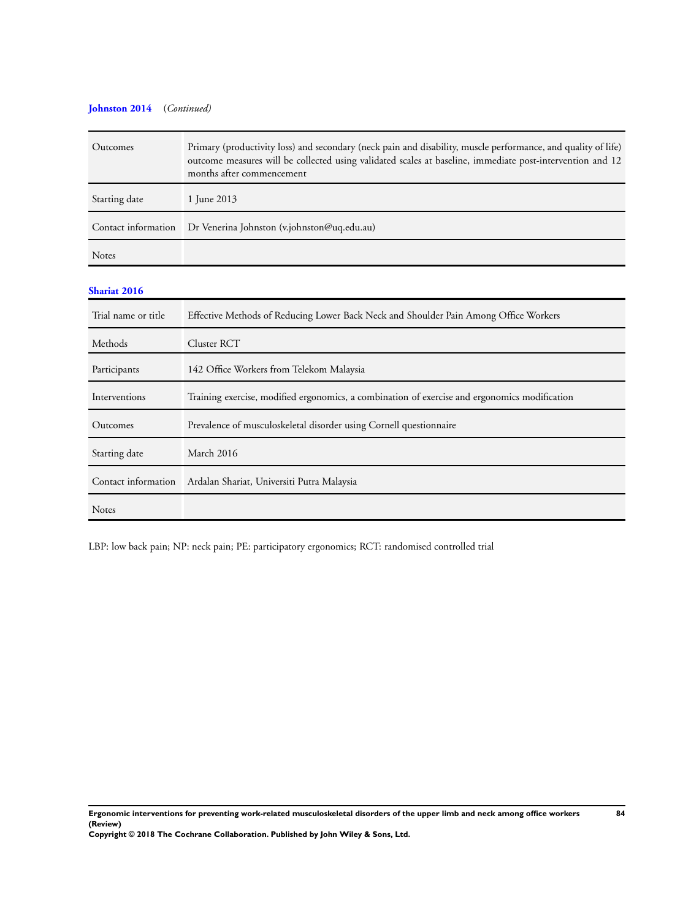#### **Johnston 2014** (*Continued)*

| Outcomes            | Primary (productivity loss) and secondary (neck pain and disability, muscle performance, and quality of life)<br>outcome measures will be collected using validated scales at baseline, immediate post-intervention and 12<br>months after commencement |
|---------------------|---------------------------------------------------------------------------------------------------------------------------------------------------------------------------------------------------------------------------------------------------------|
| Starting date       | 1 June 2013                                                                                                                                                                                                                                             |
| Contact information | Dr Venerina Johnston (v.johnston@uq.edu.au)                                                                                                                                                                                                             |
| <b>Notes</b>        |                                                                                                                                                                                                                                                         |
| <b>Shariat 2016</b> |                                                                                                                                                                                                                                                         |
| Trial name or title | Effective Methods of Reducing Lower Back Neck and Shoulder Pain Among Office Workers                                                                                                                                                                    |
| Methods             | Cluster RCT                                                                                                                                                                                                                                             |
| Participants        | 142 Office Workers from Telekom Malaysia                                                                                                                                                                                                                |
| Interventions       | Training exercise, modified ergonomics, a combination of exercise and ergonomics modification                                                                                                                                                           |
| Outcomes            | Prevalence of musculoskeletal disorder using Cornell questionnaire                                                                                                                                                                                      |
| Starting date       | March 2016                                                                                                                                                                                                                                              |
| Contact information | Ardalan Shariat, Universiti Putra Malaysia                                                                                                                                                                                                              |
| <b>Notes</b>        |                                                                                                                                                                                                                                                         |

LBP: low back pain; NP: neck pain; PE: participatory ergonomics; RCT: randomised controlled trial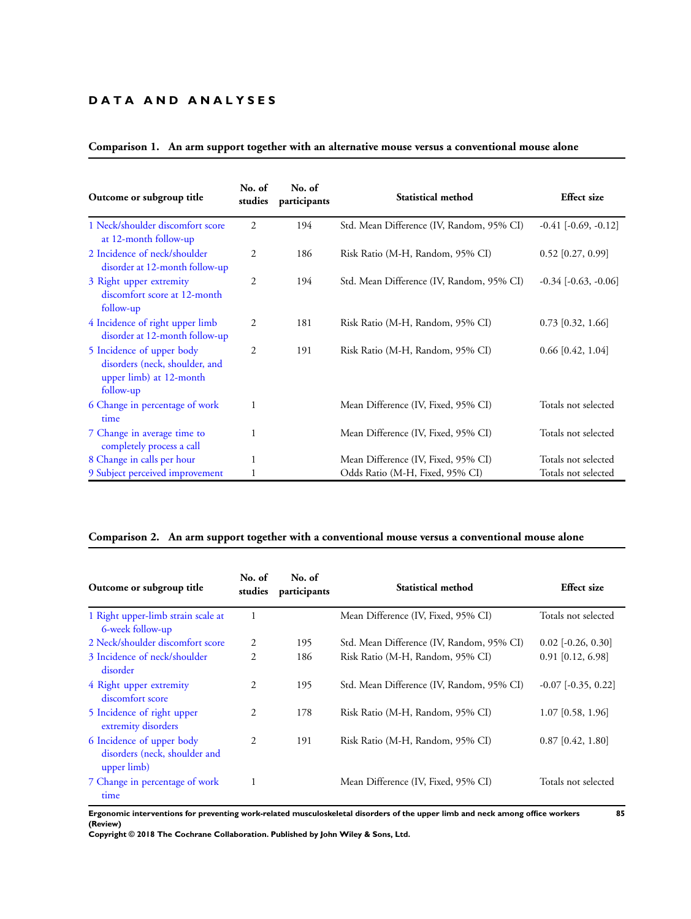#### **D A T A A N D A N A L Y S E S**

| Outcome or subgroup title                                                                           | No. of<br>studies | No. of<br>participants | Statistical method                        | <b>Effect</b> size       |
|-----------------------------------------------------------------------------------------------------|-------------------|------------------------|-------------------------------------------|--------------------------|
| 1 Neck/shoulder discomfort score<br>at 12-month follow-up                                           | $\overline{c}$    | 194                    | Std. Mean Difference (IV, Random, 95% CI) | $-0.41$ $[-0.69, -0.12]$ |
| 2 Incidence of neck/shoulder<br>disorder at 12-month follow-up                                      | $\overline{2}$    | 186                    | Risk Ratio (M-H, Random, 95% CI)          | $0.52$ [0.27, 0.99]      |
| 3 Right upper extremity<br>discomfort score at 12-month<br>follow-up                                | $\overline{2}$    | 194                    | Std. Mean Difference (IV, Random, 95% CI) | $-0.34$ $[-0.63, -0.06]$ |
| 4 Incidence of right upper limb<br>disorder at 12-month follow-up                                   | 2                 | 181                    | Risk Ratio (M-H, Random, 95% CI)          | $0.73$ [0.32, 1.66]      |
| 5 Incidence of upper body<br>disorders (neck, shoulder, and<br>upper limb) at 12-month<br>follow-up | 2                 | 191                    | Risk Ratio (M-H, Random, 95% CI)          | $0.66$ [0.42, 1.04]      |
| 6 Change in percentage of work<br>time                                                              | 1                 |                        | Mean Difference (IV, Fixed, 95% CI)       | Totals not selected      |
| 7 Change in average time to<br>completely process a call                                            |                   |                        | Mean Difference (IV, Fixed, 95% CI)       | Totals not selected      |
| 8 Change in calls per hour                                                                          | 1                 |                        | Mean Difference (IV, Fixed, 95% CI)       | Totals not selected      |
| 9 Subject perceived improvement                                                                     |                   |                        | Odds Ratio (M-H, Fixed, 95% CI)           | Totals not selected      |

#### **Comparison 1. An arm support together with an alternative mouse versus a conventional mouse alone**

# **Comparison 2. An arm support together with a conventional mouse versus a conventional mouse alone**

| Outcome or subgroup title                                                 | No. of<br>studies | No. of<br>participants | Statistical method                        | <b>Effect</b> size      |
|---------------------------------------------------------------------------|-------------------|------------------------|-------------------------------------------|-------------------------|
| 1 Right upper-limb strain scale at<br>6-week follow-up                    | 1                 |                        | Mean Difference (IV, Fixed, 95% CI)       | Totals not selected     |
| 2 Neck/shoulder discomfort score                                          | 2                 | 195                    | Std. Mean Difference (IV, Random, 95% CI) | $0.02$ [-0.26, 0.30]    |
| 3 Incidence of neck/shoulder<br>disorder                                  | $\overline{c}$    | 186                    | Risk Ratio (M-H, Random, 95% CI)          | $0.91$ [0.12, 6.98]     |
| 4 Right upper extremity<br>discomfort score                               | 2                 | 195                    | Std. Mean Difference (IV, Random, 95% CI) | $-0.07$ $[-0.35, 0.22]$ |
| 5 Incidence of right upper<br>extremity disorders                         | 2                 | 178                    | Risk Ratio (M-H, Random, 95% CI)          | $1.07$ [0.58, 1.96]     |
| 6 Incidence of upper body<br>disorders (neck, shoulder and<br>upper limb) | $\overline{c}$    | 191                    | Risk Ratio (M-H, Random, 95% CI)          | $0.87$ [0.42, 1.80]     |
| 7 Change in percentage of work<br>time                                    | 1                 |                        | Mean Difference (IV, Fixed, 95% CI)       | Totals not selected     |

**Ergonomic interventions for preventing work-related musculoskeletal disorders of the upper limb and neck among office workers 85 (Review)**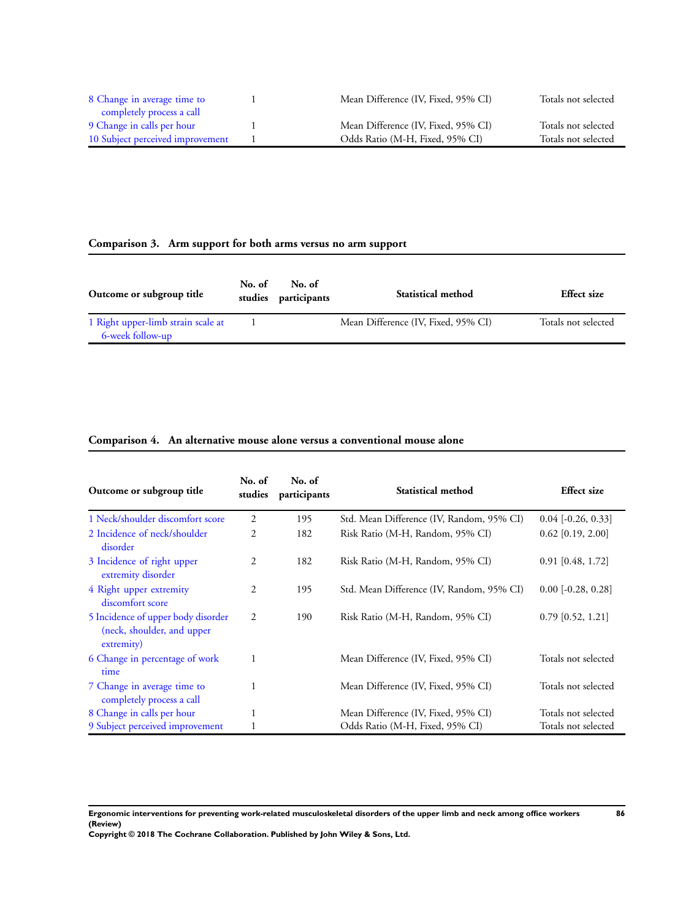| 8 Change in average time to      | Mean Difference (IV, Fixed, 95% CI) | Totals not selected |
|----------------------------------|-------------------------------------|---------------------|
| completely process a call        |                                     |                     |
| 9 Change in calls per hour       | Mean Difference (IV, Fixed, 95% CI) | Totals not selected |
| 10 Subject perceived improvement | Odds Ratio (M-H, Fixed, 95% CI)     | Totals not selected |

# **Comparison 3. Arm support for both arms versus no arm support**

| Outcome or subgroup title                              | No. of | No. of<br>studies participants | <b>Statistical method</b>           | <b>Effect</b> size  |
|--------------------------------------------------------|--------|--------------------------------|-------------------------------------|---------------------|
| 1 Right upper-limb strain scale at<br>6-week follow-up |        |                                | Mean Difference (IV, Fixed, 95% CI) | Totals not selected |

# **Comparison 4. An alternative mouse alone versus a conventional mouse alone**

| Outcome or subgroup title                                                      | No. of<br>studies | No. of<br>participants              | <b>Statistical method</b>                 | <b>Effect</b> size   |
|--------------------------------------------------------------------------------|-------------------|-------------------------------------|-------------------------------------------|----------------------|
| 1 Neck/shoulder discomfort score                                               | 2                 | 195                                 | Std. Mean Difference (IV, Random, 95% CI) | $0.04$ [-0.26, 0.33] |
| 2 Incidence of neck/shoulder<br>disorder                                       | $\overline{c}$    | 182                                 | Risk Ratio (M-H, Random, 95% CI)          | $0.62$ [0.19, 2.00]  |
| 3 Incidence of right upper<br>extremity disorder                               | 2                 | 182                                 | Risk Ratio (M-H, Random, 95% CI)          | $0.91$ [0.48, 1.72]  |
| 4 Right upper extremity<br>discomfort score                                    | 2                 | 195                                 | Std. Mean Difference (IV, Random, 95% CI) | $0.00$ [-0.28, 0.28] |
| 5 Incidence of upper body disorder<br>(neck, shoulder, and upper<br>extremity) | 2                 | 190                                 | Risk Ratio (M-H, Random, 95% CI)          | $0.79$ [0.52, 1.21]  |
| 6 Change in percentage of work<br>time                                         | 1                 |                                     | Mean Difference (IV, Fixed, 95% CI)       | Totals not selected  |
| 7 Change in average time to<br>completely process a call                       | 1                 | Mean Difference (IV, Fixed, 95% CI) |                                           | Totals not selected  |
| 8 Change in calls per hour                                                     |                   |                                     | Mean Difference (IV, Fixed, 95% CI)       | Totals not selected  |
| 9 Subject perceived improvement                                                | 1                 |                                     | Odds Ratio (M-H, Fixed, 95% CI)           | Totals not selected  |

**Ergonomic interventions for preventing work-related musculoskeletal disorders of the upper limb and neck among office workers 86 (Review)**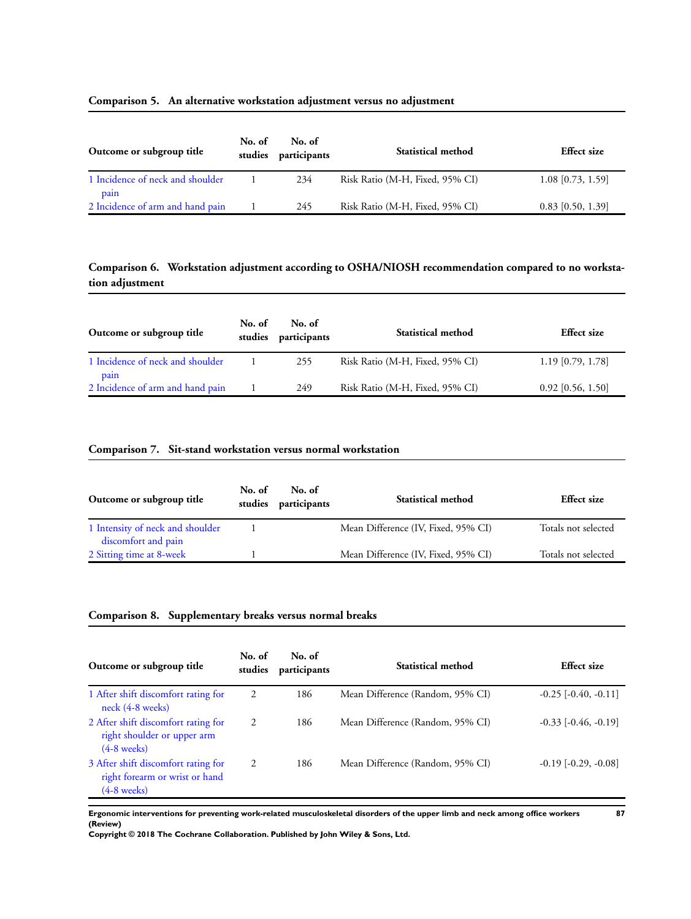#### **Comparison 5. An alternative workstation adjustment versus no adjustment**

| Outcome or subgroup title                | No. of<br>studies | No. of<br>participants | <b>Statistical method</b>       | Effect size         |
|------------------------------------------|-------------------|------------------------|---------------------------------|---------------------|
| 1 Incidence of neck and shoulder<br>pain |                   | 234                    | Risk Ratio (M-H, Fixed, 95% CI) | $1.08$ [0.73, 1.59] |
| 2 Incidence of arm and hand pain         |                   | 245                    | Risk Ratio (M-H, Fixed, 95% CI) | $0.83$ [0.50, 1.39] |

# **Comparison 6. Workstation adjustment according to OSHA/NIOSH recommendation compared to no workstation adjustment**

| Outcome or subgroup title                | No. of<br>studies | No. of<br>participants | <b>Statistical method</b>       | <b>Effect</b> size  |
|------------------------------------------|-------------------|------------------------|---------------------------------|---------------------|
| 1 Incidence of neck and shoulder<br>pain |                   | 255                    | Risk Ratio (M-H, Fixed, 95% CI) | $1.19$ [0.79, 1.78] |
| 2 Incidence of arm and hand pain         |                   | 249                    | Risk Ratio (M-H, Fixed, 95% CI) | $0.92$ [0.56, 1.50] |

#### **Comparison 7. Sit-stand workstation versus normal workstation**

| Outcome or subgroup title                               | No. of<br>studies | No. of<br>participants | <b>Statistical method</b>           | <b>Effect</b> size  |  |
|---------------------------------------------------------|-------------------|------------------------|-------------------------------------|---------------------|--|
| 1 Intensity of neck and shoulder<br>discomfort and pain |                   |                        | Mean Difference (IV, Fixed, 95% CI) | Totals not selected |  |
| 2 Sitting time at 8-week                                |                   |                        | Mean Difference (IV, Fixed, 95% CI) | Totals not selected |  |

#### **Comparison 8. Supplementary breaks versus normal breaks**

| Outcome or subgroup title                                                              | No. of<br>studies | No. of<br>participants | Statistical method               | <b>Effect</b> size       |
|----------------------------------------------------------------------------------------|-------------------|------------------------|----------------------------------|--------------------------|
| 1 After shift discomfort rating for<br>$neck(4-8 weeks)$                               | 2                 | 186                    | Mean Difference (Random, 95% CI) | $-0.25$ $[-0.40, -0.11]$ |
| 2 After shift discomfort rating for<br>right shoulder or upper arm<br>$(4-8$ weeks)    | 2                 | 186                    | Mean Difference (Random, 95% CI) | $-0.33$ $[-0.46, -0.19]$ |
| 3 After shift discomfort rating for<br>right forearm or wrist or hand<br>$(4-8$ weeks) | 2                 | 186                    | Mean Difference (Random, 95% CI) | $-0.19$ $[-0.29, -0.08]$ |

**Ergonomic interventions for preventing work-related musculoskeletal disorders of the upper limb and neck among office workers 87 (Review)**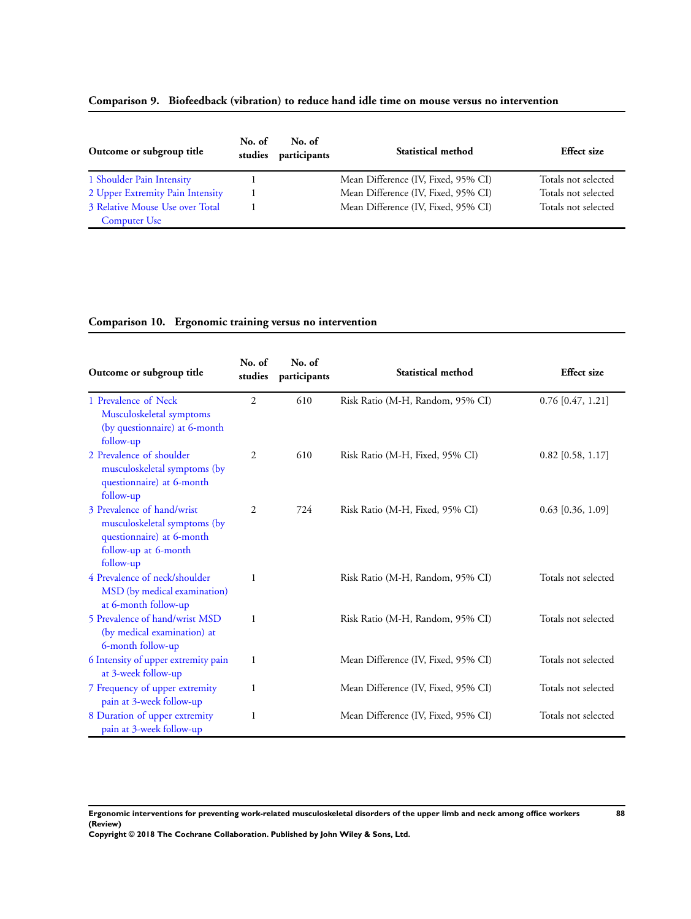#### **Comparison 9. Biofeedback (vibration) to reduce hand idle time on mouse versus no intervention**

| Outcome or subgroup title        | No. of<br>studies | No. of<br>participants | Statistical method                  | <b>Effect</b> size  |  |
|----------------------------------|-------------------|------------------------|-------------------------------------|---------------------|--|
| 1 Shoulder Pain Intensity        |                   |                        | Mean Difference (IV, Fixed, 95% CI) | Totals not selected |  |
| 2 Upper Extremity Pain Intensity |                   |                        | Mean Difference (IV, Fixed, 95% CI) | Totals not selected |  |
| 3 Relative Mouse Use over Total  |                   |                        | Mean Difference (IV, Fixed, 95% CI) | Totals not selected |  |
| Computer Use                     |                   |                        |                                     |                     |  |

# **Comparison 10. Ergonomic training versus no intervention**

| Outcome or subgroup title                                                                                                    | No. of<br>studies | No. of<br>participants | Statistical method                  | <b>Effect</b> size  |  |
|------------------------------------------------------------------------------------------------------------------------------|-------------------|------------------------|-------------------------------------|---------------------|--|
| 1 Prevalence of Neck<br>Musculoskeletal symptoms<br>(by questionnaire) at 6-month<br>follow-up                               | $\overline{2}$    | 610                    | Risk Ratio (M-H, Random, 95% CI)    | $0.76$ [0.47, 1.21] |  |
| 2 Prevalence of shoulder<br>musculoskeletal symptoms (by<br>questionnaire) at 6-month<br>follow-up                           | 2                 | 610                    | Risk Ratio (M-H, Fixed, 95% CI)     | $0.82$ [0.58, 1.17] |  |
| 3 Prevalence of hand/wrist<br>musculoskeletal symptoms (by<br>questionnaire) at 6-month<br>follow-up at 6-month<br>follow-up | 2                 | 724                    | Risk Ratio (M-H, Fixed, 95% CI)     | $0.63$ [0.36, 1.09] |  |
| 4 Prevalence of neck/shoulder<br>MSD (by medical examination)<br>at 6-month follow-up                                        | 1                 |                        | Risk Ratio (M-H, Random, 95% CI)    | Totals not selected |  |
| 5 Prevalence of hand/wrist MSD<br>(by medical examination) at<br>6-month follow-up                                           | 1                 |                        | Risk Ratio (M-H, Random, 95% CI)    | Totals not selected |  |
| 6 Intensity of upper extremity pain<br>at 3-week follow-up                                                                   | 1                 |                        | Mean Difference (IV, Fixed, 95% CI) | Totals not selected |  |
| 7 Frequency of upper extremity<br>pain at 3-week follow-up                                                                   | 1                 |                        | Mean Difference (IV, Fixed, 95% CI) | Totals not selected |  |
| 8 Duration of upper extremity<br>pain at 3-week follow-up                                                                    | 1                 |                        | Mean Difference (IV, Fixed, 95% CI) | Totals not selected |  |

**Ergonomic interventions for preventing work-related musculoskeletal disorders of the upper limb and neck among office workers 88 (Review)**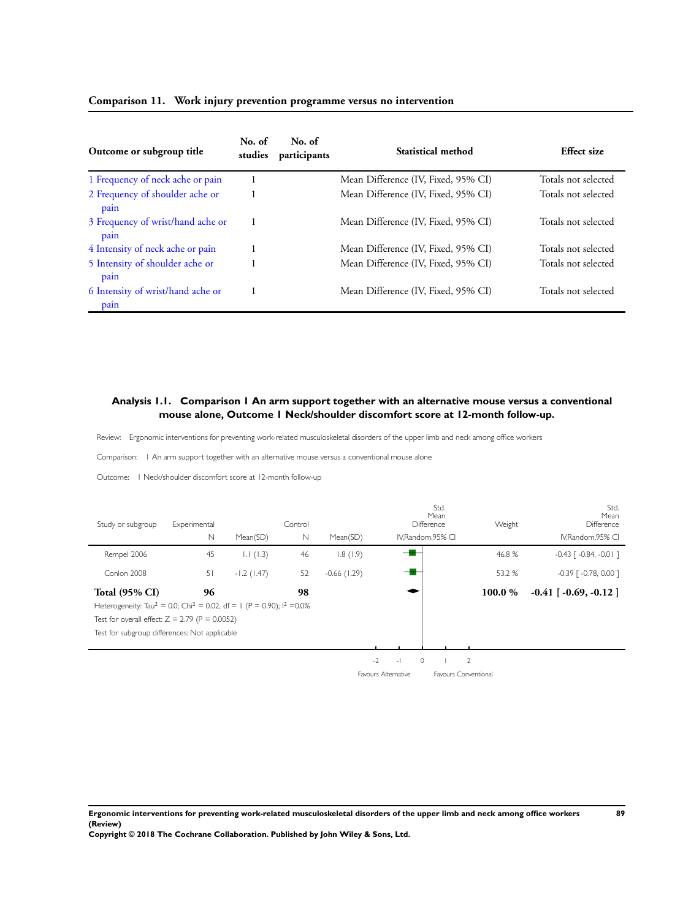| Comparison 11. Work injury prevention programme versus no intervention |  |  |  |
|------------------------------------------------------------------------|--|--|--|
|                                                                        |  |  |  |

| Outcome or subgroup title                 | No. of<br>studies | No. of<br>participants | Statistical method                  | <b>Effect</b> size  |
|-------------------------------------------|-------------------|------------------------|-------------------------------------|---------------------|
| 1 Frequency of neck ache or pain          |                   |                        | Mean Difference (IV, Fixed, 95% CI) | Totals not selected |
| 2 Frequency of shoulder ache or<br>pain   |                   |                        | Mean Difference (IV, Fixed, 95% CI) | Totals not selected |
| 3 Frequency of wrist/hand ache or<br>pain |                   |                        | Mean Difference (IV, Fixed, 95% CI) | Totals not selected |
| 4 Intensity of neck ache or pain          |                   |                        | Mean Difference (IV, Fixed, 95% CI) | Totals not selected |
| 5 Intensity of shoulder ache or<br>pain   |                   |                        | Mean Difference (IV, Fixed, 95% CI) | Totals not selected |
| 6 Intensity of wrist/hand ache or<br>pain |                   |                        | Mean Difference (IV, Fixed, 95% CI) | Totals not selected |

#### **Analysis 1.1. Comparison 1 An arm support together with an alternative mouse versus a conventional mouse alone, Outcome 1 Neck/shoulder discomfort score at 12-month follow-up.**

Review: Ergonomic interventions for preventing work-related musculoskeletal disorders of the upper limb and neck among office workers

Comparison: I An arm support together with an alternative mouse versus a conventional mouse alone

Outcome: I Neck/shoulder discomfort score at 12-month follow-up

j.

| Study or subgroup                                                                                        | Experimental |               | Control |                |                     |                 | Std.<br>Mean<br>Difference | Weight               | Std.<br>Mean<br><b>Difference</b>   |
|----------------------------------------------------------------------------------------------------------|--------------|---------------|---------|----------------|---------------------|-----------------|----------------------------|----------------------|-------------------------------------|
|                                                                                                          | $\mathbb N$  | Mean(SD)      | N       | Mean(SD)       |                     |                 | IV.Random.95% CI           |                      | IV.Random.95% CI                    |
| Rempel 2006                                                                                              | 45           | 1.1(1.3)      | 46      | 1.8(1.9)       |                     | -               |                            | 46.8%                | $-0.43$ [ $-0.84$ , $-0.01$ ]       |
| Conlon 2008                                                                                              | 51           | $-1.2$ (1.47) | 52      | $-0.66$ (1.29) |                     |                 |                            | 53.2 %               | $-0.39$ $\lceil -0.78, 0.00 \rceil$ |
| <b>Total (95% CI)</b>                                                                                    | 96           |               | 98      |                |                     |                 |                            | 100.0 %              | $-0.41$ [ $-0.69, -0.12$ ]          |
| Heterogeneity: Tau <sup>2</sup> = 0.0; Chi <sup>2</sup> = 0.02, df = 1 (P = 0.90); l <sup>2</sup> = 0.0% |              |               |         |                |                     |                 |                            |                      |                                     |
| Test for overall effect: $Z = 2.79$ (P = 0.0052)                                                         |              |               |         |                |                     |                 |                            |                      |                                     |
| Test for subgroup differences: Not applicable                                                            |              |               |         |                |                     |                 |                            |                      |                                     |
|                                                                                                          |              |               |         |                |                     |                 |                            |                      |                                     |
|                                                                                                          |              |               |         |                | $-2$                | $\circ$<br>$-1$ |                            | 2                    |                                     |
|                                                                                                          |              |               |         |                | Favours Alternative |                 |                            | Favours Conventional |                                     |

**Ergonomic interventions for preventing work-related musculoskeletal disorders of the upper limb and neck among office workers 89 (Review)**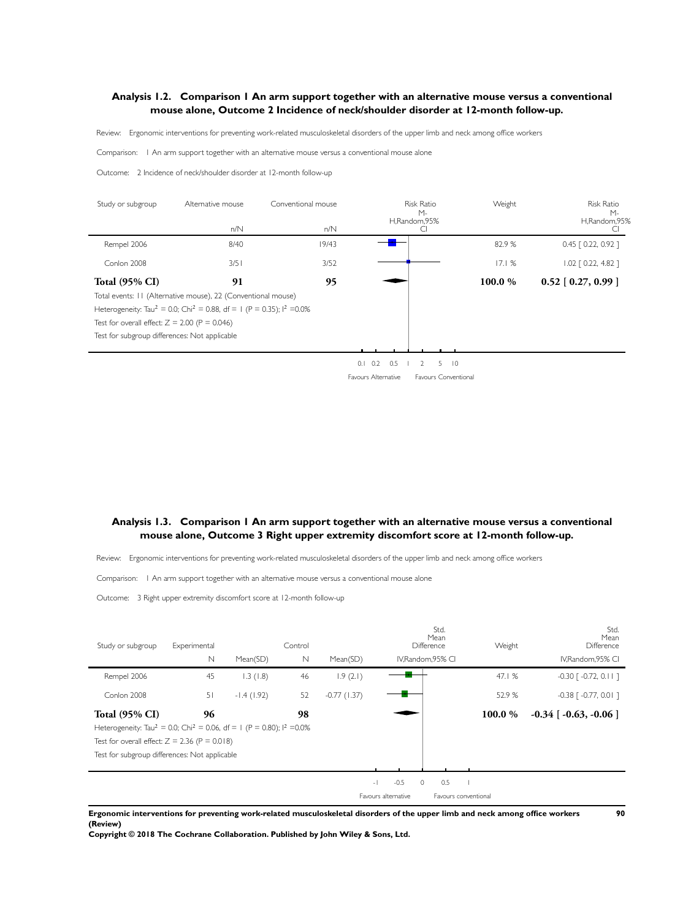#### **Analysis 1.2. Comparison 1 An arm support together with an alternative mouse versus a conventional mouse alone, Outcome 2 Incidence of neck/shoulder disorder at 12-month follow-up.**

Review: Ergonomic interventions for preventing work-related musculoskeletal disorders of the upper limb and neck among office workers

Comparison: I An arm support together with an alternative mouse versus a conventional mouse alone

Outcome: 2 Incidence of neck/shoulder disorder at 12-month follow-up

| Study or subgroup                               | Alternative mouse                                                                                        | Conventional mouse | Risk Ratio<br>М- | Weight | Risk Ratio<br>$M -$   |
|-------------------------------------------------|----------------------------------------------------------------------------------------------------------|--------------------|------------------|--------|-----------------------|
|                                                 | n/N                                                                                                      | n/N                | H,Random,95%     |        | H,Random,95%          |
| Rempel 2006                                     | 8/40                                                                                                     | 19/43              |                  | 82.9%  | $0.45$ $[0.22, 0.92]$ |
| Conlon 2008                                     | 3/51                                                                                                     | 3/52               |                  | 17.1%  | $1.02$ $[0.22, 4.82]$ |
| <b>Total (95% CI)</b>                           | 91                                                                                                       | 95                 |                  | 100.0% | $0.52$ [ 0.27, 0.99 ] |
|                                                 | Total events: 11 (Alternative mouse), 22 (Conventional mouse)                                            |                    |                  |        |                       |
|                                                 | Heterogeneity: Tau <sup>2</sup> = 0.0; Chi <sup>2</sup> = 0.88, df = 1 (P = 0.35); l <sup>2</sup> = 0.0% |                    |                  |        |                       |
| Test for overall effect: $Z = 2.00$ (P = 0.046) |                                                                                                          |                    |                  |        |                       |
| Test for subgroup differences: Not applicable   |                                                                                                          |                    |                  |        |                       |
|                                                 |                                                                                                          |                    |                  |        |                       |
|                                                 |                                                                                                          |                    |                  |        |                       |

0.1 0.2 0.5 1 2 5 10 Favours Alternative Favours Conventional

#### **Analysis 1.3. Comparison 1 An arm support together with an alternative mouse versus a conventional mouse alone, Outcome 3 Right upper extremity discomfort score at 12-month follow-up.**

Review: Ergonomic interventions for preventing work-related musculoskeletal disorders of the upper limb and neck among office workers

Comparison: I An arm support together with an alternative mouse versus a conventional mouse alone

Outcome: 3 Right upper extremity discomfort score at 12-month follow-up

| Study or subgroup                                                                                                                                                                    | Experimental |              | Control     |               |      |                     | Std.<br>Mean<br>Difference | Weight  | Std.<br>Mean<br>Difference          |
|--------------------------------------------------------------------------------------------------------------------------------------------------------------------------------------|--------------|--------------|-------------|---------------|------|---------------------|----------------------------|---------|-------------------------------------|
|                                                                                                                                                                                      | $\mathbb N$  | Mean(SD)     | $\mathbb N$ | Mean(SD)      |      |                     | IV, Random, 95% CI         |         | IV, Random, 95% CI                  |
| Rempel 2006                                                                                                                                                                          | 45           | 1.3(1.8)     | 46          | 1.9(2.1)      |      |                     |                            | 47.1%   | $-0.30$ $\lceil -0.72, 0.11 \rceil$ |
| Conlon 2008                                                                                                                                                                          | 51           | $-1.4(1.92)$ | 52          | $-0.77(1.37)$ |      |                     |                            | 52.9%   | $-0.38$ $\lceil -0.77, 0.01 \rceil$ |
| <b>Total (95% CI)</b><br>Heterogeneity: Tau <sup>2</sup> = 0.0; Chi <sup>2</sup> = 0.06, df = 1 (P = 0.80); l <sup>2</sup> = 0.0%<br>Test for overall effect: $Z = 2.36$ (P = 0.018) | 96           |              | 98          |               |      |                     |                            | 100.0 % | $-0.34$ [ $-0.63$ , $-0.06$ ]       |
| Test for subgroup differences: Not applicable                                                                                                                                        |              |              |             |               |      |                     |                            |         |                                     |
|                                                                                                                                                                                      |              |              |             |               | $-1$ | $-0.5$              | 0.5<br>$\circ$             |         |                                     |
|                                                                                                                                                                                      |              |              |             |               |      | Favours alternative | Favours conventional       |         |                                     |

**Ergonomic interventions for preventing work-related musculoskeletal disorders of the upper limb and neck among office workers 90 (Review)**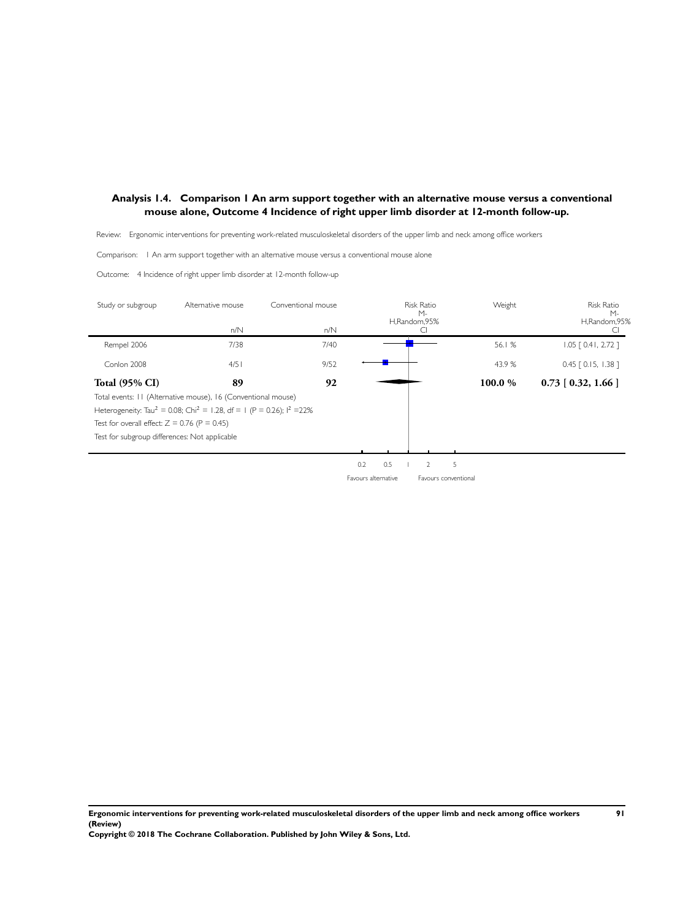#### **Analysis 1.4. Comparison 1 An arm support together with an alternative mouse versus a conventional mouse alone, Outcome 4 Incidence of right upper limb disorder at 12-month follow-up.**

Review: Ergonomic interventions for preventing work-related musculoskeletal disorders of the upper limb and neck among office workers

Comparison: 1 An arm support together with an alternative mouse versus a conventional mouse alone

Outcome: 4 Incidence of right upper limb disorder at 12-month follow-up

| Study or subgroup                              | Alternative mouse                                                                               | Conventional mouse |     |     | <b>Risk Ratio</b><br>$M -$ |   | Weight | <b>Risk Ratio</b><br>$M -$        |
|------------------------------------------------|-------------------------------------------------------------------------------------------------|--------------------|-----|-----|----------------------------|---|--------|-----------------------------------|
|                                                | n/N                                                                                             | n/N                |     |     | H,Random,95%<br>С          |   |        | H,Random,95%                      |
| Rempel 2006                                    | 7/38                                                                                            | 7/40               |     |     |                            |   | 56.1%  | $1.05$ $[0.41, 2.72]$             |
| Conlon 2008                                    | 4/5                                                                                             | 9/52               |     |     |                            |   | 43.9%  | $0.45$ $\lceil 0.15, 1.38 \rceil$ |
| <b>Total (95% CI)</b>                          | 89                                                                                              | 92                 |     |     |                            |   | 100.0% | $0.73$ [ 0.32, 1.66 ]             |
|                                                | Total events: 11 (Alternative mouse), 16 (Conventional mouse)                                   |                    |     |     |                            |   |        |                                   |
|                                                | Heterogeneity: Tau <sup>2</sup> = 0.08; Chi <sup>2</sup> = 1.28, df = 1 (P = 0.26); $1^2$ = 22% |                    |     |     |                            |   |        |                                   |
| Test for overall effect: $Z = 0.76$ (P = 0.45) |                                                                                                 |                    |     |     |                            |   |        |                                   |
| Test for subgroup differences: Not applicable  |                                                                                                 |                    |     |     |                            |   |        |                                   |
|                                                |                                                                                                 |                    |     |     |                            |   |        |                                   |
|                                                |                                                                                                 |                    | 0.2 | 0.5 |                            | 5 |        |                                   |

Favours alternative Favours conventional

**Ergonomic interventions for preventing work-related musculoskeletal disorders of the upper limb and neck among office workers 91 (Review)**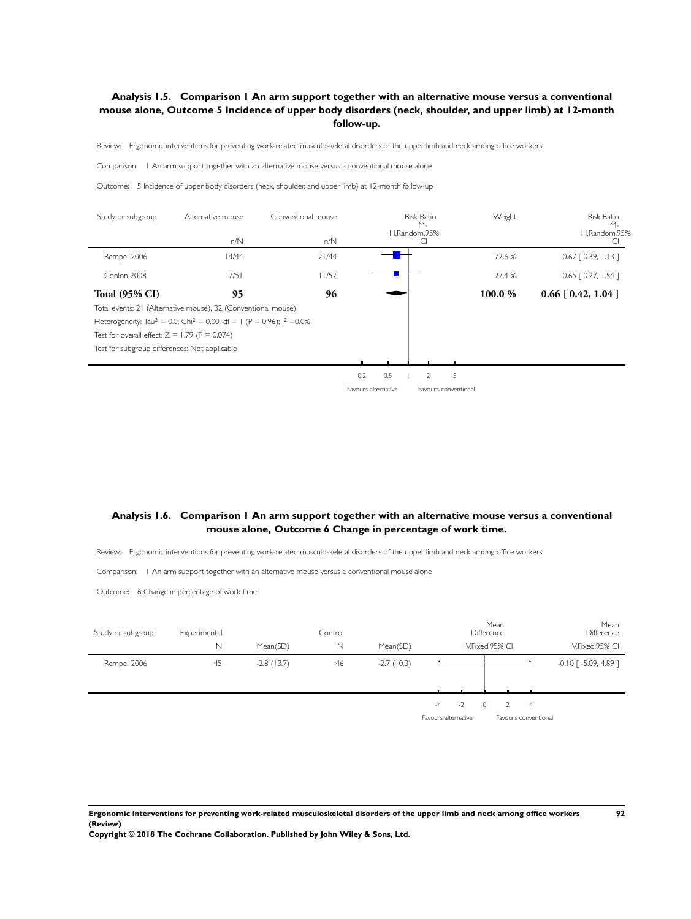#### **Analysis 1.5. Comparison 1 An arm support together with an alternative mouse versus a conventional mouse alone, Outcome 5 Incidence of upper body disorders (neck, shoulder, and upper limb) at 12-month follow-up.**

Review: Ergonomic interventions for preventing work-related musculoskeletal disorders of the upper limb and neck among office workers

Comparison: I An arm support together with an alternative mouse versus a conventional mouse alone

Outcome: 5 Incidence of upper body disorders (neck, shoulder, and upper limb) at 12-month follow-up

| Study or subgroup                               | Alternative mouse                                                                                        | Conventional mouse |                     |                   | <b>Risk Ratio</b><br>$M -$ |                      | Weight  | <b>Risk Ratio</b><br>$M -$ |
|-------------------------------------------------|----------------------------------------------------------------------------------------------------------|--------------------|---------------------|-------------------|----------------------------|----------------------|---------|----------------------------|
|                                                 | n/N                                                                                                      | n/N                |                     | H,Random,95%<br>U |                            |                      |         | H,Random,95%               |
| Rempel 2006                                     | 14/44                                                                                                    | 21/44              |                     |                   |                            |                      | 72.6 %  | $0.67$ [ 0.39, 1.13 ]      |
| Conlon 2008                                     | 7/51                                                                                                     | 11/52              |                     |                   |                            |                      | 27.4 %  | $0.65$ [ 0.27, 1.54 ]      |
| <b>Total (95% CI)</b>                           | 95                                                                                                       | 96                 |                     |                   |                            |                      | 100.0 % | $0.66$ [ $0.42$ , $1.04$ ] |
|                                                 | Total events: 21 (Alternative mouse), 32 (Conventional mouse)                                            |                    |                     |                   |                            |                      |         |                            |
|                                                 | Heterogeneity: Tau <sup>2</sup> = 0.0; Chi <sup>2</sup> = 0.00, df = 1 (P = 0.96); l <sup>2</sup> = 0.0% |                    |                     |                   |                            |                      |         |                            |
| Test for overall effect: $Z = 1.79$ (P = 0.074) |                                                                                                          |                    |                     |                   |                            |                      |         |                            |
| Test for subgroup differences: Not applicable   |                                                                                                          |                    |                     |                   |                            |                      |         |                            |
|                                                 |                                                                                                          |                    |                     |                   |                            |                      |         |                            |
|                                                 |                                                                                                          |                    | 0.2                 | 0.5               | $\overline{2}$             | 5                    |         |                            |
|                                                 |                                                                                                          |                    | Favours alternative |                   |                            | Favours conventional |         |                            |

#### **Analysis 1.6. Comparison 1 An arm support together with an alternative mouse versus a conventional mouse alone, Outcome 6 Change in percentage of work time.**

Review: Ergonomic interventions for preventing work-related musculoskeletal disorders of the upper limb and neck among office workers

Comparison: 1 An arm support together with an alternative mouse versus a conventional mouse alone

Outcome: 6 Change in percentage of work time

| Study or subgroup | Experimental |               | Control |              |                             |      |          | Mean<br><b>Difference</b> |                                        | Mean<br>Difference         |
|-------------------|--------------|---------------|---------|--------------|-----------------------------|------|----------|---------------------------|----------------------------------------|----------------------------|
|                   | N            | Mean(SD)      | N       | Mean(SD)     |                             |      |          | IV, Fixed, 95% CI         |                                        | IV, Fixed, 95% CI          |
| Rempel 2006       | 45           | $-2.8$ (13.7) | 46      | $-2.7(10.3)$ |                             |      |          |                           |                                        | $-0.10$ [ $-5.09$ , 4.89 ] |
|                   |              |               |         |              | $-4$<br>Favours alternative | $-2$ | $\Omega$ |                           | $\overline{4}$<br>Favours conventional |                            |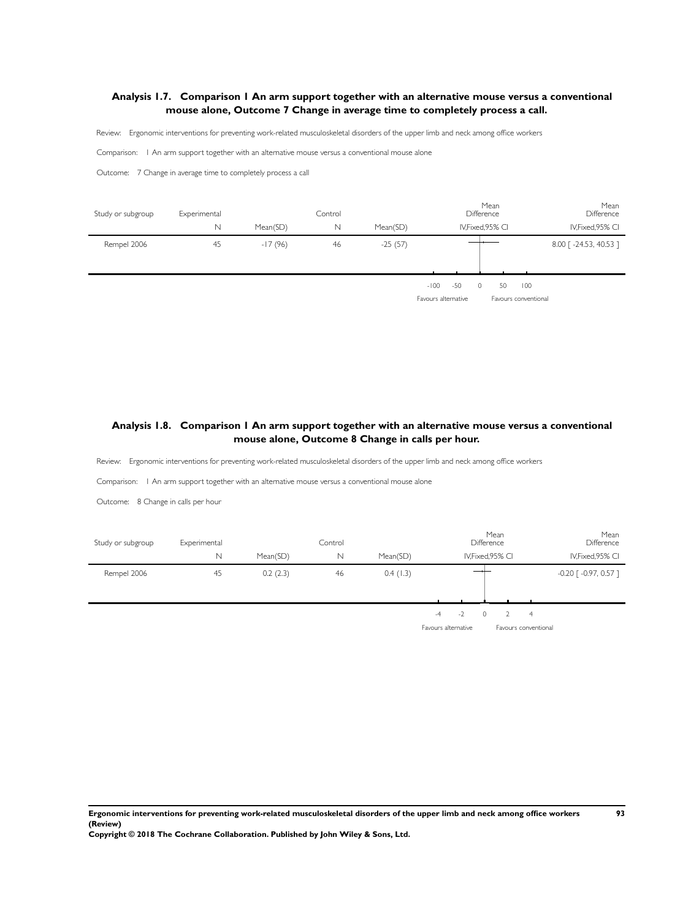#### **Analysis 1.7. Comparison 1 An arm support together with an alternative mouse versus a conventional mouse alone, Outcome 7 Change in average time to completely process a call.**

Review: Ergonomic interventions for preventing work-related musculoskeletal disorders of the upper limb and neck among office workers

Comparison: I An arm support together with an alternative mouse versus a conventional mouse alone

Outcome: 7 Change in average time to completely process a call

| Study or subgroup | Experimental |           | Control |           |                     |       |         | Mean<br>Difference |                      | Mean<br>Difference     |
|-------------------|--------------|-----------|---------|-----------|---------------------|-------|---------|--------------------|----------------------|------------------------|
|                   | N            | Mean(SD)  | N       | Mean(SD)  |                     |       |         | IV, Fixed, 95% CI  |                      | IV, Fixed, 95% CI      |
| Rempel 2006       | 45           | $-17(96)$ | 46      | $-25(57)$ |                     |       |         |                    |                      | 8.00 [ -24.53, 40.53 ] |
|                   |              |           |         |           |                     |       |         |                    |                      |                        |
|                   |              |           |         |           | $-100$              | $-50$ | $\circ$ | 50                 | 100                  |                        |
|                   |              |           |         |           | Favours alternative |       |         |                    | Favours conventional |                        |

#### **Analysis 1.8. Comparison 1 An arm support together with an alternative mouse versus a conventional mouse alone, Outcome 8 Change in calls per hour.**

Review: Ergonomic interventions for preventing work-related musculoskeletal disorders of the upper limb and neck among office workers

Comparison: I An arm support together with an alternative mouse versus a conventional mouse alone

Outcome: 8 Change in calls per hour

| Study or subgroup | Experimental |          | Control |          |           | Mean<br><b>Difference</b> | Mean<br>Difference                  |
|-------------------|--------------|----------|---------|----------|-----------|---------------------------|-------------------------------------|
|                   | N            | Mean(SD) | N       | Mean(SD) |           | IV, Fixed, 95% CI         | IV, Fixed, 95% CI                   |
| Rempel 2006       | 45           | 0.2(2.3) | 46      | 0.4(1.3) |           |                           | $-0.20$ $\lceil -0.97, 0.57 \rceil$ |
|                   |              |          |         |          | -4<br>- 1 |                           | $\overline{A}$                      |

Favours alternative Favours conventional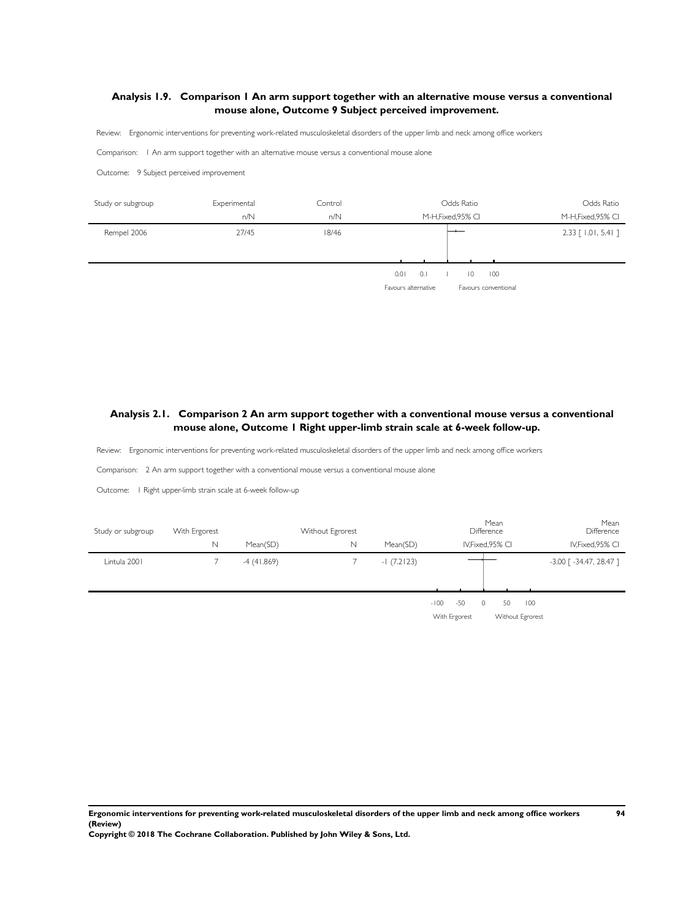#### **Analysis 1.9. Comparison 1 An arm support together with an alternative mouse versus a conventional mouse alone, Outcome 9 Subject perceived improvement.**

Review: Ergonomic interventions for preventing work-related musculoskeletal disorders of the upper limb and neck among office workers

Comparison: I An arm support together with an alternative mouse versus a conventional mouse alone

Outcome: 9 Subject perceived improvement



#### **Analysis 2.1. Comparison 2 An arm support together with a conventional mouse versus a conventional mouse alone, Outcome 1 Right upper-limb strain scale at 6-week follow-up.**

Review: Ergonomic interventions for preventing work-related musculoskeletal disorders of the upper limb and neck among office workers

Comparison: 2 An arm support together with a conventional mouse versus a conventional mouse alone

Outcome: 1 Right upper-limb strain scale at 6-week follow-up



**Ergonomic interventions for preventing work-related musculoskeletal disorders of the upper limb and neck among office workers 94 (Review)**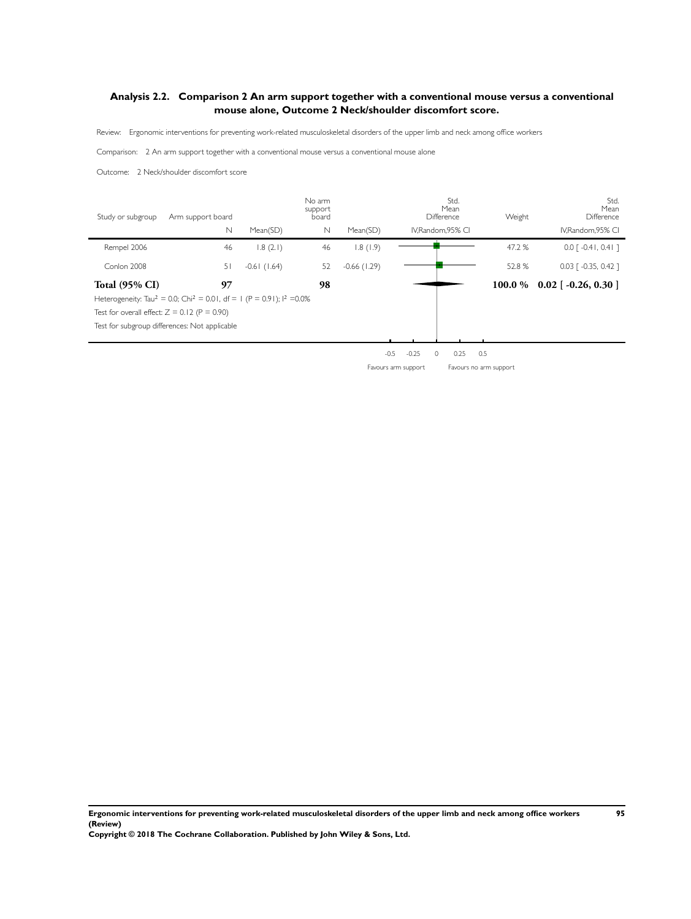#### **Analysis 2.2. Comparison 2 An arm support together with a conventional mouse versus a conventional mouse alone, Outcome 2 Neck/shoulder discomfort score.**

Review: Ergonomic interventions for preventing work-related musculoskeletal disorders of the upper limb and neck among office workers

Comparison: 2 An arm support together with a conventional mouse versus a conventional mouse alone

Outcome: 2 Neck/shoulder discomfort score

| Study or subgroup                              | Arm support board                                                                              |               | No arm<br>support<br>board |                |                   | Std.<br>Mean<br>Difference | Weight | Std.<br>Mean<br>Difference         |
|------------------------------------------------|------------------------------------------------------------------------------------------------|---------------|----------------------------|----------------|-------------------|----------------------------|--------|------------------------------------|
|                                                | $\mathbb N$                                                                                    | Mean(SD)      | N                          | Mean(SD)       |                   | IV, Random, 95% CI         |        | IV.Random.95% CI                   |
| Rempel 2006                                    | 46                                                                                             | 1.8(2.1)      | 46                         | 1.8(1.9)       |                   |                            | 47.2 % | $0.0$ [ -0.41, 0.41 ]              |
| Conlon 2008                                    | 51                                                                                             | $-0.61(1.64)$ | 52                         | $-0.66$ (1.29) |                   |                            | 52.8%  | $0.03$ $\lceil -0.35, 0.42 \rceil$ |
| <b>Total (95% CI)</b>                          | 97                                                                                             |               | 98                         |                |                   |                            |        | $100.0\%$ 0.02 [ -0.26, 0.30 ]     |
|                                                | Heterogeneity: Tau <sup>2</sup> = 0.0; Chi <sup>2</sup> = 0.01, df = 1 (P = 0.91); $1^2$ =0.0% |               |                            |                |                   |                            |        |                                    |
| Test for overall effect: $Z = 0.12$ (P = 0.90) |                                                                                                |               |                            |                |                   |                            |        |                                    |
|                                                | Test for subgroup differences: Not applicable                                                  |               |                            |                |                   |                            |        |                                    |
|                                                |                                                                                                |               |                            |                |                   |                            |        |                                    |
|                                                |                                                                                                |               |                            |                | $-0.25$<br>$-0.5$ | 0.25<br>$\circ$            | 0.5    |                                    |

Favours arm support Favours no arm support

**Ergonomic interventions for preventing work-related musculoskeletal disorders of the upper limb and neck among office workers 95 (Review)**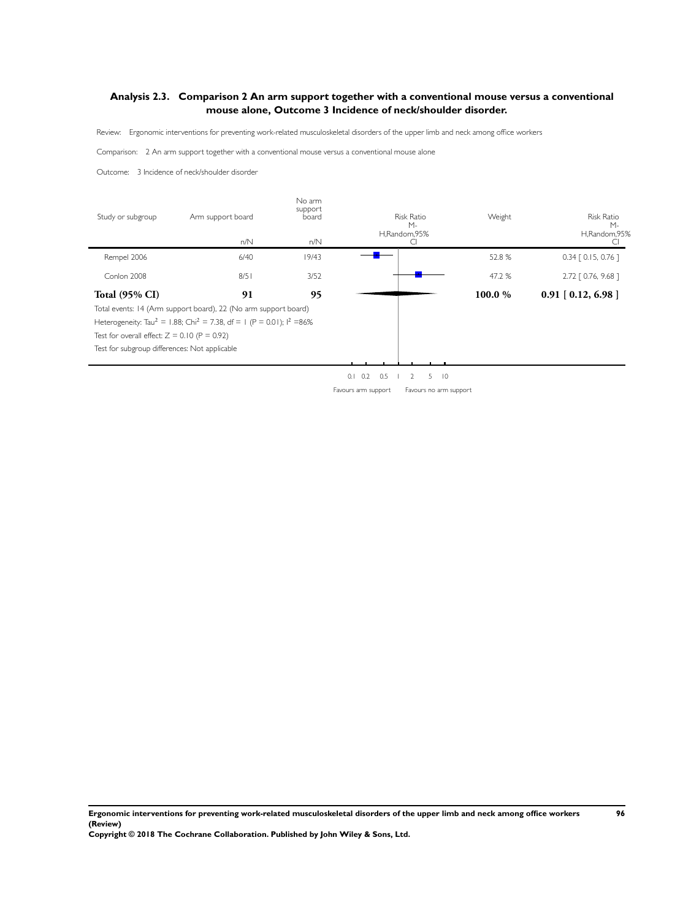#### **Analysis 2.3. Comparison 2 An arm support together with a conventional mouse versus a conventional mouse alone, Outcome 3 Incidence of neck/shoulder disorder.**

Review: Ergonomic interventions for preventing work-related musculoskeletal disorders of the upper limb and neck among office workers

Comparison: 2 An arm support together with a conventional mouse versus a conventional mouse alone

Outcome: 3 Incidence of neck/shoulder disorder

| Study or subgroup                              | Arm support board                                                                              | No arm<br>support<br>board | <b>Risk Ratio</b><br>$M -$<br>H,Random,95% | Weight | <b>Risk Ratio</b><br>$M -$<br>H,Random,95% |
|------------------------------------------------|------------------------------------------------------------------------------------------------|----------------------------|--------------------------------------------|--------|--------------------------------------------|
|                                                | n/N                                                                                            | n/N                        |                                            |        |                                            |
| Rempel 2006                                    | 6/40                                                                                           | 19/43                      |                                            | 52.8 % | $0.34$ $[0.15, 0.76]$                      |
| Conlon 2008                                    | 8/5                                                                                            | 3/52                       |                                            | 47.2 % | 2.72 [ 0.76, 9.68 ]                        |
| <b>Total (95% CI)</b>                          | 91                                                                                             | 95                         |                                            | 100.0% | $0.91$ [ 0.12, 6.98 ]                      |
|                                                | Total events: 14 (Arm support board), 22 (No arm support board)                                |                            |                                            |        |                                            |
|                                                | Heterogeneity: Tau <sup>2</sup> = 1.88; Chi <sup>2</sup> = 7.38, df = 1 (P = 0.01); $1^2$ =86% |                            |                                            |        |                                            |
| Test for overall effect: $Z = 0.10$ (P = 0.92) |                                                                                                |                            |                                            |        |                                            |
| Test for subgroup differences: Not applicable  |                                                                                                |                            |                                            |        |                                            |
|                                                |                                                                                                |                            | 0.1<br>0.2<br>5<br>$\overline{0}$<br>0.5   |        |                                            |

Favours arm support Favours no arm support

**Ergonomic interventions for preventing work-related musculoskeletal disorders of the upper limb and neck among office workers 96 (Review)**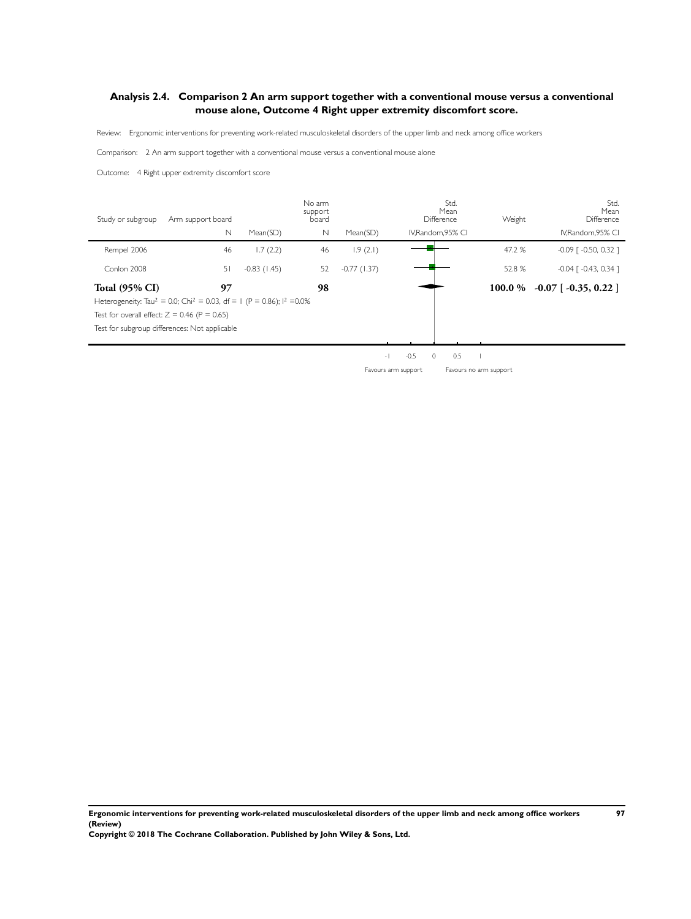#### **Analysis 2.4. Comparison 2 An arm support together with a conventional mouse versus a conventional mouse alone, Outcome 4 Right upper extremity discomfort score.**

Review: Ergonomic interventions for preventing work-related musculoskeletal disorders of the upper limb and neck among office workers

Comparison: 2 An arm support together with a conventional mouse versus a conventional mouse alone

Outcome: 4 Right upper extremity discomfort score

| Study or subgroup                              | Arm support board<br>N                                                                                   | Mean(SD)       | No arm<br>support<br>board<br>N | Mean(SD)       | Std.<br>Mean<br>Difference<br>IV.Random.95% CI | Weight  | Std.<br>Mean<br>Difference<br>IV, Random, 95% CI |
|------------------------------------------------|----------------------------------------------------------------------------------------------------------|----------------|---------------------------------|----------------|------------------------------------------------|---------|--------------------------------------------------|
| Rempel 2006                                    | 46                                                                                                       | 1.7(2.2)       | 46                              | 1.9(2.1)       |                                                | 47.2 %  | $-0.09$ $\lceil -0.50, 0.32 \rceil$              |
| Conlon 2008                                    | 51                                                                                                       | $-0.83$ (1.45) | 52                              | $-0.77$ (1.37) |                                                | 52.8%   | $-0.04$ $\lceil -0.43, 0.34 \rceil$              |
| <b>Total (95% CI)</b>                          | 97                                                                                                       |                | 98                              |                |                                                | 100.0 % | $-0.07$ [ $-0.35$ , 0.22 ]                       |
|                                                | Heterogeneity: Tau <sup>2</sup> = 0.0; Chi <sup>2</sup> = 0.03, df = 1 (P = 0.86); l <sup>2</sup> = 0.0% |                |                                 |                |                                                |         |                                                  |
| Test for overall effect: $Z = 0.46$ (P = 0.65) |                                                                                                          |                |                                 |                |                                                |         |                                                  |
|                                                | Test for subgroup differences: Not applicable                                                            |                |                                 |                |                                                |         |                                                  |
|                                                |                                                                                                          |                |                                 |                |                                                |         |                                                  |

-1 -0.5 0 0.5 1

Favours arm support Favours no arm support

**Ergonomic interventions for preventing work-related musculoskeletal disorders of the upper limb and neck among office workers 97 (Review)**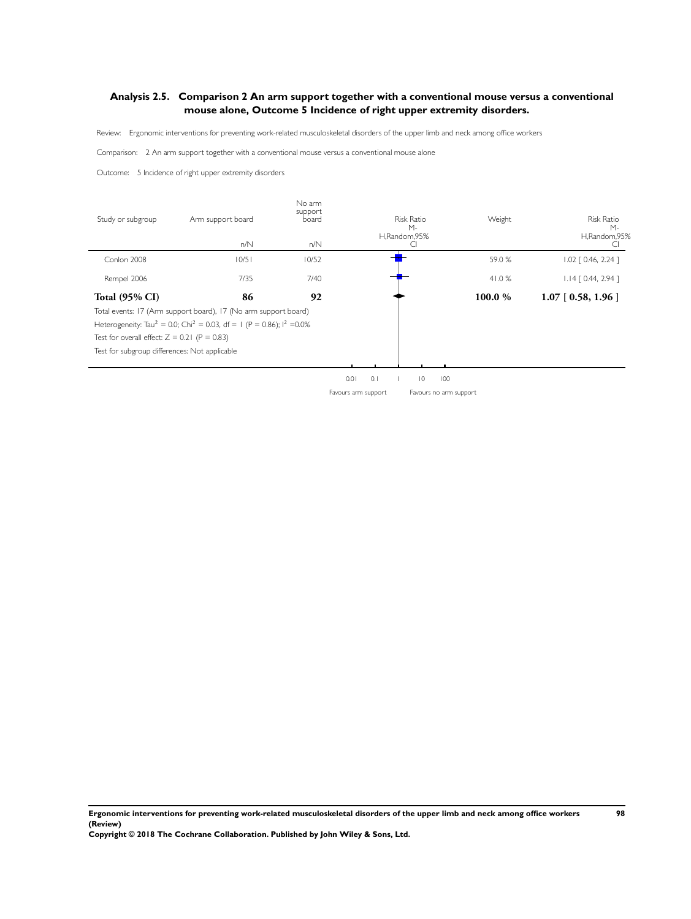#### **Analysis 2.5. Comparison 2 An arm support together with a conventional mouse versus a conventional mouse alone, Outcome 5 Incidence of right upper extremity disorders.**

Review: Ergonomic interventions for preventing work-related musculoskeletal disorders of the upper limb and neck among office workers

Comparison: 2 An arm support together with a conventional mouse versus a conventional mouse alone

Outcome: 5 Incidence of right upper extremity disorders

j.

j.

| Study or subgroup                              | Arm support board                                                                                        | No arm<br>support<br>board |             | <b>Risk Ratio</b><br>$M -$<br>H,Random,95% | Weight  | <b>Risk Ratio</b><br>$M -$<br>H,Random,95% |  |
|------------------------------------------------|----------------------------------------------------------------------------------------------------------|----------------------------|-------------|--------------------------------------------|---------|--------------------------------------------|--|
|                                                | n/N                                                                                                      | n/N                        |             | C                                          |         |                                            |  |
| Conlon 2008                                    | 10/51                                                                                                    | 10/52                      |             |                                            | 59.0 %  | $1.02$ $[0.46, 2.24]$                      |  |
| Rempel 2006                                    | 7/35                                                                                                     | 7/40                       |             |                                            | 41.0%   | $1.14$ $[0.44, 2.94]$                      |  |
| <b>Total (95% CI)</b>                          | 86                                                                                                       | 92                         |             |                                            | 100.0 % | $1.07$ [ 0.58, 1.96 ]                      |  |
|                                                | Total events: 17 (Arm support board), 17 (No arm support board)                                          |                            |             |                                            |         |                                            |  |
|                                                | Heterogeneity: Tau <sup>2</sup> = 0.0; Chi <sup>2</sup> = 0.03, df = 1 (P = 0.86); l <sup>2</sup> = 0.0% |                            |             |                                            |         |                                            |  |
| Test for overall effect: $Z = 0.21$ (P = 0.83) |                                                                                                          |                            |             |                                            |         |                                            |  |
| Test for subgroup differences: Not applicable  |                                                                                                          |                            |             |                                            |         |                                            |  |
|                                                |                                                                                                          |                            |             |                                            |         |                                            |  |
|                                                |                                                                                                          |                            | 0.1<br>0.01 | 100<br>$\overline{0}$                      |         |                                            |  |

Favours arm support Favours no arm support

**Ergonomic interventions for preventing work-related musculoskeletal disorders of the upper limb and neck among office workers 98 (Review)**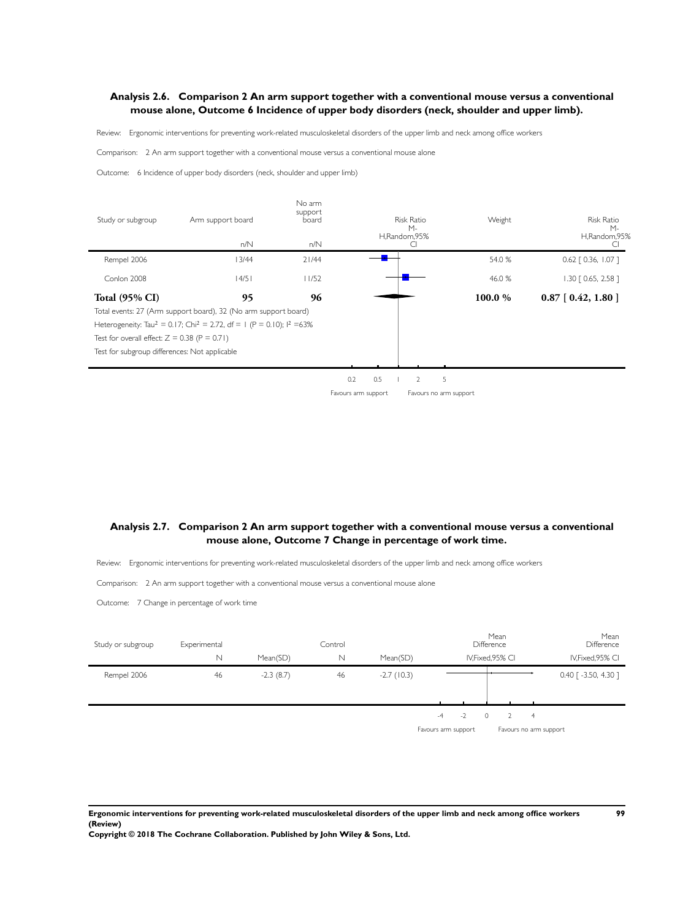#### **Analysis 2.6. Comparison 2 An arm support together with a conventional mouse versus a conventional mouse alone, Outcome 6 Incidence of upper body disorders (neck, shoulder and upper limb).**

Review: Ergonomic interventions for preventing work-related musculoskeletal disorders of the upper limb and neck among office workers

Comparison: 2 An arm support together with a conventional mouse versus a conventional mouse alone

Outcome: 6 Incidence of upper body disorders (neck, shoulder and upper limb)



#### **Analysis 2.7. Comparison 2 An arm support together with a conventional mouse versus a conventional mouse alone, Outcome 7 Change in percentage of work time.**

Review: Ergonomic interventions for preventing work-related musculoskeletal disorders of the upper limb and neck among office workers

Comparison: 2 An arm support together with a conventional mouse versus a conventional mouse alone

Outcome: 7 Change in percentage of work time

| Study or subgroup | Experimental |             | Control |              |                             |      | <b>Difference</b> | Mean              |                | Mean<br><b>Difference</b> |  |
|-------------------|--------------|-------------|---------|--------------|-----------------------------|------|-------------------|-------------------|----------------|---------------------------|--|
|                   | N            | Mean(SD)    | N       | Mean(SD)     |                             |      |                   | IV, Fixed, 95% CI |                | IV, Fixed, 95% CI         |  |
| Rempel 2006       | 46           | $-2.3(8.7)$ | 46      | $-2.7(10.3)$ |                             |      |                   |                   |                | $0.40$ [ -3.50, 4.30 ]    |  |
|                   |              |             |         |              | $-4$<br>Favours arm support | $-2$ | $\Omega$          |                   | $\overline{4}$ | Favours no arm support    |  |

#### **Ergonomic interventions for preventing work-related musculoskeletal disorders of the upper limb and neck among office workers 99 (Review)**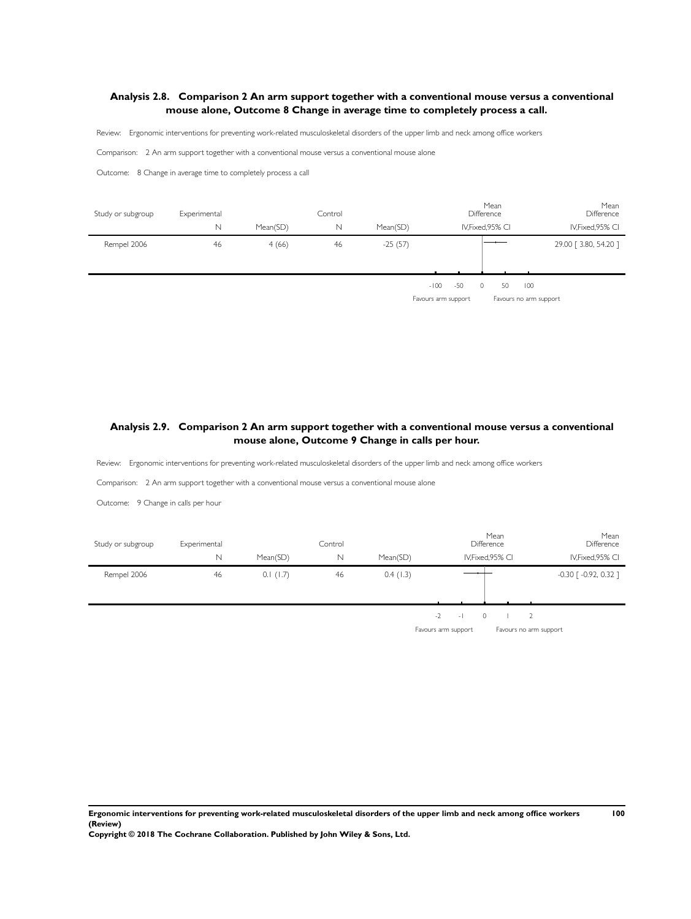#### **Analysis 2.8. Comparison 2 An arm support together with a conventional mouse versus a conventional mouse alone, Outcome 8 Change in average time to completely process a call.**

Review: Ergonomic interventions for preventing work-related musculoskeletal disorders of the upper limb and neck among office workers

Comparison: 2 An arm support together with a conventional mouse versus a conventional mouse alone

Outcome: 8 Change in average time to completely process a call

| Study or subgroup | Experimental |          | Control |           |                     |       |          | Mean<br>Difference |     | Mean<br>Difference     |
|-------------------|--------------|----------|---------|-----------|---------------------|-------|----------|--------------------|-----|------------------------|
|                   | N            | Mean(SD) | N       | Mean(SD)  |                     |       |          | IV, Fixed, 95% CI  |     | IV, Fixed, 95% CI      |
| Rempel 2006       | 46           | 4(66)    | 46      | $-25(57)$ |                     |       |          |                    |     | 29.00 [ 3.80, 54.20 ]  |
|                   |              |          |         |           |                     |       |          |                    |     |                        |
|                   |              |          |         |           | $-100$              | $-50$ | $\Omega$ | 50                 | 100 |                        |
|                   |              |          |         |           | Favours arm support |       |          |                    |     | Favours no arm support |

#### **Analysis 2.9. Comparison 2 An arm support together with a conventional mouse versus a conventional mouse alone, Outcome 9 Change in calls per hour.**

Review: Ergonomic interventions for preventing work-related musculoskeletal disorders of the upper limb and neck among office workers

Comparison: 2 An arm support together with a conventional mouse versus a conventional mouse alone

Outcome: 9 Change in calls per hour

| Study or subgroup | Experimental |          | Control |             | Mean<br><b>Difference</b> | Mean<br>Difference                  |
|-------------------|--------------|----------|---------|-------------|---------------------------|-------------------------------------|
|                   | N            | Mean(SD) | N       | Mean(SD)    | IV, Fixed, 95% CI         | IV, Fixed, 95% CI                   |
| Rempel 2006       | 46           | 0.1(1.7) | 46      | $0.4$ (1.3) |                           | $-0.30$ $\lceil -0.92, 0.32 \rceil$ |
|                   |              |          |         |             |                           |                                     |

 $-2$   $-1$  0 1 2 Favours arm support Favours no arm support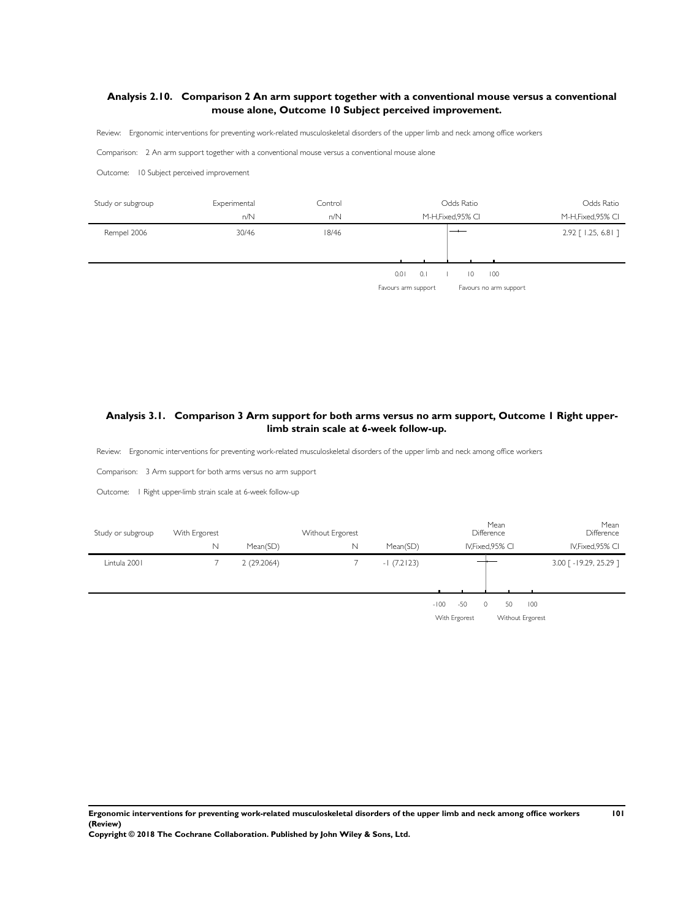#### **Analysis 2.10. Comparison 2 An arm support together with a conventional mouse versus a conventional mouse alone, Outcome 10 Subject perceived improvement.**

Review: Ergonomic interventions for preventing work-related musculoskeletal disorders of the upper limb and neck among office workers

Comparison: 2 An arm support together with a conventional mouse versus a conventional mouse alone

Outcome: 10 Subject perceived improvement



#### **Analysis 3.1. Comparison 3 Arm support for both arms versus no arm support, Outcome 1 Right upperlimb strain scale at 6-week follow-up.**

Review: Ergonomic interventions for preventing work-related musculoskeletal disorders of the upper limb and neck among office workers

Comparison: 3 Arm support for both arms versus no arm support

Outcome: 1 Right upper-limb strain scale at 6-week follow-up



**Ergonomic interventions for preventing work-related musculoskeletal disorders of the upper limb and neck among office workers 101 (Review)**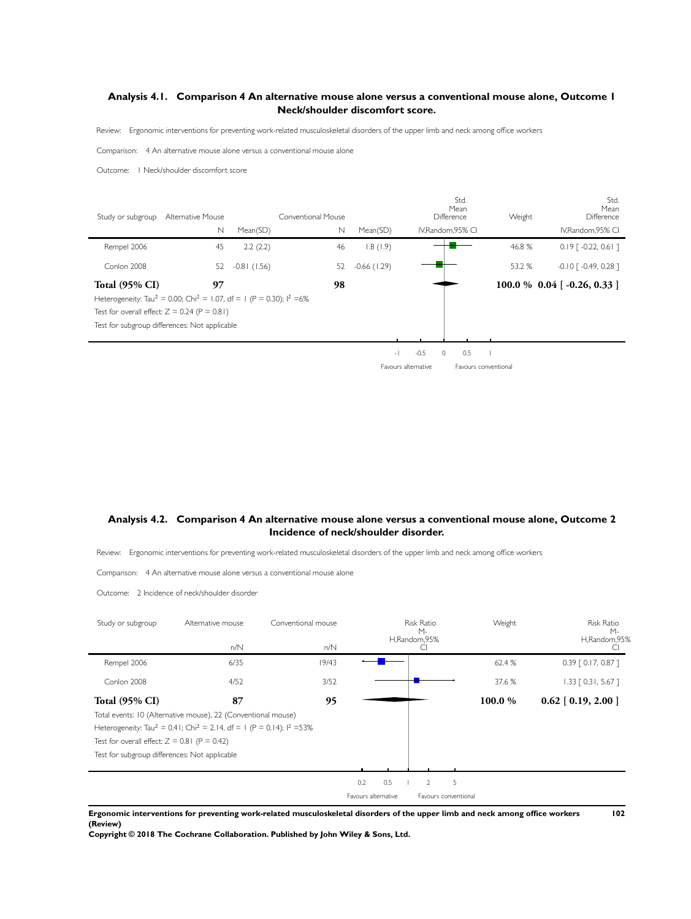#### **Analysis 4.1. Comparison 4 An alternative mouse alone versus a conventional mouse alone, Outcome 1 Neck/shoulder discomfort score.**

Review: Ergonomic interventions for preventing work-related musculoskeletal disorders of the upper limb and neck among office workers

Comparison: 4 An alternative mouse alone versus a conventional mouse alone

Outcome: I Neck/shoulder discomfort score

| Study or subgroup                                                                                      | Alternative Mouse<br>Ν | Mean(SD)      | Conventional Mouse<br>N | Mean(SD)       |                                    | Std.<br>Mean<br>Difference<br>IV, Random, 95% CI | Weight | Std.<br>Mean<br>Difference<br>IV, Random, 95% CI |
|--------------------------------------------------------------------------------------------------------|------------------------|---------------|-------------------------|----------------|------------------------------------|--------------------------------------------------|--------|--------------------------------------------------|
|                                                                                                        |                        |               |                         |                |                                    |                                                  |        |                                                  |
| Rempel 2006                                                                                            | 45                     | 2.2(2.2)      | 46                      | 1.8(1.9)       |                                    |                                                  | 46.8%  | $0.19$ $\lceil -0.22, 0.61 \rceil$               |
| Conlon 2008                                                                                            | 52                     | $-0.81(1.56)$ | 52                      | $-0.66$ (1.29) |                                    |                                                  | 53.2 % | $-0.10$ $\lceil -0.49, 0.28 \rceil$              |
| <b>Total (95% CI)</b>                                                                                  | 97                     |               | 98                      |                |                                    |                                                  |        | $100.0 \%$ 0.04 [ -0.26, 0.33 ]                  |
| Heterogeneity: Tau <sup>2</sup> = 0.00; Chi <sup>2</sup> = 1.07, df = 1 (P = 0.30); l <sup>2</sup> =6% |                        |               |                         |                |                                    |                                                  |        |                                                  |
| Test for overall effect: $Z = 0.24$ (P = 0.81)                                                         |                        |               |                         |                |                                    |                                                  |        |                                                  |
| Test for subgroup differences: Not applicable                                                          |                        |               |                         |                |                                    |                                                  |        |                                                  |
|                                                                                                        |                        |               |                         |                |                                    |                                                  |        |                                                  |
|                                                                                                        |                        |               |                         |                | $-0.5$<br>$\overline{\phantom{a}}$ | 0.5<br>$\circ$                                   |        |                                                  |

Favours alternative Favours conventional

#### **Analysis 4.2. Comparison 4 An alternative mouse alone versus a conventional mouse alone, Outcome 2 Incidence of neck/shoulder disorder.**

Review: Ergonomic interventions for preventing work-related musculoskeletal disorders of the upper limb and neck among office workers

Comparison: 4 An alternative mouse alone versus a conventional mouse alone

Outcome: 2 Incidence of neck/shoulder disorder

| Study or subgroup                              | Alternative mouse                                                                              | Conventional mouse |                     |     | <b>Risk Ratio</b><br>$M -$ |                      | Weight | <b>Risk Ratio</b><br>$M -$ |  |  |  |
|------------------------------------------------|------------------------------------------------------------------------------------------------|--------------------|---------------------|-----|----------------------------|----------------------|--------|----------------------------|--|--|--|
|                                                | n/N                                                                                            | n/N                |                     |     | H,Random,95%               |                      |        | H,Random,95%               |  |  |  |
| Rempel 2006                                    | 6/35                                                                                           | 19/43              |                     |     |                            |                      | 62.4 % | $0.39$ $[0.17, 0.87]$      |  |  |  |
| Conlon 2008                                    | 4/52                                                                                           | 3/52               |                     |     |                            |                      | 37.6 % | $1.33$ $[0.31, 5.67]$      |  |  |  |
| <b>Total (95% CI)</b>                          | 87                                                                                             | 95                 |                     |     |                            |                      | 100.0% | $0.62$ [ 0.19, 2.00 ]      |  |  |  |
|                                                | Total events: 10 (Alternative mouse), 22 (Conventional mouse)                                  |                    |                     |     |                            |                      |        |                            |  |  |  |
|                                                | Heterogeneity: Tau <sup>2</sup> = 0.41; Chi <sup>2</sup> = 2.14, df = 1 (P = 0.14); $1^2$ =53% |                    |                     |     |                            |                      |        |                            |  |  |  |
| Test for overall effect: $Z = 0.81$ (P = 0.42) |                                                                                                |                    |                     |     |                            |                      |        |                            |  |  |  |
| Test for subgroup differences: Not applicable  |                                                                                                |                    |                     |     |                            |                      |        |                            |  |  |  |
|                                                |                                                                                                |                    |                     |     |                            |                      |        |                            |  |  |  |
|                                                |                                                                                                |                    | 0.2                 | 0.5 | 2                          | 5                    |        |                            |  |  |  |
|                                                |                                                                                                |                    | Favours alternative |     |                            | Favours conventional |        |                            |  |  |  |

**Ergonomic interventions for preventing work-related musculoskeletal disorders of the upper limb and neck among office workers 102 (Review)**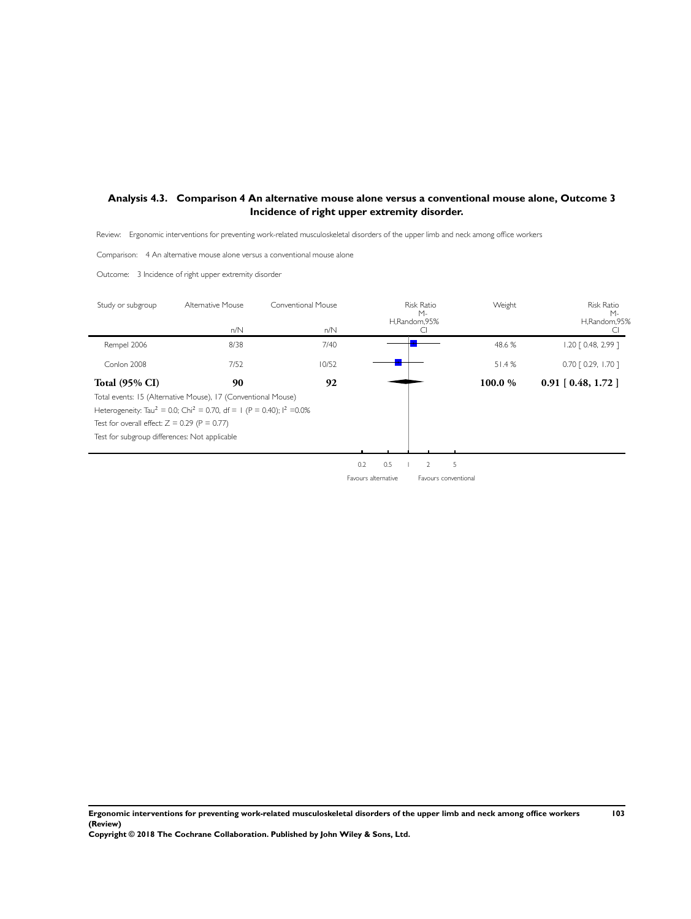#### **Analysis 4.3. Comparison 4 An alternative mouse alone versus a conventional mouse alone, Outcome 3 Incidence of right upper extremity disorder.**

Review: Ergonomic interventions for preventing work-related musculoskeletal disorders of the upper limb and neck among office workers

Comparison: 4 An alternative mouse alone versus a conventional mouse alone

Outcome: 3 Incidence of right upper extremity disorder

| Study or subgroup                              | Alternative Mouse                                                                              | <b>Conventional Mouse</b> |              |     | <b>Risk Ratio</b><br>$M -$ |   | Weight | <b>Risk Ratio</b><br>$M -$ |  |
|------------------------------------------------|------------------------------------------------------------------------------------------------|---------------------------|--------------|-----|----------------------------|---|--------|----------------------------|--|
|                                                | n/N                                                                                            | n/N                       | H,Random,95% |     |                            |   |        | H,Random,95%               |  |
| Rempel 2006                                    | 8/38                                                                                           | 7/40                      |              |     |                            |   | 48.6 % | 1.20   0.48, 2.99 ]        |  |
| Conlon 2008                                    | 7/52                                                                                           | 10/52                     |              |     |                            |   | 51.4%  | $0.70$ $[0.29, 1.70]$      |  |
| <b>Total (95% CI)</b>                          | 90                                                                                             | 92                        |              |     |                            |   | 100.0% | $0.91$ [ $0.48$ , 1.72 ]   |  |
|                                                | Total events: 15 (Alternative Mouse), 17 (Conventional Mouse)                                  |                           |              |     |                            |   |        |                            |  |
|                                                | Heterogeneity: Tau <sup>2</sup> = 0.0; Chi <sup>2</sup> = 0.70, df = 1 (P = 0.40); $1^2$ =0.0% |                           |              |     |                            |   |        |                            |  |
| Test for overall effect: $Z = 0.29$ (P = 0.77) |                                                                                                |                           |              |     |                            |   |        |                            |  |
| Test for subgroup differences: Not applicable  |                                                                                                |                           |              |     |                            |   |        |                            |  |
|                                                |                                                                                                |                           |              |     |                            |   |        |                            |  |
|                                                |                                                                                                |                           | 0.2          | 0.5 |                            | 5 |        |                            |  |

Favours alternative Favours conventional

**Ergonomic interventions for preventing work-related musculoskeletal disorders of the upper limb and neck among office workers 103 (Review)**

**Copyright © 2018 The Cochrane Collaboration. Published by John Wiley & Sons, Ltd.**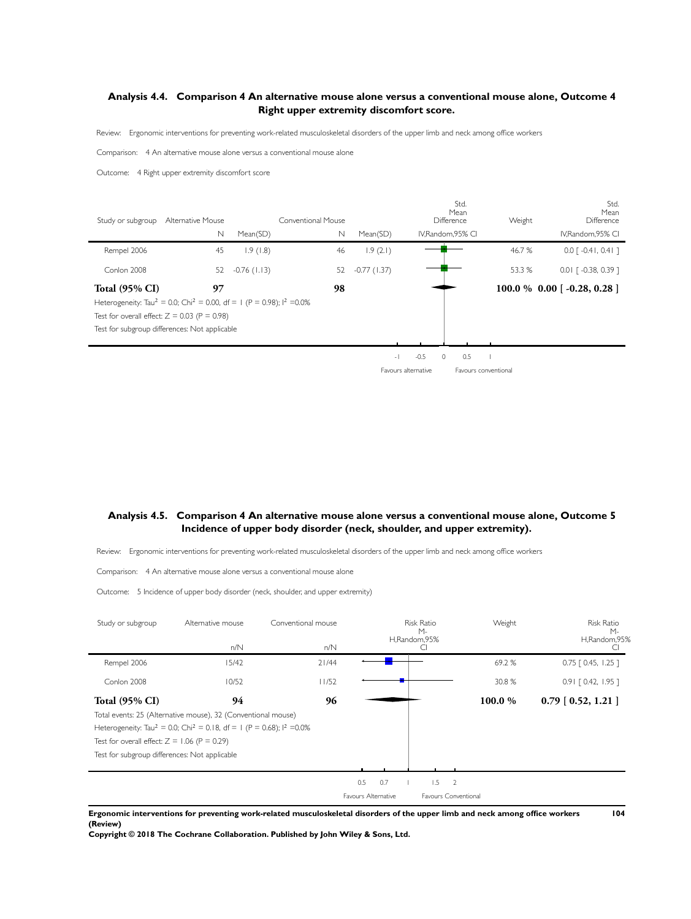#### **Analysis 4.4. Comparison 4 An alternative mouse alone versus a conventional mouse alone, Outcome 4 Right upper extremity discomfort score.**

Review: Ergonomic interventions for preventing work-related musculoskeletal disorders of the upper limb and neck among office workers

Comparison: 4 An alternative mouse alone versus a conventional mouse alone

Outcome: 4 Right upper extremity discomfort score

| Study or subgroup                                                                               | Alternative Mouse                              |                | Conventional Mouse |               | Std.<br>Mean<br>Difference | Weight | Std.<br>Mean<br>Difference                  |  |  |  |
|-------------------------------------------------------------------------------------------------|------------------------------------------------|----------------|--------------------|---------------|----------------------------|--------|---------------------------------------------|--|--|--|
|                                                                                                 | $\mathbb N$                                    | Mean(SD)       | N                  | Mean(SD)      | IV.Random.95% CI           |        | IV, Random, 95% CI                          |  |  |  |
| Rempel 2006                                                                                     | 45                                             | 1.9(1.8)       | 46                 | 1.9(2.1)      |                            | 46.7 % | $0.0$ $\lceil -0.4 \rceil$ , $0.4$ $\lceil$ |  |  |  |
| Conlon 2008                                                                                     | 52                                             | $-0.76$ (1.13) | 52                 | $-0.77(1.37)$ |                            | 53.3 % | $0.01$ $\lceil -0.38, 0.39 \rceil$          |  |  |  |
| <b>Total (95% CI)</b>                                                                           | 97                                             |                | 98                 |               |                            |        | 100.0 % 0.00 [ -0.28, 0.28 ]                |  |  |  |
| Heterogeneity: Tau <sup>2</sup> = 0.0; Chi <sup>2</sup> = 0.00, df = 1 (P = 0.98); $1^2$ = 0.0% |                                                |                |                    |               |                            |        |                                             |  |  |  |
|                                                                                                 | Test for overall effect: $Z = 0.03$ (P = 0.98) |                |                    |               |                            |        |                                             |  |  |  |
| Test for subgroup differences: Not applicable                                                   |                                                |                |                    |               |                            |        |                                             |  |  |  |
|                                                                                                 |                                                |                |                    |               |                            |        |                                             |  |  |  |
|                                                                                                 |                                                |                |                    |               |                            |        |                                             |  |  |  |

-1 -0.5 0 0.5 1 Favours alternative Favours conventional

#### **Analysis 4.5. Comparison 4 An alternative mouse alone versus a conventional mouse alone, Outcome 5 Incidence of upper body disorder (neck, shoulder, and upper extremity).**

Review: Ergonomic interventions for preventing work-related musculoskeletal disorders of the upper limb and neck among office workers

Comparison: 4 An alternative mouse alone versus a conventional mouse alone

 $\overline{\phantom{a}}$ 

j.

Outcome: 5 Incidence of upper body disorder (neck, shoulder, and upper extremity)

| Study or subgroup                              | Alternative mouse                                                                                        | Conventional mouse |                     |     |              | <b>Risk Ratio</b><br>$M -$ |        | <b>Risk Ratio</b><br>$M -$ |
|------------------------------------------------|----------------------------------------------------------------------------------------------------------|--------------------|---------------------|-----|--------------|----------------------------|--------|----------------------------|
|                                                | n/N                                                                                                      | n/N                |                     |     | H,Random,95% |                            |        | H,Random,95%               |
| Rempel 2006                                    | 15/42                                                                                                    | 21/44              |                     |     |              |                            | 69.2%  | $0.75$ $[0.45, 1.25]$      |
| Conlon 2008                                    | 10/52                                                                                                    | 11/52              |                     |     |              |                            | 30.8 % | $0.91$ $[0.42, 1.95]$      |
| <b>Total (95% CI)</b>                          | 94                                                                                                       | 96                 |                     |     |              |                            | 100.0% | $0.79$ [ 0.52, 1.21 ]      |
|                                                | Total events: 25 (Alternative mouse), 32 (Conventional mouse)                                            |                    |                     |     |              |                            |        |                            |
|                                                | Heterogeneity: Tau <sup>2</sup> = 0.0; Chi <sup>2</sup> = 0.18, df = 1 (P = 0.68); l <sup>2</sup> = 0.0% |                    |                     |     |              |                            |        |                            |
| Test for overall effect: $Z = 1.06$ (P = 0.29) |                                                                                                          |                    |                     |     |              |                            |        |                            |
| Test for subgroup differences: Not applicable  |                                                                                                          |                    |                     |     |              |                            |        |                            |
|                                                |                                                                                                          |                    |                     |     |              |                            |        |                            |
|                                                |                                                                                                          |                    | 0.5                 | 0.7 |              | $1.5 \t 2$                 |        |                            |
|                                                |                                                                                                          |                    | Favours Alternative |     |              | Favours Conventional       |        |                            |

**Ergonomic interventions for preventing work-related musculoskeletal disorders of the upper limb and neck among office workers 104 (Review)**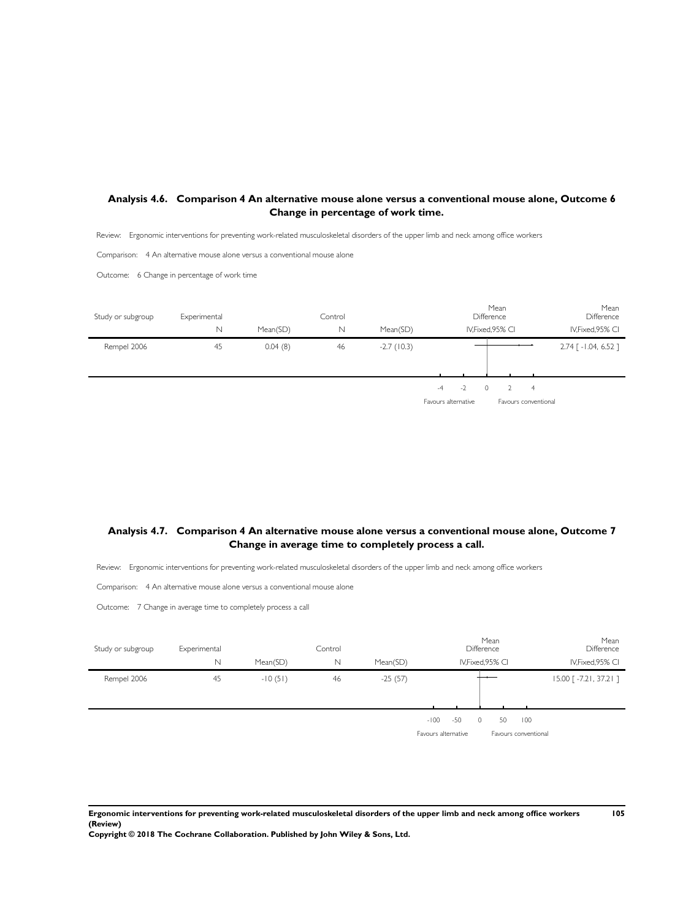### **Analysis 4.6. Comparison 4 An alternative mouse alone versus a conventional mouse alone, Outcome 6 Change in percentage of work time.**

Review: Ergonomic interventions for preventing work-related musculoskeletal disorders of the upper limb and neck among office workers

Comparison: 4 An alternative mouse alone versus a conventional mouse alone

Outcome: 6 Change in percentage of work time



## **Analysis 4.7. Comparison 4 An alternative mouse alone versus a conventional mouse alone, Outcome 7 Change in average time to completely process a call.**

Review: Ergonomic interventions for preventing work-related musculoskeletal disorders of the upper limb and neck among office workers

Comparison: 4 An alternative mouse alone versus a conventional mouse alone

Outcome: 7 Change in average time to completely process a call

| Study or subgroup | Experimental |           | Control |           |                               |       | Difference | Mean              |                             | Mean<br>Difference     |
|-------------------|--------------|-----------|---------|-----------|-------------------------------|-------|------------|-------------------|-----------------------------|------------------------|
|                   | N            | Mean(SD)  | N       | Mean(SD)  |                               |       |            | IV, Fixed, 95% CI |                             | IV, Fixed, 95% CI      |
| Rempel 2006       | 45           | $-10(51)$ | 46      | $-25(57)$ |                               |       |            |                   |                             | 15.00 [ -7.21, 37.21 ] |
|                   |              |           |         |           | $-100$<br>Favours alternative | $-50$ | 0          | 50                | 100<br>Favours conventional |                        |

### **Ergonomic interventions for preventing work-related musculoskeletal disorders of the upper limb and neck among office workers 105 (Review)**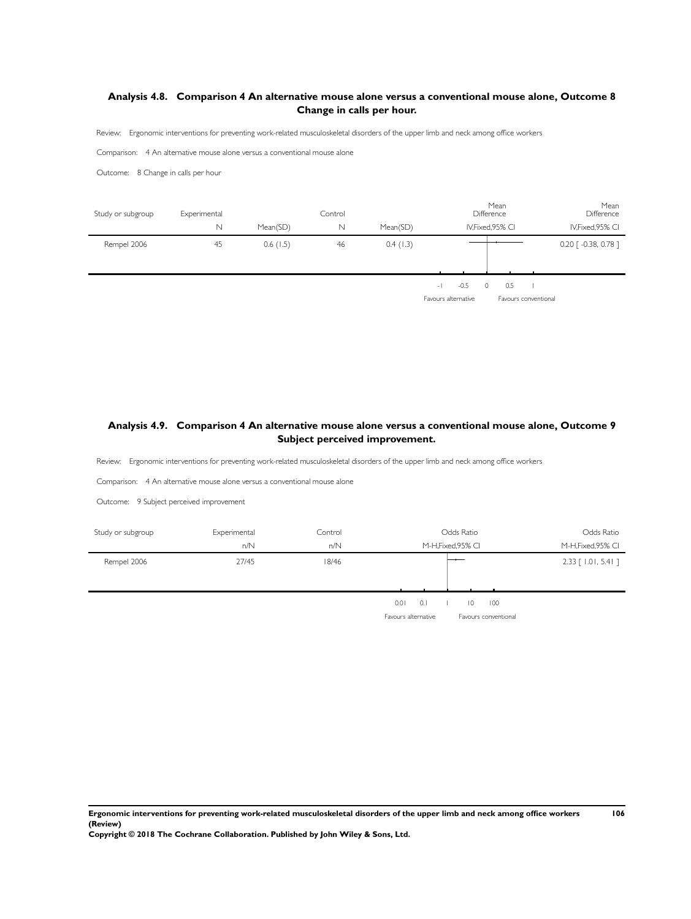# **Analysis 4.8. Comparison 4 An alternative mouse alone versus a conventional mouse alone, Outcome 8 Change in calls per hour.**

Review: Ergonomic interventions for preventing work-related musculoskeletal disorders of the upper limb and neck among office workers

Comparison: 4 An alternative mouse alone versus a conventional mouse alone

Outcome: 8 Change in calls per hour

| Study or subgroup | Experimental |          | Control |             |                     |        |          | Mean<br><b>Difference</b> |                      | Mean<br>Difference     |
|-------------------|--------------|----------|---------|-------------|---------------------|--------|----------|---------------------------|----------------------|------------------------|
|                   | N            | Mean(SD) | N       | Mean(SD)    |                     |        |          | IV, Fixed, 95% CI         |                      | IV, Fixed, 95% CI      |
| Rempel 2006       | 45           | 0.6(1.5) | 46      | $0.4$ (1.3) |                     |        |          |                           |                      | $0.20$ [ -0.38, 0.78 ] |
|                   |              |          |         |             |                     |        |          |                           |                      |                        |
|                   |              |          |         |             | $-1$                | $-0.5$ | $\Omega$ | 0.5                       |                      |                        |
|                   |              |          |         |             | Favours alternative |        |          |                           | Favours conventional |                        |

## **Analysis 4.9. Comparison 4 An alternative mouse alone versus a conventional mouse alone, Outcome 9 Subject perceived improvement.**

Review: Ergonomic interventions for preventing work-related musculoskeletal disorders of the upper limb and neck among office workers

Comparison: 4 An alternative mouse alone versus a conventional mouse alone

Outcome: 9 Subject perceived improvement

j,

| Study or subgroup | Experimental<br>n/N | Control<br>n/N |                             | M-H, Fixed, 95% CI | Odds Ratio |                | Odds Ratio<br>M-H, Fixed, 95% CI |                          |  |
|-------------------|---------------------|----------------|-----------------------------|--------------------|------------|----------------|----------------------------------|--------------------------|--|
| Rempel 2006       | 27/45               | 18/46          |                             |                    |            |                |                                  | $2.33$ [ $1.01$ , 5.41 ] |  |
|                   |                     |                | 0.01<br>Favours alternative | 0.1                |            | $\overline{0}$ | 100<br>Favours conventional      |                          |  |

**Ergonomic interventions for preventing work-related musculoskeletal disorders of the upper limb and neck among office workers 106 (Review)**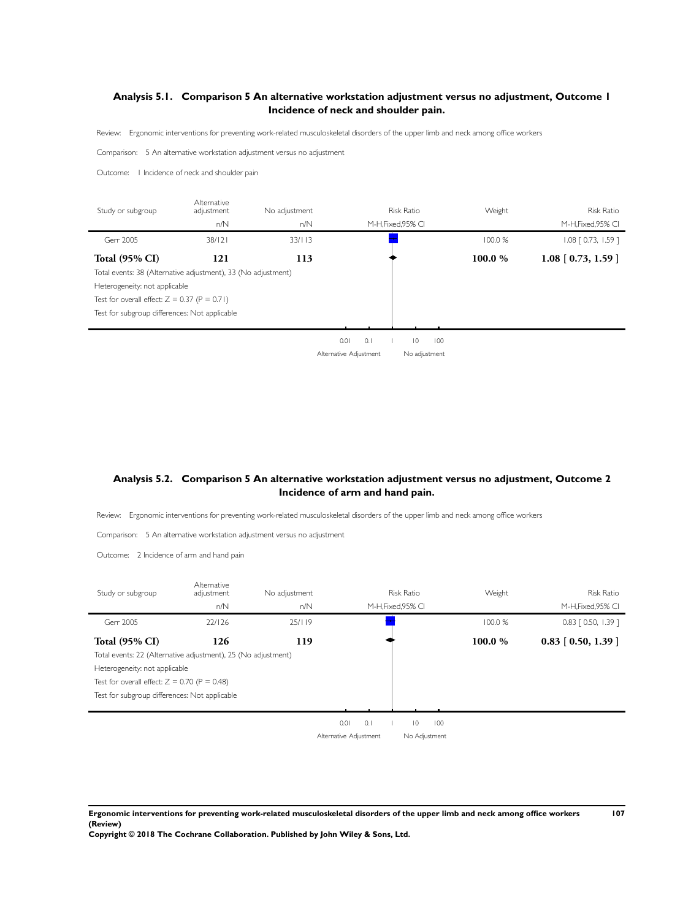# **Analysis 5.1. Comparison 5 An alternative workstation adjustment versus no adjustment, Outcome 1 Incidence of neck and shoulder pain.**

Review: Ergonomic interventions for preventing work-related musculoskeletal disorders of the upper limb and neck among office workers

Comparison: 5 An alternative workstation adjustment versus no adjustment

Outcome: 1 Incidence of neck and shoulder pain

÷,

| Study or subgroup                                             | Alternative<br>adjustment<br>n/N | No adjustment<br>n/N |                        |     | <b>Risk Ratio</b><br>M-H, Fixed, 95% CI |     | Weight  | <b>Risk Ratio</b><br>M-H, Fixed, 95% CI |
|---------------------------------------------------------------|----------------------------------|----------------------|------------------------|-----|-----------------------------------------|-----|---------|-----------------------------------------|
| Gerr 2005                                                     | 38/121                           | 33/113               |                        |     |                                         |     | 100.0 % | $1.08$ $[0.73, 1.59]$                   |
| <b>Total (95% CI)</b>                                         | 121                              | 113                  |                        |     |                                         |     | 100.0%  | $1.08$ [ 0.73, 1.59 ]                   |
| Total events: 38 (Alternative adjustment), 33 (No adjustment) |                                  |                      |                        |     |                                         |     |         |                                         |
| Heterogeneity: not applicable                                 |                                  |                      |                        |     |                                         |     |         |                                         |
| Test for overall effect: $Z = 0.37$ (P = 0.71)                |                                  |                      |                        |     |                                         |     |         |                                         |
| Test for subgroup differences: Not applicable                 |                                  |                      |                        |     |                                         |     |         |                                         |
|                                                               |                                  |                      |                        |     |                                         |     |         |                                         |
|                                                               |                                  |                      | 0.01                   | 0.1 | $\overline{0}$                          | 100 |         |                                         |
|                                                               |                                  |                      | Alternative Adjustment |     | No adjustment                           |     |         |                                         |

# **Analysis 5.2. Comparison 5 An alternative workstation adjustment versus no adjustment, Outcome 2 Incidence of arm and hand pain.**

Review: Ergonomic interventions for preventing work-related musculoskeletal disorders of the upper limb and neck among office workers

Comparison: 5 An alternative workstation adjustment versus no adjustment

Outcome: 2 Incidence of arm and hand pain

| Study or subgroup                                             | Alternative<br>adjustment<br>n/N | No adjustment<br>n/N | <b>Risk Ratio</b><br>M-H.Fixed.95% CI   | Weight | <b>Risk Ratio</b><br>M-H, Fixed, 95% CI |
|---------------------------------------------------------------|----------------------------------|----------------------|-----------------------------------------|--------|-----------------------------------------|
|                                                               |                                  |                      |                                         |        |                                         |
| Gerr 2005                                                     | 22/126                           | 25/119               |                                         | 100.0% | $0.83$ $\lceil 0.50, 1.39 \rceil$       |
| <b>Total (95% CI)</b>                                         | 126                              | 119                  |                                         | 100.0% | $0.83$ [ 0.50, 1.39 ]                   |
| Total events: 22 (Alternative adjustment), 25 (No adjustment) |                                  |                      |                                         |        |                                         |
| Heterogeneity: not applicable                                 |                                  |                      |                                         |        |                                         |
| Test for overall effect: $Z = 0.70$ (P = 0.48)                |                                  |                      |                                         |        |                                         |
| Test for subgroup differences: Not applicable                 |                                  |                      |                                         |        |                                         |
|                                                               |                                  |                      |                                         |        |                                         |
|                                                               |                                  |                      | 0.01<br>0.1<br>$\overline{0}$           | 100    |                                         |
|                                                               |                                  |                      | Alternative Adjustment<br>No Adjustment |        |                                         |

**Ergonomic interventions for preventing work-related musculoskeletal disorders of the upper limb and neck among office workers 107 (Review)**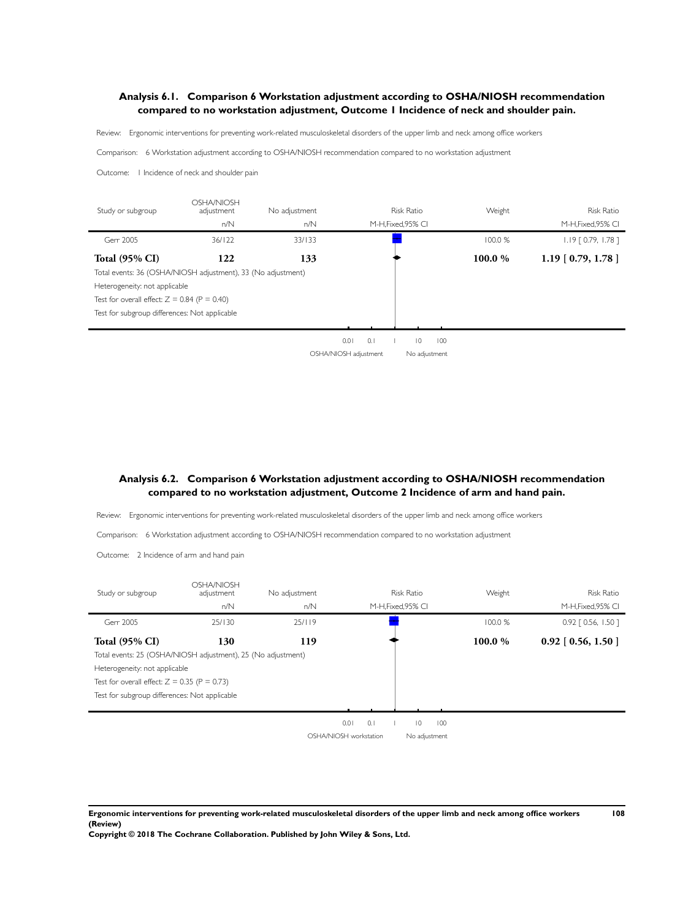## **Analysis 6.1. Comparison 6 Workstation adjustment according to OSHA/NIOSH recommendation compared to no workstation adjustment, Outcome 1 Incidence of neck and shoulder pain.**

Review: Ergonomic interventions for preventing work-related musculoskeletal disorders of the upper limb and neck among office workers

Comparison: 6 Workstation adjustment according to OSHA/NIOSH recommendation compared to no workstation adjustment

Outcome: 1 Incidence of neck and shoulder pain

| Study or subgroup                                            | <b>OSHA/NIOSH</b><br>adjustment<br>n/N | No adjustment<br>n/N |                       | <b>Risk Ratio</b><br>M-H.Fixed.95% CI |     | Weight  | <b>Risk Ratio</b><br>M-H.Fixed.95% CI |
|--------------------------------------------------------------|----------------------------------------|----------------------|-----------------------|---------------------------------------|-----|---------|---------------------------------------|
| Gerr 2005                                                    | 36/122                                 | 33/133               |                       |                                       |     | 100.0 % | $1.19$ $[0.79, 1.78]$                 |
| <b>Total (95% CI)</b>                                        | 122                                    | 133                  |                       |                                       |     | 100.0%  | $1.19$ [ 0.79, 1.78 ]                 |
| Total events: 36 (OSHA/NIOSH adjustment), 33 (No adjustment) |                                        |                      |                       |                                       |     |         |                                       |
| Heterogeneity: not applicable                                |                                        |                      |                       |                                       |     |         |                                       |
| Test for overall effect: $Z = 0.84$ (P = 0.40)               |                                        |                      |                       |                                       |     |         |                                       |
| Test for subgroup differences: Not applicable                |                                        |                      |                       |                                       |     |         |                                       |
|                                                              |                                        |                      |                       |                                       |     |         |                                       |
|                                                              |                                        |                      | 0.1<br>0.01           | $\overline{0}$                        | 100 |         |                                       |
|                                                              |                                        |                      | OSHA/NIOSH adjustment | No adjustment                         |     |         |                                       |

# **Analysis 6.2. Comparison 6 Workstation adjustment according to OSHA/NIOSH recommendation compared to no workstation adjustment, Outcome 2 Incidence of arm and hand pain.**

Review: Ergonomic interventions for preventing work-related musculoskeletal disorders of the upper limb and neck among office workers

Comparison: 6 Workstation adjustment according to OSHA/NIOSH recommendation compared to no workstation adjustment

Outcome: 2 Incidence of arm and hand pain

| Study or subgroup                                            | OSHA/NIOSH<br>adjustment | No adjustment |                        | <b>Risk Ratio</b>     | Weight  | <b>Risk Ratio</b>     |
|--------------------------------------------------------------|--------------------------|---------------|------------------------|-----------------------|---------|-----------------------|
|                                                              | n/N                      | n/N           |                        | M-H.Fixed.95% CI      |         | M-H.Fixed.95% CI      |
| Gerr 2005                                                    | 25/130                   | 25/119        |                        |                       | 100.0 % | $0.92$ $[0.56, 1.50]$ |
| <b>Total (95% CI)</b>                                        | 130                      | 119           |                        |                       | 100.0%  | $0.92$ [ 0.56, 1.50 ] |
| Total events: 25 (OSHA/NIOSH adjustment), 25 (No adjustment) |                          |               |                        |                       |         |                       |
| Heterogeneity: not applicable                                |                          |               |                        |                       |         |                       |
| Test for overall effect: $Z = 0.35$ (P = 0.73)               |                          |               |                        |                       |         |                       |
| Test for subgroup differences: Not applicable                |                          |               |                        |                       |         |                       |
|                                                              |                          |               |                        |                       |         |                       |
|                                                              |                          |               | 0.1<br>0.01            | 100<br>$\overline{0}$ |         |                       |
|                                                              |                          |               | OSHA/NIOSH workstation | No adjustment         |         |                       |

**Ergonomic interventions for preventing work-related musculoskeletal disorders of the upper limb and neck among office workers 108 (Review)**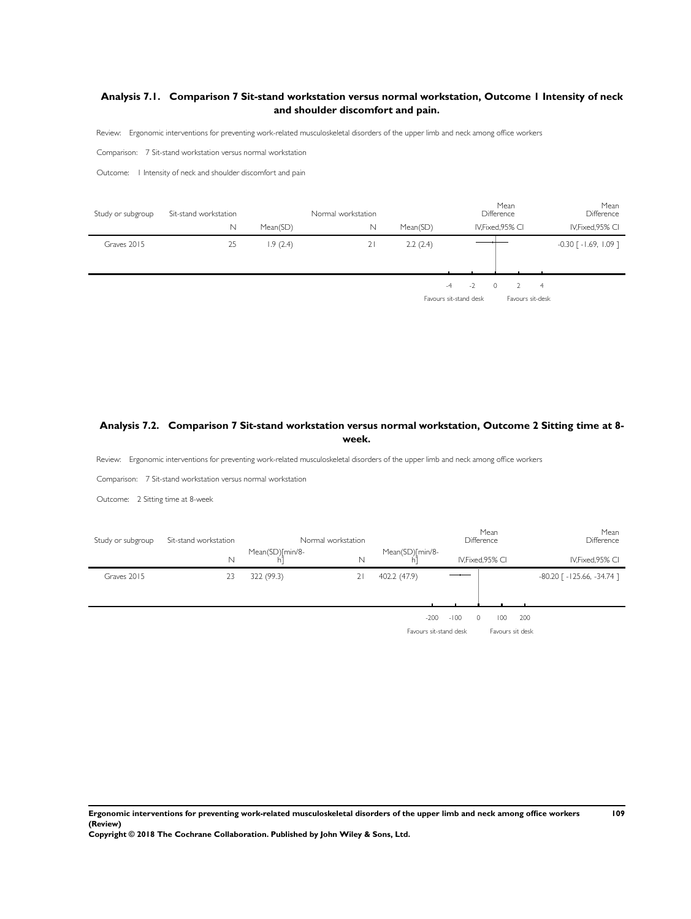# **Analysis 7.1. Comparison 7 Sit-stand workstation versus normal workstation, Outcome 1 Intensity of neck and shoulder discomfort and pain.**

Review: Ergonomic interventions for preventing work-related musculoskeletal disorders of the upper limb and neck among office workers

Comparison: 7 Sit-stand workstation versus normal workstation

Outcome: I Intensity of neck and shoulder discomfort and pain

| Study or subgroup | Sit-stand workstation |          | Normal workstation |          |      |                                | <b>Difference</b> | Mean              |                | Mean<br>Difference                  |
|-------------------|-----------------------|----------|--------------------|----------|------|--------------------------------|-------------------|-------------------|----------------|-------------------------------------|
|                   | N                     | Mean(SD) | N                  | Mean(SD) |      |                                |                   | IV, Fixed, 95% CI |                | IV, Fixed, 95% CI                   |
| Graves 2015       | 25                    | 1.9(2.4) | 21                 | 2.2(2.4) |      |                                |                   |                   |                | $-0.30$ $\lceil -1.69, 1.09 \rceil$ |
|                   |                       |          |                    |          | $-4$ | $-2$<br>Favours sit-stand desk | $\Omega$          | Favours sit-desk  | $\overline{4}$ |                                     |

# **Analysis 7.2. Comparison 7 Sit-stand workstation versus normal workstation, Outcome 2 Sitting time at 8 week.**

Review: Ergonomic interventions for preventing work-related musculoskeletal disorders of the upper limb and neck among office workers

Comparison: 7 Sit-stand workstation versus normal workstation

Outcome: 2 Sitting time at 8-week

| Study or subgroup | Sit-stand workstation | Normal workstation    |                |                       |        |                        | Mean<br>Difference |     |                  | Mean<br>Difference                |
|-------------------|-----------------------|-----------------------|----------------|-----------------------|--------|------------------------|--------------------|-----|------------------|-----------------------------------|
|                   | N                     | Mean(SD)[min/8-<br>h1 | N              | Mean(SD)[min/8-<br>h1 |        |                        | IV.Fixed.95% CI    |     |                  | IV, Fixed, 95% CI                 |
| Graves 2015       | 23                    | 322 (99.3)            | $\overline{2}$ | 402.2 (47.9)          |        |                        |                    |     |                  | $-80.20$ [ $-125.66$ , $-34.74$ ] |
|                   |                       |                       |                |                       |        |                        |                    |     |                  |                                   |
|                   |                       |                       |                |                       | $-200$ | $-100$                 | $\mathbf 0$        | 100 | 200              |                                   |
|                   |                       |                       |                |                       |        | Favours sit-stand desk |                    |     | Favours sit desk |                                   |

**Ergonomic interventions for preventing work-related musculoskeletal disorders of the upper limb and neck among office workers 109 (Review)**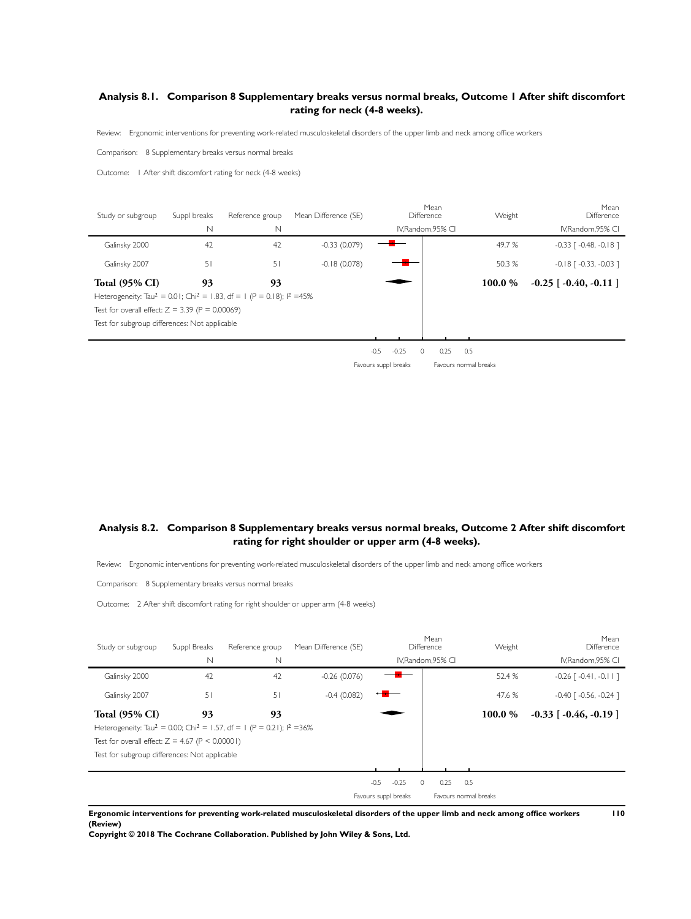# **Analysis 8.1. Comparison 8 Supplementary breaks versus normal breaks, Outcome 1 After shift discomfort rating for neck (4-8 weeks).**

Review: Ergonomic interventions for preventing work-related musculoskeletal disorders of the upper limb and neck among office workers

Comparison: 8 Supplementary breaks versus normal breaks

Outcome: I After shift discomfort rating for neck (4-8 weeks)

| Study or subgroup                                                                              | Suppl breaks | Reference group | Mean Difference (SE) |                      | Mean<br>Difference | Weight                | Mean<br><b>Difference</b>            |
|------------------------------------------------------------------------------------------------|--------------|-----------------|----------------------|----------------------|--------------------|-----------------------|--------------------------------------|
|                                                                                                | N            | $\mathbb N$     |                      |                      | IV, Random, 95% CI |                       | IV, Random, 95% CI                   |
| Galinsky 2000                                                                                  | 42           | 42              | $-0.33(0.079)$       |                      |                    | 49.7%                 | $-0.33$ $\lceil -0.48, -0.18 \rceil$ |
| Galinsky 2007                                                                                  | 51           | 51              | $-0.18(0.078)$       |                      |                    | 50.3 %                | $-0.18$ $\lceil -0.33, -0.03 \rceil$ |
| <b>Total (95% CI)</b>                                                                          | 93           | 93              |                      |                      |                    | 100.0 %               | $-0.25$ [ $-0.40, -0.11$ ]           |
| Heterogeneity: Tau <sup>2</sup> = 0.01; Chi <sup>2</sup> = 1.83, df = 1 (P = 0.18); $1^2$ =45% |              |                 |                      |                      |                    |                       |                                      |
| Test for overall effect: $Z = 3.39$ (P = 0.00069)                                              |              |                 |                      |                      |                    |                       |                                      |
| Test for subgroup differences: Not applicable                                                  |              |                 |                      |                      |                    |                       |                                      |
|                                                                                                |              |                 |                      |                      |                    |                       |                                      |
|                                                                                                |              |                 |                      | $-0.25$<br>$-0.5$    | 0.25<br>$\circ$    | 0.5                   |                                      |
|                                                                                                |              |                 |                      | Favours suppl breaks |                    | Favours normal breaks |                                      |

## **Analysis 8.2. Comparison 8 Supplementary breaks versus normal breaks, Outcome 2 After shift discomfort rating for right shoulder or upper arm (4-8 weeks).**

Review: Ergonomic interventions for preventing work-related musculoskeletal disorders of the upper limb and neck among office workers

Comparison: 8 Supplementary breaks versus normal breaks

Outcome: 2 After shift discomfort rating for right shoulder or upper arm (4-8 weeks)

| Study or subgroup                                                                              | Suppl Breaks | Reference group | Mean Difference (SE) |                      | Mean<br>Difference    | Weight  | Mean<br>Difference                   |
|------------------------------------------------------------------------------------------------|--------------|-----------------|----------------------|----------------------|-----------------------|---------|--------------------------------------|
|                                                                                                | N            | N               |                      |                      | IV, Random, 95% CI    |         | IV, Random, 95% CI                   |
| Galinsky 2000                                                                                  | 42           | 42              | $-0.26(0.076)$       |                      |                       | 52.4 %  | $-0.26$ $\lceil -0.41, -0.11 \rceil$ |
| Galinsky 2007                                                                                  | 51           | 51              | $-0.4(0.082)$        |                      |                       | 47.6 %  | $-0.40$ $\lceil -0.56, -0.24 \rceil$ |
| <b>Total (95% CI)</b>                                                                          | 93           | 93              |                      |                      |                       | 100.0 % | $-0.33$ [ $-0.46$ , $-0.19$ ]        |
| Heterogeneity: Tau <sup>2</sup> = 0.00; Chi <sup>2</sup> = 1.57, df = 1 (P = 0.21); $1^2$ =36% |              |                 |                      |                      |                       |         |                                      |
| Test for overall effect: $Z = 4.67$ (P < 0.00001)                                              |              |                 |                      |                      |                       |         |                                      |
| Test for subgroup differences: Not applicable                                                  |              |                 |                      |                      |                       |         |                                      |
|                                                                                                |              |                 |                      |                      |                       |         |                                      |
|                                                                                                |              |                 |                      | $-0.25$<br>$-0.5$    | $\circ$<br>0.25       | 0.5     |                                      |
|                                                                                                |              |                 |                      | Favours suppl breaks | Favours normal breaks |         |                                      |

**Ergonomic interventions for preventing work-related musculoskeletal disorders of the upper limb and neck among office workers 110 (Review)**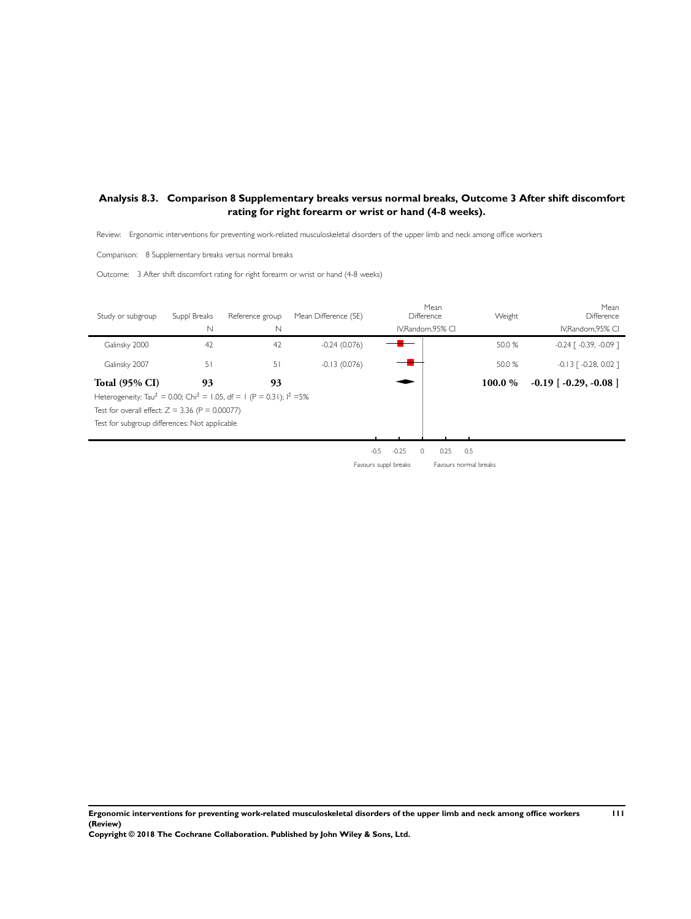# **Analysis 8.3. Comparison 8 Supplementary breaks versus normal breaks, Outcome 3 After shift discomfort rating for right forearm or wrist or hand (4-8 weeks).**

Review: Ergonomic interventions for preventing work-related musculoskeletal disorders of the upper limb and neck among office workers

Comparison: 8 Supplementary breaks versus normal breaks

Outcome: 3 After shift discomfort rating for right forearm or wrist or hand (4-8 weeks)

| Suppl Breaks | Reference group | Mean Difference (SE)                                                                                              |                                                                                                 | Mean                 | Weight     | Mean<br>Difference<br>IV, Random, 95% CI    |
|--------------|-----------------|-------------------------------------------------------------------------------------------------------------------|-------------------------------------------------------------------------------------------------|----------------------|------------|---------------------------------------------|
|              |                 |                                                                                                                   |                                                                                                 |                      |            |                                             |
| 42           | 42              | $-0.24(0.076)$                                                                                                    |                                                                                                 |                      | 50.0 %     | $-0.24$ $\lceil -0.39, -0.09 \rceil$        |
| 51           | 51              | $-0.13(0.076)$                                                                                                    |                                                                                                 |                      | 50.0 %     | $-0.13$ $\lceil -0.28, 0.02 \rceil$         |
| 93           | 93              |                                                                                                                   |                                                                                                 |                      | 100.0 %    | $-0.19$ [ $-0.29$ , $-0.08$ ]               |
|              |                 |                                                                                                                   |                                                                                                 |                      |            |                                             |
|              |                 |                                                                                                                   |                                                                                                 |                      |            |                                             |
|              |                 |                                                                                                                   |                                                                                                 |                      |            |                                             |
|              |                 |                                                                                                                   |                                                                                                 |                      |            |                                             |
|              |                 |                                                                                                                   | $-0.25$<br>$-0.5$                                                                               | 0.25<br>$\mathbf 0$  | 0.5        |                                             |
|              |                 |                                                                                                                   |                                                                                                 |                      |            |                                             |
|              | N               | $\mathbb N$<br>Test for overall effect: $Z = 3.36$ (P = 0.00077)<br>Test for subgroup differences: Not applicable | Heterogeneity: Tau <sup>2</sup> = 0.00; Chi <sup>2</sup> = 1.05, df = 1 (P = 0.31); $1^2 = 5\%$ | Favours suppl breaks | Difference | IV, Random, 95% CI<br>Favours normal breaks |

**Ergonomic interventions for preventing work-related musculoskeletal disorders of the upper limb and neck among office workers 111 (Review)**

**Copyright © 2018 The Cochrane Collaboration. Published by John Wiley & Sons, Ltd.**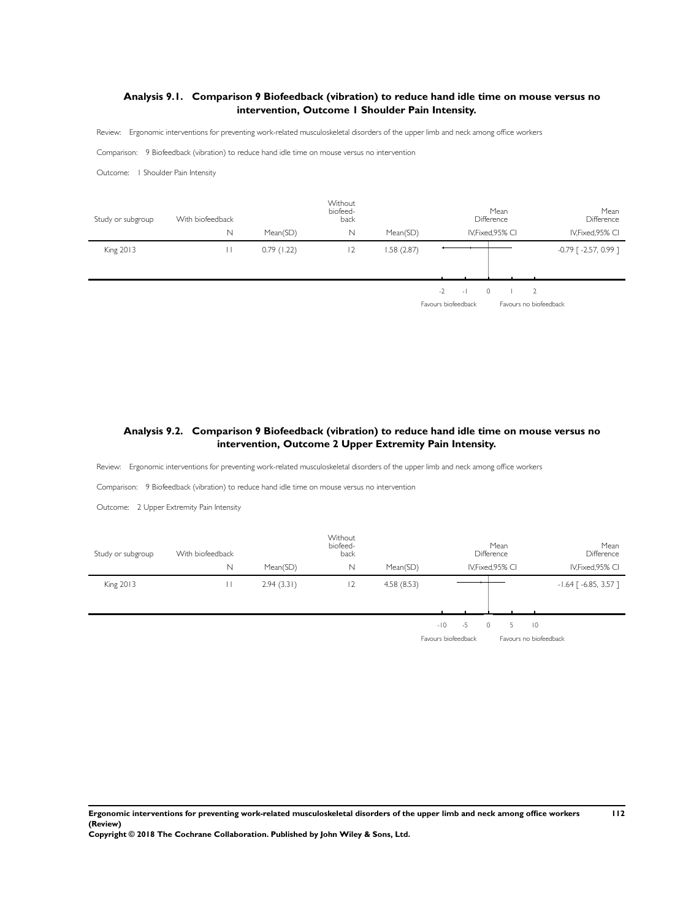# **Analysis 9.1. Comparison 9 Biofeedback (vibration) to reduce hand idle time on mouse versus no intervention, Outcome 1 Shoulder Pain Intensity.**

Review: Ergonomic interventions for preventing work-related musculoskeletal disorders of the upper limb and neck among office workers

Comparison: 9 Biofeedback (vibration) to reduce hand idle time on mouse versus no intervention

Outcome: 1 Shoulder Pain Intensity

| Study or subgroup | With biofeedback |            | Without<br>biofeed-<br>back |             |                             |            | <b>Difference</b> | Mean              |                                          | Mean<br>Difference         |
|-------------------|------------------|------------|-----------------------------|-------------|-----------------------------|------------|-------------------|-------------------|------------------------------------------|----------------------------|
|                   | N                | Mean(SD)   | N                           | Mean(SD)    |                             |            |                   | IV, Fixed, 95% CI | IV, Fixed, 95% CI                        |                            |
| King 2013         | Ш                | 0.79(1.22) | 2                           | 1.58 (2.87) |                             |            |                   |                   |                                          | $-0.79$ [ $-2.57$ , 0.99 ] |
|                   |                  |            |                             |             | $-2$<br>Favours biofeedback | . <b>.</b> | $\Omega$          |                   | $\overline{z}$<br>Favours no biofeedback |                            |

# **Analysis 9.2. Comparison 9 Biofeedback (vibration) to reduce hand idle time on mouse versus no intervention, Outcome 2 Upper Extremity Pain Intensity.**

Review: Ergonomic interventions for preventing work-related musculoskeletal disorders of the upper limb and neck among office workers

Comparison: 9 Biofeedback (vibration) to reduce hand idle time on mouse versus no intervention

Outcome: 2 Upper Extremity Pain Intensity

| Study or subgroup | With biofeedback |            | Without<br>biofeed-<br>back |            |                              |                   | <b>Difference</b> | Mean |                                          | Mean<br>Difference         |
|-------------------|------------------|------------|-----------------------------|------------|------------------------------|-------------------|-------------------|------|------------------------------------------|----------------------------|
|                   | N                | Mean(SD)   | N                           | Mean(SD)   |                              | IV, Fixed, 95% CI |                   |      |                                          | IV, Fixed, 95% CI          |
| King 2013         | Ш                | 2.94(3.31) | 12                          | 4.58(8.53) |                              |                   |                   |      |                                          | $-1.64$ [ $-6.85$ , 3.57 ] |
|                   |                  |            |                             |            | $-10$<br>Favours biofeedback | $-5$              | $\Omega$          | 5.   | $\overline{0}$<br>Favours no biofeedback |                            |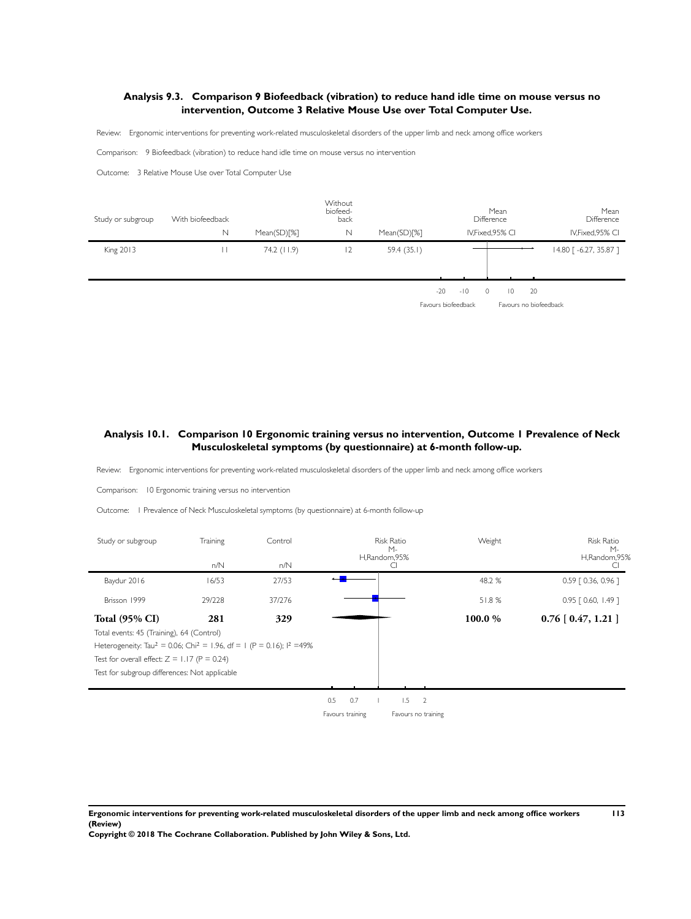## **Analysis 9.3. Comparison 9 Biofeedback (vibration) to reduce hand idle time on mouse versus no intervention, Outcome 3 Relative Mouse Use over Total Computer Use.**

Review: Ergonomic interventions for preventing work-related musculoskeletal disorders of the upper limb and neck among office workers

Comparison: 9 Biofeedback (vibration) to reduce hand idle time on mouse versus no intervention

Outcome: 3 Relative Mouse Use over Total Computer Use

| Study or subgroup | With biofeedback |             | Without<br>biofeed-<br>back |             |       |                              |          | Mean<br>Difference                       |    | Mean<br>Difference     |
|-------------------|------------------|-------------|-----------------------------|-------------|-------|------------------------------|----------|------------------------------------------|----|------------------------|
|                   | N                | Mean(SD)[%] | N                           | Mean(SD)[%] |       |                              |          | IV, Fixed, 95% CI                        |    | IV, Fixed, 95% CI      |
| King 2013         |                  | 74.2 (11.9) | 2                           | 59.4 (35.1) |       |                              |          |                                          |    | 14.80 [ -6.27, 35.87 ] |
|                   |                  |             |                             |             | $-20$ | $-10$<br>Favours biofeedback | $\Omega$ | $\overline{0}$<br>Favours no biofeedback | 20 |                        |

## **Analysis 10.1. Comparison 10 Ergonomic training versus no intervention, Outcome 1 Prevalence of Neck Musculoskeletal symptoms (by questionnaire) at 6-month follow-up.**

Review: Ergonomic interventions for preventing work-related musculoskeletal disorders of the upper limb and neck among office workers

Comparison: 10 Ergonomic training versus no intervention

Outcome: 1 Prevalence of Neck Musculoskeletal symptoms (by questionnaire) at 6-month follow-up

| Study or subgroup                                                                              | Training<br>n/N | Control<br>n/N |                  | <b>Risk Ratio</b><br>M-<br>H,Random,95% | Weight              | <b>Risk Ratio</b><br>$M -$<br>H,Random,95% |
|------------------------------------------------------------------------------------------------|-----------------|----------------|------------------|-----------------------------------------|---------------------|--------------------------------------------|
| Baydur 2016                                                                                    | 16/53           | 27/53          |                  |                                         | 48.2 %              | $0.59$ $[0.36, 0.96]$                      |
| Brisson 1999                                                                                   | 29/228          | 37/276         |                  |                                         | 51.8%               | $0.95$ $[0.60, 1.49]$                      |
| <b>Total (95% CI)</b>                                                                          | 281             | 329            |                  |                                         | 100.0%              | $0.76$ [ $0.47$ , 1.21 ]                   |
| Total events: 45 (Training), 64 (Control)                                                      |                 |                |                  |                                         |                     |                                            |
| Heterogeneity: Tau <sup>2</sup> = 0.06; Chi <sup>2</sup> = 1.96, df = 1 (P = 0.16); $1^2$ =49% |                 |                |                  |                                         |                     |                                            |
| Test for overall effect: $Z = 1.17$ (P = 0.24)                                                 |                 |                |                  |                                         |                     |                                            |
| Test for subgroup differences: Not applicable                                                  |                 |                |                  |                                         |                     |                                            |
|                                                                                                |                 |                |                  |                                         |                     |                                            |
|                                                                                                |                 |                | 0.5<br>0.7       | 1.5                                     | $\overline{2}$      |                                            |
|                                                                                                |                 |                | Favours training |                                         | Favours no training |                                            |

**Ergonomic interventions for preventing work-related musculoskeletal disorders of the upper limb and neck among office workers 113 (Review)**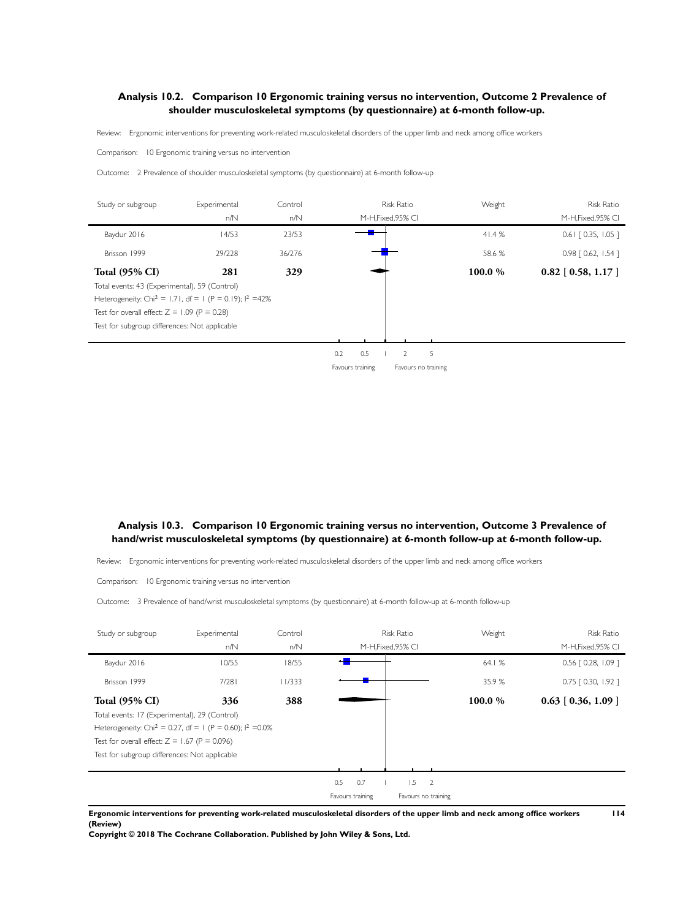### **Analysis 10.2. Comparison 10 Ergonomic training versus no intervention, Outcome 2 Prevalence of shoulder musculoskeletal symptoms (by questionnaire) at 6-month follow-up.**

Review: Ergonomic interventions for preventing work-related musculoskeletal disorders of the upper limb and neck among office workers

Comparison: 10 Ergonomic training versus no intervention

Outcome: 2 Prevalence of shoulder musculoskeletal symptoms (by questionnaire) at 6-month follow-up

| Study or subgroup                                                     | Experimental | Control | <b>Risk Ratio</b>  | Weight              | <b>Risk Ratio</b>     |
|-----------------------------------------------------------------------|--------------|---------|--------------------|---------------------|-----------------------|
|                                                                       | n/N          | n/N     | M-H, Fixed, 95% CI |                     | M-H, Fixed, 95% CI    |
| Baydur 2016                                                           | 14/53        | 23/53   |                    | 41.4%               | $0.61$ $[0.35, 1.05]$ |
| Brisson 1999                                                          | 29/228       | 36/276  |                    | 58.6 %              | $0.98$ $[0.62, 1.54]$ |
| <b>Total (95% CI)</b>                                                 | 281          | 329     |                    | 100.0 %             | $0.82$ [ 0.58, 1.17 ] |
| Total events: 43 (Experimental), 59 (Control)                         |              |         |                    |                     |                       |
| Heterogeneity: Chi <sup>2</sup> = 1.71, df = 1 (P = 0.19); $1^2$ =42% |              |         |                    |                     |                       |
| Test for overall effect: $Z = 1.09$ (P = 0.28)                        |              |         |                    |                     |                       |
| Test for subgroup differences: Not applicable                         |              |         |                    |                     |                       |
|                                                                       |              |         |                    |                     |                       |
|                                                                       |              |         | 0.5<br>0.2<br>2    | 5                   |                       |
|                                                                       |              |         | Favours training   | Favours no training |                       |

### **Analysis 10.3. Comparison 10 Ergonomic training versus no intervention, Outcome 3 Prevalence of hand/wrist musculoskeletal symptoms (by questionnaire) at 6-month follow-up at 6-month follow-up.**

Review: Ergonomic interventions for preventing work-related musculoskeletal disorders of the upper limb and neck among office workers

Comparison: 10 Ergonomic training versus no intervention

j.

Outcome: 3 Prevalence of hand/wrist musculoskeletal symptoms (by questionnaire) at 6-month follow-up at 6-month follow-up

| Study or subgroup                                                      | Experimental | Control | <b>Risk Ratio</b>                       | Weight | <b>Risk Ratio</b>     |
|------------------------------------------------------------------------|--------------|---------|-----------------------------------------|--------|-----------------------|
|                                                                        | n/N          | n/N     | M-H, Fixed, 95% CI                      |        | M-H, Fixed, 95% CI    |
| Baydur 2016                                                            | 10/55        | 18/55   |                                         | 64.1%  | $0.56$ $[0.28, 1.09]$ |
| Brisson 1999                                                           | 7/281        | 11/333  |                                         | 35.9%  | $0.75$ $[0.30, 1.92]$ |
| <b>Total (95% CI)</b>                                                  | 336          | 388     |                                         | 100.0% | $0.63$ [ 0.36, 1.09 ] |
| Total events: 17 (Experimental), 29 (Control)                          |              |         |                                         |        |                       |
| Heterogeneity: Chi <sup>2</sup> = 0.27, df = 1 (P = 0.60); $1^2$ =0.0% |              |         |                                         |        |                       |
| Test for overall effect: $Z = 1.67$ (P = 0.096)                        |              |         |                                         |        |                       |
| Test for subgroup differences: Not applicable                          |              |         |                                         |        |                       |
|                                                                        |              |         |                                         |        |                       |
|                                                                        |              |         | 0.7<br>0.5<br>1.5<br>$\overline{2}$     |        |                       |
|                                                                        |              |         | Favours training<br>Favours no training |        |                       |

**Ergonomic interventions for preventing work-related musculoskeletal disorders of the upper limb and neck among office workers 114 (Review)**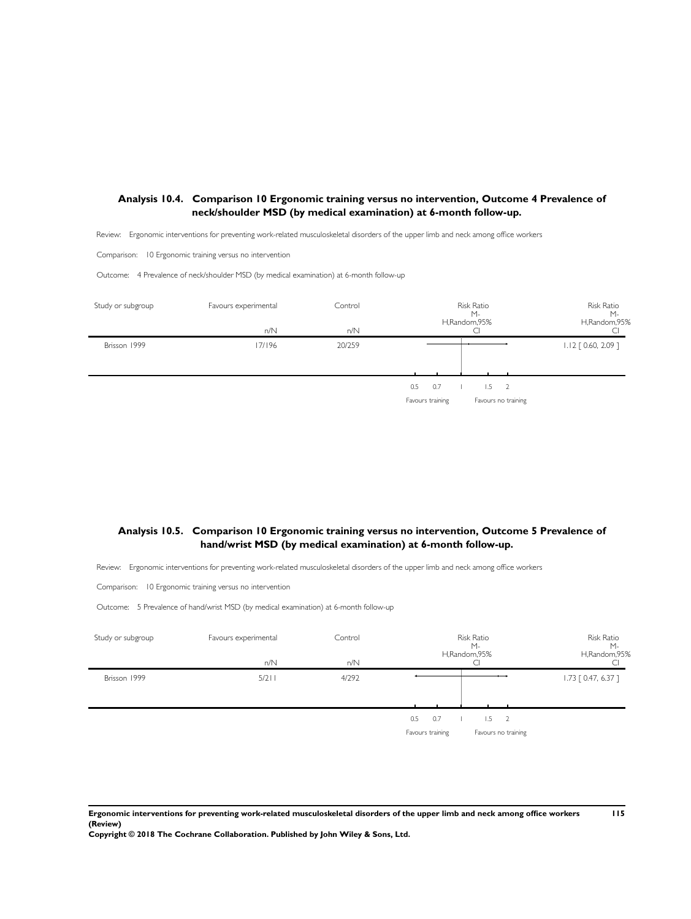### **Analysis 10.4. Comparison 10 Ergonomic training versus no intervention, Outcome 4 Prevalence of neck/shoulder MSD (by medical examination) at 6-month follow-up.**

Review: Ergonomic interventions for preventing work-related musculoskeletal disorders of the upper limb and neck among office workers

Comparison: 10 Ergonomic training versus no intervention

Outcome: 4 Prevalence of neck/shoulder MSD (by medical examination) at 6-month follow-up



## **Analysis 10.5. Comparison 10 Ergonomic training versus no intervention, Outcome 5 Prevalence of hand/wrist MSD (by medical examination) at 6-month follow-up.**

Review: Ergonomic interventions for preventing work-related musculoskeletal disorders of the upper limb and neck among office workers

Comparison: 10 Ergonomic training versus no intervention

Outcome: 5 Prevalence of hand/wrist MSD (by medical examination) at 6-month follow-up

| Study or subgroup | Favours experimental | Control |                  | <b>Risk Ratio</b><br>$M -$<br>H,Random,95% | <b>Risk Ratio</b><br>$M -$<br>H,Random,95% |  |  |
|-------------------|----------------------|---------|------------------|--------------------------------------------|--------------------------------------------|--|--|
|                   | n/N                  | n/N     |                  |                                            |                                            |  |  |
| Brisson 1999      | $5/2$                | 4/292   |                  |                                            | $1.73$ $[0.47, 6.37]$                      |  |  |
|                   |                      |         |                  |                                            |                                            |  |  |
|                   |                      |         | 0.7<br>0.5       | $\overline{2}$<br>l.5                      |                                            |  |  |
|                   |                      |         | Favours training | Favours no training                        |                                            |  |  |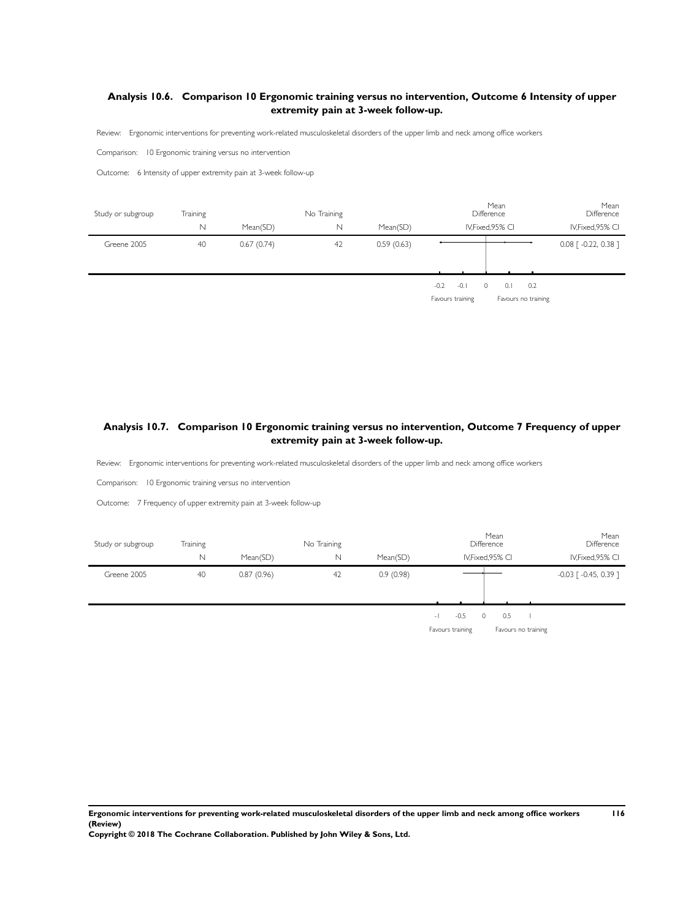# **Analysis 10.6. Comparison 10 Ergonomic training versus no intervention, Outcome 6 Intensity of upper extremity pain at 3-week follow-up.**

Review: Ergonomic interventions for preventing work-related musculoskeletal disorders of the upper limb and neck among office workers

Comparison: 10 Ergonomic training versus no intervention

Outcome: 6 Intensity of upper extremity pain at 3-week follow-up

| Study or subgroup | Training |            | No Training |            |        |                   |             | Mean<br>Difference |                     | Mean<br>Difference                 |
|-------------------|----------|------------|-------------|------------|--------|-------------------|-------------|--------------------|---------------------|------------------------------------|
|                   | N        | Mean(SD)   | N           | Mean(SD)   |        | IV, Fixed, 95% CI |             |                    |                     | IV, Fixed, 95% CI                  |
| Greene 2005       | 40       | 0.67(0.74) | 42          | 0.59(0.63) |        |                   |             |                    |                     | $0.08$ $\lceil -0.22, 0.38 \rceil$ |
|                   |          |            |             |            |        |                   |             |                    |                     |                                    |
|                   |          |            |             |            | $-0.2$ | $-0.1$            | $\mathbf 0$ | 0.1                | 0.2                 |                                    |
|                   |          |            |             |            |        | Favours training  |             |                    | Favours no training |                                    |

# **Analysis 10.7. Comparison 10 Ergonomic training versus no intervention, Outcome 7 Frequency of upper extremity pain at 3-week follow-up.**

Review: Ergonomic interventions for preventing work-related musculoskeletal disorders of the upper limb and neck among office workers

Comparison: 10 Ergonomic training versus no intervention

Outcome: 7 Frequency of upper extremity pain at 3-week follow-up

| Study or subgroup | Training |            | No Training |           |      |        | Mean<br>Difference |  | Mean<br>Difference                  |
|-------------------|----------|------------|-------------|-----------|------|--------|--------------------|--|-------------------------------------|
|                   | N        | Mean(SD)   | N           | Mean(SD)  |      |        | IV, Fixed, 95% CI  |  | IV, Fixed, 95% CI                   |
| Greene 2005       | 40       | 0.87(0.96) | 42          | 0.9(0.98) |      |        |                    |  | $-0.03$ $\lceil -0.45, 0.39 \rceil$ |
|                   |          |            |             |           | $-1$ | $-0.5$ | 0.5                |  |                                     |

Favours training Favours no training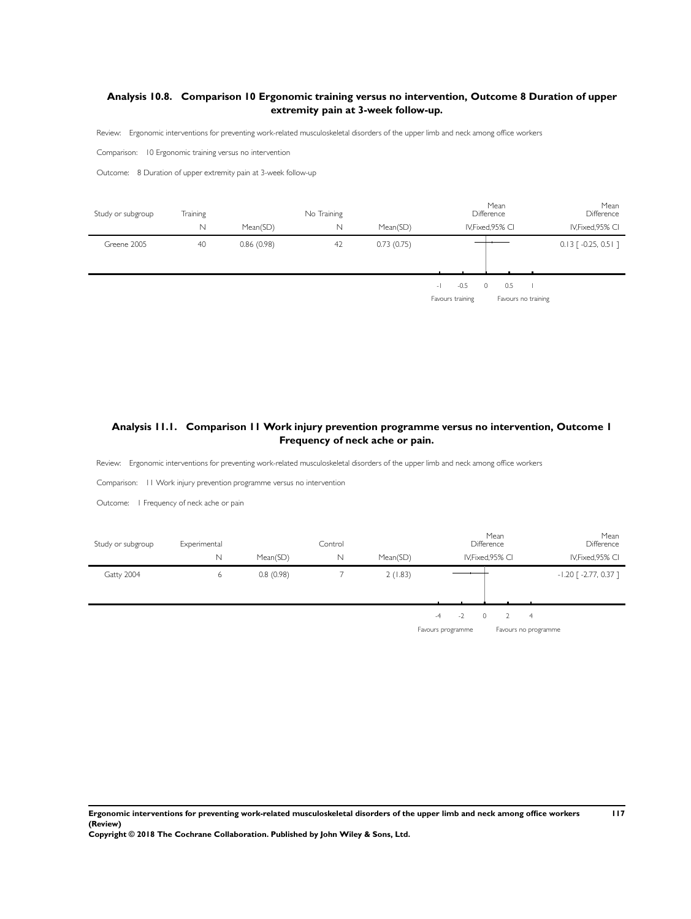# **Analysis 10.8. Comparison 10 Ergonomic training versus no intervention, Outcome 8 Duration of upper extremity pain at 3-week follow-up.**

Review: Ergonomic interventions for preventing work-related musculoskeletal disorders of the upper limb and neck among office workers

Comparison: 10 Ergonomic training versus no intervention

Outcome: 8 Duration of upper extremity pain at 3-week follow-up

| Study or subgroup | Training    | No Training |    |            |                                         |        |          | Mean<br>Difference |                   | Mean<br>Difference     |  |
|-------------------|-------------|-------------|----|------------|-----------------------------------------|--------|----------|--------------------|-------------------|------------------------|--|
|                   | $\mathbb N$ | Mean(SD)    | N  | Mean(SD)   | IV, Fixed, 95% CI                       |        |          |                    | IV, Fixed, 95% CI |                        |  |
| Greene 2005       | 40          | 0.86(0.98)  | 42 | 0.73(0.75) |                                         |        |          |                    |                   | $0.13$ [ -0.25, 0.51 ] |  |
|                   |             |             |    |            | $-1$                                    | $-0.5$ | $\Omega$ | 0.5                |                   |                        |  |
|                   |             |             |    |            | Favours training<br>Favours no training |        |          |                    |                   |                        |  |

# **Analysis 11.1. Comparison 11 Work injury prevention programme versus no intervention, Outcome 1 Frequency of neck ache or pain.**

Review: Ergonomic interventions for preventing work-related musculoskeletal disorders of the upper limb and neck among office workers

Comparison: 11 Work injury prevention programme versus no intervention

Outcome: 1 Frequency of neck ache or pain

| Study or subgroup | Experimental |           | Control |          | Mean<br>Difference | Mean<br>Difference                  |  |
|-------------------|--------------|-----------|---------|----------|--------------------|-------------------------------------|--|
|                   | N            | Mean(SD)  | N       | Mean(SD) | IV, Fixed, 95% CI  | IV, Fixed, 95% CI                   |  |
| Gatty 2004        | 6            | 0.8(0.98) |         | 2(1.83)  |                    | $-1.20$ $\lceil -2.77, 0.37 \rceil$ |  |
|                   |              |           |         |          | -4<br>$-1$         |                                     |  |

Favours programme Favours no programme

**Ergonomic interventions for preventing work-related musculoskeletal disorders of the upper limb and neck among office workers 117 (Review)**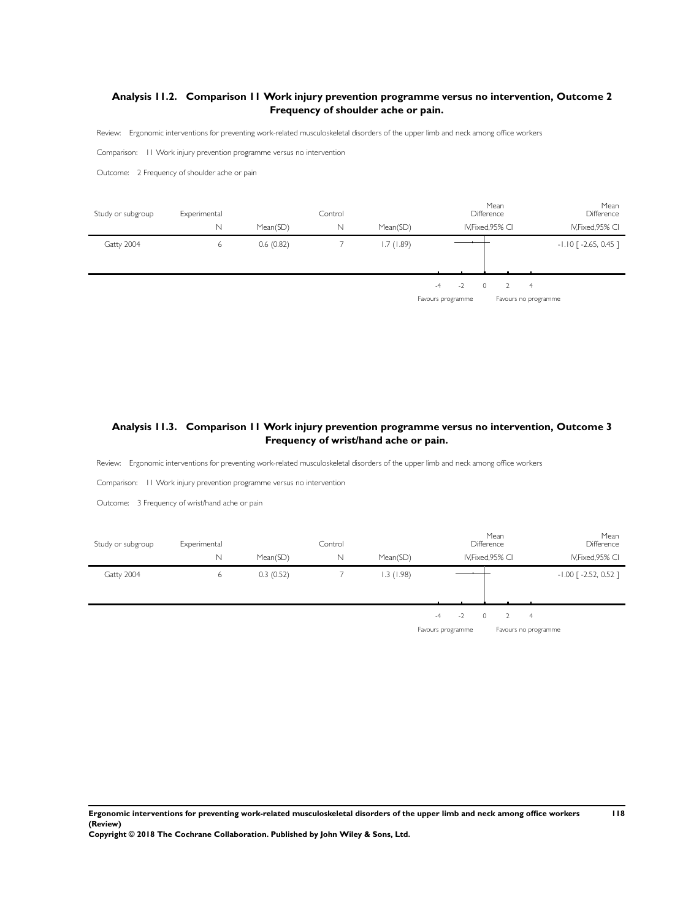# **Analysis 11.2. Comparison 11 Work injury prevention programme versus no intervention, Outcome 2 Frequency of shoulder ache or pain.**

Review: Ergonomic interventions for preventing work-related musculoskeletal disorders of the upper limb and neck among office workers

Comparison: 11 Work injury prevention programme versus no intervention

Outcome: 2 Frequency of shoulder ache or pain

| Study or subgroup | Experimental |           | Control |           | Mean<br><b>Difference</b>                 |                   |  | Mean<br>Difference |                            |                   |  |  |
|-------------------|--------------|-----------|---------|-----------|-------------------------------------------|-------------------|--|--------------------|----------------------------|-------------------|--|--|
|                   | N            | Mean(SD)  | N       | Mean(SD)  |                                           | IV, Fixed, 95% CI |  |                    |                            | IV, Fixed, 95% CI |  |  |
| Gatty 2004        | 6            | 0.6(0.82) |         | 1.7(1.89) |                                           |                   |  |                    | $-1.10$ [ $-2.65$ , 0.45 ] |                   |  |  |
|                   |              |           |         |           |                                           |                   |  |                    |                            |                   |  |  |
|                   |              |           |         |           | $-4$                                      | $-2$              |  |                    | $\overline{4}$             |                   |  |  |
|                   |              |           |         |           | Favours programme<br>Favours no programme |                   |  |                    |                            |                   |  |  |

# **Analysis 11.3. Comparison 11 Work injury prevention programme versus no intervention, Outcome 3 Frequency of wrist/hand ache or pain.**

Review: Ergonomic interventions for preventing work-related musculoskeletal disorders of the upper limb and neck among office workers

Comparison: 11 Work injury prevention programme versus no intervention

Outcome: 3 Frequency of wrist/hand ache or pain

| Study or subgroup | Experimental |           | Control |           | Mean<br>Difference | Mean<br>Difference         |
|-------------------|--------------|-----------|---------|-----------|--------------------|----------------------------|
|                   | N            | Mean(SD)  | N       | Mean(SD)  | IV, Fixed, 95% CI  | IV, Fixed, 95% CI          |
| Gatty 2004        | 6            | 0.3(0.52) |         | 1.3(1.98) |                    | $-1.00$ [ $-2.52$ , 0.52 ] |
|                   |              |           |         |           | $-4$<br>$-1$       |                            |

Favours programme Favours no programme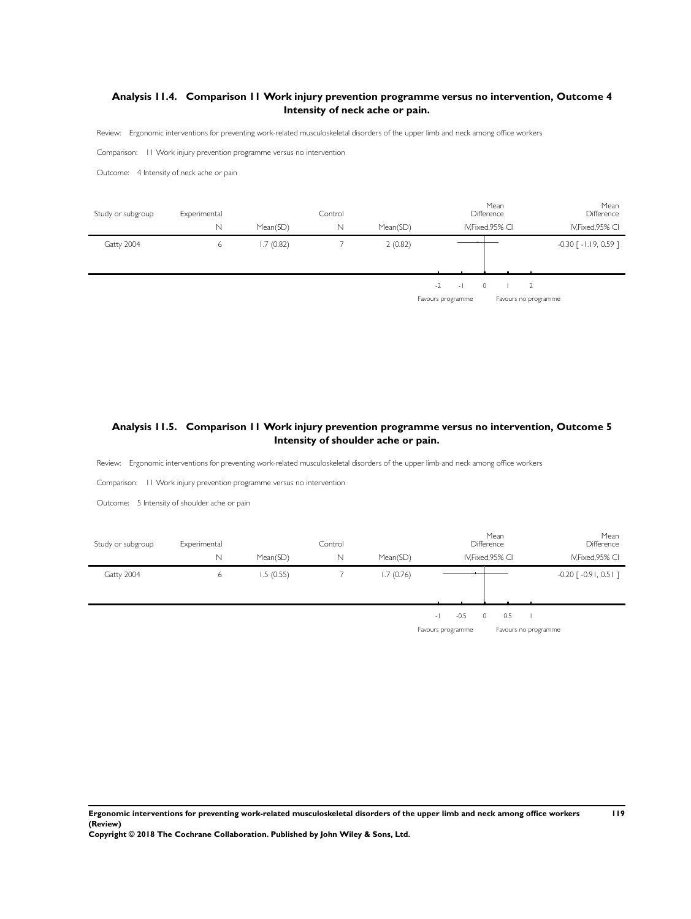# **Analysis 11.4. Comparison 11 Work injury prevention programme versus no intervention, Outcome 4 Intensity of neck ache or pain.**

Review: Ergonomic interventions for preventing work-related musculoskeletal disorders of the upper limb and neck among office workers

Comparison: 11 Work injury prevention programme versus no intervention

Outcome: 4 Intensity of neck ache or pain

| Study or subgroup | Experimental |           | Control |          |                   |     | Mean<br><b>Difference</b> | Mean<br>Difference        |
|-------------------|--------------|-----------|---------|----------|-------------------|-----|---------------------------|---------------------------|
|                   | N            | Mean(SD)  | N       | Mean(SD) |                   |     | IV, Fixed, 95% CI         | IV, Fixed, 95% CI         |
| Gatty 2004        | 6            | 1.7(0.82) |         | 2(0.82)  |                   |     |                           | $-0.30$ [ $-1.19$ , 0.59] |
|                   |              |           |         |          | $-2$              | - I | $\Omega$                  |                           |
|                   |              |           |         |          | Favours programme |     |                           | Favours no programme      |

# **Analysis 11.5. Comparison 11 Work injury prevention programme versus no intervention, Outcome 5 Intensity of shoulder ache or pain.**

Review: Ergonomic interventions for preventing work-related musculoskeletal disorders of the upper limb and neck among office workers

Comparison: 11 Work injury prevention programme versus no intervention

Outcome: 5 Intensity of shoulder ache or pain

| Study or subgroup | Experimental |           | Control |           |                | Mean<br>Difference | Mean<br>Difference           |
|-------------------|--------------|-----------|---------|-----------|----------------|--------------------|------------------------------|
|                   | N            | Mean(SD)  | N       | Mean(SD)  |                | IV, Fixed, 95% CI  | IV, Fixed, 95% CI            |
| Gatty 2004        | 6            | 1.5(0.55) |         | 1.7(0.76) |                |                    | $-0.20$ [ $-0.91$ , $0.51$ ] |
|                   |              |           |         |           | $-0.5$<br>$-1$ | 0.5                |                              |

Favours programme Favours no programme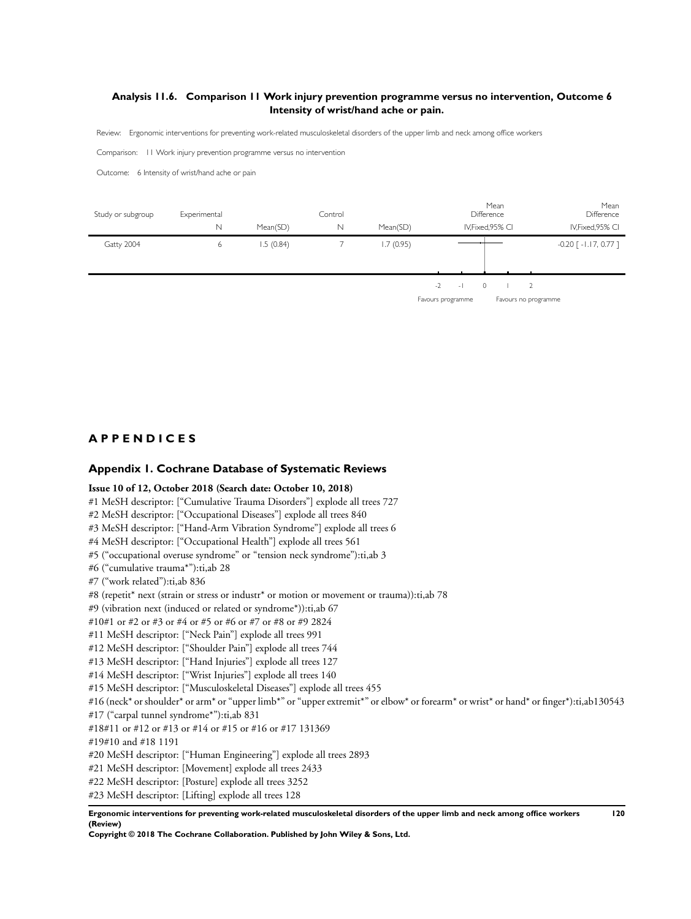### **Analysis 11.6. Comparison 11 Work injury prevention programme versus no intervention, Outcome 6 Intensity of wrist/hand ache or pain.**

Review: Ergonomic interventions for preventing work-related musculoskeletal disorders of the upper limb and neck among office workers

Comparison: 11 Work injury prevention programme versus no intervention

Outcome: 6 Intensity of wrist/hand ache or pain

| Study or subgroup | Experimental |           | Control |           |                           |    | Difference | Mean                 | Mean<br>Difference        |
|-------------------|--------------|-----------|---------|-----------|---------------------------|----|------------|----------------------|---------------------------|
|                   | N            | Mean(SD)  | N       | Mean(SD)  |                           |    |            | IV, Fixed, 95% CI    | IV, Fixed, 95% CI         |
| Gatty 2004        | 6            | 1.5(0.84) |         | 1.7(0.95) |                           |    |            |                      | $-0.20$ [ $-1.17, 0.77$ ] |
|                   |              |           |         |           | $-2$<br>Favours programme | H. | $\Omega$   | Favours no programme |                           |

## **A P P E N D I C E S**

### **Appendix 1. Cochrane Database of Systematic Reviews**

#### **Issue 10 of 12, October 2018 (Search date: October 10, 2018)**

#1 MeSH descriptor: ["Cumulative Trauma Disorders"] explode all trees 727

#2 MeSH descriptor: ["Occupational Diseases"] explode all trees 840

#3 MeSH descriptor: ["Hand-Arm Vibration Syndrome"] explode all trees 6

#4 MeSH descriptor: ["Occupational Health"] explode all trees 561

#5 ("occupational overuse syndrome" or "tension neck syndrome"):ti,ab 3

#6 ("cumulative trauma\*"):ti,ab 28

#7 ("work related"):ti,ab 836

#8 (repetit\* next (strain or stress or industr\* or motion or movement or trauma)):ti,ab 78

#9 (vibration next (induced or related or syndrome\*)):ti,ab 67

#10#1 or #2 or #3 or #4 or #5 or #6 or #7 or #8 or #9 2824

#11 MeSH descriptor: ["Neck Pain"] explode all trees 991

#12 MeSH descriptor: ["Shoulder Pain"] explode all trees 744

#13 MeSH descriptor: ["Hand Injuries"] explode all trees 127

#14 MeSH descriptor: ["Wrist Injuries"] explode all trees 140

#15 MeSH descriptor: ["Musculoskeletal Diseases"] explode all trees 455

#16 (neck\* or shoulder\* or arm\* or "upper limb\*" or "upper extremit\*" or elbow\* or forearm\* or wrist\* or hand\* or finger\*):ti,ab130543 #17 ("carpal tunnel syndrome\*"):ti,ab 831

#18#11 or #12 or #13 or #14 or #15 or #16 or #17 131369

#19#10 and #18 1191

#20 MeSH descriptor: ["Human Engineering"] explode all trees 2893

#21 MeSH descriptor: [Movement] explode all trees 2433

#22 MeSH descriptor: [Posture] explode all trees 3252

#23 MeSH descriptor: [Lifting] explode all trees 128

**Ergonomic interventions for preventing work-related musculoskeletal disorders of the upper limb and neck among office workers 120 (Review)**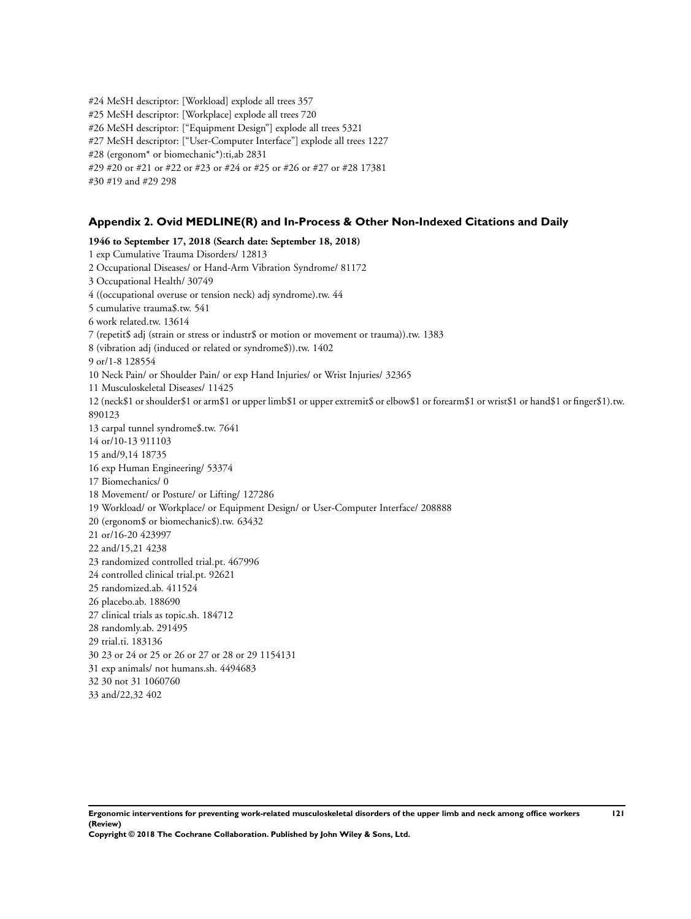#24 MeSH descriptor: [Workload] explode all trees 357 #25 MeSH descriptor: [Workplace] explode all trees 720 #26 MeSH descriptor: ["Equipment Design"] explode all trees 5321 #27 MeSH descriptor: ["User-Computer Interface"] explode all trees 1227 #28 (ergonom\* or biomechanic\*):ti,ab 2831 #29 #20 or #21 or #22 or #23 or #24 or #25 or #26 or #27 or #28 17381 #30 #19 and #29 298

# **Appendix 2. Ovid MEDLINE(R) and In-Process & Other Non-Indexed Citations and Daily**

**1946 to September 17, 2018 (Search date: September 18, 2018)** 1 exp Cumulative Trauma Disorders/ 12813 2 Occupational Diseases/ or Hand-Arm Vibration Syndrome/ 81172 3 Occupational Health/ 30749 4 ((occupational overuse or tension neck) adj syndrome).tw. 44 5 cumulative trauma\$.tw. 541 6 work related.tw. 13614 7 (repetit\$ adj (strain or stress or industr\$ or motion or movement or trauma)).tw. 1383 8 (vibration adj (induced or related or syndrome\$)).tw. 1402 9 or/1-8 128554 10 Neck Pain/ or Shoulder Pain/ or exp Hand Injuries/ or Wrist Injuries/ 32365 11 Musculoskeletal Diseases/ 11425 12 (neck\$1 or shoulder\$1 or arm\$1 or upper limb\$1 or upper extremit\$ or elbow\$1 or forearm\$1 or wrist\$1 or hand\$1 or finger\$1).tw. 890123 13 carpal tunnel syndrome\$.tw. 7641 14 or/10-13 911103 15 and/9,14 18735 16 exp Human Engineering/ 53374 17 Biomechanics/ 0 18 Movement/ or Posture/ or Lifting/ 127286 19 Workload/ or Workplace/ or Equipment Design/ or User-Computer Interface/ 208888 20 (ergonom\$ or biomechanic\$).tw. 63432 21 or/16-20 423997 22 and/15,21 4238 23 randomized controlled trial.pt. 467996 24 controlled clinical trial.pt. 92621 25 randomized.ab. 411524 26 placebo.ab. 188690 27 clinical trials as topic.sh. 184712 28 randomly.ab. 291495 29 trial.ti. 183136 30 23 or 24 or 25 or 26 or 27 or 28 or 29 1154131 31 exp animals/ not humans.sh. 4494683 32 30 not 31 1060760 33 and/22,32 402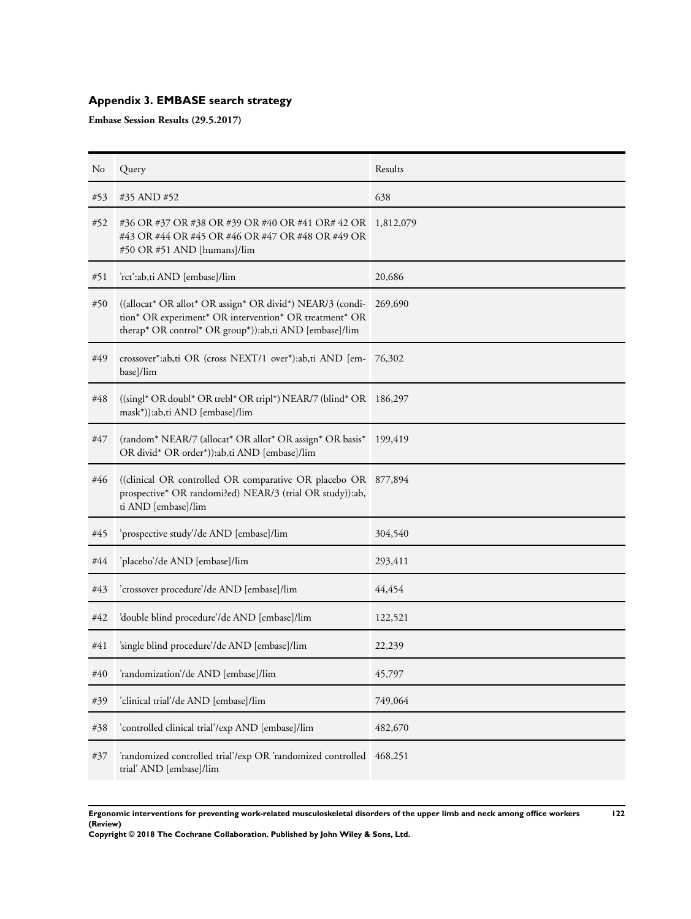# **Appendix 3. EMBASE search strategy**

**Embase Session Results (29.5.2017)**

| No  | Query                                                                                                                                                                                 | Results |
|-----|---------------------------------------------------------------------------------------------------------------------------------------------------------------------------------------|---------|
| #53 | #35 AND #52                                                                                                                                                                           | 638     |
| #52 | #36 OR #37 OR #38 OR #39 OR #40 OR #41 OR# 42 OR 1,812,079<br>#43 OR #44 OR #45 OR #46 OR #47 OR #48 OR #49 OR<br>#50 OR #51 AND [humans]/lim                                         |         |
| #51 | 'rct':ab,ti AND [embase]/lim                                                                                                                                                          | 20,686  |
| #50 | ((allocat* OR allot* OR assign* OR divid*) NEAR/3 (condi- 269,690<br>tion* OR experiment* OR intervention* OR treatment* OR<br>therap* OR control* OR group*)):ab,ti AND [embase]/lim |         |
| #49 | crossover*:ab,ti OR (cross NEXT/1 over*):ab,ti AND [em- 76,302<br>base]/lim                                                                                                           |         |
| #48 | ((singl* OR doubl* OR trebl* OR tripl*) NEAR/7 (blind* OR 186,297<br>mask*)):ab,ti AND [embase]/lim                                                                                   |         |
| #47 | (random* NEAR/7 (allocat* OR allot* OR assign* OR basis*<br>OR divid* OR order*)):ab,ti AND [embase]/lim                                                                              | 199,419 |
| #46 | ((clinical OR controlled OR comparative OR placebo OR 877,894)<br>prospective* OR randomi?ed) NEAR/3 (trial OR study)):ab,<br>ti AND [embase]/lim                                     |         |
| #45 | 'prospective study'/de AND [embase]/lim                                                                                                                                               | 304,540 |
| #44 | 'placebo'/de AND [embase]/lim                                                                                                                                                         | 293,411 |
| #43 | 'crossover procedure'/de AND [embase]/lim                                                                                                                                             | 44,454  |
| #42 | 'double blind procedure'/de AND [embase]/lim                                                                                                                                          | 122,521 |
| #41 | 'single blind procedure'/de AND [embase]/lim                                                                                                                                          | 22,239  |
| #40 | 'randomization'/de AND [embase]/lim                                                                                                                                                   | 45,797  |
| #39 | 'clinical trial'/de AND [embase]/lim                                                                                                                                                  | 749,064 |
| #38 | 'controlled clinical trial'/exp AND [embase]/lim                                                                                                                                      | 482,670 |
| #37 | 'randomized controlled trial'/exp OR 'randomized controlled 468,251<br>trial' AND [embase]/lim                                                                                        |         |

**Ergonomic interventions for preventing work-related musculoskeletal disorders of the upper limb and neck among office workers 122 (Review)**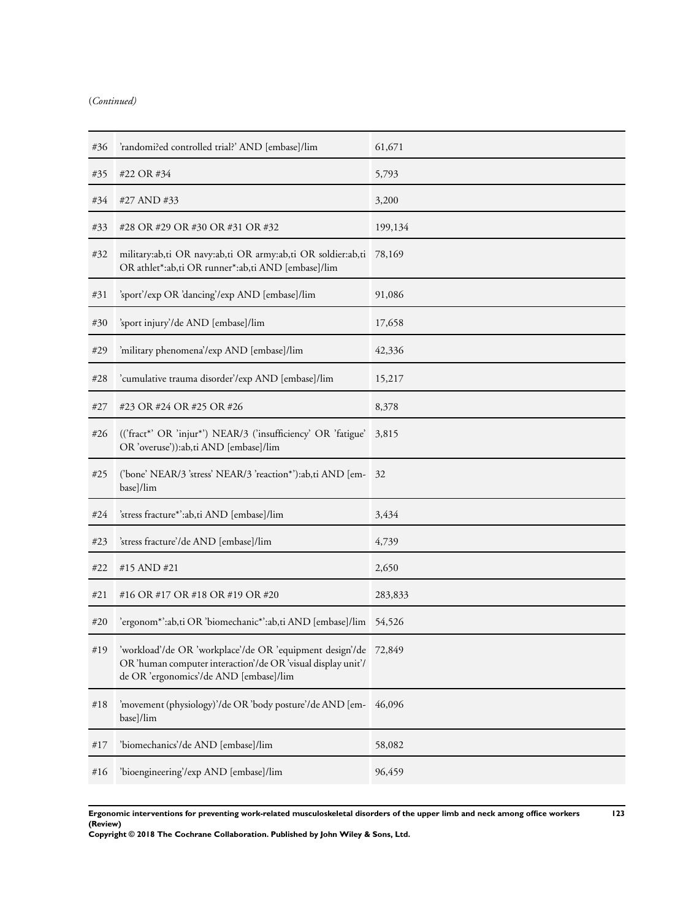### (*Continued)*

| #36 | 'randomi?ed controlled trial?' AND [embase]/lim                                                                                                                           | 61,671  |
|-----|---------------------------------------------------------------------------------------------------------------------------------------------------------------------------|---------|
| #35 | #22 OR #34                                                                                                                                                                | 5,793   |
| #34 | #27 AND #33                                                                                                                                                               | 3,200   |
| #33 | #28 OR #29 OR #30 OR #31 OR #32                                                                                                                                           | 199,134 |
| #32 | military:ab,ti OR navy:ab,ti OR army:ab,ti OR soldier:ab,ti<br>OR athlet*:ab,ti OR runner*:ab,ti AND [embase]/lim                                                         | 78,169  |
| #31 | 'sport'/exp OR 'dancing'/exp AND [embase]/lim                                                                                                                             | 91,086  |
| #30 | 'sport injury'/de AND [embase]/lim                                                                                                                                        | 17,658  |
| #29 | 'military phenomena'/exp AND [embase]/lim                                                                                                                                 | 42,336  |
| #28 | 'cumulative trauma disorder'/exp AND [embase]/lim                                                                                                                         | 15,217  |
| #27 | #23 OR #24 OR #25 OR #26                                                                                                                                                  | 8,378   |
| #26 | (('fract*' OR 'injur*') NEAR/3 ('insufficiency' OR 'fatigue'<br>OR 'overuse')):ab,ti AND [embase]/lim                                                                     | 3,815   |
| #25 | ('bone' NEAR/3 'stress' NEAR/3 'reaction*'):ab,ti AND [em- 32<br>base]/lim                                                                                                |         |
| #24 | 'stress fracture*':ab,ti AND [embase]/lim                                                                                                                                 | 3,434   |
| #23 | 'stress fracture'/de AND [embase]/lim                                                                                                                                     | 4,739   |
| #22 | #15 AND #21                                                                                                                                                               | 2,650   |
| #21 | #16 OR #17 OR #18 OR #19 OR #20                                                                                                                                           | 283,833 |
| #20 | 'ergonom*':ab,ti OR 'biomechanic*':ab,ti AND [embase]/lim 54,526                                                                                                          |         |
| #19 | 'workload'/de OR 'workplace'/de OR 'equipment design'/de 72,849<br>OR 'human computer interaction'/de OR 'visual display unit'/<br>de OR 'ergonomics'/de AND [embase]/lim |         |
| #18 | 'movement (physiology)'/de OR 'body posture'/de AND [em- 46,096<br>base]/lim                                                                                              |         |
| #17 | 'biomechanics'/de AND [embase]/lim                                                                                                                                        | 58,082  |
| #16 | 'bioengineering'/exp AND [embase]/lim                                                                                                                                     | 96,459  |

**Ergonomic interventions for preventing work-related musculoskeletal disorders of the upper limb and neck among office workers 123 (Review)**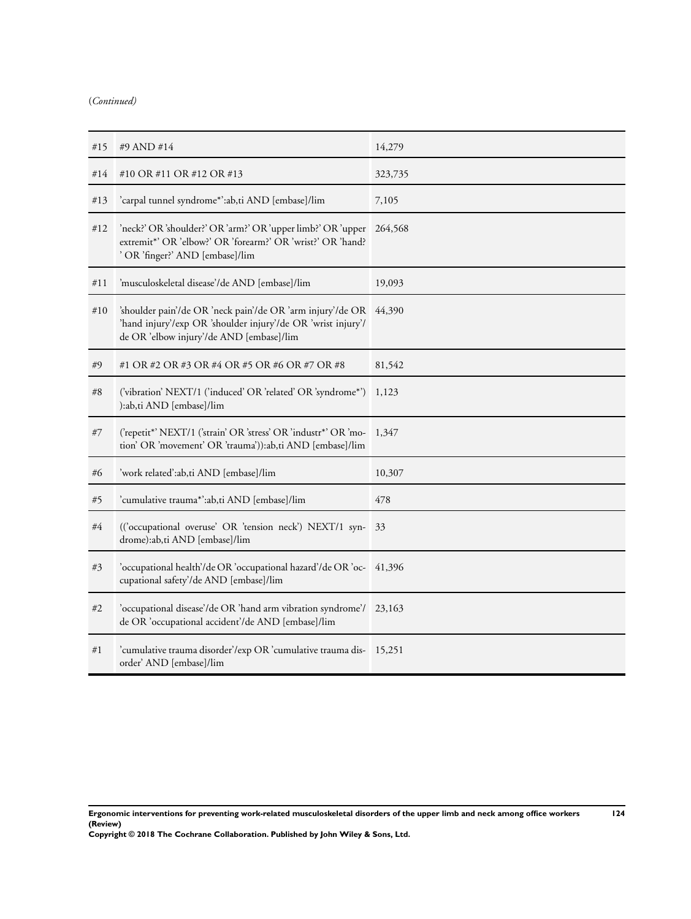### (*Continued)*

| #15 | #9 AND #14                                                                                                                                                                    | 14,279  |
|-----|-------------------------------------------------------------------------------------------------------------------------------------------------------------------------------|---------|
| #14 | #10 OR #11 OR #12 OR #13                                                                                                                                                      | 323,735 |
| #13 | 'carpal tunnel syndrome*':ab,ti AND [embase]/lim                                                                                                                              | 7,105   |
| #12 | 'neck?' OR 'shoulder?' OR 'arm?' OR 'upper limb?' OR 'upper<br>extremit*' OR 'elbow?' OR 'forearm?' OR 'wrist?' OR 'hand?<br>' OR 'finger?' AND [embase]/lim                  | 264,568 |
| #11 | 'musculoskeletal disease'/de AND [embase]/lim                                                                                                                                 | 19,093  |
| #10 | 'shoulder pain'/de OR 'neck pain'/de OR 'arm injury'/de OR 44,390<br>'hand injury'/exp OR 'shoulder injury'/de OR 'wrist injury'/<br>de OR 'elbow injury'/de AND [embase]/lim |         |
| #9  | #1 OR #2 OR #3 OR #4 OR #5 OR #6 OR #7 OR #8                                                                                                                                  | 81,542  |
| #8  | ('vibration' NEXT/1 ('induced' OR 'related' OR 'syndrome*')<br>):ab,ti AND [embase]/lim                                                                                       | 1,123   |
| #7  | ('repetit*' NEXT/1 ('strain' OR 'stress' OR 'industr*' OR 'mo-<br>tion' OR 'movement' OR 'trauma')):ab,ti AND [embase]/lim                                                    | 1,347   |
| #6  | 'work related':ab,ti AND [embase]/lim                                                                                                                                         | 10,307  |
| #5  | 'cumulative trauma*':ab,ti AND [embase]/lim                                                                                                                                   | 478     |
| #4  | (('occupational overuse' OR 'tension neck') NEXT/1 syn- 33<br>drome):ab,ti AND [embase]/lim                                                                                   |         |
| #3  | 'occupational health'/de OR 'occupational hazard'/de OR 'oc- 41,396<br>cupational safety'/de AND [embase]/lim                                                                 |         |
| #2  | 'occupational disease'/de OR 'hand arm vibration syndrome'/ 23,163<br>de OR 'occupational accident'/de AND [embase]/lim                                                       |         |
| #1  | 'cumulative trauma disorder'/exp OR 'cumulative trauma dis- 15,251<br>order' AND [embase]/lim                                                                                 |         |

**Ergonomic interventions for preventing work-related musculoskeletal disorders of the upper limb and neck among office workers 124 (Review)**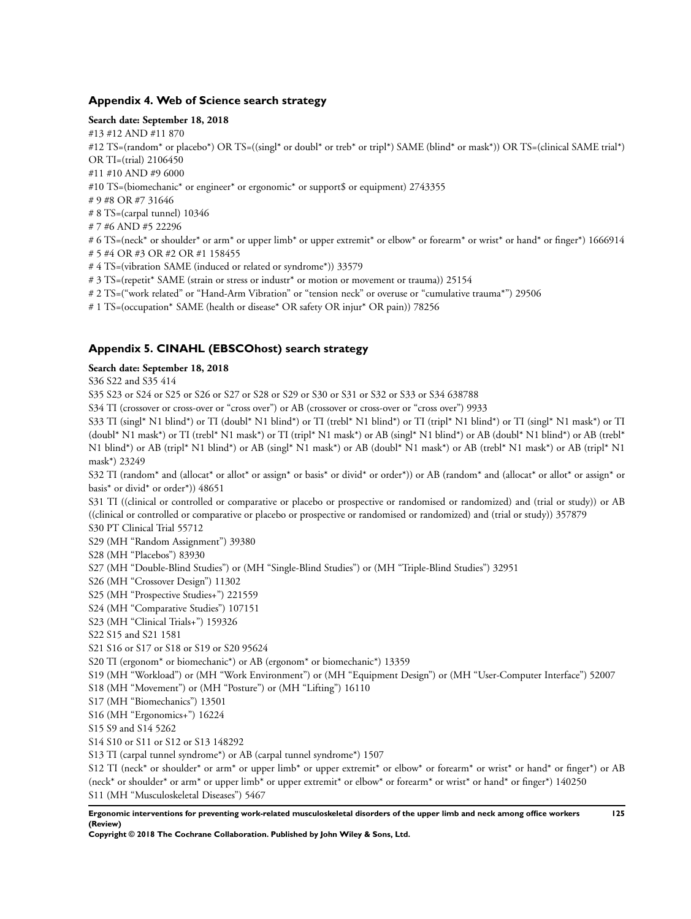## **Appendix 4. Web of Science search strategy**

### **Search date: September 18, 2018**

#13 #12 AND #11 870

#12 TS=(random\* or placebo\*) OR TS=((singl\* or doubl\* or treb\* or tripl\*) SAME (blind\* or mask\*)) OR TS=(clinical SAME trial\*) OR TI=(trial) 2106450

- #11 #10 AND #9 6000
- #10 TS=(biomechanic\* or engineer\* or ergonomic\* or support\$ or equipment) 2743355
- # 9 #8 OR #7 31646
- # 8 TS=(carpal tunnel) 10346
- # 7 #6 AND #5 22296
- # 6 TS=(neck\* or shoulder\* or arm\* or upper limb\* or upper extremit\* or elbow\* or forearm\* or wrist\* or hand\* or finger\*) 1666914
- # 5 #4 OR #3 OR #2 OR #1 158455
- # 4 TS=(vibration SAME (induced or related or syndrome\*)) 33579
- # 3 TS=(repetit\* SAME (strain or stress or industr\* or motion or movement or trauma)) 25154
- # 2 TS=("work related" or "Hand-Arm Vibration" or "tension neck" or overuse or "cumulative trauma\*") 29506
- # 1 TS=(occupation\* SAME (health or disease\* OR safety OR injur\* OR pain)) 78256

# **Appendix 5. CINAHL (EBSCOhost) search strategy**

### **Search date: September 18, 2018**

S36 S22 and S35 414

S35 S23 or S24 or S25 or S26 or S27 or S28 or S29 or S30 or S31 or S32 or S33 or S34 638788

S34 TI (crossover or cross-over or "cross over") or AB (crossover or cross-over or "cross over") 9933

S33 TI (singl\* N1 blind\*) or TI (doubl\* N1 blind\*) or TI (trebl\* N1 blind\*) or TI (tripl\* N1 blind\*) or TI (singl\* N1 mask\*) or TI (doubl\* N1 mask\*) or TI (trebl\* N1 mask\*) or TI (tripl\* N1 mask\*) or AB (singl\* N1 blind\*) or AB (doubl\* N1 blind\*) or AB (trebl\* N1 blind\*) or AB (tripl\* N1 blind\*) or AB (singl\* N1 mask\*) or AB (doubl\* N1 mask\*) or AB (trebl\* N1 mask\*) or AB (tripl\* N1 mask\*) 23249

S32 TI (random\* and (allocat\* or allot\* or assign\* or basis\* or divid\* or order\*)) or AB (random\* and (allocat\* or allot\* or assign\* or basis\* or divid\* or order\*)) 48651

S31 TI ((clinical or controlled or comparative or placebo or prospective or randomised or randomized) and (trial or study)) or AB ((clinical or controlled or comparative or placebo or prospective or randomised or randomized) and (trial or study)) 357879

S30 PT Clinical Trial 55712

S29 (MH "Random Assignment") 39380

- S28 (MH "Placebos") 83930
- S27 (MH "Double-Blind Studies") or (MH "Single-Blind Studies") or (MH "Triple-Blind Studies") 32951
- S26 (MH "Crossover Design") 11302
- S25 (MH "Prospective Studies+") 221559
- S24 (MH "Comparative Studies") 107151
- S23 (MH "Clinical Trials+") 159326
- S22 S15 and S21 1581
- S21 S16 or S17 or S18 or S19 or S20 95624
- S20 TI (ergonom\* or biomechanic\*) or AB (ergonom\* or biomechanic\*) 13359
- S19 (MH "Workload") or (MH "Work Environment") or (MH "Equipment Design") or (MH "User-Computer Interface") 52007
- S18 (MH "Movement") or (MH "Posture") or (MH "Lifting") 16110
- S17 (MH "Biomechanics") 13501
- S16 (MH "Ergonomics+") 16224

S15 S9 and S14 5262

S14 S10 or S11 or S12 or S13 148292

S13 TI (carpal tunnel syndrome\*) or AB (carpal tunnel syndrome\*) 1507

S12 TI (neck\* or shoulder\* or arm\* or upper limb\* or upper extremit\* or elbow\* or forearm\* or wrist\* or hand\* or finger\*) or AB (neck\* or shoulder\* or arm\* or upper limb\* or upper extremit\* or elbow\* or forearm\* or wrist\* or hand\* or finger\*) 140250 S11 (MH "Musculoskeletal Diseases") 5467

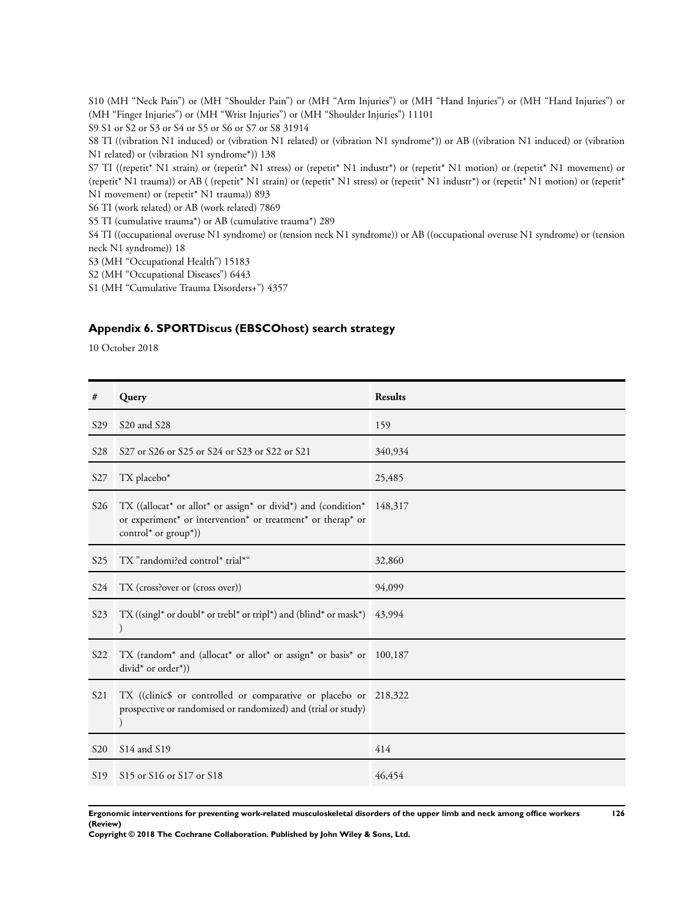S10 (MH "Neck Pain") or (MH "Shoulder Pain") or (MH "Arm Injuries") or (MH "Hand Injuries") or (MH "Hand Injuries") or (MH "Finger Injuries") or (MH "Wrist Injuries") or (MH "Shoulder Injuries") 11101

S9 S1 or S2 or S3 or S4 or S5 or S6 or S7 or S8 31914

S8 TI ((vibration N1 induced) or (vibration N1 related) or (vibration N1 syndrome\*)) or AB ((vibration N1 induced) or (vibration N1 related) or (vibration N1 syndrome\*)) 138

S7 TI ((repetit\* N1 strain) or (repetit\* N1 stress) or (repetit\* N1 industr\*) or (repetit\* N1 motion) or (repetit\* N1 movement) or (repetit\* N1 trauma)) or AB ( (repetit\* N1 strain) or (repetit\* N1 stress) or (repetit\* N1 industr\*) or (repetit\* N1 motion) or (repetit\* N1 movement) or (repetit<sup>\*</sup> N1 trauma)) 893

S6 TI (work related) or AB (work related) 7869

S5 TI (cumulative trauma\*) or AB (cumulative trauma\*) 289

S4 TI ((occupational overuse N1 syndrome) or (tension neck N1 syndrome)) or AB ((occupational overuse N1 syndrome) or (tension neck N1 syndrome)) 18

S3 (MH "Occupational Health") 15183

S2 (MH "Occupational Diseases") 6443

S1 (MH "Cumulative Trauma Disorders+") 4357

## **Appendix 6. SPORTDiscus (EBSCOhost) search strategy**

10 October 2018

| #                | Query                                                                                                                                                | <b>Results</b> |
|------------------|------------------------------------------------------------------------------------------------------------------------------------------------------|----------------|
| S <sub>29</sub>  | S20 and S28                                                                                                                                          | 159            |
| S <sub>28</sub>  | S27 or S26 or S25 or S24 or S23 or S22 or S21                                                                                                        | 340,934        |
| S <sub>27</sub>  | TX placebo*                                                                                                                                          | 25,485         |
| <b>S26</b>       | TX ((allocat* or allot* or assign* or divid*) and (condition*<br>or experiment* or intervention* or treatment* or therap* or<br>control* or group*)) | 148,317        |
| S <sub>25</sub>  | TX "randomi?ed control* trial*"                                                                                                                      | 32,860         |
| S <sub>24</sub>  | TX (cross?over or (cross over))                                                                                                                      | 94,099         |
| S <sub>2</sub> 3 | TX ((singl* or doubl* or trebl* or tripl*) and (blind* or mask*) $43,994$                                                                            |                |
| S <sub>22</sub>  | TX (random* and (allocat* or allot* or assign* or basis* or 100,187<br>divid* or order*))                                                            |                |
| S <sub>21</sub>  | TX ((clinic\$ or controlled or comparative or placebo or 218,322<br>prospective or randomised or randomized) and (trial or study)                    |                |
| S <sub>20</sub>  | S14 and S19                                                                                                                                          | 414            |
| S <sub>19</sub>  | S <sub>15</sub> or S <sub>16</sub> or S <sub>17</sub> or S <sub>18</sub>                                                                             | 46,454         |

**Ergonomic interventions for preventing work-related musculoskeletal disorders of the upper limb and neck among office workers 126 (Review)**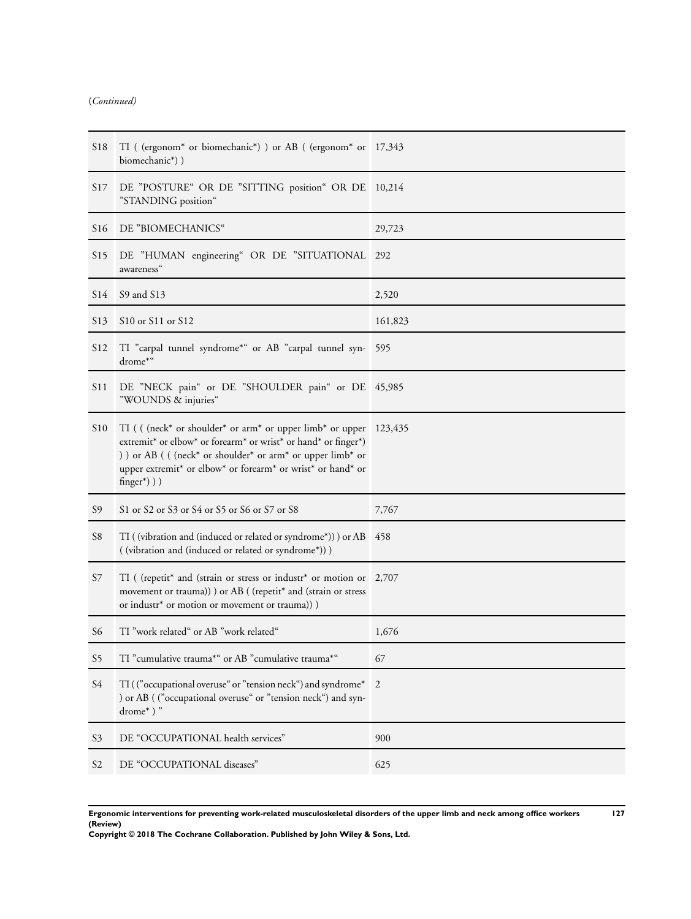### (*Continued)*

| S <sub>18</sub> | TI ( (ergonom* or biomechanic*) ) or AB ( (ergonom* or 17,343<br>biomechanic*))                                                                                                                                                                                                    |         |
|-----------------|------------------------------------------------------------------------------------------------------------------------------------------------------------------------------------------------------------------------------------------------------------------------------------|---------|
| S <sub>17</sub> | DE "POSTURE" OR DE "SITTING position" OR DE 10,214<br>"STANDING position"                                                                                                                                                                                                          |         |
| S <sub>16</sub> | DE "BIOMECHANICS"                                                                                                                                                                                                                                                                  | 29,723  |
| S <sub>15</sub> | DE "HUMAN engineering" OR DE "SITUATIONAL 292<br>awareness"                                                                                                                                                                                                                        |         |
| S <sub>14</sub> | S9 and S13                                                                                                                                                                                                                                                                         | 2,520   |
| S <sub>13</sub> | S10 or S11 or S12                                                                                                                                                                                                                                                                  | 161,823 |
| S <sub>12</sub> | TI "carpal tunnel syndrome*" or AB "carpal tunnel syn- 595<br>drome*"                                                                                                                                                                                                              |         |
| <b>S11</b>      | DE "NECK pain" or DE "SHOULDER pain" or DE 45,985<br>"WOUNDS & injuries"                                                                                                                                                                                                           |         |
| S <sub>10</sub> | TI ( (neck* or shoulder* or arm* or upper limb* or upper 123,435<br>extremit* or elbow* or forearm* or wrist* or hand* or finger*)<br>) ) or AB ( ( (neck* or shoulder* or arm* or upper limb* or<br>upper extremit* or elbow* or forearm* or wrist* or hand* or<br>$finger^*)$ )) |         |
| S <sub>9</sub>  | S1 or S2 or S3 or S4 or S5 or S6 or S7 or S8                                                                                                                                                                                                                                       | 7,767   |
| S <sub>8</sub>  | TI ((vibration and (induced or related or syndrome*))) or AB 458<br>((vibration and (induced or related or syndrome*)))                                                                                                                                                            |         |
| S7              | TI ( (repetit* and (strain or stress or industr* or motion or 2,707<br>movement or trauma)) ) or AB ( (repetit* and (strain or stress<br>or industr <sup>*</sup> or motion or movement or trauma)) )                                                                               |         |
| S6              | TI "work related" or AB "work related"                                                                                                                                                                                                                                             | 1,676   |
| $\mathcal{S}$   | TI "cumulative trauma*" or AB "cumulative trauma"                                                                                                                                                                                                                                  | 67      |
| S4              | TI ("occupational overuse" or "tension neck") and syndrome* 2<br>) or AB ( ("occupational overuse" or "tension neck") and syn-<br>drome*)"                                                                                                                                         |         |
| S <sub>3</sub>  | DE "OCCUPATIONAL health services"                                                                                                                                                                                                                                                  | 900     |
| S <sub>2</sub>  | DE "OCCUPATIONAL diseases"                                                                                                                                                                                                                                                         | 625     |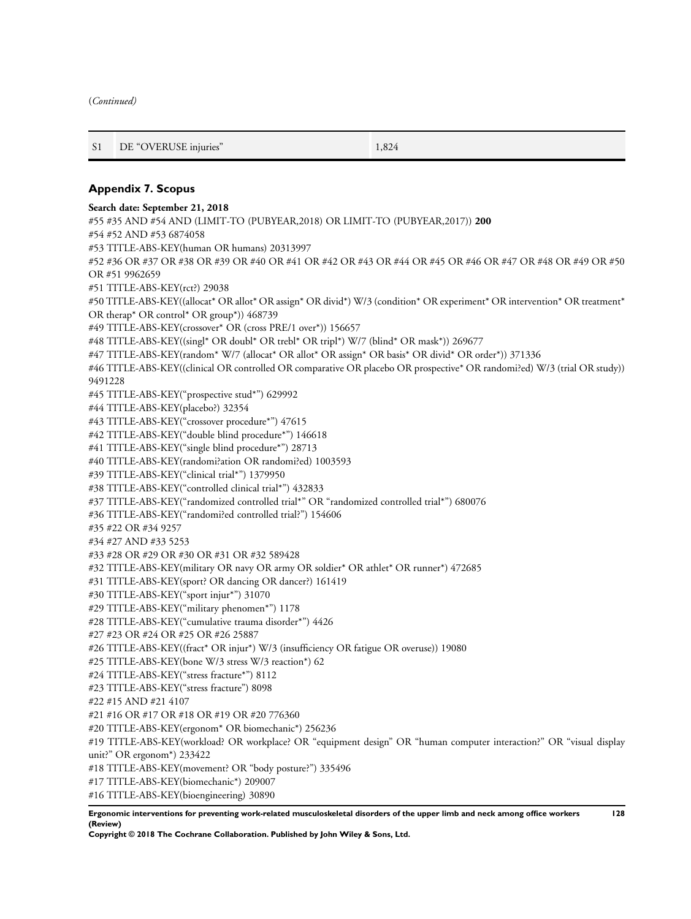(*Continued)*

|  | S1 DE "OVERUSE injuries" | $\Omega$<br>1,824 |
|--|--------------------------|-------------------|
|--|--------------------------|-------------------|

### **Appendix 7. Scopus**

**Search date: September 21, 2018** #55 #35 AND #54 AND (LIMIT-TO (PUBYEAR,2018) OR LIMIT-TO (PUBYEAR,2017)) **200** #54 #52 AND #53 6874058 #53 TITLE-ABS-KEY(human OR humans) 20313997 #52 #36 OR #37 OR #38 OR #39 OR #40 OR #41 OR #42 OR #43 OR #44 OR #45 OR #46 OR #47 OR #48 OR #49 OR #50 OR #51 9962659 #51 TITLE-ABS-KEY(rct?) 29038 #50 TITLE-ABS-KEY((allocat\* OR allot\* OR assign\* OR divid\*) W/3 (condition\* OR experiment\* OR intervention\* OR treatment\* OR therap\* OR control\* OR group\*)) 468739 #49 TITLE-ABS-KEY(crossover\* OR (cross PRE/1 over\*)) 156657 #48 TITLE-ABS-KEY((singl\* OR doubl\* OR trebl\* OR tripl\*) W/7 (blind\* OR mask\*)) 269677 #47 TITLE-ABS-KEY(random\* W/7 (allocat\* OR allot\* OR assign\* OR basis\* OR divid\* OR order\*)) 371336 #46 TITLE-ABS-KEY((clinical OR controlled OR comparative OR placebo OR prospective\* OR randomi?ed) W/3 (trial OR study)) 9491228 #45 TITLE-ABS-KEY("prospective stud\*") 629992 #44 TITLE-ABS-KEY(placebo?) 32354 #43 TITLE-ABS-KEY("crossover procedure\*") 47615 #42 TITLE-ABS-KEY("double blind procedure\*") 146618 #41 TITLE-ABS-KEY("single blind procedure\*") 28713 #40 TITLE-ABS-KEY(randomi?ation OR randomi?ed) 1003593 #39 TITLE-ABS-KEY("clinical trial\*") 1379950 #38 TITLE-ABS-KEY("controlled clinical trial\*") 432833 #37 TITLE-ABS-KEY("randomized controlled trial\*" OR "randomized controlled trial\*") 680076 #36 TITLE-ABS-KEY("randomi?ed controlled trial?") 154606 #35 #22 OR #34 9257 #34 #27 AND #33 5253 #33 #28 OR #29 OR #30 OR #31 OR #32 589428 #32 TITLE-ABS-KEY(military OR navy OR army OR soldier\* OR athlet\* OR runner\*) 472685 #31 TITLE-ABS-KEY(sport? OR dancing OR dancer?) 161419 #30 TITLE-ABS-KEY("sport injur\*") 31070 #29 TITLE-ABS-KEY("military phenomen\*") 1178 #28 TITLE-ABS-KEY("cumulative trauma disorder\*") 4426 #27 #23 OR #24 OR #25 OR #26 25887 #26 TITLE-ABS-KEY((fract\* OR injur\*) W/3 (insufficiency OR fatigue OR overuse)) 19080 #25 TITLE-ABS-KEY(bone W/3 stress W/3 reaction\*) 62 #24 TITLE-ABS-KEY("stress fracture\*") 8112 #23 TITLE-ABS-KEY("stress fracture") 8098 #22 #15 AND #21 4107 #21 #16 OR #17 OR #18 OR #19 OR #20 776360 #20 TITLE-ABS-KEY(ergonom\* OR biomechanic\*) 256236 #19 TITLE-ABS-KEY(workload? OR workplace? OR "equipment design" OR "human computer interaction?" OR "visual display unit?" OR ergonom\*) 233422 #18 TITLE-ABS-KEY(movement? OR "body posture?") 335496 #17 TITLE-ABS-KEY(biomechanic\*) 209007 #16 TITLE-ABS-KEY(bioengineering) 30890

**Ergonomic interventions for preventing work-related musculoskeletal disorders of the upper limb and neck among office workers 128 (Review)**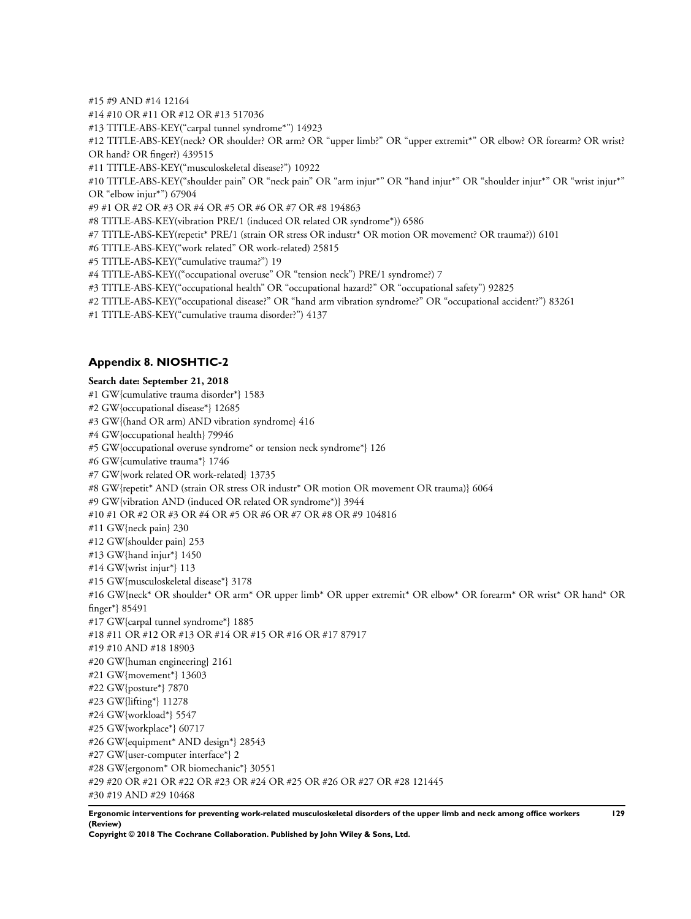#15 #9 AND #14 12164

#14 #10 OR #11 OR #12 OR #13 517036

#13 TITLE-ABS-KEY("carpal tunnel syndrome\*") 14923

#12 TITLE-ABS-KEY(neck? OR shoulder? OR arm? OR "upper limb?" OR "upper extremit\*" OR elbow? OR forearm? OR wrist? OR hand? OR finger?) 439515

#11 TITLE-ABS-KEY("musculoskeletal disease?") 10922

#10 TITLE-ABS-KEY("shoulder pain" OR "neck pain" OR "arm injur\*" OR "hand injur\*" OR "shoulder injur\*" OR "wrist injur\*" OR "elbow injur\*") 67904

#9 #1 OR #2 OR #3 OR #4 OR #5 OR #6 OR #7 OR #8 194863

#8 TITLE-ABS-KEY(vibration PRE/1 (induced OR related OR syndrome\*)) 6586

#7 TITLE-ABS-KEY(repetit\* PRE/1 (strain OR stress OR industr\* OR motion OR movement? OR trauma?)) 6101

#6 TITLE-ABS-KEY("work related" OR work-related) 25815

#5 TITLE-ABS-KEY("cumulative trauma?") 19

#4 TITLE-ABS-KEY(("occupational overuse" OR "tension neck") PRE/1 syndrome?) 7

#3 TITLE-ABS-KEY("occupational health" OR "occupational hazard?" OR "occupational safety") 92825

#2 TITLE-ABS-KEY("occupational disease?" OR "hand arm vibration syndrome?" OR "occupational accident?") 83261

#1 TITLE-ABS-KEY("cumulative trauma disorder?") 4137

# **Appendix 8. NIOSHTIC-2**

# **Search date: September 21, 2018** #1 GW{cumulative trauma disorder\*} 1583 #2 GW{occupational disease\*} 12685 #3 GW{(hand OR arm) AND vibration syndrome} 416 #4 GW{occupational health} 79946 #5 GW{occupational overuse syndrome\* or tension neck syndrome\*} 126 #6 GW{cumulative trauma\*} 1746 #7 GW{work related OR work-related} 13735 #8 GW{repetit\* AND (strain OR stress OR industr\* OR motion OR movement OR trauma)} 6064 #9 GW{vibration AND (induced OR related OR syndrome\*)} 3944 #10 #1 OR #2 OR #3 OR #4 OR #5 OR #6 OR #7 OR #8 OR #9 104816 #11 GW{neck pain} 230 #12 GW{shoulder pain} 253 #13 GW{hand injur\*} 1450 #14 GW{wrist injur\*} 113 #15 GW{musculoskeletal disease\*} 3178 #16 GW{neck\* OR shoulder\* OR arm\* OR upper limb\* OR upper extremit\* OR elbow\* OR forearm\* OR wrist\* OR hand\* OR finger\*} 85491 #17 GW{carpal tunnel syndrome\*} 1885 #18 #11 OR #12 OR #13 OR #14 OR #15 OR #16 OR #17 87917 #19 #10 AND #18 18903 #20 GW{human engineering} 2161 #21 GW{movement\*} 13603 #22 GW{posture\*} 7870 #23 GW{lifting\*} 11278 #24 GW{workload\*} 5547 #25 GW{workplace\*} 60717 #26 GW{equipment\* AND design\*} 28543 #27 GW{user-computer interface\*} 2 #28 GW{ergonom\* OR biomechanic\*} 30551 #29 #20 OR #21 OR #22 OR #23 OR #24 OR #25 OR #26 OR #27 OR #28 121445 #30 #19 AND #29 10468

**Ergonomic interventions for preventing work-related musculoskeletal disorders of the upper limb and neck among office workers 129 (Review)**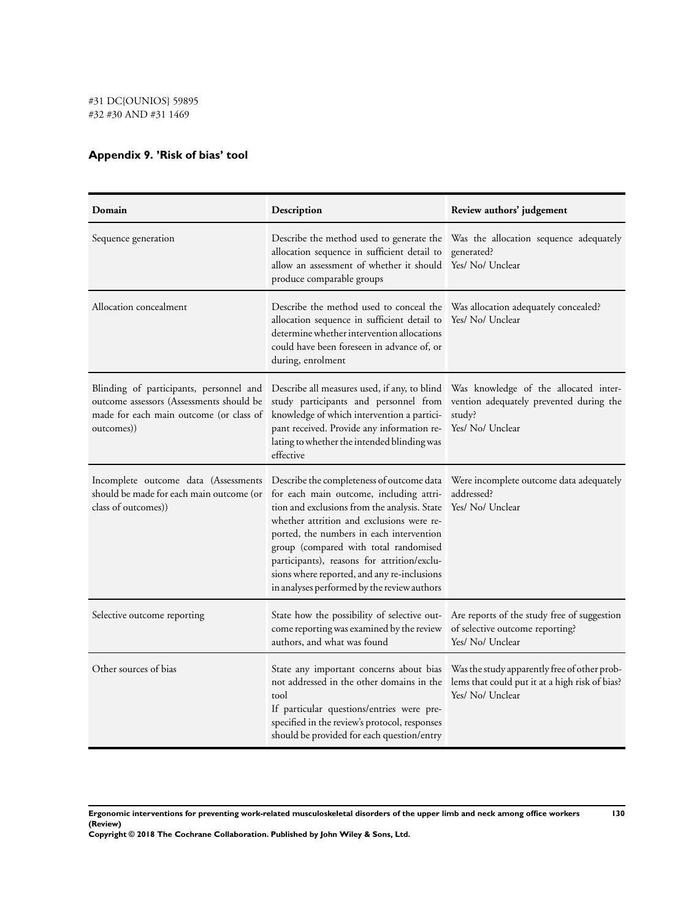# **Appendix 9. 'Risk of bias' tool**

| Domain                                                                                                                                      | Description                                                                                                                                                                                                                                                                                                                                                                                                                                                                                       | Review authors' judgement                                                                                          |
|---------------------------------------------------------------------------------------------------------------------------------------------|---------------------------------------------------------------------------------------------------------------------------------------------------------------------------------------------------------------------------------------------------------------------------------------------------------------------------------------------------------------------------------------------------------------------------------------------------------------------------------------------------|--------------------------------------------------------------------------------------------------------------------|
| Sequence generation                                                                                                                         | Describe the method used to generate the Was the allocation sequence adequately<br>allocation sequence in sufficient detail to<br>allow an assessment of whether it should<br>produce comparable groups                                                                                                                                                                                                                                                                                           | generated?<br>Yes/ No/ Unclear                                                                                     |
| Allocation concealment                                                                                                                      | Describe the method used to conceal the Was allocation adequately concealed?<br>allocation sequence in sufficient detail to<br>determine whether intervention allocations<br>could have been foreseen in advance of, or<br>during, enrolment                                                                                                                                                                                                                                                      | Yes/ No/ Unclear                                                                                                   |
| Blinding of participants, personnel and<br>outcome assessors (Assessments should be<br>made for each main outcome (or class of<br>outcomes) | Describe all measures used, if any, to blind<br>study participants and personnel from<br>knowledge of which intervention a partici-<br>pant received. Provide any information re-<br>lating to whether the intended blinding was<br>effective                                                                                                                                                                                                                                                     | Was knowledge of the allocated inter-<br>vention adequately prevented during the<br>study?<br>Yes/ No/ Unclear     |
| class of outcomes))                                                                                                                         | Incomplete outcome data (Assessments Describe the completeness of outcome data<br>should be made for each main outcome (or for each main outcome, including attri-<br>tion and exclusions from the analysis. State<br>whether attrition and exclusions were re-<br>ported, the numbers in each intervention<br>group (compared with total randomised<br>participants), reasons for attrition/exclu-<br>sions where reported, and any re-inclusions<br>in analyses performed by the review authors | Were incomplete outcome data adequately<br>addressed?<br>Yes/ No/ Unclear                                          |
| Selective outcome reporting                                                                                                                 | State how the possibility of selective out-<br>come reporting was examined by the review<br>authors, and what was found                                                                                                                                                                                                                                                                                                                                                                           | Are reports of the study free of suggestion<br>of selective outcome reporting?<br>Yes/ No/ Unclear                 |
| Other sources of bias                                                                                                                       | State any important concerns about bias<br>not addressed in the other domains in the<br>tool<br>If particular questions/entries were pre-<br>specified in the review's protocol, responses<br>should be provided for each question/entry                                                                                                                                                                                                                                                          | Was the study apparently free of other prob-<br>lems that could put it at a high risk of bias?<br>Yes/ No/ Unclear |

**Ergonomic interventions for preventing work-related musculoskeletal disorders of the upper limb and neck among office workers 130 (Review)**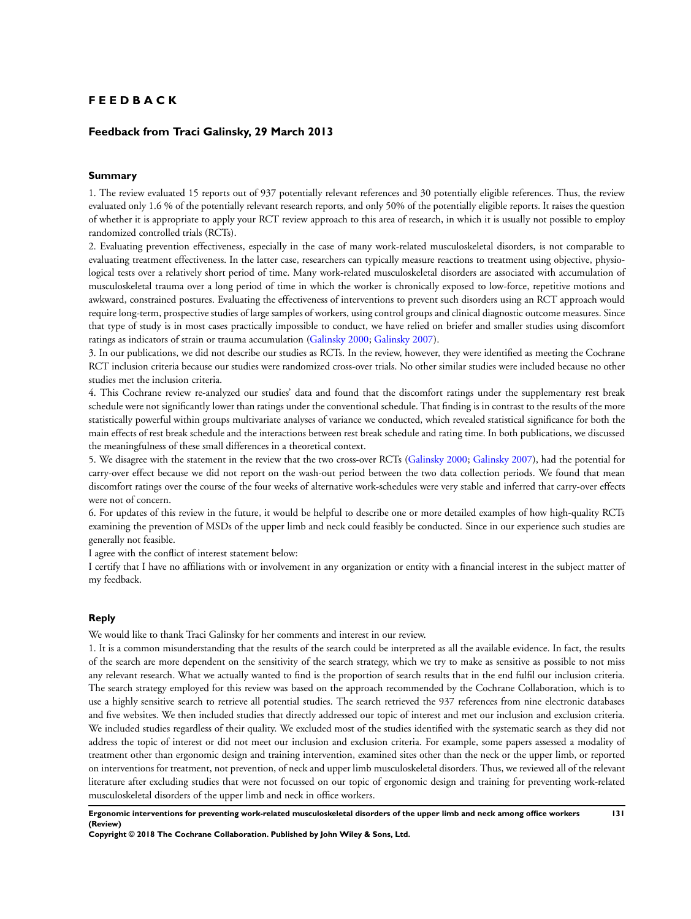### **F E E D B A C K**

### **Feedback from Traci Galinsky, 29 March 2013**

#### **Summary**

1. The review evaluated 15 reports out of 937 potentially relevant references and 30 potentially eligible references. Thus, the review evaluated only 1.6 % of the potentially relevant research reports, and only 50% of the potentially eligible reports. It raises the question of whether it is appropriate to apply your RCT review approach to this area of research, in which it is usually not possible to employ randomized controlled trials (RCTs).

2. Evaluating prevention effectiveness, especially in the case of many work-related musculoskeletal disorders, is not comparable to evaluating treatment effectiveness. In the latter case, researchers can typically measure reactions to treatment using objective, physiological tests over a relatively short period of time. Many work-related musculoskeletal disorders are associated with accumulation of musculoskeletal trauma over a long period of time in which the worker is chronically exposed to low-force, repetitive motions and awkward, constrained postures. Evaluating the effectiveness of interventions to prevent such disorders using an RCT approach would require long-term, prospective studies of large samples of workers, using control groups and clinical diagnostic outcome measures. Since that type of study is in most cases practically impossible to conduct, we have relied on briefer and smaller studies using discomfort ratings as indicators of strain or trauma accumulation (Galinsky 2000; Galinsky 2007).

3. In our publications, we did not describe our studies as RCTs. In the review, however, they were identified as meeting the Cochrane RCT inclusion criteria because our studies were randomized cross-over trials. No other similar studies were included because no other studies met the inclusion criteria.

4. This Cochrane review re-analyzed our studies' data and found that the discomfort ratings under the supplementary rest break schedule were not significantly lower than ratings under the conventional schedule. That finding is in contrast to the results of the more statistically powerful within groups multivariate analyses of variance we conducted, which revealed statistical significance for both the main effects of rest break schedule and the interactions between rest break schedule and rating time. In both publications, we discussed the meaningfulness of these small differences in a theoretical context.

5. We disagree with the statement in the review that the two cross-over RCTs (Galinsky 2000; Galinsky 2007), had the potential for carry-over effect because we did not report on the wash-out period between the two data collection periods. We found that mean discomfort ratings over the course of the four weeks of alternative work-schedules were very stable and inferred that carry-over effects were not of concern.

6. For updates of this review in the future, it would be helpful to describe one or more detailed examples of how high-quality RCTs examining the prevention of MSDs of the upper limb and neck could feasibly be conducted. Since in our experience such studies are generally not feasible.

I agree with the conflict of interest statement below:

I certify that I have no affiliations with or involvement in any organization or entity with a financial interest in the subject matter of my feedback.

### **Reply**

We would like to thank Traci Galinsky for her comments and interest in our review.

1. It is a common misunderstanding that the results of the search could be interpreted as all the available evidence. In fact, the results of the search are more dependent on the sensitivity of the search strategy, which we try to make as sensitive as possible to not miss any relevant research. What we actually wanted to find is the proportion of search results that in the end fulfil our inclusion criteria. The search strategy employed for this review was based on the approach recommended by the Cochrane Collaboration, which is to use a highly sensitive search to retrieve all potential studies. The search retrieved the 937 references from nine electronic databases and five websites. We then included studies that directly addressed our topic of interest and met our inclusion and exclusion criteria. We included studies regardless of their quality. We excluded most of the studies identified with the systematic search as they did not address the topic of interest or did not meet our inclusion and exclusion criteria. For example, some papers assessed a modality of treatment other than ergonomic design and training intervention, examined sites other than the neck or the upper limb, or reported on interventions for treatment, not prevention, of neck and upper limb musculoskeletal disorders. Thus, we reviewed all of the relevant literature after excluding studies that were not focussed on our topic of ergonomic design and training for preventing work-related musculoskeletal disorders of the upper limb and neck in office workers.

**Ergonomic interventions for preventing work-related musculoskeletal disorders of the upper limb and neck among office workers 131 (Review)**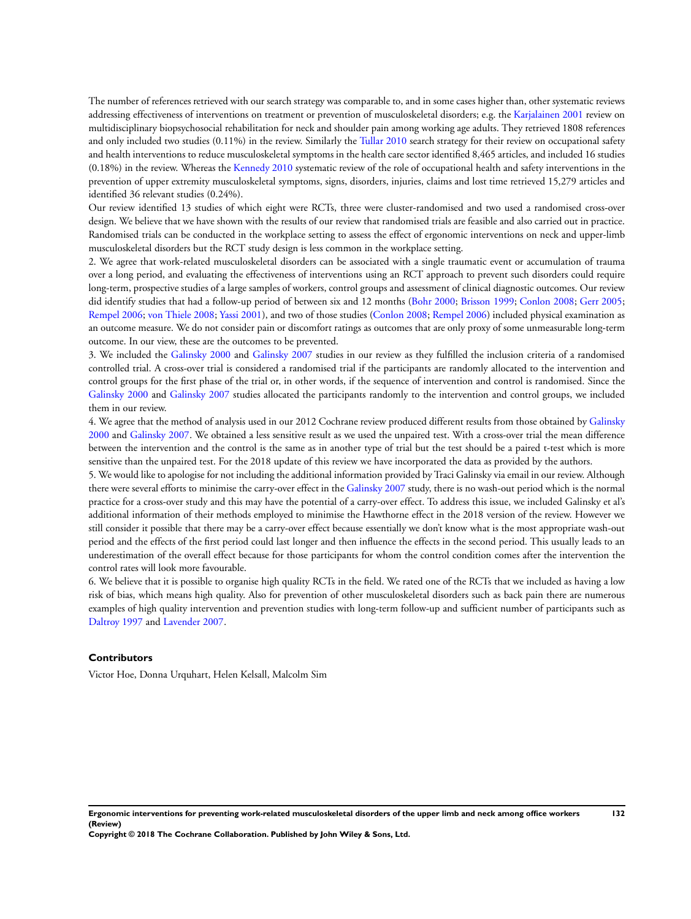The number of references retrieved with our search strategy was comparable to, and in some cases higher than, other systematic reviews addressing effectiveness of interventions on treatment or prevention of musculoskeletal disorders; e.g. the Karjalainen 2001 review on multidisciplinary biopsychosocial rehabilitation for neck and shoulder pain among working age adults. They retrieved 1808 references and only included two studies (0.11%) in the review. Similarly the Tullar 2010 search strategy for their review on occupational safety and health interventions to reduce musculoskeletal symptoms in the health care sector identified 8,465 articles, and included 16 studies (0.18%) in the review. Whereas the Kennedy 2010 systematic review of the role of occupational health and safety interventions in the prevention of upper extremity musculoskeletal symptoms, signs, disorders, injuries, claims and lost time retrieved 15,279 articles and identified 36 relevant studies (0.24%).

Our review identified 13 studies of which eight were RCTs, three were cluster-randomised and two used a randomised cross-over design. We believe that we have shown with the results of our review that randomised trials are feasible and also carried out in practice. Randomised trials can be conducted in the workplace setting to assess the effect of ergonomic interventions on neck and upper-limb musculoskeletal disorders but the RCT study design is less common in the workplace setting.

2. We agree that work-related musculoskeletal disorders can be associated with a single traumatic event or accumulation of trauma over a long period, and evaluating the effectiveness of interventions using an RCT approach to prevent such disorders could require long-term, prospective studies of a large samples of workers, control groups and assessment of clinical diagnostic outcomes. Our review did identify studies that had a follow-up period of between six and 12 months (Bohr 2000; Brisson 1999; Conlon 2008; Gerr 2005; Rempel 2006; von Thiele 2008; Yassi 2001), and two of those studies (Conlon 2008; Rempel 2006) included physical examination as an outcome measure. We do not consider pain or discomfort ratings as outcomes that are only proxy of some unmeasurable long-term outcome. In our view, these are the outcomes to be prevented.

3. We included the Galinsky 2000 and Galinsky 2007 studies in our review as they fulfilled the inclusion criteria of a randomised controlled trial. A cross-over trial is considered a randomised trial if the participants are randomly allocated to the intervention and control groups for the first phase of the trial or, in other words, if the sequence of intervention and control is randomised. Since the Galinsky 2000 and Galinsky 2007 studies allocated the participants randomly to the intervention and control groups, we included them in our review.

4. We agree that the method of analysis used in our 2012 Cochrane review produced different results from those obtained by Galinsky 2000 and Galinsky 2007. We obtained a less sensitive result as we used the unpaired test. With a cross-over trial the mean difference between the intervention and the control is the same as in another type of trial but the test should be a paired t-test which is more sensitive than the unpaired test. For the 2018 update of this review we have incorporated the data as provided by the authors.

5. We would like to apologise for not including the additional information provided by Traci Galinsky via email in our review. Although there were several efforts to minimise the carry-over effect in the Galinsky 2007 study, there is no wash-out period which is the normal practice for a cross-over study and this may have the potential of a carry-over effect. To address this issue, we included Galinsky et al's additional information of their methods employed to minimise the Hawthorne effect in the 2018 version of the review. However we still consider it possible that there may be a carry-over effect because essentially we don't know what is the most appropriate wash-out period and the effects of the first period could last longer and then influence the effects in the second period. This usually leads to an underestimation of the overall effect because for those participants for whom the control condition comes after the intervention the control rates will look more favourable.

6. We believe that it is possible to organise high quality RCTs in the field. We rated one of the RCTs that we included as having a low risk of bias, which means high quality. Also for prevention of other musculoskeletal disorders such as back pain there are numerous examples of high quality intervention and prevention studies with long-term follow-up and sufficient number of participants such as Daltroy 1997 and Lavender 2007.

#### **Contributors**

Victor Hoe, Donna Urquhart, Helen Kelsall, Malcolm Sim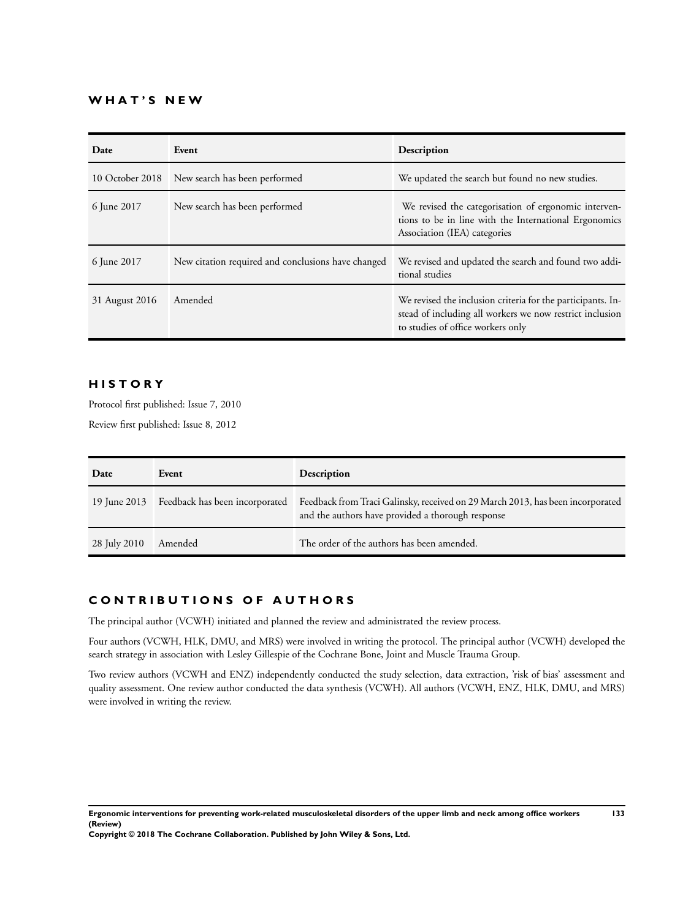### **W H A T ' S N E W**

| Date           | Event                                              | Description                                                                                                                                                  |
|----------------|----------------------------------------------------|--------------------------------------------------------------------------------------------------------------------------------------------------------------|
|                | 10 October 2018 New search has been performed      | We updated the search but found no new studies.                                                                                                              |
| 6 June 2017    | New search has been performed                      | We revised the categorisation of ergonomic interven-<br>tions to be in line with the International Ergonomics<br>Association (IEA) categories                |
| 6 June 2017    | New citation required and conclusions have changed | We revised and updated the search and found two addi-<br>tional studies                                                                                      |
| 31 August 2016 | Amended                                            | We revised the inclusion criteria for the participants. In-<br>stead of including all workers we now restrict inclusion<br>to studies of office workers only |

# **H I S T O R Y**

Protocol first published: Issue 7, 2010

Review first published: Issue 8, 2012

| Date         | Event                          | Description                                                                                                                         |
|--------------|--------------------------------|-------------------------------------------------------------------------------------------------------------------------------------|
| 19 June 2013 | Feedback has been incorporated | Feedback from Traci Galinsky, received on 29 March 2013, has been incorporated<br>and the authors have provided a thorough response |
| 28 July 2010 | Amended                        | The order of the authors has been amended.                                                                                          |

# **C O N T R I B U T I O N S O F A U T H O R S**

The principal author (VCWH) initiated and planned the review and administrated the review process.

Four authors (VCWH, HLK, DMU, and MRS) were involved in writing the protocol. The principal author (VCWH) developed the search strategy in association with Lesley Gillespie of the Cochrane Bone, Joint and Muscle Trauma Group.

Two review authors (VCWH and ENZ) independently conducted the study selection, data extraction, 'risk of bias' assessment and quality assessment. One review author conducted the data synthesis (VCWH). All authors (VCWH, ENZ, HLK, DMU, and MRS) were involved in writing the review.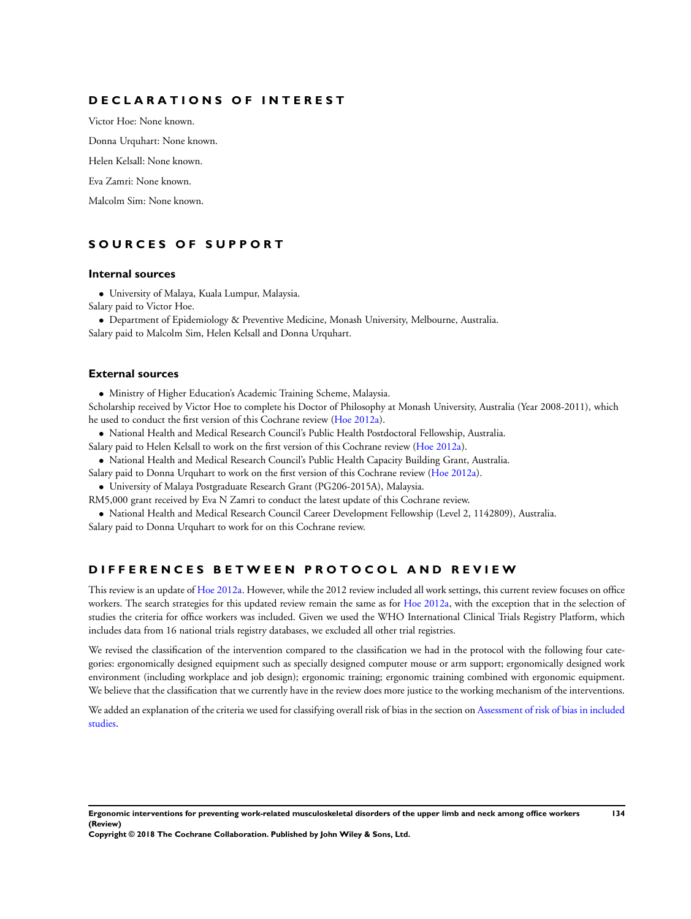### **D E C L A R A T I O N S O F I N T E R E S T**

Victor Hoe: None known. Donna Urquhart: None known. Helen Kelsall: None known. Eva Zamri: None known. Malcolm Sim: None known.

# **S O U R C E S O F S U P P O R T**

# **Internal sources**

• University of Malaya, Kuala Lumpur, Malaysia.

Salary paid to Victor Hoe.

• Department of Epidemiology & Preventive Medicine, Monash University, Melbourne, Australia. Salary paid to Malcolm Sim, Helen Kelsall and Donna Urquhart.

### **External sources**

• Ministry of Higher Education's Academic Training Scheme, Malaysia. Scholarship received by Victor Hoe to complete his Doctor of Philosophy at Monash University, Australia (Year 2008-2011), which

he used to conduct the first version of this Cochrane review (Hoe 2012a).

• National Health and Medical Research Council's Public Health Postdoctoral Fellowship, Australia.

Salary paid to Helen Kelsall to work on the first version of this Cochrane review (Hoe 2012a).

• National Health and Medical Research Council's Public Health Capacity Building Grant, Australia.

Salary paid to Donna Urquhart to work on the first version of this Cochrane review (Hoe 2012a).

• University of Malaya Postgraduate Research Grant (PG206-2015A), Malaysia.

RM5,000 grant received by Eva N Zamri to conduct the latest update of this Cochrane review.

• National Health and Medical Research Council Career Development Fellowship (Level 2, 1142809), Australia.

Salary paid to Donna Urquhart to work for on this Cochrane review.

# **DIFFERENCES BETWEEN PROTOCOL AND REVIEW**

This review is an update of Hoe 2012a. However, while the 2012 review included all work settings, this current review focuses on office workers. The search strategies for this updated review remain the same as for Hoe 2012a, with the exception that in the selection of studies the criteria for office workers was included. Given we used the WHO International Clinical Trials Registry Platform, which includes data from 16 national trials registry databases, we excluded all other trial registries.

We revised the classification of the intervention compared to the classification we had in the protocol with the following four categories: ergonomically designed equipment such as specially designed computer mouse or arm support; ergonomically designed work environment (including workplace and job design); ergonomic training; ergonomic training combined with ergonomic equipment. We believe that the classification that we currently have in the review does more justice to the working mechanism of the interventions.

We added an explanation of the criteria we used for classifying overall risk of bias in the section on Assessment of risk of bias in included studies.